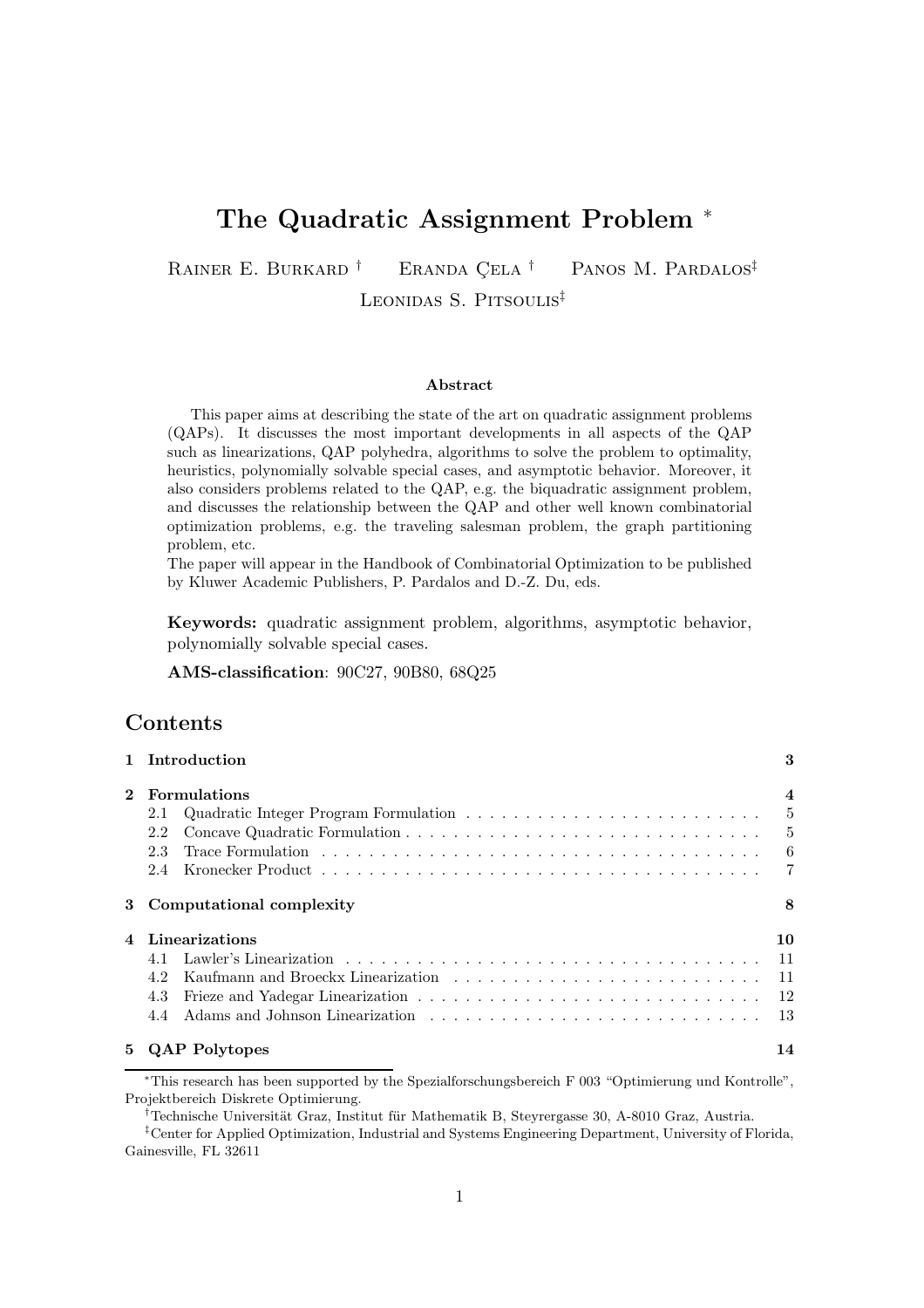# The Quadratic Assignment Problem <sup>∗</sup>

RAINER E. BURKARD<sup>†</sup> ERANDA CELA<sup>†</sup> PANOS M. PARDALOS<sup>‡</sup> LEONIDAS S. PITSOULIS<sup>‡</sup>

#### Abstract

This paper aims at describing the state of the art on quadratic assignment problems (QAPs). It discusses the most important developments in all aspects of the QAP such as linearizations, QAP polyhedra, algorithms to solve the problem to optimality, heuristics, polynomially solvable special cases, and asymptotic behavior. Moreover, it also considers problems related to the QAP, e.g. the biquadratic assignment problem, and discusses the relationship between the QAP and other well known combinatorial optimization problems, e.g. the traveling salesman problem, the graph partitioning problem, etc.

The paper will appear in the Handbook of Combinatorial Optimization to be published by Kluwer Academic Publishers, P. Pardalos and D.-Z. Du, eds.

Keywords: quadratic assignment problem, algorithms, asymptotic behavior, polynomially solvable special cases.

AMS-classification: 90C27, 90B80, 68Q25

## Contents

|              | 1 Introduction                                                                                                                                                                                                                       | 3              |
|--------------|--------------------------------------------------------------------------------------------------------------------------------------------------------------------------------------------------------------------------------------|----------------|
| $\mathbf{2}$ | Formulations                                                                                                                                                                                                                         | $\overline{4}$ |
|              | 2.1                                                                                                                                                                                                                                  |                |
|              | 2.2                                                                                                                                                                                                                                  |                |
|              | 2.3                                                                                                                                                                                                                                  |                |
|              | 2.4                                                                                                                                                                                                                                  |                |
|              | 3 Computational complexity<br>4 Linearizations                                                                                                                                                                                       | 8<br>10        |
|              | 4.1                                                                                                                                                                                                                                  |                |
|              | Kaufmann and Broeckx Linearization (and all contracts of the set of the set of the set of the set of the set of the set of the set of the set of the set of the set of the set of the set of the set of the set of the set of<br>4.2 |                |
|              | 4.3                                                                                                                                                                                                                                  |                |
|              | 4.4                                                                                                                                                                                                                                  |                |
|              | 5 QAP Polytopes                                                                                                                                                                                                                      | 14             |

<sup>∗</sup>This research has been supported by the Spezialforschungsbereich F 003 "Optimierung und Kontrolle", Projektbereich Diskrete Optimierung.

<sup>†</sup>Technische Universität Graz, Institut für Mathematik B, Steyrergasse 30, A-8010 Graz, Austria.

‡Center for Applied Optimization, Industrial and Systems Engineering Department, University of Florida, Gainesville, FL 32611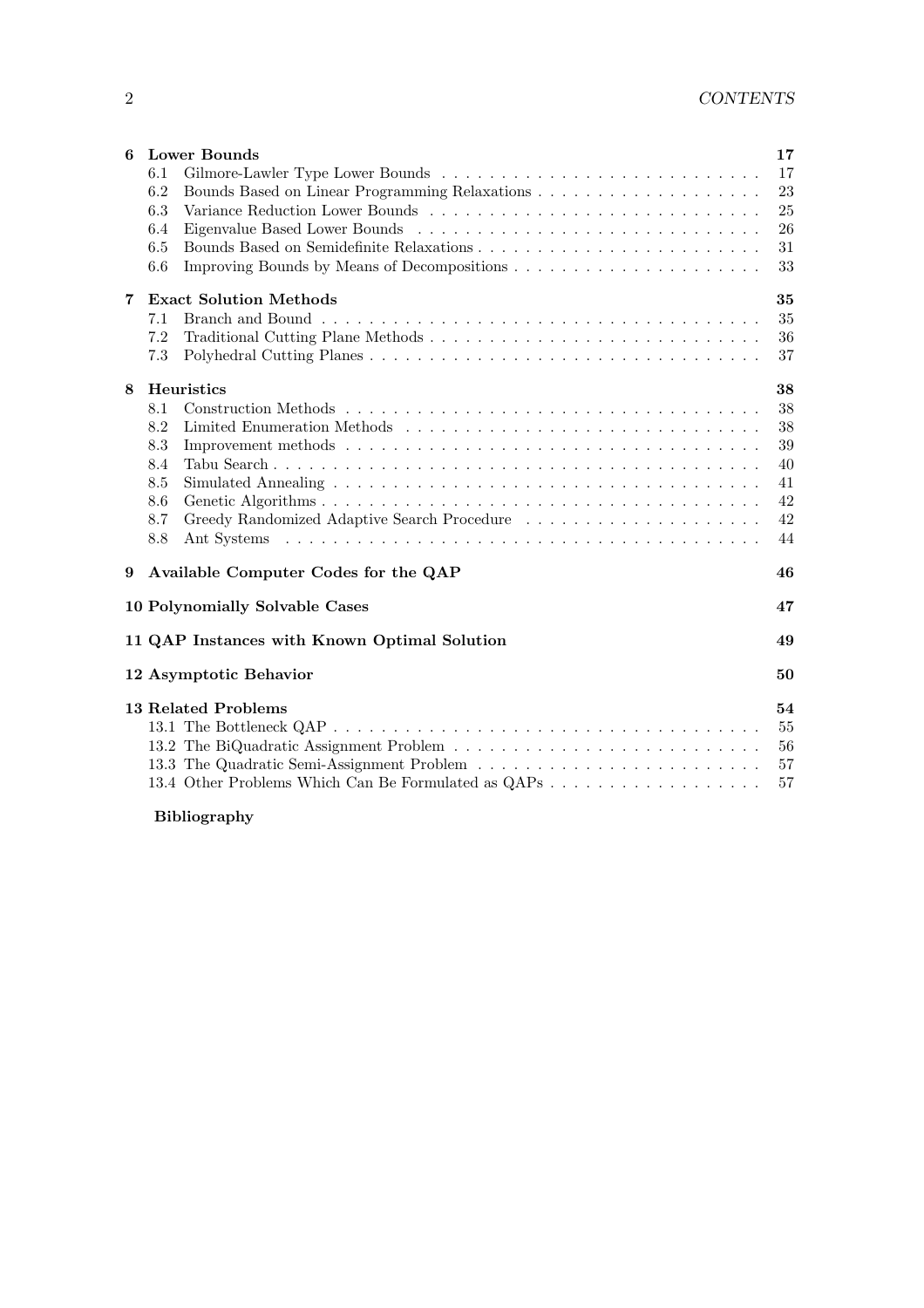| 6 | <b>Lower Bounds</b><br>6.1<br>6.2<br>6.3<br>6.4<br>6.5<br>6.6             | 17<br>17<br>23<br>25<br>26<br>31<br>33             |
|---|---------------------------------------------------------------------------|----------------------------------------------------|
| 7 | <b>Exact Solution Methods</b><br>7.1<br>7.2<br>7.3                        | 35<br>35<br>36<br>37                               |
| 8 | <b>Heuristics</b><br>8.1<br>8.2<br>8.3<br>8.4<br>8.5<br>8.6<br>8.7<br>8.8 | 38<br>38<br>38<br>39<br>40<br>41<br>42<br>42<br>44 |
| 9 | Available Computer Codes for the QAP                                      | 46                                                 |
|   | 10 Polynomially Solvable Cases                                            | 47                                                 |
|   | 11 QAP Instances with Known Optimal Solution                              | 49                                                 |
|   | 12 Asymptotic Behavior                                                    | 50                                                 |
|   | <b>13 Related Problems</b>                                                | 54<br>55<br>56<br>57<br>57                         |

## Bibliography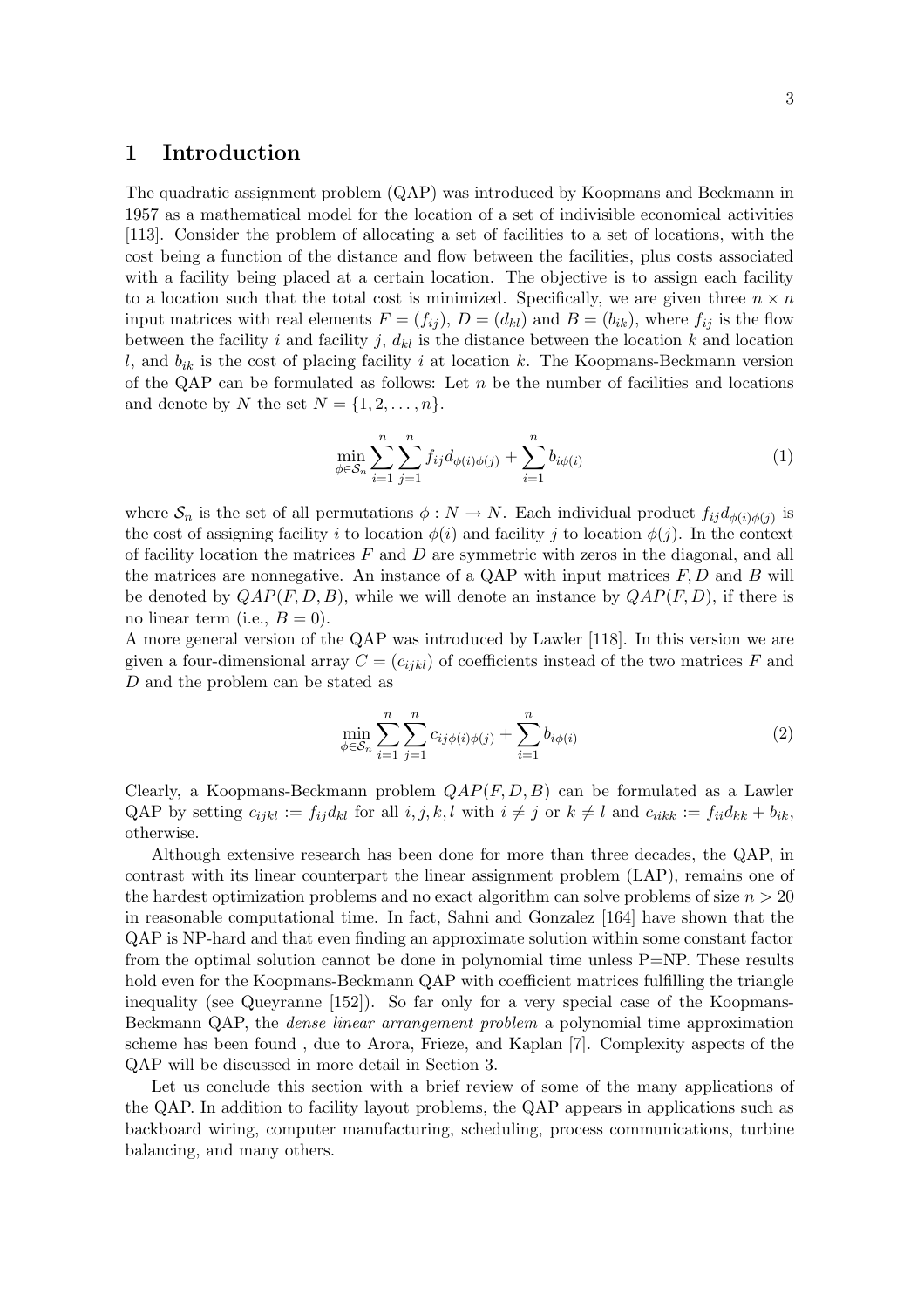## 1 Introduction

The quadratic assignment problem (QAP) was introduced by Koopmans and Beckmann in 1957 as a mathematical model for the location of a set of indivisible economical activities [113]. Consider the problem of allocating a set of facilities to a set of locations, with the cost being a function of the distance and flow between the facilities, plus costs associated with a facility being placed at a certain location. The objective is to assign each facility to a location such that the total cost is minimized. Specifically, we are given three  $n \times n$ input matrices with real elements  $F = (f_{ij}), D = (d_{kl})$  and  $B = (b_{ik}),$  where  $f_{ij}$  is the flow between the facility i and facility j,  $d_{kl}$  is the distance between the location k and location l, and  $b_{ik}$  is the cost of placing facility i at location k. The Koopmans-Beckmann version of the QAP can be formulated as follows: Let  $n$  be the number of facilities and locations and denote by N the set  $N = \{1, 2, \ldots, n\}.$ 

$$
\min_{\phi \in S_n} \sum_{i=1}^n \sum_{j=1}^n f_{ij} d_{\phi(i)\phi(j)} + \sum_{i=1}^n b_{i\phi(i)} \tag{1}
$$

where  $S_n$  is the set of all permutations  $\phi: N \to N$ . Each individual product  $f_{ij}d_{\phi(i)\phi(j)}$  is the cost of assigning facility i to location  $\phi(i)$  and facility j to location  $\phi(j)$ . In the context of facility location the matrices  $F$  and  $D$  are symmetric with zeros in the diagonal, and all the matrices are nonnegative. An instance of a QAP with input matrices  $F, D$  and  $B$  will be denoted by  $QAP(F, D, B)$ , while we will denote an instance by  $QAP(F, D)$ , if there is no linear term (i.e.,  $B = 0$ ).

A more general version of the QAP was introduced by Lawler [118]. In this version we are given a four-dimensional array  $C = (c_{ijkl})$  of coefficients instead of the two matrices F and D and the problem can be stated as

$$
\min_{\phi \in S_n} \sum_{i=1}^n \sum_{j=1}^n c_{ij\phi(i)\phi(j)} + \sum_{i=1}^n b_{i\phi(i)} \tag{2}
$$

Clearly, a Koopmans-Beckmann problem  $QAP(F, D, B)$  can be formulated as a Lawler QAP by setting  $c_{ijkl} := f_{ij}d_{kl}$  for all  $i, j, k, l$  with  $i \neq j$  or  $k \neq l$  and  $c_{iikk} := f_{ii}d_{kk} + b_{ik}$ , otherwise.

Although extensive research has been done for more than three decades, the QAP, in contrast with its linear counterpart the linear assignment problem (LAP), remains one of the hardest optimization problems and no exact algorithm can solve problems of size  $n > 20$ in reasonable computational time. In fact, Sahni and Gonzalez [164] have shown that the QAP is NP-hard and that even finding an approximate solution within some constant factor from the optimal solution cannot be done in polynomial time unless P=NP. These results hold even for the Koopmans-Beckmann QAP with coefficient matrices fulfilling the triangle inequality (see Queyranne [152]). So far only for a very special case of the Koopmans-Beckmann QAP, the dense linear arrangement problem a polynomial time approximation scheme has been found , due to Arora, Frieze, and Kaplan [7]. Complexity aspects of the QAP will be discussed in more detail in Section 3.

Let us conclude this section with a brief review of some of the many applications of the QAP. In addition to facility layout problems, the QAP appears in applications such as backboard wiring, computer manufacturing, scheduling, process communications, turbine balancing, and many others.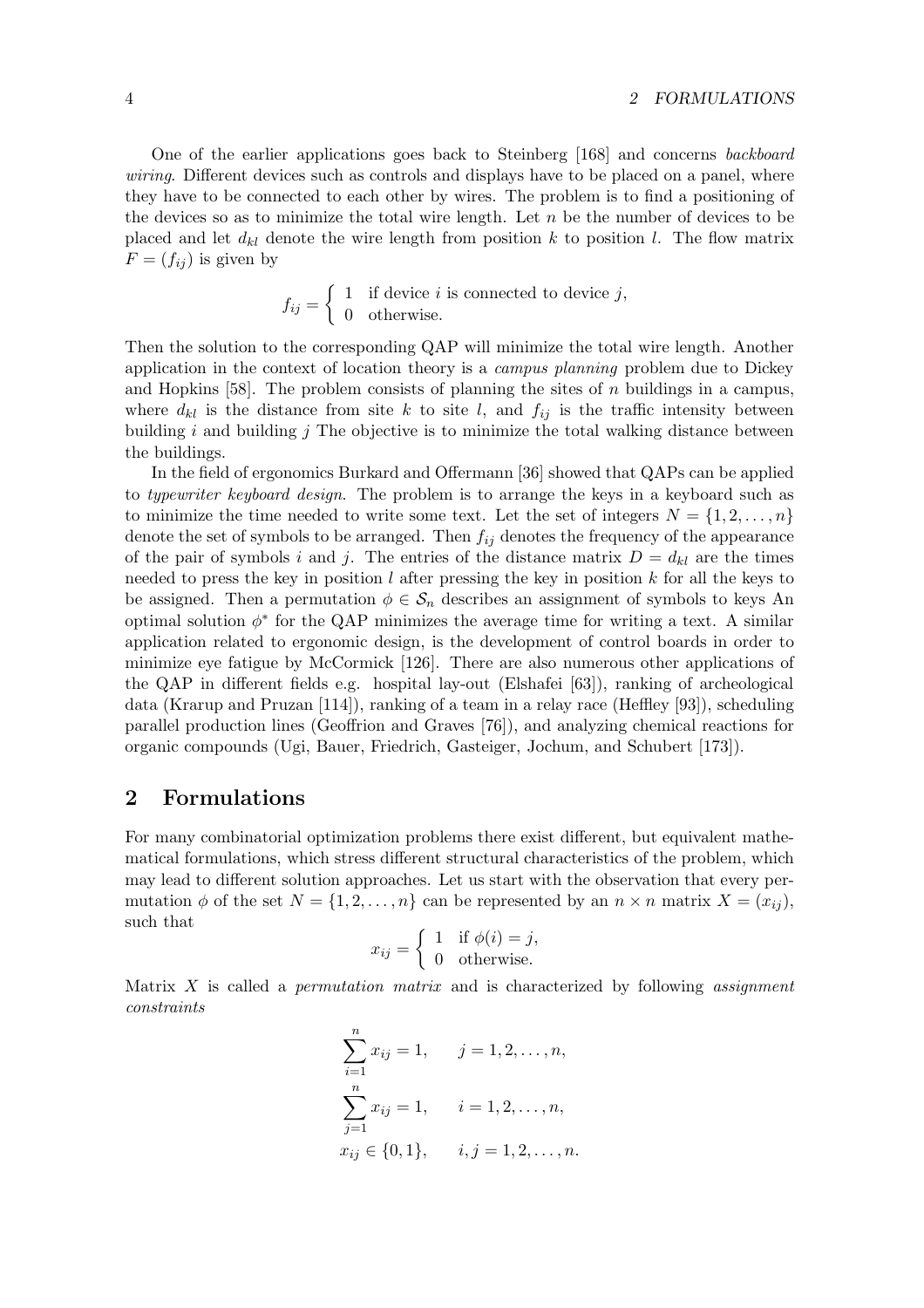One of the earlier applications goes back to Steinberg [168] and concerns backboard wiring. Different devices such as controls and displays have to be placed on a panel, where they have to be connected to each other by wires. The problem is to find a positioning of the devices so as to minimize the total wire length. Let  $n$  be the number of devices to be placed and let  $d_{kl}$  denote the wire length from position k to position l. The flow matrix  $F = (f_{ij})$  is given by

$$
f_{ij} = \begin{cases} 1 & \text{if device } i \text{ is connected to device } j, \\ 0 & \text{otherwise.} \end{cases}
$$

Then the solution to the corresponding QAP will minimize the total wire length. Another application in the context of location theory is a campus planning problem due to Dickey and Hopkins  $[58]$ . The problem consists of planning the sites of n buildings in a campus, where  $d_{kl}$  is the distance from site k to site l, and  $f_{ij}$  is the traffic intensity between building  $i$  and building  $j$  The objective is to minimize the total walking distance between the buildings.

In the field of ergonomics Burkard and Offermann [36] showed that QAPs can be applied to typewriter keyboard design. The problem is to arrange the keys in a keyboard such as to minimize the time needed to write some text. Let the set of integers  $N = \{1, 2, \ldots, n\}$ denote the set of symbols to be arranged. Then  $f_{ij}$  denotes the frequency of the appearance of the pair of symbols i and j. The entries of the distance matrix  $D = d_{kl}$  are the times needed to press the key in position  $l$  after pressing the key in position  $k$  for all the keys to be assigned. Then a permutation  $\phi \in \mathcal{S}_n$  describes an assignment of symbols to keys An optimal solution  $\phi^*$  for the QAP minimizes the average time for writing a text. A similar application related to ergonomic design, is the development of control boards in order to minimize eye fatigue by McCormick [126]. There are also numerous other applications of the QAP in different fields e.g. hospital lay-out (Elshafei [63]), ranking of archeological data (Krarup and Pruzan [114]), ranking of a team in a relay race (Heffley [93]), scheduling parallel production lines (Geoffrion and Graves [76]), and analyzing chemical reactions for organic compounds (Ugi, Bauer, Friedrich, Gasteiger, Jochum, and Schubert [173]).

## 2 Formulations

For many combinatorial optimization problems there exist different, but equivalent mathematical formulations, which stress different structural characteristics of the problem, which may lead to different solution approaches. Let us start with the observation that every permutation  $\phi$  of the set  $N = \{1, 2, ..., n\}$  can be represented by an  $n \times n$  matrix  $X = (x_{ij})$ , such that

$$
x_{ij} = \begin{cases} 1 & \text{if } \phi(i) = j, \\ 0 & \text{otherwise.} \end{cases}
$$

Matrix  $X$  is called a *permutation matrix* and is characterized by following *assignment* constraints

$$
\sum_{i=1}^{n} x_{ij} = 1, \qquad j = 1, 2, \dots, n,
$$
  

$$
\sum_{j=1}^{n} x_{ij} = 1, \qquad i = 1, 2, \dots, n,
$$
  

$$
x_{ij} \in \{0, 1\}, \qquad i, j = 1, 2, \dots, n.
$$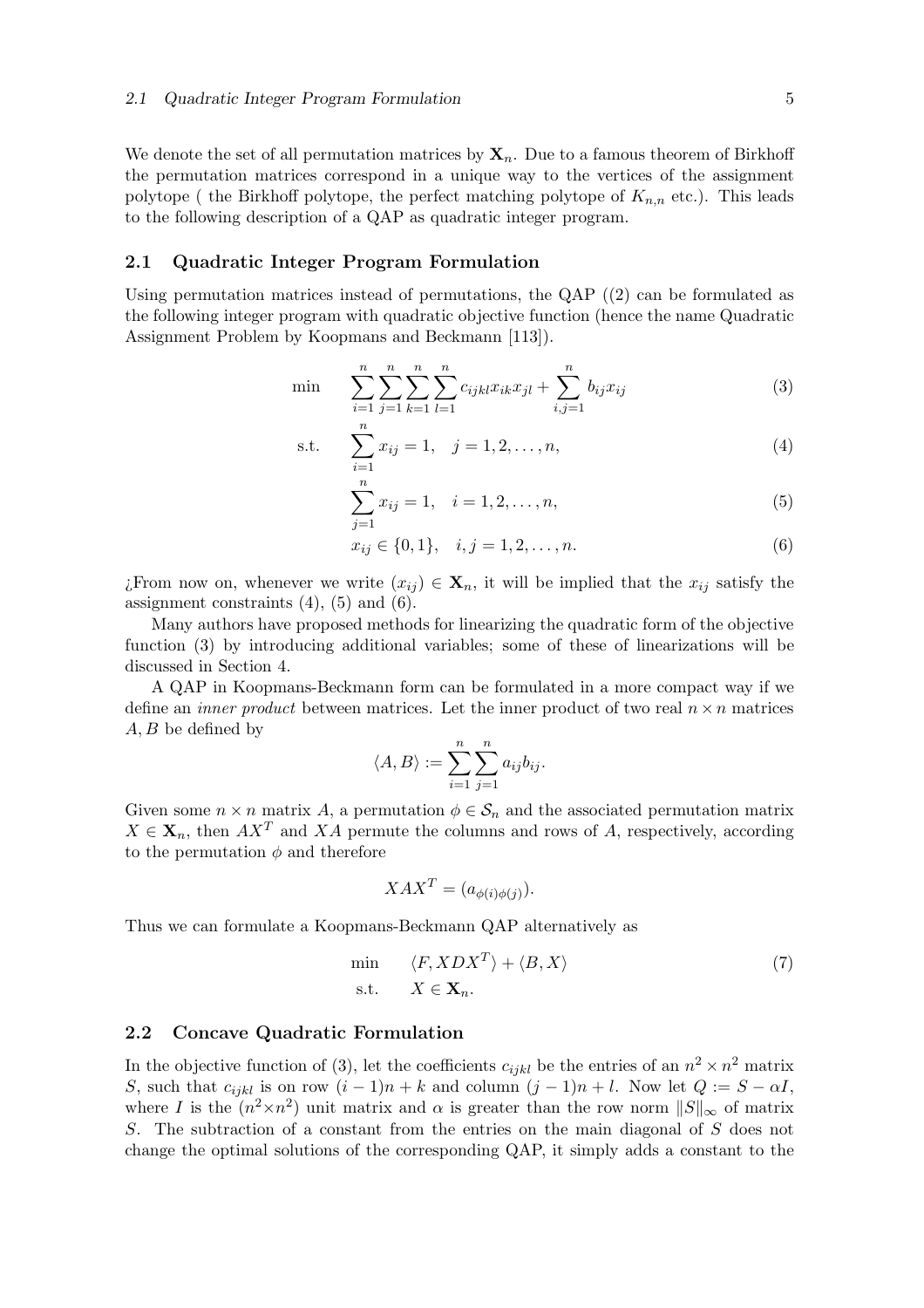We denote the set of all permutation matrices by  $X_n$ . Due to a famous theorem of Birkhoff the permutation matrices correspond in a unique way to the vertices of the assignment polytope ( the Birkhoff polytope, the perfect matching polytope of  $K_{n,n}$  etc.). This leads to the following description of a QAP as quadratic integer program.

## 2.1 Quadratic Integer Program Formulation

Using permutation matrices instead of permutations, the QAP ((2) can be formulated as the following integer program with quadratic objective function (hence the name Quadratic Assignment Problem by Koopmans and Beckmann [113]).

$$
\min \qquad \sum_{i=1}^{n} \sum_{j=1}^{n} \sum_{k=1}^{n} \sum_{l=1}^{n} c_{ijkl} x_{ik} x_{jl} + \sum_{i,j=1}^{n} b_{ij} x_{ij} \tag{3}
$$

s.t. 
$$
\sum_{i=1}^{n} x_{ij} = 1, \quad j = 1, 2, ..., n,
$$
 (4)

$$
\sum_{j=1}^{n} x_{ij} = 1, \quad i = 1, 2, \dots, n,
$$
\n(5)

$$
x_{ij} \in \{0, 1\}, \quad i, j = 1, 2, \dots, n. \tag{6}
$$

¿From now on, whenever we write  $(x_{ij}) \in \mathbf{X}_n$ , it will be implied that the  $x_{ij}$  satisfy the assignment constraints  $(4)$ ,  $(5)$  and  $(6)$ .

Many authors have proposed methods for linearizing the quadratic form of the objective function (3) by introducing additional variables; some of these of linearizations will be discussed in Section 4.

A QAP in Koopmans-Beckmann form can be formulated in a more compact way if we define an *inner product* between matrices. Let the inner product of two real  $n \times n$  matrices  $A, B$  be defined by

$$
\langle A, B \rangle := \sum_{i=1}^n \sum_{j=1}^n a_{ij} b_{ij}.
$$

Given some  $n \times n$  matrix A, a permutation  $\phi \in \mathcal{S}_n$  and the associated permutation matrix  $X \in \mathbf{X}_n$ , then  $AX^T$  and XA permute the columns and rows of A, respectively, according to the permutation  $\phi$  and therefore

$$
XAX^T = (a_{\phi(i)\phi(j)}).
$$

Thus we can formulate a Koopmans-Beckmann QAP alternatively as

$$
\min \langle F, XDX^T \rangle + \langle B, X \rangle \tag{7}
$$
\n
$$
\text{s.t.} \quad X \in \mathbf{X}_n.
$$

### 2.2 Concave Quadratic Formulation

In the objective function of (3), let the coefficients  $c_{ijkl}$  be the entries of an  $n^2 \times n^2$  matrix S, such that  $c_{ijkl}$  is on row  $(i-1)n+k$  and column  $(j-1)n+l$ . Now let  $Q := S - \alpha I$ , where I is the  $(n^2 \times n^2)$  unit matrix and  $\alpha$  is greater than the row norm  $||S||_{\infty}$  of matrix S. The subtraction of a constant from the entries on the main diagonal of S does not change the optimal solutions of the corresponding QAP, it simply adds a constant to the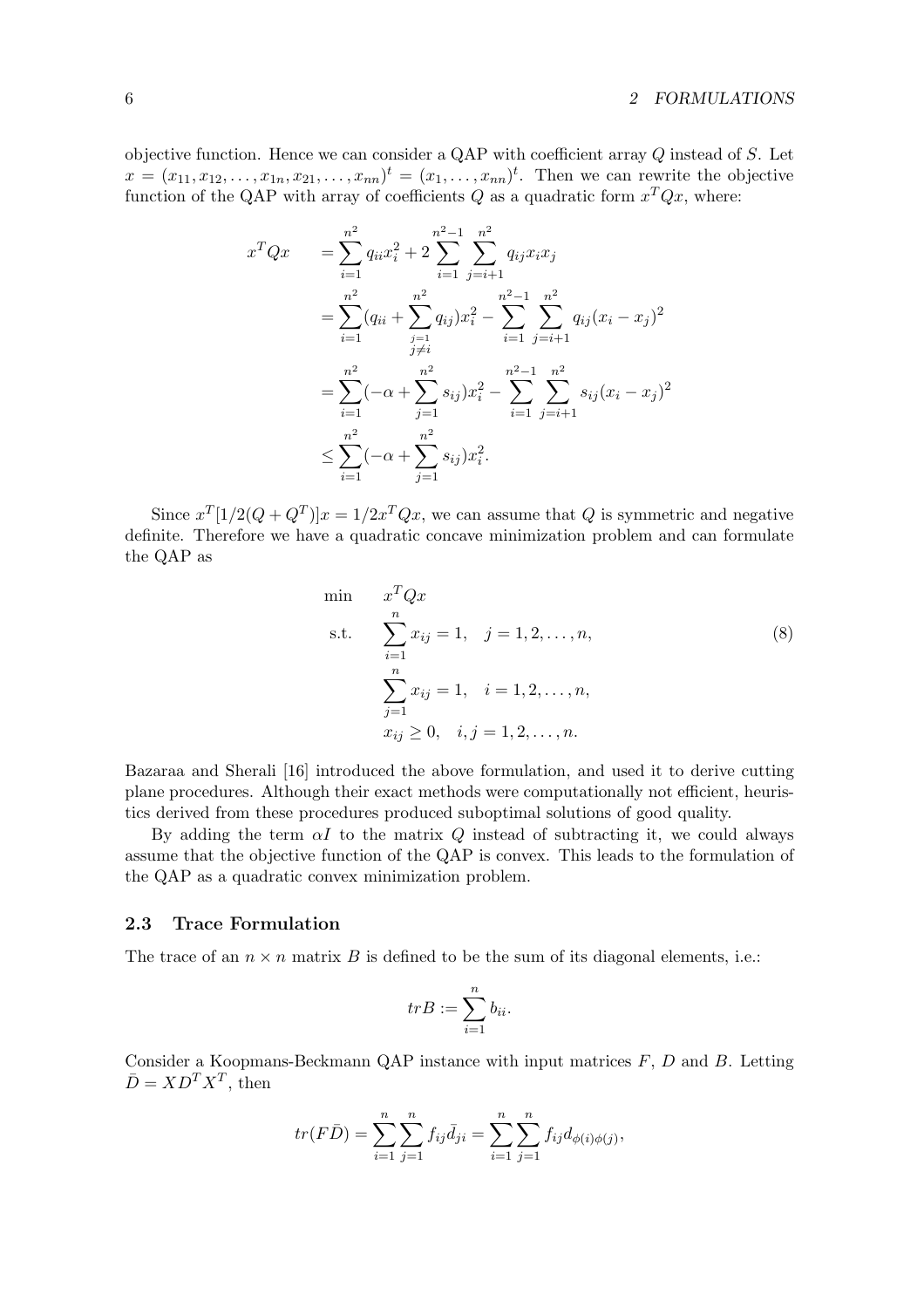objective function. Hence we can consider a QAP with coefficient array Q instead of S. Let  $x = (x_{11}, x_{12}, \ldots, x_{1n}, x_{21}, \ldots, x_{nn})^t = (x_1, \ldots, x_{nn})^t$ . Then we can rewrite the objective function of the QAP with array of coefficients Q as a quadratic form  $x^T Q x$ , where:

$$
x^T Q x = \sum_{i=1}^{n^2} q_{ii} x_i^2 + 2 \sum_{i=1}^{n^2-1} \sum_{j=i+1}^{n^2} q_{ij} x_i x_j
$$
  
\n
$$
= \sum_{i=1}^{n^2} (q_{ii} + \sum_{\substack{j=1 \ j \neq i}}^{n^2} q_{ij}) x_i^2 - \sum_{i=1}^{n^2-1} \sum_{j=i+1}^{n^2} q_{ij} (x_i - x_j)^2
$$
  
\n
$$
= \sum_{i=1}^{n^2} (-\alpha + \sum_{j=1}^{n^2} s_{ij}) x_i^2 - \sum_{i=1}^{n^2-1} \sum_{j=i+1}^{n^2} s_{ij} (x_i - x_j)^2
$$
  
\n
$$
\leq \sum_{i=1}^{n^2} (-\alpha + \sum_{j=1}^{n^2} s_{ij}) x_i^2.
$$

Since  $x^T[1/2(Q+Q^T)]x=1/2x^TQx$ , we can assume that Q is symmetric and negative definite. Therefore we have a quadratic concave minimization problem and can formulate the QAP as

min 
$$
x^T Q x
$$
  
\ns.t. 
$$
\sum_{i=1}^n x_{ij} = 1, \quad j = 1, 2, ..., n,
$$

$$
\sum_{j=1}^n x_{ij} = 1, \quad i = 1, 2, ..., n,
$$

$$
x_{ij} \ge 0, \quad i, j = 1, 2, ..., n.
$$

$$
(8)
$$

Bazaraa and Sherali [16] introduced the above formulation, and used it to derive cutting plane procedures. Although their exact methods were computationally not efficient, heuristics derived from these procedures produced suboptimal solutions of good quality.

By adding the term  $\alpha I$  to the matrix Q instead of subtracting it, we could always assume that the objective function of the QAP is convex. This leads to the formulation of the QAP as a quadratic convex minimization problem.

### 2.3 Trace Formulation

The trace of an  $n \times n$  matrix B is defined to be the sum of its diagonal elements, i.e.:

$$
trB := \sum_{i=1}^n b_{ii}.
$$

Consider a Koopmans-Beckmann QAP instance with input matrices  $F$ ,  $D$  and  $B$ . Letting  $\bar{D} = X D^T X^T$ , then

$$
tr(F\bar{D}) = \sum_{i=1}^{n} \sum_{j=1}^{n} f_{ij}\bar{d}_{ji} = \sum_{i=1}^{n} \sum_{j=1}^{n} f_{ij}d_{\phi(i)\phi(j)},
$$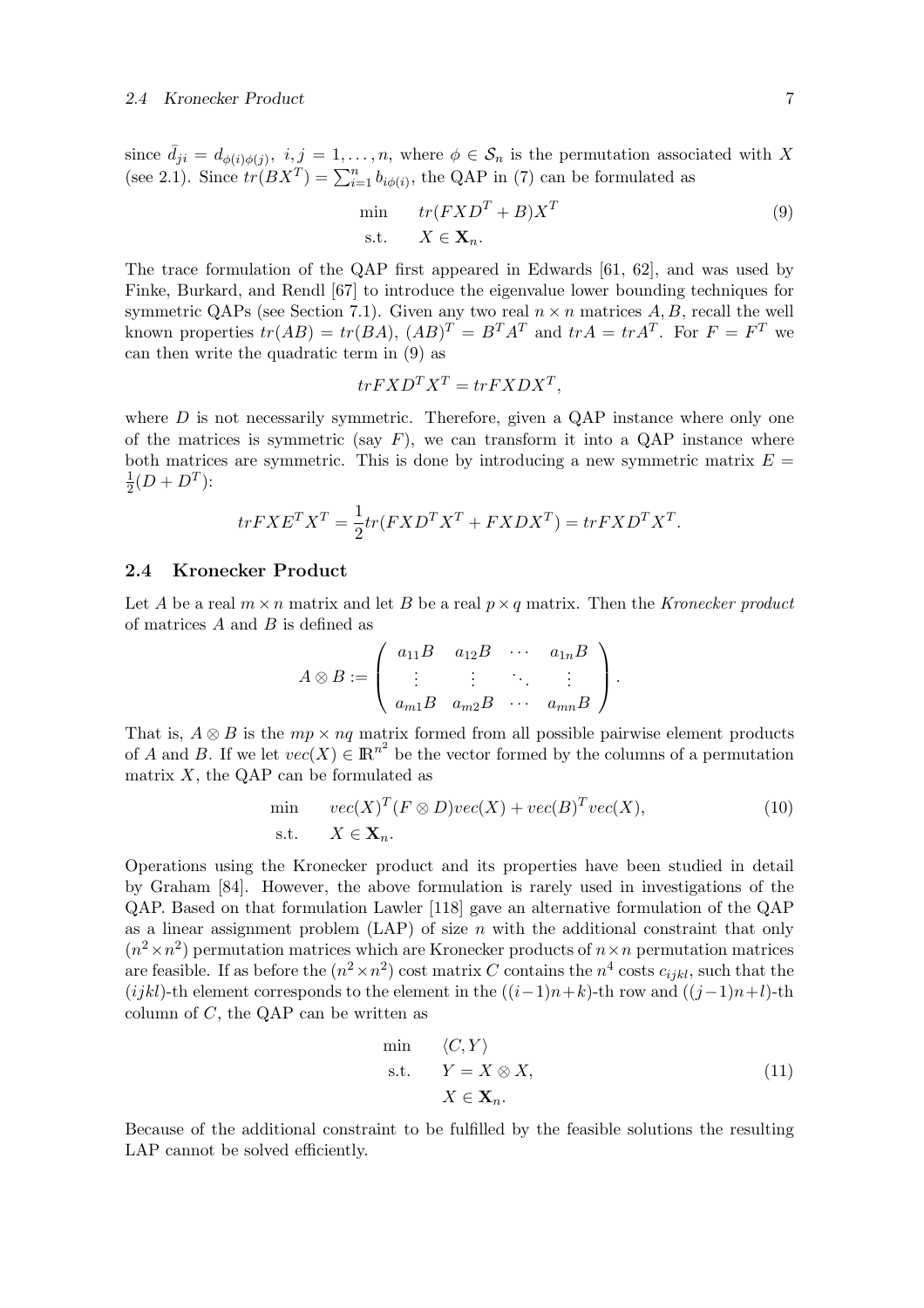since  $\bar{d}_{ji} = d_{\phi(i)\phi(j)}, i, j = 1, \ldots, n$ , where  $\phi \in \mathcal{S}_n$  is the permutation associated with X (see 2.1). Since  $tr(BX^T) = \sum_{i=1}^n b_{i\phi(i)}$ , the QAP in (7) can be formulated as

$$
\begin{array}{ll}\n\text{min} & \text{tr}(FXD^T + B)X^T \\
\text{s.t.} & X \in \mathbf{X}_n.\n\end{array} \tag{9}
$$

The trace formulation of the QAP first appeared in Edwards [61, 62], and was used by Finke, Burkard, and Rendl [67] to introduce the eigenvalue lower bounding techniques for symmetric QAPs (see Section 7.1). Given any two real  $n \times n$  matrices A, B, recall the well known properties  $tr(AB) = tr(BA), (AB)^{T} = B^{T}A^{T}$  and  $trA = trA^{T}$ . For  $F = F^{T}$  we can then write the quadratic term in (9) as

$$
trFXD^T X^T = trFXDX^T,
$$

where  $D$  is not necessarily symmetric. Therefore, given a QAP instance where only one of the matrices is symmetric (say  $F$ ), we can transform it into a QAP instance where both matrices are symmetric. This is done by introducing a new symmetric matrix  $E =$ 1  $\frac{1}{2}(D+D^{T})$ :

$$
trFXE^{T}X^{T} = \frac{1}{2}tr(FXD^{T}X^{T} + FXDX^{T}) = trFXD^{T}X^{T}.
$$

## 2.4 Kronecker Product

Let A be a real  $m \times n$  matrix and let B be a real  $p \times q$  matrix. Then the Kronecker product of matrices  $A$  and  $B$  is defined as

$$
A \otimes B := \left( \begin{array}{cccc} a_{11}B & a_{12}B & \cdots & a_{1n}B \\ \vdots & \vdots & \ddots & \vdots \\ a_{m1}B & a_{m2}B & \cdots & a_{mn}B \end{array} \right).
$$

That is,  $A \otimes B$  is the  $mp \times nq$  matrix formed from all possible pairwise element products of A and B. If we let  $vec(X) \in \mathbb{R}^{n^2}$  be the vector formed by the columns of a permutation matrix  $X$ , the QAP can be formulated as

$$
\min \qquad vec(X)^{T} (F \otimes D) vec(X) + vec(B)^{T} vec(X),
$$
\n
$$
\text{s.t.} \qquad X \in \mathbf{X}_{n}.
$$
\n
$$
(10)
$$

Operations using the Kronecker product and its properties have been studied in detail by Graham [84]. However, the above formulation is rarely used in investigations of the QAP. Based on that formulation Lawler [118] gave an alternative formulation of the QAP as a linear assignment problem (LAP) of size  $n$  with the additional constraint that only  $(n^2 \times n^2)$  permutation matrices which are Kronecker products of  $n \times n$  permutation matrices are feasible. If as before the  $(n^2 \times n^2)$  cost matrix C contains the  $n^4$  costs  $c_{ijkl}$ , such that the (ijkl)-th element corresponds to the element in the  $((i-1)n+k)$ -th row and  $((j-1)n+l)$ -th column of  $C$ , the QAP can be written as

$$
\begin{array}{ll}\n\min & \langle C, Y \rangle \\
\text{s.t.} & Y = X \otimes X, \\
& X \in \mathbf{X}_n.\n\end{array} \tag{11}
$$

Because of the additional constraint to be fulfilled by the feasible solutions the resulting LAP cannot be solved efficiently.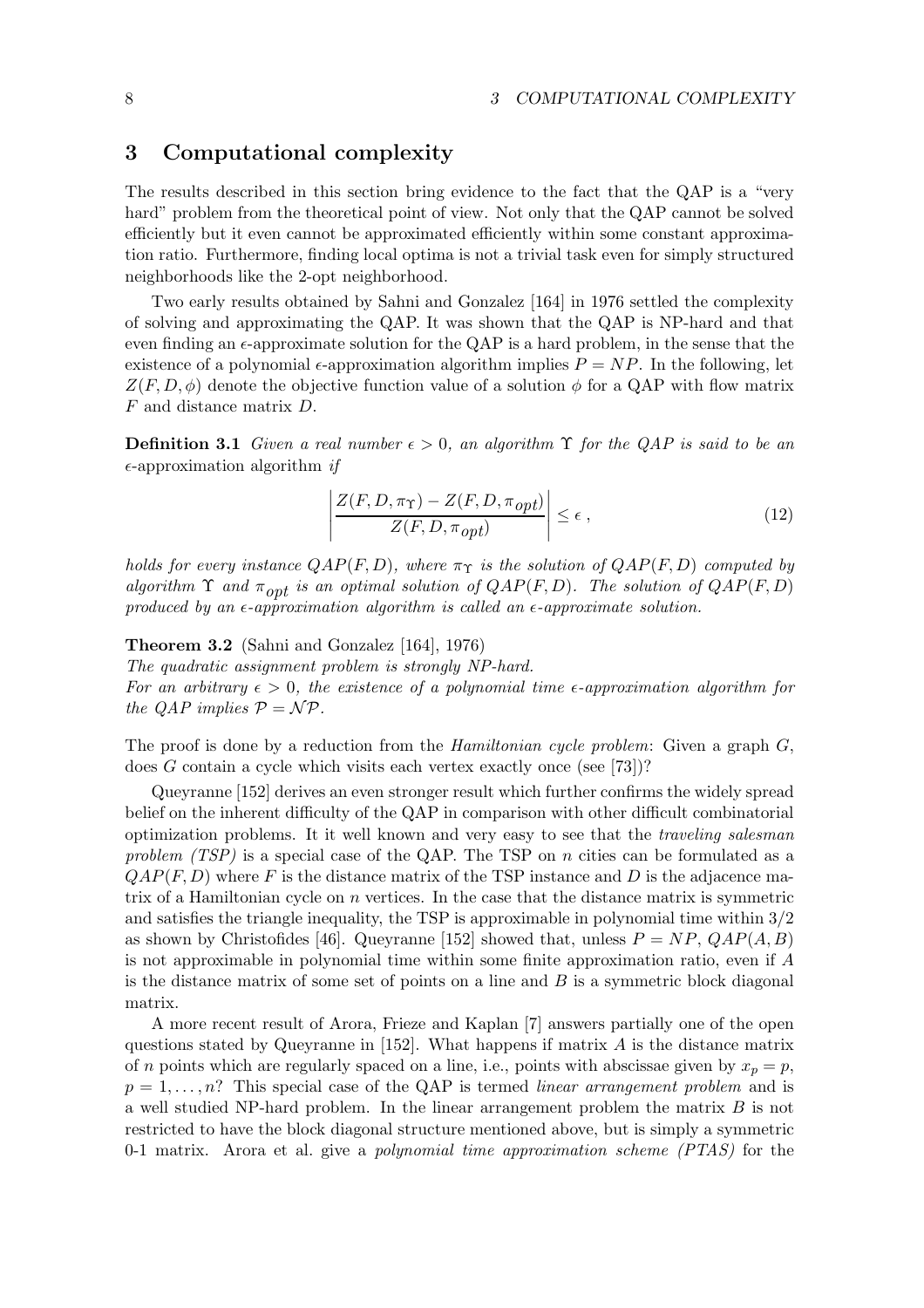## 3 Computational complexity

The results described in this section bring evidence to the fact that the QAP is a "very hard" problem from the theoretical point of view. Not only that the QAP cannot be solved efficiently but it even cannot be approximated efficiently within some constant approximation ratio. Furthermore, finding local optima is not a trivial task even for simply structured neighborhoods like the 2-opt neighborhood.

Two early results obtained by Sahni and Gonzalez [164] in 1976 settled the complexity of solving and approximating the QAP. It was shown that the QAP is NP-hard and that even finding an  $\epsilon$ -approximate solution for the QAP is a hard problem, in the sense that the existence of a polynomial  $\epsilon$ -approximation algorithm implies  $P = NP$ . In the following, let  $Z(F, D, \phi)$  denote the objective function value of a solution  $\phi$  for a QAP with flow matrix F and distance matrix D.

**Definition 3.1** Given a real number  $\epsilon > 0$ , an algorithm  $\Upsilon$  for the QAP is said to be an  $\epsilon$ -approximation algorithm if

$$
\left| \frac{Z(F, D, \pi_{\Upsilon}) - Z(F, D, \pi_{opt})}{Z(F, D, \pi_{opt})} \right| \le \epsilon ,\qquad (12)
$$

holds for every instance  $QAP(F,D)$ , where  $\pi_{\Upsilon}$  is the solution of  $QAP(F,D)$  computed by algorithm  $\Upsilon$  and  $\pi_{\text{ont}}$  is an optimal solution of  $QAP(F, D)$ . The solution of  $QAP(F, D)$ produced by an  $\epsilon$ -approximation algorithm is called an  $\epsilon$ -approximate solution.

### Theorem 3.2 (Sahni and Gonzalez [164], 1976)

The quadratic assignment problem is strongly NP-hard.

For an arbitrary  $\epsilon > 0$ , the existence of a polynomial time  $\epsilon$ -approximation algorithm for the *QAP* implies  $P = \mathcal{NP}$ .

The proof is done by a reduction from the *Hamiltonian cycle problem*: Given a graph G, does G contain a cycle which visits each vertex exactly once (see [73])?

Queyranne [152] derives an even stronger result which further confirms the widely spread belief on the inherent difficulty of the QAP in comparison with other difficult combinatorial optimization problems. It it well known and very easy to see that the traveling salesman problem (TSP) is a special case of the QAP. The TSP on n cities can be formulated as a  $QAP(F, D)$  where F is the distance matrix of the TSP instance and D is the adjacence matrix of a Hamiltonian cycle on  $n$  vertices. In the case that the distance matrix is symmetric and satisfies the triangle inequality, the TSP is approximable in polynomial time within  $3/2$ as shown by Christofides [46]. Queyranne [152] showed that, unless  $P = NP$ ,  $QAP(A, B)$ is not approximable in polynomial time within some finite approximation ratio, even if A is the distance matrix of some set of points on a line and  $B$  is a symmetric block diagonal matrix.

A more recent result of Arora, Frieze and Kaplan [7] answers partially one of the open questions stated by Queyranne in  $[152]$ . What happens if matrix A is the distance matrix of n points which are regularly spaced on a line, i.e., points with abscissae given by  $x_p = p$ ,  $p = 1, \ldots, n$ ? This special case of the QAP is termed *linear arrangement problem* and is a well studied NP-hard problem. In the linear arrangement problem the matrix B is not restricted to have the block diagonal structure mentioned above, but is simply a symmetric 0-1 matrix. Arora et al. give a *polynomial time approximation scheme (PTAS)* for the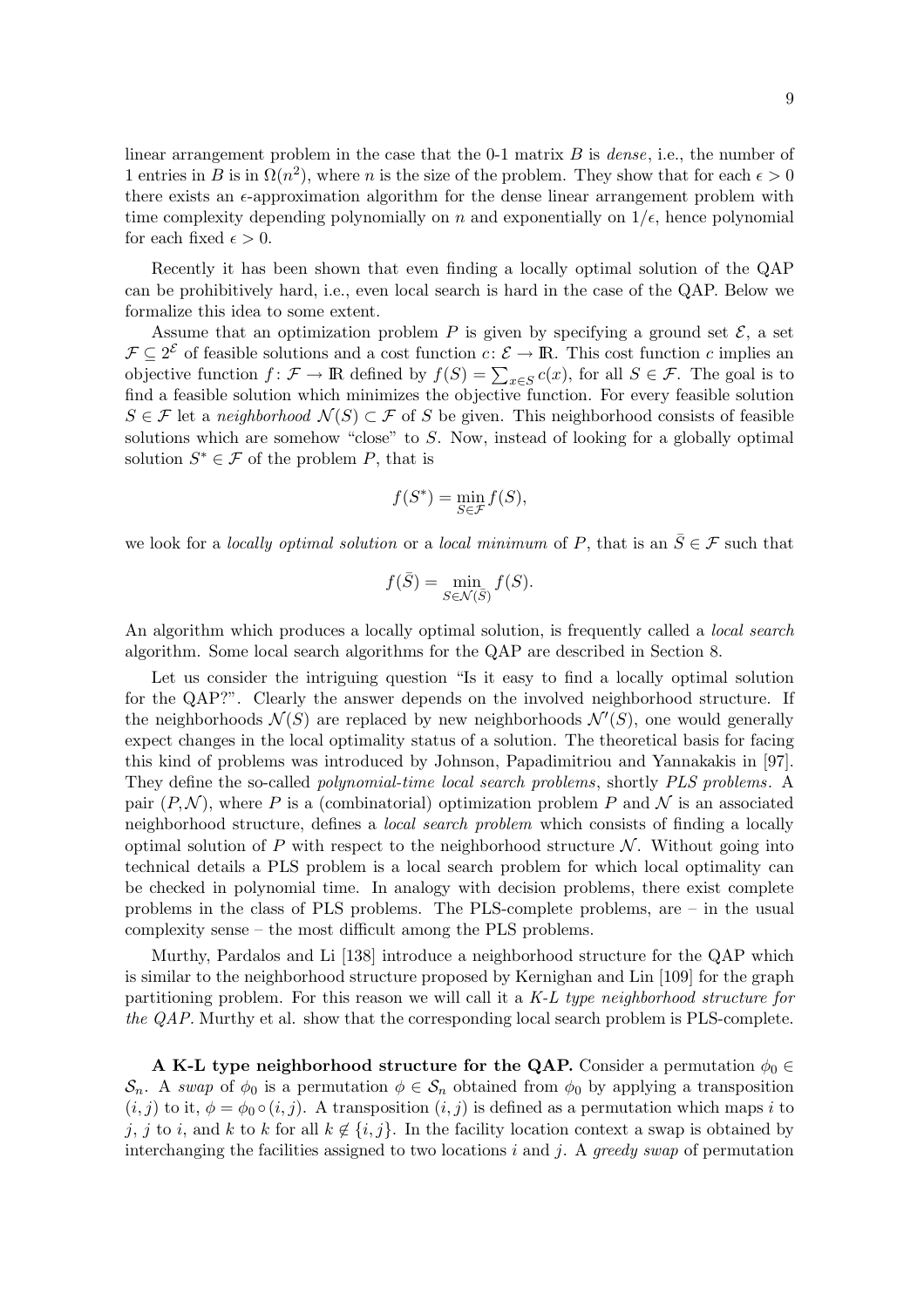Recently it has been shown that even finding a locally optimal solution of the QAP can be prohibitively hard, i.e., even local search is hard in the case of the QAP. Below we formalize this idea to some extent.

Assume that an optimization problem P is given by specifying a ground set  $\mathcal{E}$ , a set  $\mathcal{F} \subseteq 2^{\mathcal{E}}$  of feasible solutions and a cost function  $c: \mathcal{E} \to \mathbb{R}$ . This cost function c implies an objective function  $f: \mathcal{F} \to \mathbb{R}$  defined by  $f(S) = \sum_{x \in S} c(x)$ , for all  $S \in \mathcal{F}$ . The goal is to find a feasible solution which minimizes the objective function. For every feasible solution  $S \in \mathcal{F}$  let a neighborhood  $\mathcal{N}(S) \subset \mathcal{F}$  of S be given. This neighborhood consists of feasible solutions which are somehow "close" to S. Now, instead of looking for a globally optimal solution  $S^* \in \mathcal{F}$  of the problem P, that is

$$
f(S^*) = \min_{S \in \mathcal{F}} f(S),
$$

we look for a *locally optimal solution* or a *local minimum* of P, that is an  $\overline{S} \in \mathcal{F}$  such that

$$
f(\bar{S}) = \min_{S \in \mathcal{N}(\bar{S})} f(S).
$$

An algorithm which produces a locally optimal solution, is frequently called a *local search* algorithm. Some local search algorithms for the QAP are described in Section 8.

Let us consider the intriguing question "Is it easy to find a locally optimal solution for the QAP?". Clearly the answer depends on the involved neighborhood structure. If the neighborhoods  $\mathcal{N}(S)$  are replaced by new neighborhoods  $\mathcal{N}'(S)$ , one would generally expect changes in the local optimality status of a solution. The theoretical basis for facing this kind of problems was introduced by Johnson, Papadimitriou and Yannakakis in [97]. They define the so-called polynomial-time local search problems, shortly PLS problems. A pair  $(P, \mathcal{N})$ , where P is a (combinatorial) optimization problem P and N is an associated neighborhood structure, defines a local search problem which consists of finding a locally optimal solution of P with respect to the neighborhood structure  $N$ . Without going into technical details a PLS problem is a local search problem for which local optimality can be checked in polynomial time. In analogy with decision problems, there exist complete problems in the class of PLS problems. The PLS-complete problems, are – in the usual complexity sense – the most difficult among the PLS problems.

Murthy, Pardalos and Li [138] introduce a neighborhood structure for the QAP which is similar to the neighborhood structure proposed by Kernighan and Lin [109] for the graph partitioning problem. For this reason we will call it a  $K-L$  type neighborhood structure for the QAP. Murthy et al. show that the corresponding local search problem is PLS-complete.

A K-L type neighborhood structure for the QAP. Consider a permutation  $\phi_0 \in$  $\mathcal{S}_n$ . A swap of  $\phi_0$  is a permutation  $\phi \in \mathcal{S}_n$  obtained from  $\phi_0$  by applying a transposition  $(i, j)$  to it,  $\phi = \phi_0 \circ (i, j)$ . A transposition  $(i, j)$  is defined as a permutation which maps i to j, j to i, and k to k for all  $k \notin \{i, j\}$ . In the facility location context a swap is obtained by interchanging the facilities assigned to two locations i and j. A greedy swap of permutation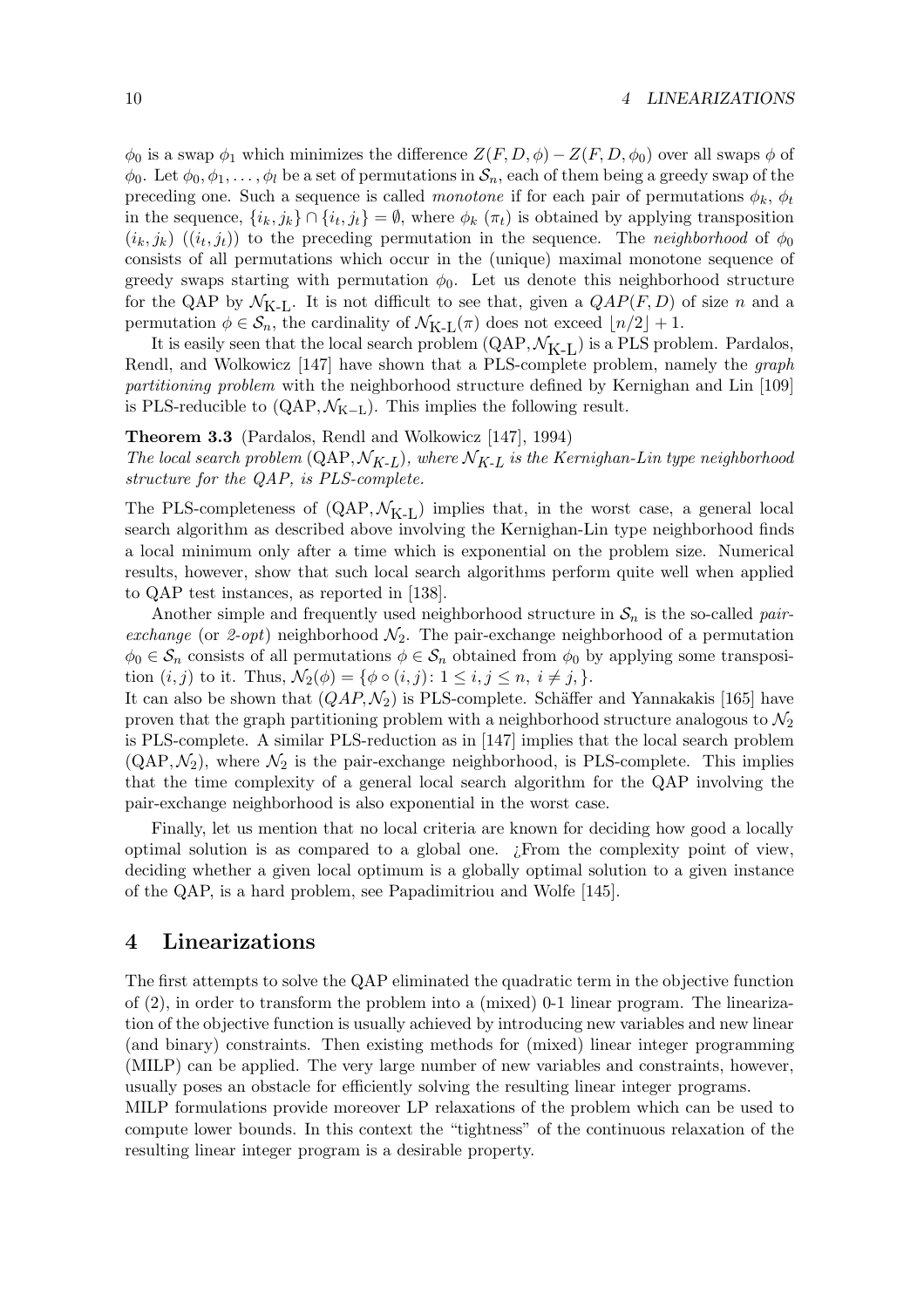$\phi_0$  is a swap  $\phi_1$  which minimizes the difference  $Z(F, D, \phi) - Z(F, D, \phi_0)$  over all swaps  $\phi$  of  $\phi_0$ . Let  $\phi_0, \phi_1, \ldots, \phi_l$  be a set of permutations in  $\mathcal{S}_n$ , each of them being a greedy swap of the preceding one. Such a sequence is called *monotone* if for each pair of permutations  $\phi_k$ ,  $\phi_t$ in the sequence,  $\{i_k, j_k\} \cap \{i_t, j_t\} = \emptyset$ , where  $\phi_k(\pi_t)$  is obtained by applying transposition  $(i_k, j_k)$   $((i_t, j_t))$  to the preceding permutation in the sequence. The neighborhood of  $\phi_0$ consists of all permutations which occur in the (unique) maximal monotone sequence of greedy swaps starting with permutation  $\phi_0$ . Let us denote this neighborhood structure for the QAP by  $\mathcal{N}_{K-L}$ . It is not difficult to see that, given a  $QAP(F, D)$  of size n and a permutation  $\phi \in \mathcal{S}_n$ , the cardinality of  $\mathcal{N}_{K-L}(\pi)$  does not exceed  $\lfloor n/2 \rfloor + 1$ .

It is easily seen that the local search problem  $(QAP, \mathcal{N}_{K-L})$  is a PLS problem. Pardalos, Rendl, and Wolkowicz [147] have shown that a PLS-complete problem, namely the graph partitioning problem with the neighborhood structure defined by Kernighan and Lin [109] is PLS-reducible to  $(QAP, \mathcal{N}_{K-I})$ . This implies the following result.

### Theorem 3.3 (Pardalos, Rendl and Wolkowicz [147], 1994)

The local search problem  $(QAP, \mathcal{N}_{K-L})$ , where  $\mathcal{N}_{K-L}$  is the Kernighan-Lin type neighborhood structure for the QAP, is PLS-complete.

The PLS-completeness of  $(QAP, \mathcal{N}_{K-L})$  implies that, in the worst case, a general local search algorithm as described above involving the Kernighan-Lin type neighborhood finds a local minimum only after a time which is exponential on the problem size. Numerical results, however, show that such local search algorithms perform quite well when applied to QAP test instances, as reported in [138].

Another simple and frequently used neighborhood structure in  $S_n$  is the so-called pairexchange (or 2-opt) neighborhood  $\mathcal{N}_2$ . The pair-exchange neighborhood of a permutation  $\phi_0 \in \mathcal{S}_n$  consists of all permutations  $\phi \in \mathcal{S}_n$  obtained from  $\phi_0$  by applying some transposition  $(i, j)$  to it. Thus,  $\mathcal{N}_2(\phi) = \{ \phi \circ (i, j) : 1 \leq i, j \leq n, i \neq j, \}.$ 

It can also be shown that  $(QAP, \mathcal{N}_2)$  is PLS-complete. Schäffer and Yannakakis [165] have proven that the graph partitioning problem with a neighborhood structure analogous to  $\mathcal{N}_2$ is PLS-complete. A similar PLS-reduction as in [147] implies that the local search problem  $(QAP, \mathcal{N}_2)$ , where  $\mathcal{N}_2$  is the pair-exchange neighborhood, is PLS-complete. This implies that the time complexity of a general local search algorithm for the QAP involving the pair-exchange neighborhood is also exponential in the worst case.

Finally, let us mention that no local criteria are known for deciding how good a locally optimal solution is as compared to a global one. ¿From the complexity point of view, deciding whether a given local optimum is a globally optimal solution to a given instance of the QAP, is a hard problem, see Papadimitriou and Wolfe [145].

## 4 Linearizations

The first attempts to solve the QAP eliminated the quadratic term in the objective function of (2), in order to transform the problem into a (mixed) 0-1 linear program. The linearization of the objective function is usually achieved by introducing new variables and new linear (and binary) constraints. Then existing methods for (mixed) linear integer programming (MILP) can be applied. The very large number of new variables and constraints, however, usually poses an obstacle for efficiently solving the resulting linear integer programs.

MILP formulations provide moreover LP relaxations of the problem which can be used to compute lower bounds. In this context the "tightness" of the continuous relaxation of the resulting linear integer program is a desirable property.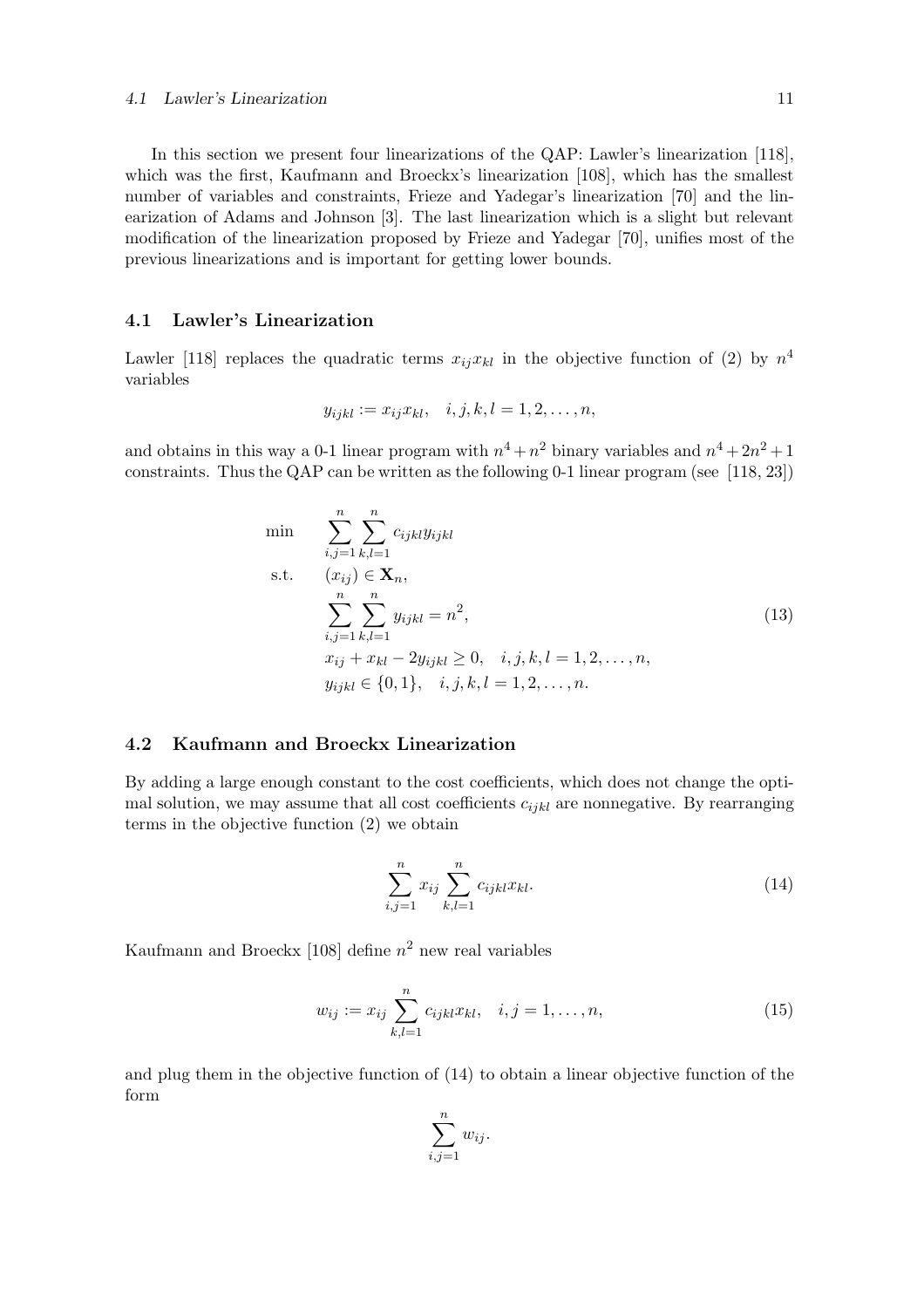### 4.1 Lawler's Linearization 11

In this section we present four linearizations of the QAP: Lawler's linearization [118], which was the first, Kaufmann and Broeckx's linearization [108], which has the smallest number of variables and constraints, Frieze and Yadegar's linearization [70] and the linearization of Adams and Johnson [3]. The last linearization which is a slight but relevant modification of the linearization proposed by Frieze and Yadegar [70], unifies most of the previous linearizations and is important for getting lower bounds.

### 4.1 Lawler's Linearization

Lawler [118] replaces the quadratic terms  $x_{ij}x_{kl}$  in the objective function of (2) by  $n^4$ variables

$$
y_{ijkl} := x_{ij}x_{kl}, \quad i, j, k, l = 1, 2, \ldots, n,
$$

and obtains in this way a 0-1 linear program with  $n^4 + n^2$  binary variables and  $n^4 + 2n^2 + 1$ constraints. Thus the QAP can be written as the following 0-1 linear program (see [118, 23])

min  
\n
$$
\sum_{i,j=1}^{n} \sum_{k,l=1}^{n} c_{ijkl} y_{ijkl}
$$
\ns.t.  $(x_{ij}) \in \mathbf{X}_n$ ,  
\n
$$
\sum_{i,j=1}^{n} \sum_{k,l=1}^{n} y_{ijkl} = n^2
$$
,  
\n
$$
x_{ij} + x_{kl} - 2y_{ijkl} \ge 0, \quad i, j, k, l = 1, 2, ..., n,
$$
  
\n
$$
y_{ijkl} \in \{0, 1\}, \quad i, j, k, l = 1, 2, ..., n.
$$
\n(13)

## 4.2 Kaufmann and Broeckx Linearization

By adding a large enough constant to the cost coefficients, which does not change the optimal solution, we may assume that all cost coefficients  $c_{ijkl}$  are nonnegative. By rearranging terms in the objective function (2) we obtain

$$
\sum_{i,j=1}^{n} x_{ij} \sum_{k,l=1}^{n} c_{ijkl} x_{kl}.
$$
 (14)

Kaufmann and Broeckx  $[108]$  define  $n^2$  new real variables

$$
w_{ij} := x_{ij} \sum_{k,l=1}^{n} c_{ijkl} x_{kl}, \quad i, j = 1, \dots, n,
$$
\n(15)

and plug them in the objective function of (14) to obtain a linear objective function of the form

$$
\sum_{i,j=1}^n w_{ij}.
$$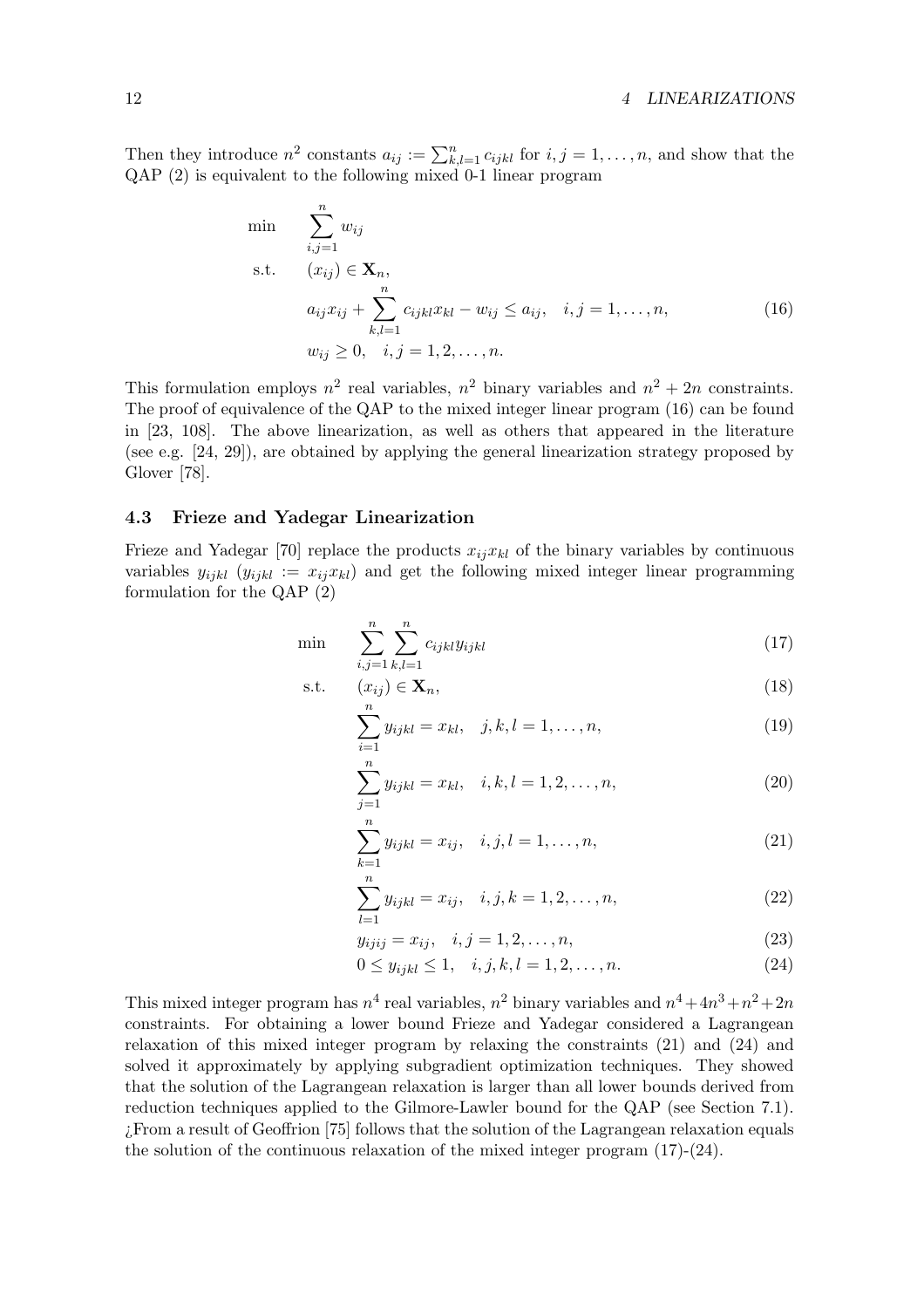Then they introduce  $n^2$  constants  $a_{ij} := \sum_{k,l=1}^n c_{ijkl}$  for  $i, j = 1, \ldots, n$ , and show that the QAP (2) is equivalent to the following mixed 0-1 linear program

min  
\n
$$
\sum_{i,j=1}^{n} w_{ij}
$$
\ns.t.  $(x_{ij}) \in \mathbf{X}_n$ ,  
\n
$$
a_{ij}x_{ij} + \sum_{k,l=1}^{n} c_{ijkl}x_{kl} - w_{ij} \le a_{ij}, \quad i, j = 1, ..., n,
$$
  
\n
$$
w_{ij} \ge 0, \quad i, j = 1, 2, ..., n.
$$
\n(16)

This formulation employs  $n^2$  real variables,  $n^2$  binary variables and  $n^2 + 2n$  constraints. The proof of equivalence of the QAP to the mixed integer linear program (16) can be found in [23, 108]. The above linearization, as well as others that appeared in the literature (see e.g. [24, 29]), are obtained by applying the general linearization strategy proposed by Glover [78].

### 4.3 Frieze and Yadegar Linearization

Frieze and Yadegar [70] replace the products  $x_{ij}x_{kl}$  of the binary variables by continuous variables  $y_{iikl}$  ( $y_{iikl} := x_{ij}x_{kl}$ ) and get the following mixed integer linear programming formulation for the QAP (2)

$$
\min \qquad \sum_{i,j=1}^{n} \sum_{k,l=1}^{n} c_{ijkl} y_{ijkl} \tag{17}
$$

$$
\text{s.t.} \quad (x_{ij}) \in \mathbf{X}_n,\tag{18}
$$

$$
\sum_{i=1}^{n} y_{ijkl} = x_{kl}, \quad j, k, l = 1, \dots, n,
$$
\n(19)

$$
\sum_{j=1}^{n} y_{ijkl} = x_{kl}, \quad i, k, l = 1, 2, \dots, n,
$$
\n(20)

$$
\sum_{k=1}^{n} y_{ijkl} = x_{ij}, \quad i, j, l = 1, \dots, n,
$$
\n(21)

$$
\sum_{l=1}^{n} y_{ijkl} = x_{ij}, \quad i, j, k = 1, 2, \dots, n,
$$
\n(22)

$$
y_{ijij} = x_{ij}, \quad i, j = 1, 2, \dots, n,
$$
\n(23)

$$
0 \le y_{ijkl} \le 1, \quad i, j, k, l = 1, 2, \dots, n. \tag{24}
$$

This mixed integer program has  $n^4$  real variables,  $n^2$  binary variables and  $n^4 + 4n^3 + n^2 + 2n$ constraints. For obtaining a lower bound Frieze and Yadegar considered a Lagrangean relaxation of this mixed integer program by relaxing the constraints (21) and (24) and solved it approximately by applying subgradient optimization techniques. They showed that the solution of the Lagrangean relaxation is larger than all lower bounds derived from reduction techniques applied to the Gilmore-Lawler bound for the QAP (see Section 7.1). ¿From a result of Geoffrion [75] follows that the solution of the Lagrangean relaxation equals the solution of the continuous relaxation of the mixed integer program  $(17)-(24)$ .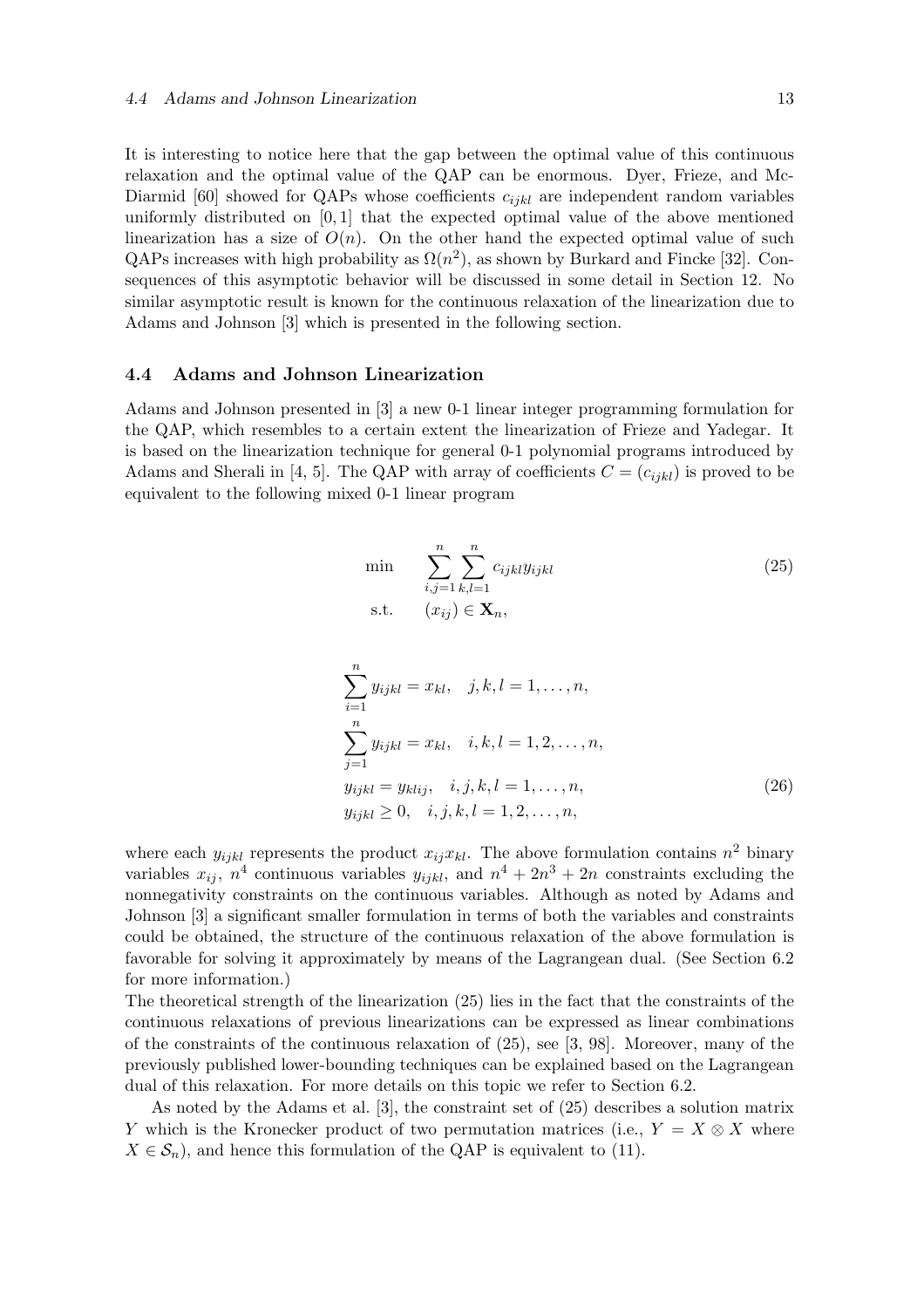It is interesting to notice here that the gap between the optimal value of this continuous relaxation and the optimal value of the QAP can be enormous. Dyer, Frieze, and Mc-Diarmid [60] showed for QAPs whose coefficients  $c_{ijkl}$  are independent random variables uniformly distributed on  $[0, 1]$  that the expected optimal value of the above mentioned linearization has a size of  $O(n)$ . On the other hand the expected optimal value of such QAPs increases with high probability as  $\Omega(n^2)$ , as shown by Burkard and Fincke [32]. Consequences of this asymptotic behavior will be discussed in some detail in Section 12. No similar asymptotic result is known for the continuous relaxation of the linearization due to Adams and Johnson [3] which is presented in the following section.

#### 4.4 Adams and Johnson Linearization

Adams and Johnson presented in [3] a new 0-1 linear integer programming formulation for the QAP, which resembles to a certain extent the linearization of Frieze and Yadegar. It is based on the linearization technique for general 0-1 polynomial programs introduced by Adams and Sherali in [4, 5]. The QAP with array of coefficients  $C = (c_{ijkl})$  is proved to be equivalent to the following mixed 0-1 linear program

$$
\min \sum_{i,j=1}^{n} \sum_{k,l=1}^{n} c_{ijkl} y_{ijkl}
$$
\n
$$
\text{s.t.} \quad (x_{ij}) \in \mathbf{X}_n,
$$
\n
$$
(25)
$$

$$
\sum_{i=1}^{n} y_{ijkl} = x_{kl}, \quad j, k, l = 1, ..., n,
$$
  
\n
$$
\sum_{j=1}^{n} y_{ijkl} = x_{kl}, \quad i, k, l = 1, 2, ..., n,
$$
  
\n
$$
y_{ijkl} = y_{klij}, \quad i, j, k, l = 1, ..., n,
$$
  
\n
$$
y_{ijkl} \ge 0, \quad i, j, k, l = 1, 2, ..., n,
$$
\n(26)

where each  $y_{ijkl}$  represents the product  $x_{ij}x_{kl}$ . The above formulation contains  $n^2$  binary variables  $x_{ij}$ ,  $n^4$  continuous variables  $y_{ijkl}$ , and  $n^4 + 2n^3 + 2n$  constraints excluding the nonnegativity constraints on the continuous variables. Although as noted by Adams and Johnson [3] a significant smaller formulation in terms of both the variables and constraints could be obtained, the structure of the continuous relaxation of the above formulation is favorable for solving it approximately by means of the Lagrangean dual. (See Section 6.2 for more information.)

The theoretical strength of the linearization (25) lies in the fact that the constraints of the continuous relaxations of previous linearizations can be expressed as linear combinations of the constraints of the continuous relaxation of (25), see [3, 98]. Moreover, many of the previously published lower-bounding techniques can be explained based on the Lagrangean dual of this relaxation. For more details on this topic we refer to Section 6.2.

As noted by the Adams et al. [3], the constraint set of (25) describes a solution matrix Y which is the Kronecker product of two permutation matrices (i.e.,  $Y = X \otimes X$  where  $X \in \mathcal{S}_n$ , and hence this formulation of the QAP is equivalent to (11).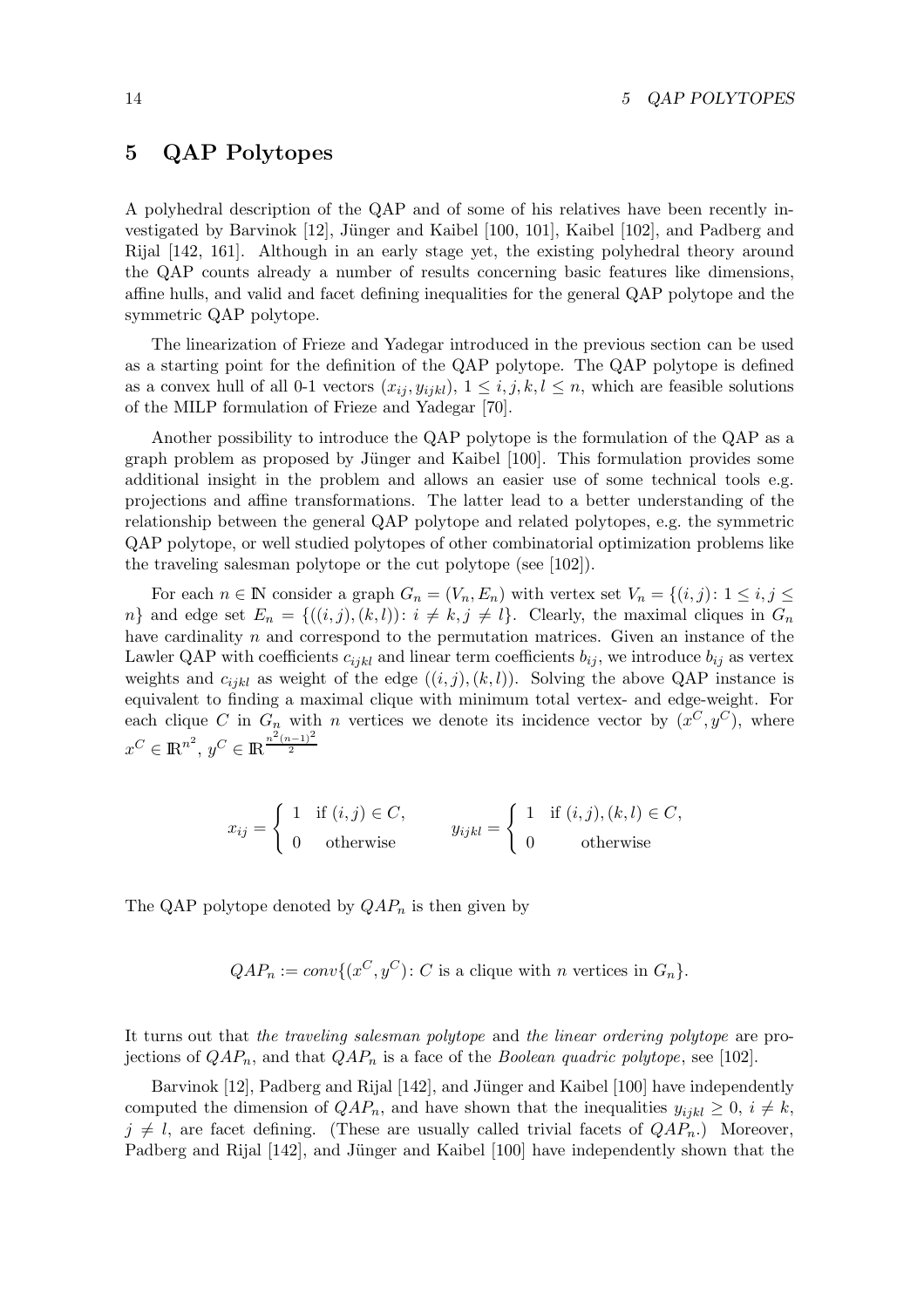## 5 QAP Polytopes

A polyhedral description of the QAP and of some of his relatives have been recently investigated by Barvinok  $[12]$ , Jünger and Kaibel  $[100, 101]$ , Kaibel  $[102]$ , and Padberg and Rijal [142, 161]. Although in an early stage yet, the existing polyhedral theory around the QAP counts already a number of results concerning basic features like dimensions, affine hulls, and valid and facet defining inequalities for the general QAP polytope and the symmetric QAP polytope.

The linearization of Frieze and Yadegar introduced in the previous section can be used as a starting point for the definition of the QAP polytope. The QAP polytope is defined as a convex hull of all 0-1 vectors  $(x_{ij}, y_{ijkl})$ ,  $1 \leq i, j, k, l \leq n$ , which are feasible solutions of the MILP formulation of Frieze and Yadegar [70].

Another possibility to introduce the QAP polytope is the formulation of the QAP as a graph problem as proposed by Jünger and Kaibel [100]. This formulation provides some additional insight in the problem and allows an easier use of some technical tools e.g. projections and affine transformations. The latter lead to a better understanding of the relationship between the general QAP polytope and related polytopes, e.g. the symmetric QAP polytope, or well studied polytopes of other combinatorial optimization problems like the traveling salesman polytope or the cut polytope (see [102]).

For each  $n \in \mathbb{N}$  consider a graph  $G_n = (V_n, E_n)$  with vertex set  $V_n = \{(i, j): 1 \le i, j \le n\}$ n} and edge set  $E_n = \{((i,j),(k,l))\colon i \neq k, j \neq l\}.$  Clearly, the maximal cliques in  $G_n$ have cardinality  $n$  and correspond to the permutation matrices. Given an instance of the Lawler QAP with coefficients  $c_{ijkl}$  and linear term coefficients  $b_{ij}$ , we introduce  $b_{ij}$  as vertex weights and  $c_{iikl}$  as weight of the edge  $((i,j),(k,l))$ . Solving the above QAP instance is equivalent to finding a maximal clique with minimum total vertex- and edge-weight. For each clique C in  $G_n$  with n vertices we denote its incidence vector by  $(x^C, y^C)$ , where  $x^C \in \mathbb{R}^{n^2}, y^C \in \mathbb{R}^{\frac{n^2(n-1)^2}{2}}$ 

$$
x_{ij} = \begin{cases} 1 & \text{if } (i,j) \in C, \\ 0 & \text{otherwise} \end{cases} \qquad y_{ijkl} = \begin{cases} 1 & \text{if } (i,j), (k,l) \in C, \\ 0 & \text{otherwise} \end{cases}
$$

The QAP polytope denoted by  $QAP_n$  is then given by

 $QAP_n := conv\{(x^C, y^C): C \text{ is a clique with } n \text{ vertices in } G_n\}.$ 

It turns out that the traveling salesman polytope and the linear ordering polytope are projections of  $QAP_n$ , and that  $QAP_n$  is a face of the *Boolean quadric polytope*, see [102].

Barvinok [12], Padberg and Rijal [142], and Jünger and Kaibel [100] have independently computed the dimension of  $QAP_n$ , and have shown that the inequalities  $y_{ijkl} \geq 0$ ,  $i \neq k$ ,  $j \neq l$ , are facet defining. (These are usually called trivial facets of  $QAP_n$ .) Moreover, Padberg and Rijal [142], and Jünger and Kaibel [100] have independently shown that the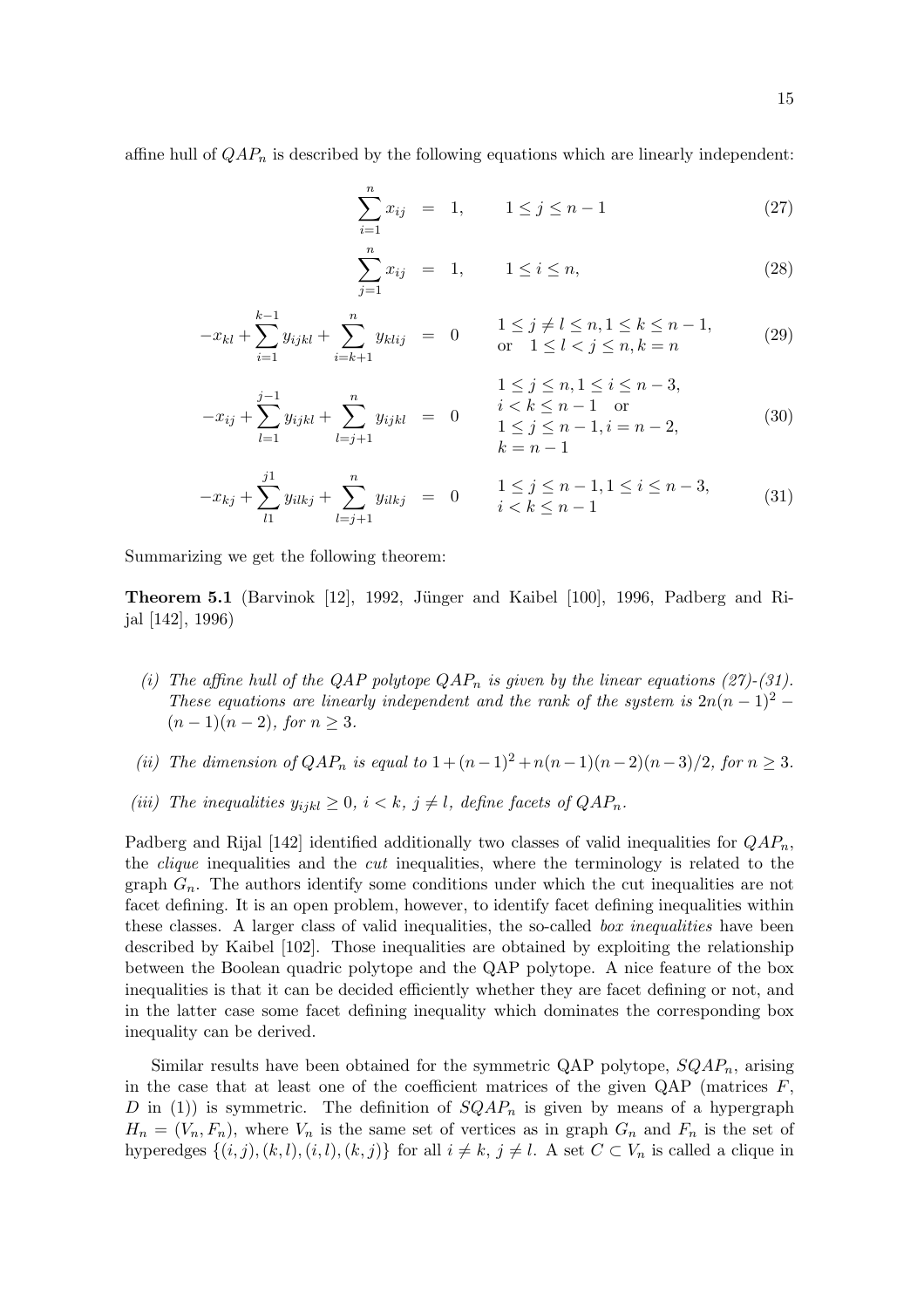affine hull of  $QAP_n$  is described by the following equations which are linearly independent:

$$
\sum_{i=1}^{n} x_{ij} = 1, \qquad 1 \le j \le n-1 \tag{27}
$$

$$
\sum_{j=1}^{n} x_{ij} = 1, \qquad 1 \le i \le n,
$$
\n(28)

$$
-x_{kl} + \sum_{i=1}^{k-1} y_{ijkl} + \sum_{i=k+1}^{n} y_{klij} = 0 \qquad \begin{array}{c} 1 \le j \ne l \le n, 1 \le k \le n-1, \\ \text{or} \quad 1 \le l < j \le n, k=n \end{array} \tag{29}
$$

$$
-x_{ij} + \sum_{l=1}^{j-1} y_{ijkl} + \sum_{l=j+1}^{n} y_{ijkl} = 0 \qquad \begin{array}{c} 1 \leq j \leq n, 1 \leq i \leq n-3, \\ i < k \leq n-1 \text{ or} \\ 1 \leq j \leq n-1, i = n-2, \\ k = n-1 \end{array} \tag{30}
$$

$$
-x_{kj} + \sum_{l1}^{j1} y_{ilkj} + \sum_{l=j+1}^{n} y_{ilkj} = 0 \qquad \begin{array}{c} 1 \le j \le n-1, 1 \le i \le n-3, \\ i < k \le n-1 \end{array} \tag{31}
$$

Summarizing we get the following theorem:

Theorem 5.1 (Barvinok [12], 1992, Jünger and Kaibel [100], 1996, Padberg and Rijal [142], 1996)

- (i) The affine hull of the QAP polytope  $QAP_n$  is given by the linear equations (27)-(31). These equations are linearly independent and the rank of the system is  $2n(n-1)^2$  –  $(n-1)(n-2)$ , for  $n \geq 3$ .
- (ii) The dimension of  $QAP_n$  is equal to  $1 + (n-1)^2 + n(n-1)(n-2)(n-3)/2$ , for  $n > 3$ .
- (iii) The inequalities  $y_{ijkl} \geq 0, i < k, j \neq l$ , define facets of  $QAP_n$ .

Padberg and Rijal [142] identified additionally two classes of valid inequalities for  $QAP_n$ , the clique inequalities and the cut inequalities, where the terminology is related to the graph  $G_n$ . The authors identify some conditions under which the cut inequalities are not facet defining. It is an open problem, however, to identify facet defining inequalities within these classes. A larger class of valid inequalities, the so-called *box inequalities* have been described by Kaibel [102]. Those inequalities are obtained by exploiting the relationship between the Boolean quadric polytope and the QAP polytope. A nice feature of the box inequalities is that it can be decided efficiently whether they are facet defining or not, and in the latter case some facet defining inequality which dominates the corresponding box inequality can be derived.

Similar results have been obtained for the symmetric QAP polytope,  $SQAP_n$ , arising in the case that at least one of the coefficient matrices of the given  $QAP$  (matrices  $F$ , D in (1)) is symmetric. The definition of  $SQAP_n$  is given by means of a hypergraph  $H_n = (V_n, F_n)$ , where  $V_n$  is the same set of vertices as in graph  $G_n$  and  $F_n$  is the set of hyperedges  $\{(i,j),(k,l),(i,l),(k,j)\}\)$  for all  $i \neq k, j \neq l$ . A set  $C \subset V_n$  is called a clique in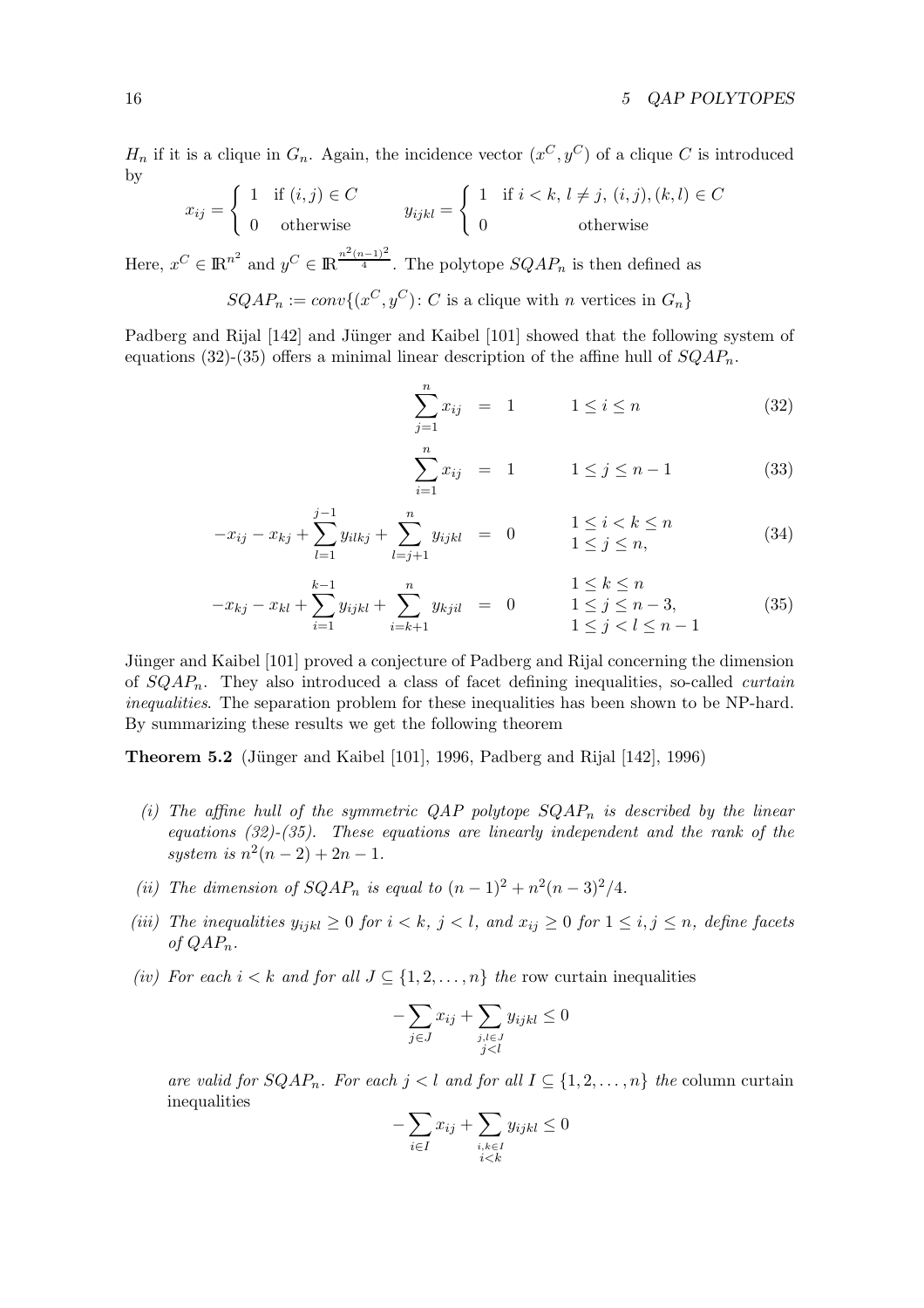$H_n$  if it is a clique in  $G_n$ . Again, the incidence vector  $(x^C, y^C)$  of a clique C is introduced by

$$
x_{ij} = \begin{cases} 1 & \text{if } (i,j) \in C \\ 0 & \text{otherwise} \end{cases} \qquad y_{ijkl} = \begin{cases} 1 & \text{if } i < k, l \neq j, (i,j), (k,l) \in C \\ 0 & \text{otherwise} \end{cases}
$$

Here,  $x^C \in \mathbb{R}^{n^2}$  and  $y^C \in \mathbb{R}^{\frac{n^2(n-1)^2}{4}}$ . The polytope  $SQAP_n$  is then defined as

$$
SQAP_n := conv\{(x^C, y^C): C \text{ is a clique with } n \text{ vertices in } G_n\}
$$

Padberg and Rijal [142] and Jünger and Kaibel [101] showed that the following system of equations (32)-(35) offers a minimal linear description of the affine hull of  $SQAP_n$ .

$$
\sum_{j=1}^{n} x_{ij} = 1 \qquad 1 \le i \le n \tag{32}
$$

$$
\sum_{i=1}^{n} x_{ij} = 1 \qquad 1 \le j \le n-1 \tag{33}
$$

$$
-x_{ij} - x_{kj} + \sum_{l=1}^{j-1} y_{ilkj} + \sum_{l=j+1}^{n} y_{ijkl} = 0 \qquad \begin{array}{l} 1 \le i < k \le n \\ 1 \le j \le n, \end{array} \tag{34}
$$

$$
-x_{kj} - x_{kl} + \sum_{i=1}^{k-1} y_{ijkl} + \sum_{i=k+1}^{n} y_{kjil} = 0 \qquad \begin{array}{c} 1 \leq k \leq n \\ 1 \leq j \leq n-3, \\ 1 \leq j < l \leq n-1 \end{array} \tag{35}
$$

Jünger and Kaibel [101] proved a conjecture of Padberg and Rijal concerning the dimension of  $SQAP_n$ . They also introduced a class of facet defining inequalities, so-called *curtain* inequalities. The separation problem for these inequalities has been shown to be NP-hard. By summarizing these results we get the following theorem

**Theorem 5.2** (Jünger and Kaibel [101], 1996, Padberg and Rijal [142], 1996)

- (i) The affine hull of the symmetric QAP polytope  $SQAP_n$  is described by the linear equations (32)-(35). These equations are linearly independent and the rank of the system is  $n^2(n-2) + 2n - 1$ .
- (ii) The dimension of  $SQAP_n$  is equal to  $(n-1)^2 + n^2(n-3)^2/4$ .
- (iii) The inequalities  $y_{ijkl} \geq 0$  for  $i < k$ ,  $j < l$ , and  $x_{ij} \geq 0$  for  $1 \leq i, j \leq n$ , define facets of  $QAP_n$ .
- (iv) For each  $i < k$  and for all  $J \subseteq \{1, 2, ..., n\}$  the row curtain inequalities

$$
-\sum_{j\in J} x_{ij} + \sum_{\substack{j,l\in J\\j
$$

are valid for  $SQAP_n$ . For each  $j < l$  and for all  $I \subseteq \{1, 2, ..., n\}$  the column curtain inequalities

$$
-\sum_{i\in I} x_{ij} + \sum_{\substack{i,k\in I \\ i
$$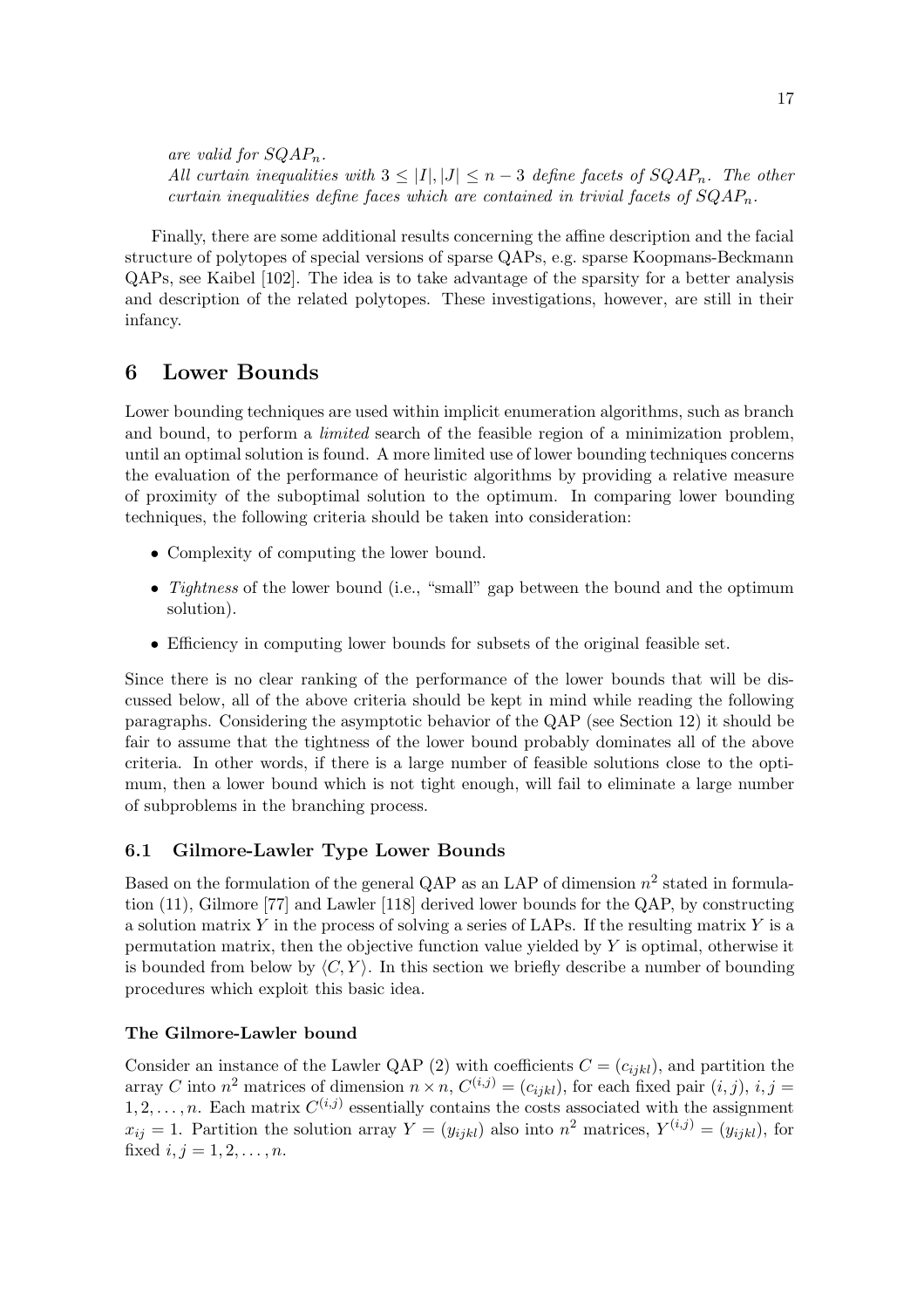are valid for  $SQAP_n$ .

All curtain inequalities with  $3 \leq |I|, |J| \leq n-3$  define facets of  $SQAP_n$ . The other curtain inequalities define faces which are contained in trivial facets of  $SQAP_n$ .

Finally, there are some additional results concerning the affine description and the facial structure of polytopes of special versions of sparse QAPs, e.g. sparse Koopmans-Beckmann QAPs, see Kaibel [102]. The idea is to take advantage of the sparsity for a better analysis and description of the related polytopes. These investigations, however, are still in their infancy.

## 6 Lower Bounds

Lower bounding techniques are used within implicit enumeration algorithms, such as branch and bound, to perform a limited search of the feasible region of a minimization problem, until an optimal solution is found. A more limited use of lower bounding techniques concerns the evaluation of the performance of heuristic algorithms by providing a relative measure of proximity of the suboptimal solution to the optimum. In comparing lower bounding techniques, the following criteria should be taken into consideration:

- Complexity of computing the lower bound.
- Tightness of the lower bound (i.e., "small" gap between the bound and the optimum solution).
- Efficiency in computing lower bounds for subsets of the original feasible set.

Since there is no clear ranking of the performance of the lower bounds that will be discussed below, all of the above criteria should be kept in mind while reading the following paragraphs. Considering the asymptotic behavior of the QAP (see Section 12) it should be fair to assume that the tightness of the lower bound probably dominates all of the above criteria. In other words, if there is a large number of feasible solutions close to the optimum, then a lower bound which is not tight enough, will fail to eliminate a large number of subproblems in the branching process.

## 6.1 Gilmore-Lawler Type Lower Bounds

Based on the formulation of the general QAP as an LAP of dimension  $n^2$  stated in formulation (11), Gilmore [77] and Lawler [118] derived lower bounds for the QAP, by constructing a solution matrix  $Y$  in the process of solving a series of LAPs. If the resulting matrix  $Y$  is a permutation matrix, then the objective function value yielded by  $Y$  is optimal, otherwise it is bounded from below by  $\langle C, Y \rangle$ . In this section we briefly describe a number of bounding procedures which exploit this basic idea.

## The Gilmore-Lawler bound

Consider an instance of the Lawler QAP (2) with coefficients  $C = (c_{ijkl})$ , and partition the array C into  $n^2$  matrices of dimension  $n \times n$ ,  $C^{(i,j)} = (c_{ijkl})$ , for each fixed pair  $(i,j)$ ,  $i, j =$  $1, 2, \ldots, n$ . Each matrix  $C^{(i,j)}$  essentially contains the costs associated with the assignment  $x_{ij} = 1$ . Partition the solution array  $Y = (y_{ijkl})$  also into  $n^2$  matrices,  $Y^{(i,j)} = (y_{ijkl})$ , for fixed  $i, j = 1, 2, ..., n$ .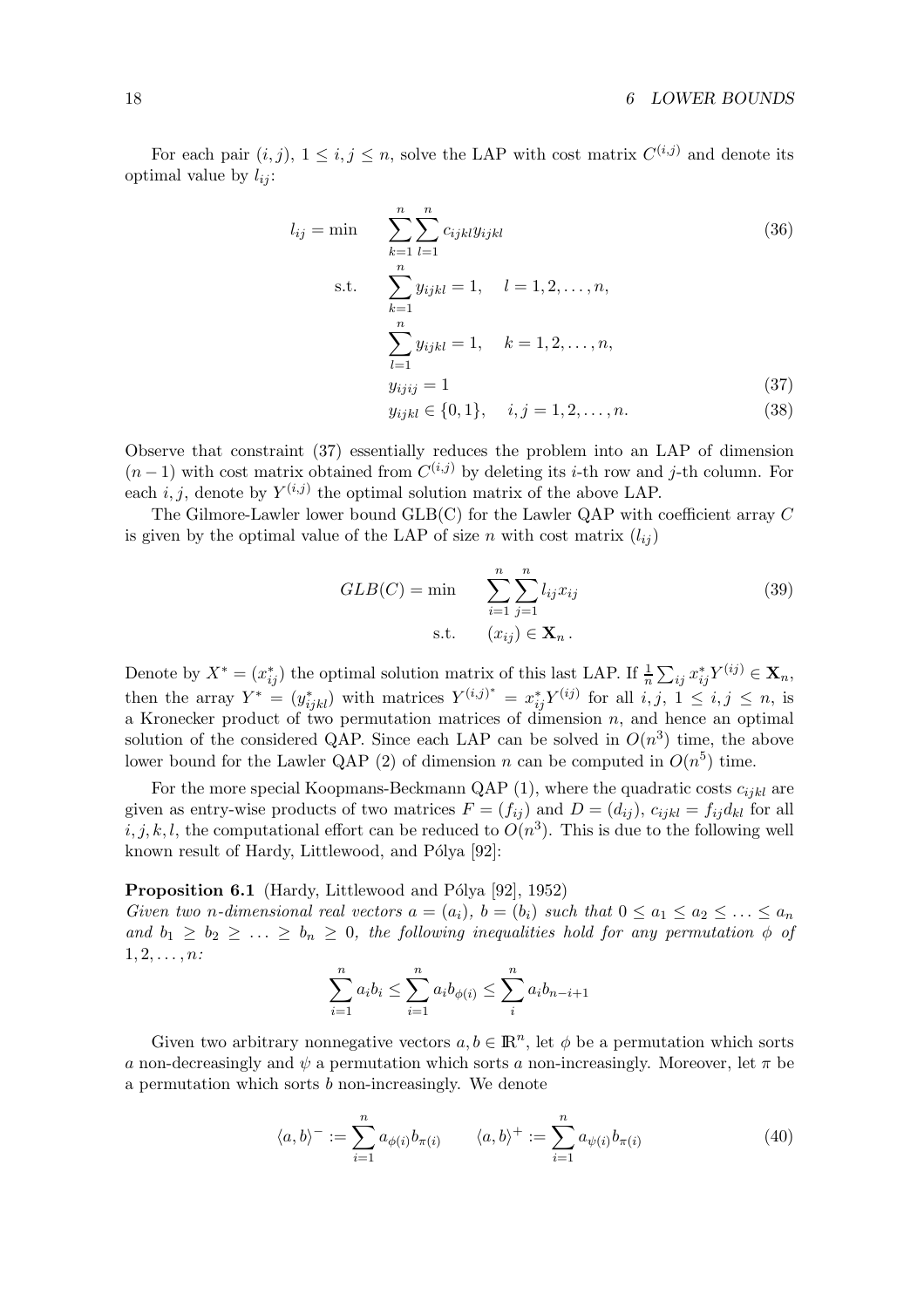For each pair  $(i, j)$ ,  $1 \leq i, j \leq n$ , solve the LAP with cost matrix  $C^{(i,j)}$  and denote its optimal value by  $l_{ij}$ :

$$
l_{ij} = \min \sum_{k=1}^{n} \sum_{l=1}^{n} c_{ijkl} y_{ijkl}
$$
\n
$$
\text{s.t.} \sum_{k=1}^{n} y_{ijkl} = 1, \quad l = 1, 2, \dots, n,
$$
\n
$$
\sum_{l=1}^{n} y_{ijkl} = 1, \quad k = 1, 2, \dots, n,
$$
\n
$$
y_{ijij} = 1
$$
\n
$$
y_{ijkl} \in \{0, 1\}, \quad i, j = 1, 2, \dots, n.
$$
\n(38)

Observe that constraint (37) essentially reduces the problem into an LAP of dimension  $(n-1)$  with cost matrix obtained from  $C^{(i,j)}$  by deleting its *i*-th row and *j*-th column. For each i, j, denote by  $Y^{(i,j)}$  the optimal solution matrix of the above LAP.

The Gilmore-Lawler lower bound GLB(C) for the Lawler QAP with coefficient array C is given by the optimal value of the LAP of size n with cost matrix  $(l_{ij})$ 

$$
GLB(C) = \min \qquad \sum_{i=1}^{n} \sum_{j=1}^{n} l_{ij} x_{ij}
$$
\n
$$
\text{s.t.} \qquad (x_{ij}) \in \mathbf{X}_n \,.
$$
\n
$$
(39)
$$

Denote by  $X^* = (x_{ij}^*)$  the optimal solution matrix of this last LAP. If  $\frac{1}{n} \sum_{ij} x_{ij}^* Y^{(ij)} \in \mathbf{X}_n$ , then the array  $Y^* = (y^*_{ijkl})$  with matrices  $Y^{(i,j)^*} = x^*_{ij} Y^{(ij)}$  for all  $i, j, 1 \le i, j \le n$ , is a Kronecker product of two permutation matrices of dimension n, and hence an optimal solution of the considered QAP. Since each LAP can be solved in  $O(n^3)$  time, the above lower bound for the Lawler QAP (2) of dimension n can be computed in  $O(n^5)$  time.

For the more special Koopmans-Beckmann QAP  $(1)$ , where the quadratic costs  $c_{ijkl}$  are given as entry-wise products of two matrices  $F = (f_{ij})$  and  $D = (d_{ij})$ ,  $c_{ijkl} = f_{ij}d_{kl}$  for all i, j, k, l, the computational effort can be reduced to  $O(n^3)$ . This is due to the following well known result of Hardy, Littlewood, and Pólya [92]:

### Proposition 6.1 (Hardy, Littlewood and Pólya [92], 1952)

Given two n-dimensional real vectors  $a = (a_i)$ ,  $b = (b_i)$  such that  $0 \le a_1 \le a_2 \le \ldots \le a_n$ and  $b_1 \geq b_2 \geq \ldots \geq b_n \geq 0$ , the following inequalities hold for any permutation  $\phi$  of  $1, 2, \ldots, n$ :

$$
\sum_{i=1}^{n} a_i b_i \le \sum_{i=1}^{n} a_i b_{\phi(i)} \le \sum_{i=1}^{n} a_i b_{n-i+1}
$$

Given two arbitrary nonnegative vectors  $a, b \in \mathbb{R}^n$ , let  $\phi$  be a permutation which sorts a non-decreasingly and  $\psi$  a permutation which sorts a non-increasingly. Moreover, let  $\pi$  be a permutation which sorts  $b$  non-increasingly. We denote

$$
\langle a, b \rangle^{-} := \sum_{i=1}^{n} a_{\phi(i)} b_{\pi(i)} \qquad \langle a, b \rangle^{+} := \sum_{i=1}^{n} a_{\psi(i)} b_{\pi(i)} \tag{40}
$$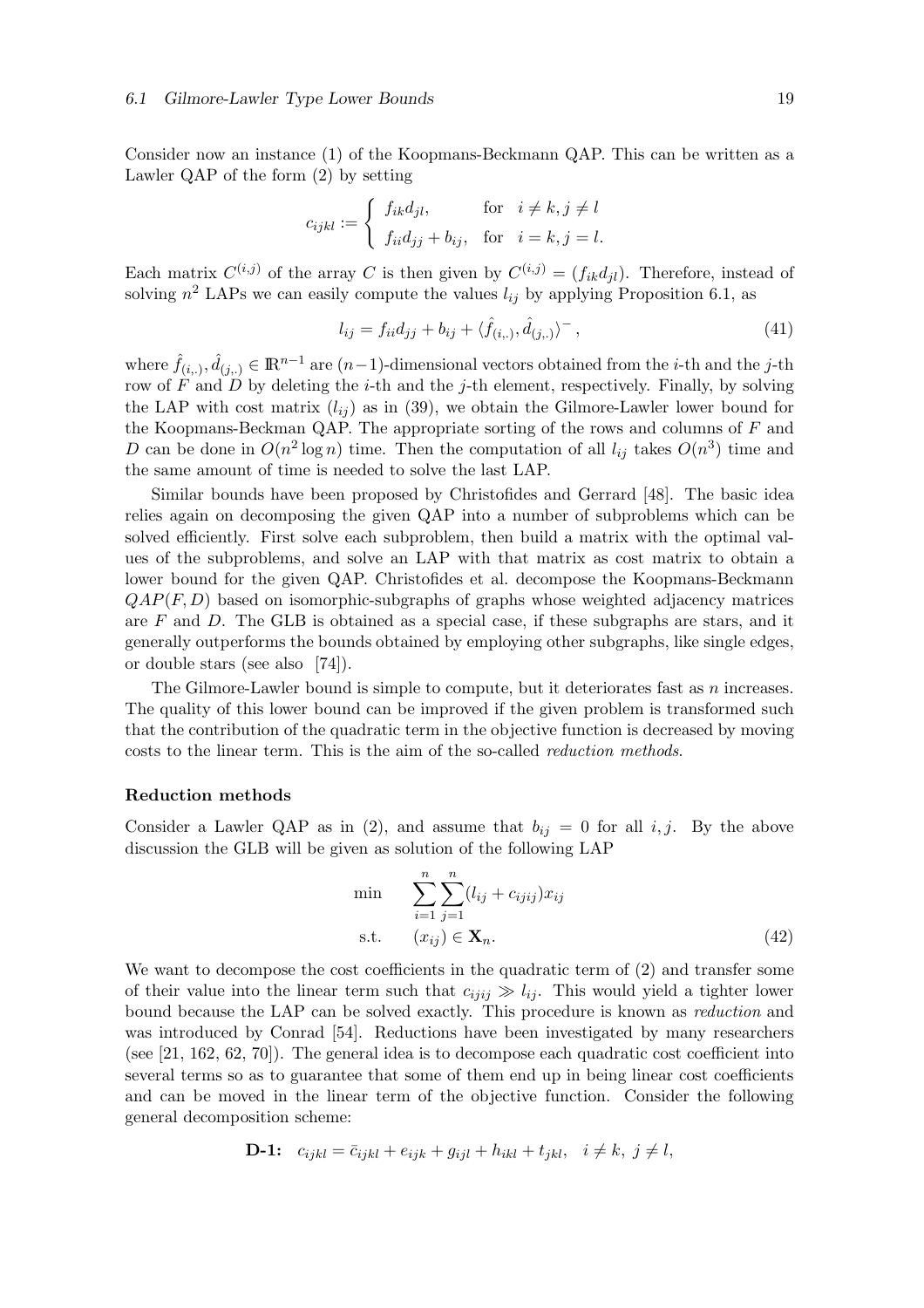Consider now an instance (1) of the Koopmans-Beckmann QAP. This can be written as a Lawler QAP of the form (2) by setting

$$
c_{ijkl} := \begin{cases} f_{ik}d_{jl}, & \text{for } i \neq k, j \neq l \\ f_{ii}d_{jj} + b_{ij}, & \text{for } i = k, j = l. \end{cases}
$$

Each matrix  $C^{(i,j)}$  of the array C is then given by  $C^{(i,j)} = (f_{ik}d_{jl})$ . Therefore, instead of solving  $n^2$  LAPs we can easily compute the values  $l_{ij}$  by applying Proposition 6.1, as

$$
l_{ij} = f_{ii}d_{jj} + b_{ij} + \langle \hat{f}_{(i,.)}, \hat{d}_{(j,.)} \rangle^{-}, \qquad (41)
$$

where  $\hat{f}_{(i,.)}, \hat{d}_{(j,.)} \in \mathbb{R}^{n-1}$  are  $(n-1)$ -dimensional vectors obtained from the *i*-th and the *j*-th row of  $\tilde{F}$  and  $\tilde{D}$  by deleting the *i*-th and the *j*-th element, respectively. Finally, by solving the LAP with cost matrix  $(l_{ii})$  as in (39), we obtain the Gilmore-Lawler lower bound for the Koopmans-Beckman QAP. The appropriate sorting of the rows and columns of  $F$  and D can be done in  $O(n^2 \log n)$  time. Then the computation of all  $l_{ij}$  takes  $O(n^3)$  time and the same amount of time is needed to solve the last LAP.

Similar bounds have been proposed by Christofides and Gerrard [48]. The basic idea relies again on decomposing the given QAP into a number of subproblems which can be solved efficiently. First solve each subproblem, then build a matrix with the optimal values of the subproblems, and solve an LAP with that matrix as cost matrix to obtain a lower bound for the given QAP. Christofides et al. decompose the Koopmans-Beckmann  $QAP(F, D)$  based on isomorphic-subgraphs of graphs whose weighted adjacency matrices are  $F$  and  $D$ . The GLB is obtained as a special case, if these subgraphs are stars, and it generally outperforms the bounds obtained by employing other subgraphs, like single edges, or double stars (see also [74]).

The Gilmore-Lawler bound is simple to compute, but it deteriorates fast as  $n$  increases. The quality of this lower bound can be improved if the given problem is transformed such that the contribution of the quadratic term in the objective function is decreased by moving costs to the linear term. This is the aim of the so-called reduction methods.

#### Reduction methods

Consider a Lawler QAP as in (2), and assume that  $b_{ij} = 0$  for all i, j. By the above discussion the GLB will be given as solution of the following LAP

min 
$$
\sum_{i=1}^{n} \sum_{j=1}^{n} (l_{ij} + c_{ijij}) x_{ij}
$$
  
s.t.  $(x_{ij}) \in \mathbf{X}_n$ . (42)

We want to decompose the cost coefficients in the quadratic term of (2) and transfer some of their value into the linear term such that  $c_{ijij} \gg l_{ij}$ . This would yield a tighter lower bound because the LAP can be solved exactly. This procedure is known as reduction and was introduced by Conrad [54]. Reductions have been investigated by many researchers (see [21, 162, 62, 70]). The general idea is to decompose each quadratic cost coefficient into several terms so as to guarantee that some of them end up in being linear cost coefficients and can be moved in the linear term of the objective function. Consider the following general decomposition scheme:

**D-1:** 
$$
c_{ijkl} = \bar{c}_{ijkl} + e_{ijk} + g_{ijl} + h_{ikl} + t_{jkl}, \quad i \neq k, j \neq l,
$$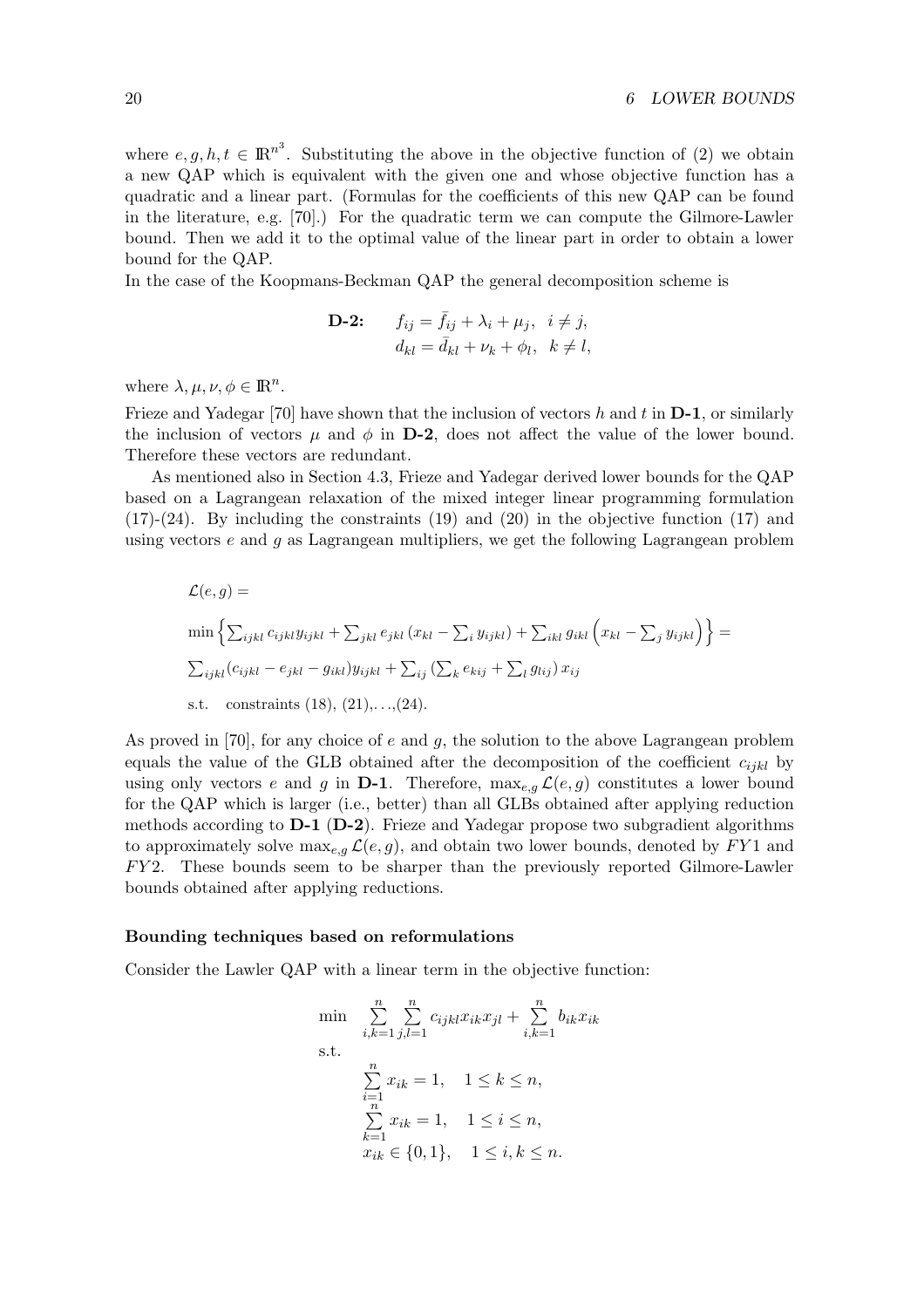where  $e, g, h, t \in \mathbb{R}^{n^3}$ . Substituting the above in the objective function of (2) we obtain a new QAP which is equivalent with the given one and whose objective function has a quadratic and a linear part. (Formulas for the coefficients of this new QAP can be found in the literature, e.g. [70].) For the quadratic term we can compute the Gilmore-Lawler bound. Then we add it to the optimal value of the linear part in order to obtain a lower bound for the QAP.

In the case of the Koopmans-Beckman QAP the general decomposition scheme is

**D-2:** 
$$
f_{ij} = \bar{f}_{ij} + \lambda_i + \mu_j, \quad i \neq j,
$$

$$
d_{kl} = \bar{d}_{kl} + \nu_k + \phi_l, \quad k \neq l,
$$

where  $\lambda, \mu, \nu, \phi \in \mathbb{R}^n$ .

Frieze and Yadegar [70] have shown that the inclusion of vectors h and t in  $D-1$ , or similarly the inclusion of vectors  $\mu$  and  $\phi$  in **D-2**, does not affect the value of the lower bound. Therefore these vectors are redundant.

As mentioned also in Section 4.3, Frieze and Yadegar derived lower bounds for the QAP based on a Lagrangean relaxation of the mixed integer linear programming formulation (17)-(24). By including the constraints (19) and (20) in the objective function (17) and using vectors  $e$  and  $q$  as Lagrangean multipliers, we get the following Lagrangean problem

$$
\mathcal{L}(e, g) =
$$
  
\n
$$
\min \left\{ \sum_{ijkl} c_{ijkl} y_{ijkl} + \sum_{jkl} e_{jkl} (x_{kl} - \sum_i y_{ijkl}) + \sum_{ikl} g_{ikl} (x_{kl} - \sum_j y_{ijkl}) \right\} =
$$
  
\n
$$
\sum_{ijkl} (c_{ijkl} - e_{jkl} - g_{ikl}) y_{ijkl} + \sum_{ij} (\sum_k e_{kij} + \sum_l g_{lij}) x_{ij}
$$
  
\ns.t. constraints (18), (21),..., (24).

As proved in [70], for any choice of  $e$  and  $g$ , the solution to the above Lagrangean problem equals the value of the GLB obtained after the decomposition of the coefficient  $c_{ijkl}$  by using only vectors e and g in **D-1**. Therefore,  $\max_{e,q} \mathcal{L}(e,g)$  constitutes a lower bound for the QAP which is larger (i.e., better) than all GLBs obtained after applying reduction methods according to D-1 (D-2). Frieze and Yadegar propose two subgradient algorithms to approximately solve  $\max_{e,q} \mathcal{L}(e,g)$ , and obtain two lower bounds, denoted by FY1 and FY 2. These bounds seem to be sharper than the previously reported Gilmore-Lawler bounds obtained after applying reductions.

#### Bounding techniques based on reformulations

Consider the Lawler QAP with a linear term in the objective function:

min 
$$
\sum_{i,k=1}^{n} \sum_{j,l=1}^{n} c_{ijkl} x_{ik} x_{jl} + \sum_{i,k=1}^{n} b_{ik} x_{ik}
$$
  
s.t. 
$$
\sum_{i=1}^{n} x_{ik} = 1, \quad 1 \le k \le n,
$$

$$
\sum_{k=1}^{n} x_{ik} = 1, \quad 1 \le i \le n,
$$

$$
x_{ik} \in \{0, 1\}, \quad 1 \le i, k \le n.
$$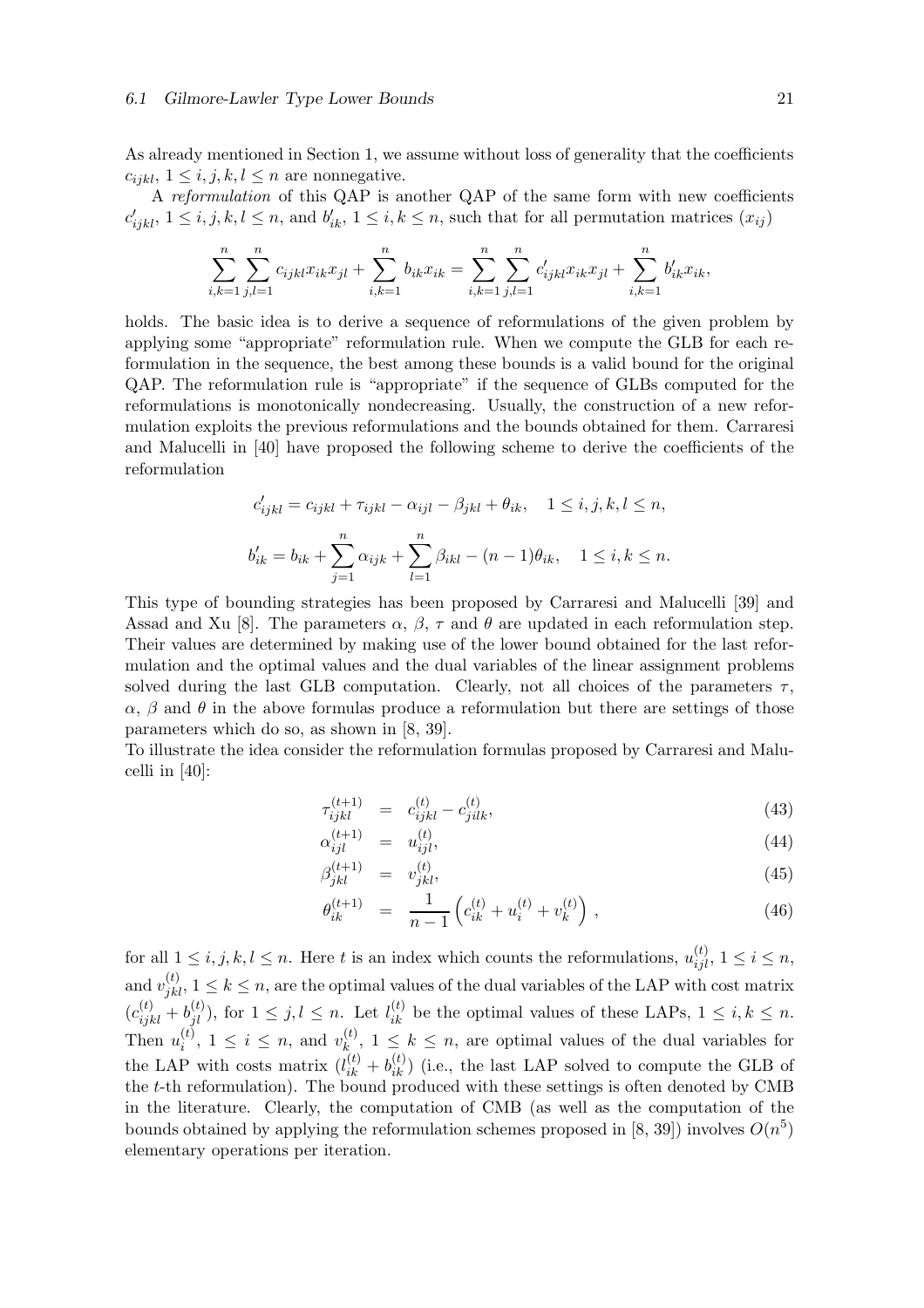As already mentioned in Section 1, we assume without loss of generality that the coefficients  $c_{ijkl}$ ,  $1 \leq i, j, k, l \leq n$  are nonnegative.

A reformulation of this QAP is another QAP of the same form with new coefficients  $c'_{ijkl}$ ,  $1 \leq i, j, k, l \leq n$ , and  $b'_{ik}$ ,  $1 \leq i, k \leq n$ , such that for all permutation matrices  $(x_{ij})$ 

$$
\sum_{i,k=1}^{n} \sum_{j,l=1}^{n} c_{ijkl} x_{ik} x_{jl} + \sum_{i,k=1}^{n} b_{ik} x_{ik} = \sum_{i,k=1}^{n} \sum_{j,l=1}^{n} c'_{ijkl} x_{ik} x_{jl} + \sum_{i,k=1}^{n} b'_{ik} x_{ik},
$$

holds. The basic idea is to derive a sequence of reformulations of the given problem by applying some "appropriate" reformulation rule. When we compute the GLB for each reformulation in the sequence, the best among these bounds is a valid bound for the original QAP. The reformulation rule is "appropriate" if the sequence of GLBs computed for the reformulations is monotonically nondecreasing. Usually, the construction of a new reformulation exploits the previous reformulations and the bounds obtained for them. Carraresi and Malucelli in [40] have proposed the following scheme to derive the coefficients of the reformulation

$$
c'_{ijkl} = c_{ijkl} + \tau_{ijkl} - \alpha_{ijl} - \beta_{jkl} + \theta_{ik}, \quad 1 \le i, j, k, l \le n,
$$
  

$$
b'_{ik} = b_{ik} + \sum_{j=1}^{n} \alpha_{ijk} + \sum_{l=1}^{n} \beta_{ikl} - (n-1)\theta_{ik}, \quad 1 \le i, k \le n.
$$

This type of bounding strategies has been proposed by Carraresi and Malucelli [39] and Assad and Xu [8]. The parameters  $\alpha$ ,  $\beta$ ,  $\tau$  and  $\theta$  are updated in each reformulation step. Their values are determined by making use of the lower bound obtained for the last reformulation and the optimal values and the dual variables of the linear assignment problems solved during the last GLB computation. Clearly, not all choices of the parameters  $\tau$ ,  $\alpha$ ,  $\beta$  and  $\theta$  in the above formulas produce a reformulation but there are settings of those parameters which do so, as shown in [8, 39].

To illustrate the idea consider the reformulation formulas proposed by Carraresi and Malucelli in [40]:

$$
\tau_{ijkl}^{(t+1)} = c_{ijkl}^{(t)} - c_{jilk}^{(t)}, \tag{43}
$$

$$
\alpha_{ijl}^{(t+1)} = u_{ijl}^{(t)},\tag{44}
$$

$$
\beta_{jkl}^{(t+1)} = v_{jkl}^{(t)},\tag{45}
$$

$$
\theta_{ik}^{(t+1)} = \frac{1}{n-1} \left( c_{ik}^{(t)} + u_i^{(t)} + v_k^{(t)} \right), \qquad (46)
$$

for all  $1 \leq i, j, k, l \leq n$ . Here t is an index which counts the reformulations,  $u_{ijl}^{(t)}$ ,  $1 \leq i \leq n$ , and  $v_{jkl}^{(t)}$ ,  $1 \leq k \leq n$ , are the optimal values of the dual variables of the LAP with cost matrix  $(c_{ijkl}^{(t)} + b_{jl}^{(t)})$ , for  $1 \leq j, l \leq n$ . Let  $l_{ik}^{(t)}$  be the optimal values of these LAPs,  $1 \leq i, k \leq n$ . Then  $u_i^{(t)}$  $i^{(t)}$ ,  $1 \leq i \leq n$ , and  $v_{k}^{(t)}$  $\sum_{k=1}^{(i)} 1 \leq k \leq n$ , are optimal values of the dual variables for the LAP with costs matrix  $(l_{ik}^{(t)} + b_{ik}^{(t)})$  (i.e., the last LAP solved to compute the GLB of the t-th reformulation). The bound produced with these settings is often denoted by CMB in the literature. Clearly, the computation of CMB (as well as the computation of the bounds obtained by applying the reformulation schemes proposed in [8, 39]) involves  $O(n^5)$ elementary operations per iteration.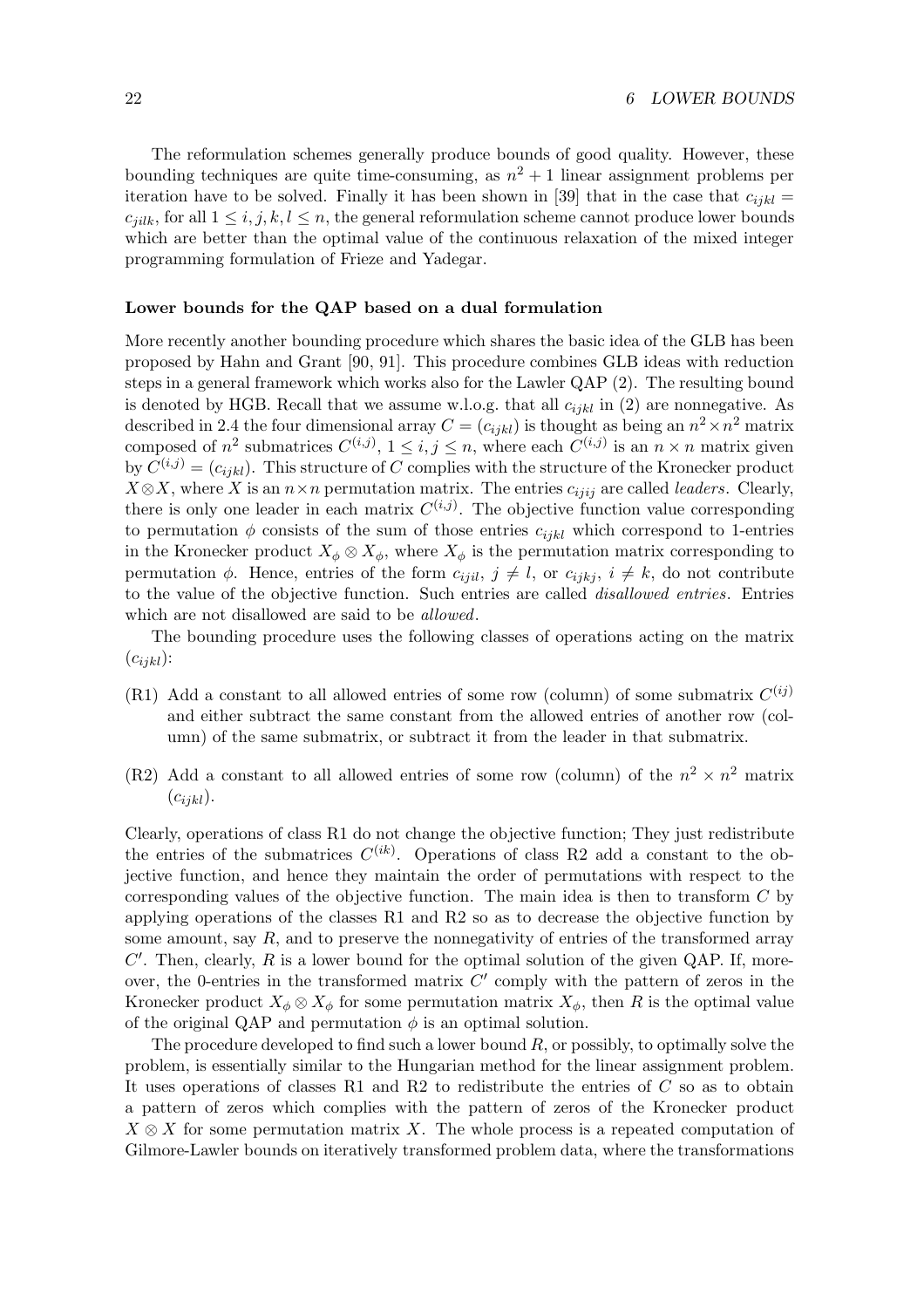The reformulation schemes generally produce bounds of good quality. However, these bounding techniques are quite time-consuming, as  $n^2 + 1$  linear assignment problems per iteration have to be solved. Finally it has been shown in [39] that in the case that  $c_{ijkl} =$  $c_{iilk}$ , for all  $1 \leq i, j, k, l \leq n$ , the general reformulation scheme cannot produce lower bounds which are better than the optimal value of the continuous relaxation of the mixed integer programming formulation of Frieze and Yadegar.

#### Lower bounds for the QAP based on a dual formulation

More recently another bounding procedure which shares the basic idea of the GLB has been proposed by Hahn and Grant [90, 91]. This procedure combines GLB ideas with reduction steps in a general framework which works also for the Lawler QAP (2). The resulting bound is denoted by HGB. Recall that we assume w.l.o.g. that all  $c_{ijkl}$  in (2) are nonnegative. As described in 2.4 the four dimensional array  $C = (c_{ijkl})$  is thought as being an  $n^2 \times n^2$  matrix composed of  $n^2$  submatrices  $C^{(i,j)}$ ,  $1 \leq i, j \leq n$ , where each  $C^{(i,j)}$  is an  $n \times n$  matrix given by  $C^{(i,j)} = (c_{ijkl})$ . This structure of C complies with the structure of the Kronecker product  $X \otimes X$ , where X is an  $n \times n$  permutation matrix. The entries  $c_{iijj}$  are called *leaders*. Clearly, there is only one leader in each matrix  $C^{(i,j)}$ . The objective function value corresponding to permutation  $\phi$  consists of the sum of those entries  $c_{ijkl}$  which correspond to 1-entries in the Kronecker product  $X_{\phi} \otimes X_{\phi}$ , where  $X_{\phi}$  is the permutation matrix corresponding to permutation  $\phi$ . Hence, entries of the form  $c_{ijil}$ ,  $j \neq l$ , or  $c_{ijkj}$ ,  $i \neq k$ , do not contribute to the value of the objective function. Such entries are called disallowed entries. Entries which are not disallowed are said to be allowed.

The bounding procedure uses the following classes of operations acting on the matrix  $(c_{ijkl})$ :

- (R1) Add a constant to all allowed entries of some row (column) of some submatrix  $C^{(ij)}$ and either subtract the same constant from the allowed entries of another row (column) of the same submatrix, or subtract it from the leader in that submatrix.
- (R2) Add a constant to all allowed entries of some row (column) of the  $n^2 \times n^2$  matrix  $(c_{ijkl})$ .

Clearly, operations of class R1 do not change the objective function; They just redistribute the entries of the submatrices  $C^{(ik)}$ . Operations of class R2 add a constant to the objective function, and hence they maintain the order of permutations with respect to the corresponding values of the objective function. The main idea is then to transform  $C$  by applying operations of the classes R1 and R2 so as to decrease the objective function by some amount, say  $R$ , and to preserve the nonnegativity of entries of the transformed array  $C'$ . Then, clearly,  $R$  is a lower bound for the optimal solution of the given QAP. If, moreover, the 0-entries in the transformed matrix  $C'$  comply with the pattern of zeros in the Kronecker product  $X_{\phi} \otimes X_{\phi}$  for some permutation matrix  $X_{\phi}$ , then R is the optimal value of the original QAP and permutation  $\phi$  is an optimal solution.

The procedure developed to find such a lower bound  $R$ , or possibly, to optimally solve the problem, is essentially similar to the Hungarian method for the linear assignment problem. It uses operations of classes R1 and R2 to redistribute the entries of  $C$  so as to obtain a pattern of zeros which complies with the pattern of zeros of the Kronecker product  $X \otimes X$  for some permutation matrix X. The whole process is a repeated computation of Gilmore-Lawler bounds on iteratively transformed problem data, where the transformations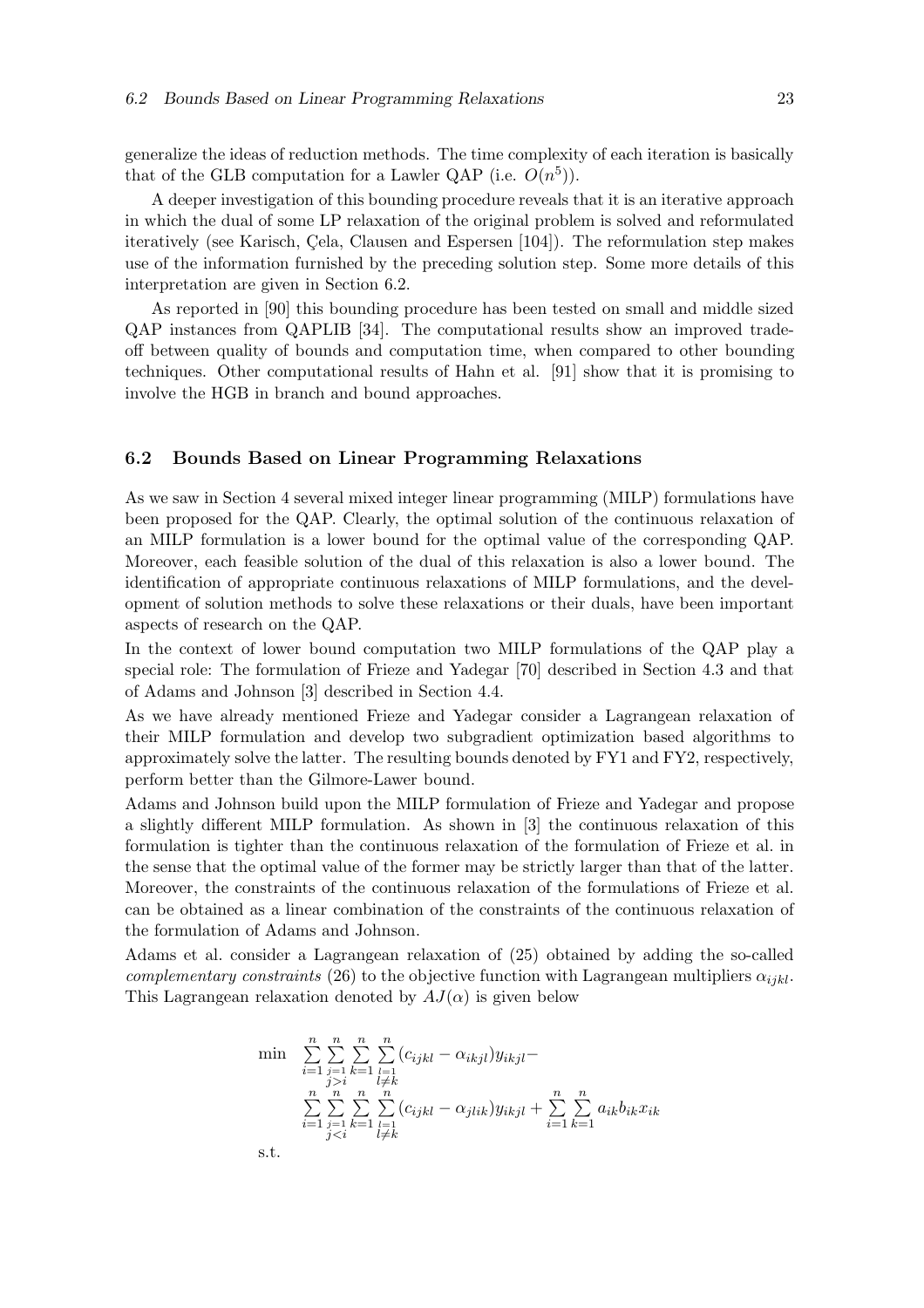generalize the ideas of reduction methods. The time complexity of each iteration is basically that of the GLB computation for a Lawler QAP (i.e.  $O(n^5)$ ).

A deeper investigation of this bounding procedure reveals that it is an iterative approach in which the dual of some LP relaxation of the original problem is solved and reformulated iteratively (see Karisch, Çela, Clausen and Espersen  $[104]$ ). The reformulation step makes use of the information furnished by the preceding solution step. Some more details of this interpretation are given in Section 6.2.

As reported in [90] this bounding procedure has been tested on small and middle sized QAP instances from QAPLIB [34]. The computational results show an improved tradeoff between quality of bounds and computation time, when compared to other bounding techniques. Other computational results of Hahn et al. [91] show that it is promising to involve the HGB in branch and bound approaches.

## 6.2 Bounds Based on Linear Programming Relaxations

As we saw in Section 4 several mixed integer linear programming (MILP) formulations have been proposed for the QAP. Clearly, the optimal solution of the continuous relaxation of an MILP formulation is a lower bound for the optimal value of the corresponding QAP. Moreover, each feasible solution of the dual of this relaxation is also a lower bound. The identification of appropriate continuous relaxations of MILP formulations, and the development of solution methods to solve these relaxations or their duals, have been important aspects of research on the QAP.

In the context of lower bound computation two MILP formulations of the QAP play a special role: The formulation of Frieze and Yadegar [70] described in Section 4.3 and that of Adams and Johnson [3] described in Section 4.4.

As we have already mentioned Frieze and Yadegar consider a Lagrangean relaxation of their MILP formulation and develop two subgradient optimization based algorithms to approximately solve the latter. The resulting bounds denoted by FY1 and FY2, respectively, perform better than the Gilmore-Lawer bound.

Adams and Johnson build upon the MILP formulation of Frieze and Yadegar and propose a slightly different MILP formulation. As shown in [3] the continuous relaxation of this formulation is tighter than the continuous relaxation of the formulation of Frieze et al. in the sense that the optimal value of the former may be strictly larger than that of the latter. Moreover, the constraints of the continuous relaxation of the formulations of Frieze et al. can be obtained as a linear combination of the constraints of the continuous relaxation of the formulation of Adams and Johnson.

Adams et al. consider a Lagrangean relaxation of (25) obtained by adding the so-called complementary constraints (26) to the objective function with Lagrangean multipliers  $\alpha_{ijkl}$ . This Lagrangean relaxation denoted by  $AJ(\alpha)$  is given below

min 
$$
\sum_{i=1}^{n} \sum_{\substack{j=1 \ j>i}}^{n} \sum_{k=1}^{n} \sum_{\substack{l=1 \ l \neq k}}^{n} (c_{ijkl} - \alpha_{ikjl}) y_{ikjl} -
$$

$$
\sum_{i=1}^{n} \sum_{\substack{j=1 \ j>i}}^{n} \sum_{k=1}^{n} \sum_{\substack{l=1 \ l \neq k}}^{n} (c_{ijkl} - \alpha_{jlik}) y_{ikjl} + \sum_{i=1}^{n} \sum_{k=1}^{n} a_{ik} b_{ik} x_{ik}
$$
s.t.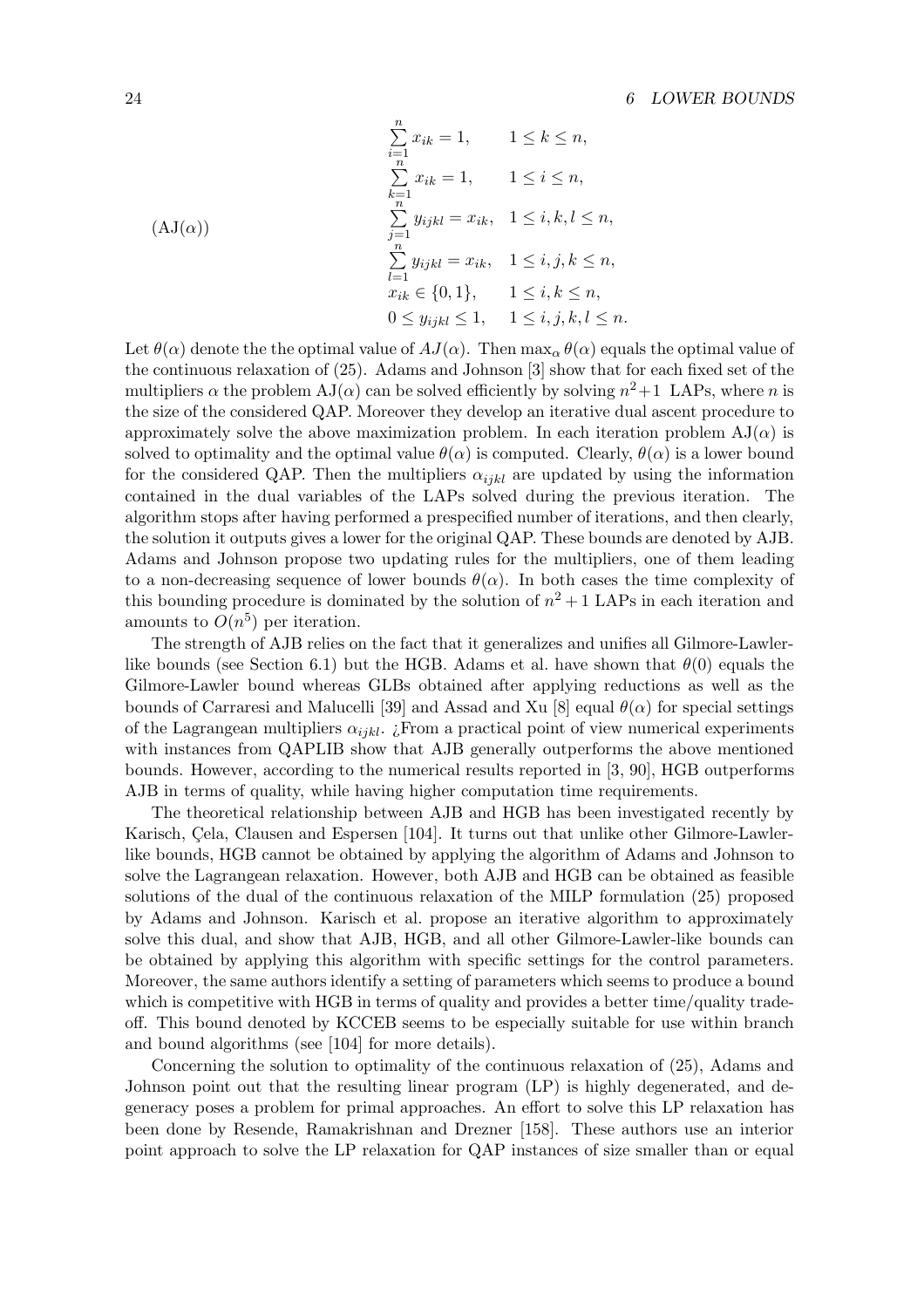$$
\sum_{i=1}^{n} x_{ik} = 1, \qquad 1 \le k \le n,
$$
\n
$$
\sum_{k=1}^{n} x_{ik} = 1, \qquad 1 \le i \le n,
$$
\n
$$
\sum_{j=1}^{n} y_{ijkl} = x_{ik}, \quad 1 \le i, k, l \le n,
$$
\n
$$
\sum_{l=1}^{n} y_{ijkl} = x_{ik}, \quad 1 \le i, j, k \le n,
$$
\n
$$
x_{ik} \in \{0, 1\}, \qquad 1 \le i, k \le n,
$$
\n
$$
0 \le y_{ijkl} \le 1, \quad 1 \le i, j, k, l \le n.
$$

Let  $\theta(\alpha)$  denote the the optimal value of  $AJ(\alpha)$ . Then  $\max_{\alpha} \theta(\alpha)$  equals the optimal value of the continuous relaxation of (25). Adams and Johnson [3] show that for each fixed set of the multipliers  $\alpha$  the problem  $AJ(\alpha)$  can be solved efficiently by solving  $n^2+1$  LAPs, where n is the size of the considered QAP. Moreover they develop an iterative dual ascent procedure to approximately solve the above maximization problem. In each iteration problem  $AJ(\alpha)$  is solved to optimality and the optimal value  $\theta(\alpha)$  is computed. Clearly,  $\theta(\alpha)$  is a lower bound for the considered QAP. Then the multipliers  $\alpha_{ijkl}$  are updated by using the information contained in the dual variables of the LAPs solved during the previous iteration. The algorithm stops after having performed a prespecified number of iterations, and then clearly, the solution it outputs gives a lower for the original QAP. These bounds are denoted by AJB. Adams and Johnson propose two updating rules for the multipliers, one of them leading to a non-decreasing sequence of lower bounds  $\theta(\alpha)$ . In both cases the time complexity of this bounding procedure is dominated by the solution of  $n^2 + 1$  LAPs in each iteration and amounts to  $O(n^5)$  per iteration.

The strength of AJB relies on the fact that it generalizes and unifies all Gilmore-Lawlerlike bounds (see Section 6.1) but the HGB. Adams et al. have shown that  $\theta(0)$  equals the Gilmore-Lawler bound whereas GLBs obtained after applying reductions as well as the bounds of Carraresi and Malucelli [39] and Assad and Xu [8] equal  $\theta(\alpha)$  for special settings of the Lagrangean multipliers  $\alpha_{ijkl}$ . *i*. From a practical point of view numerical experiments with instances from QAPLIB show that AJB generally outperforms the above mentioned bounds. However, according to the numerical results reported in [3, 90], HGB outperforms AJB in terms of quality, while having higher computation time requirements.

The theoretical relationship between AJB and HGB has been investigated recently by Karisch, Çela, Clausen and Espersen [104]. It turns out that unlike other Gilmore-Lawlerlike bounds, HGB cannot be obtained by applying the algorithm of Adams and Johnson to solve the Lagrangean relaxation. However, both AJB and HGB can be obtained as feasible solutions of the dual of the continuous relaxation of the MILP formulation (25) proposed by Adams and Johnson. Karisch et al. propose an iterative algorithm to approximately solve this dual, and show that AJB, HGB, and all other Gilmore-Lawler-like bounds can be obtained by applying this algorithm with specific settings for the control parameters. Moreover, the same authors identify a setting of parameters which seems to produce a bound which is competitive with HGB in terms of quality and provides a better time/quality tradeoff. This bound denoted by KCCEB seems to be especially suitable for use within branch and bound algorithms (see [104] for more details).

Concerning the solution to optimality of the continuous relaxation of (25), Adams and Johnson point out that the resulting linear program (LP) is highly degenerated, and degeneracy poses a problem for primal approaches. An effort to solve this LP relaxation has been done by Resende, Ramakrishnan and Drezner [158]. These authors use an interior point approach to solve the LP relaxation for QAP instances of size smaller than or equal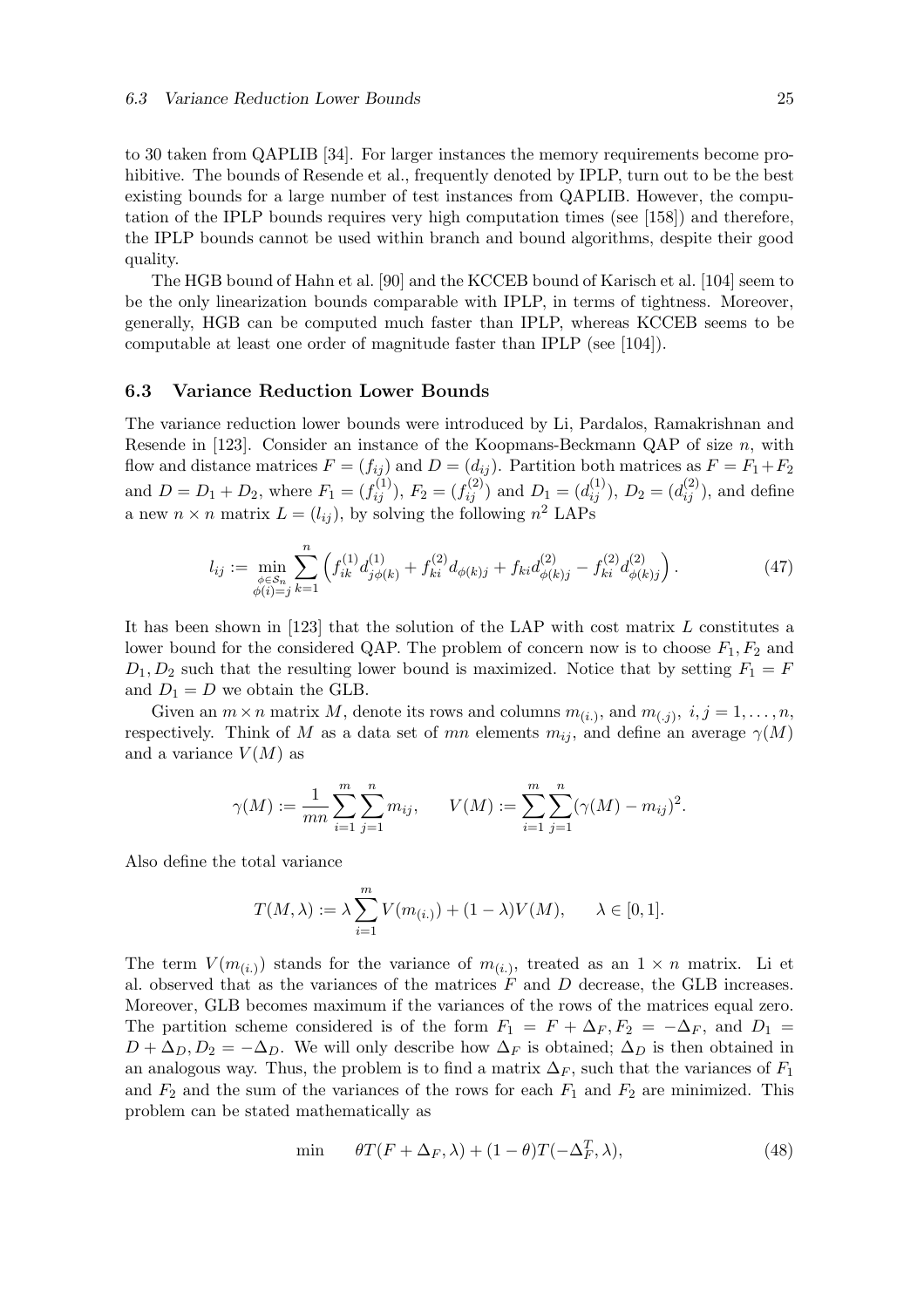to 30 taken from QAPLIB [34]. For larger instances the memory requirements become prohibitive. The bounds of Resende et al., frequently denoted by IPLP, turn out to be the best existing bounds for a large number of test instances from QAPLIB. However, the computation of the IPLP bounds requires very high computation times (see [158]) and therefore, the IPLP bounds cannot be used within branch and bound algorithms, despite their good quality.

The HGB bound of Hahn et al. [90] and the KCCEB bound of Karisch et al. [104] seem to be the only linearization bounds comparable with IPLP, in terms of tightness. Moreover, generally, HGB can be computed much faster than IPLP, whereas KCCEB seems to be computable at least one order of magnitude faster than IPLP (see [104]).

#### 6.3 Variance Reduction Lower Bounds

The variance reduction lower bounds were introduced by Li, Pardalos, Ramakrishnan and Resende in [123]. Consider an instance of the Koopmans-Beckmann QAP of size  $n$ , with flow and distance matrices  $F = (f_{ij})$  and  $D = (d_{ij})$ . Partition both matrices as  $F = F_1 + F_2$ and  $D = D_1 + D_2$ , where  $F_1 = (f_{ij}^{(1)})$ ,  $F_2 = (f_{ij}^{(2)})$  and  $D_1 = (d_{ij}^{(1)})$ ,  $D_2 = (d_{ij}^{(2)})$ , and define a new  $n \times n$  matrix  $L = (l_{ij})$ , by solving the following  $n^2$  LAPs

$$
l_{ij} := \min_{\substack{\phi \in S_n \\ \phi(i) = j}} \sum_{k=1}^n \left( f_{ik}^{(1)} d_{j\phi(k)}^{(1)} + f_{ki}^{(2)} d_{\phi(k)j} + f_{ki} d_{\phi(k)j}^{(2)} - f_{ki}^{(2)} d_{\phi(k)j}^{(2)} \right).
$$
 (47)

It has been shown in [123] that the solution of the LAP with cost matrix L constitutes a lower bound for the considered QAP. The problem of concern now is to choose  $F_1, F_2$  and  $D_1, D_2$  such that the resulting lower bound is maximized. Notice that by setting  $F_1 = F$ and  $D_1 = D$  we obtain the GLB.

Given an  $m \times n$  matrix M, denote its rows and columns  $m_{(i)}$ , and  $m_{(j)}$ ,  $i, j = 1, \ldots, n$ , respectively. Think of M as a data set of mn elements  $m_{ij}$ , and define an average  $\gamma(M)$ and a variance  $V(M)$  as

$$
\gamma(M) := \frac{1}{mn} \sum_{i=1}^{m} \sum_{j=1}^{n} m_{ij}, \qquad V(M) := \sum_{i=1}^{m} \sum_{j=1}^{n} (\gamma(M) - m_{ij})^2.
$$

Also define the total variance

$$
T(M, \lambda) := \lambda \sum_{i=1}^{m} V(m_{(i.)}) + (1 - \lambda)V(M), \quad \lambda \in [0, 1].
$$

The term  $V(m_{(i)})$  stands for the variance of  $m_{(i)}$ , treated as an  $1 \times n$  matrix. Li et al. observed that as the variances of the matrices  $F$  and  $D$  decrease, the GLB increases. Moreover, GLB becomes maximum if the variances of the rows of the matrices equal zero. The partition scheme considered is of the form  $F_1 = F + \Delta_F, F_2 = -\Delta_F$ , and  $D_1 =$  $D + \Delta_D, D_2 = -\Delta_D$ . We will only describe how  $\Delta_F$  is obtained;  $\Delta_D$  is then obtained in an analogous way. Thus, the problem is to find a matrix  $\Delta_F$ , such that the variances of  $F_1$ and  $F_2$  and the sum of the variances of the rows for each  $F_1$  and  $F_2$  are minimized. This problem can be stated mathematically as

$$
\min \qquad \theta T(F + \Delta_F, \lambda) + (1 - \theta)T(-\Delta_F^T, \lambda), \tag{48}
$$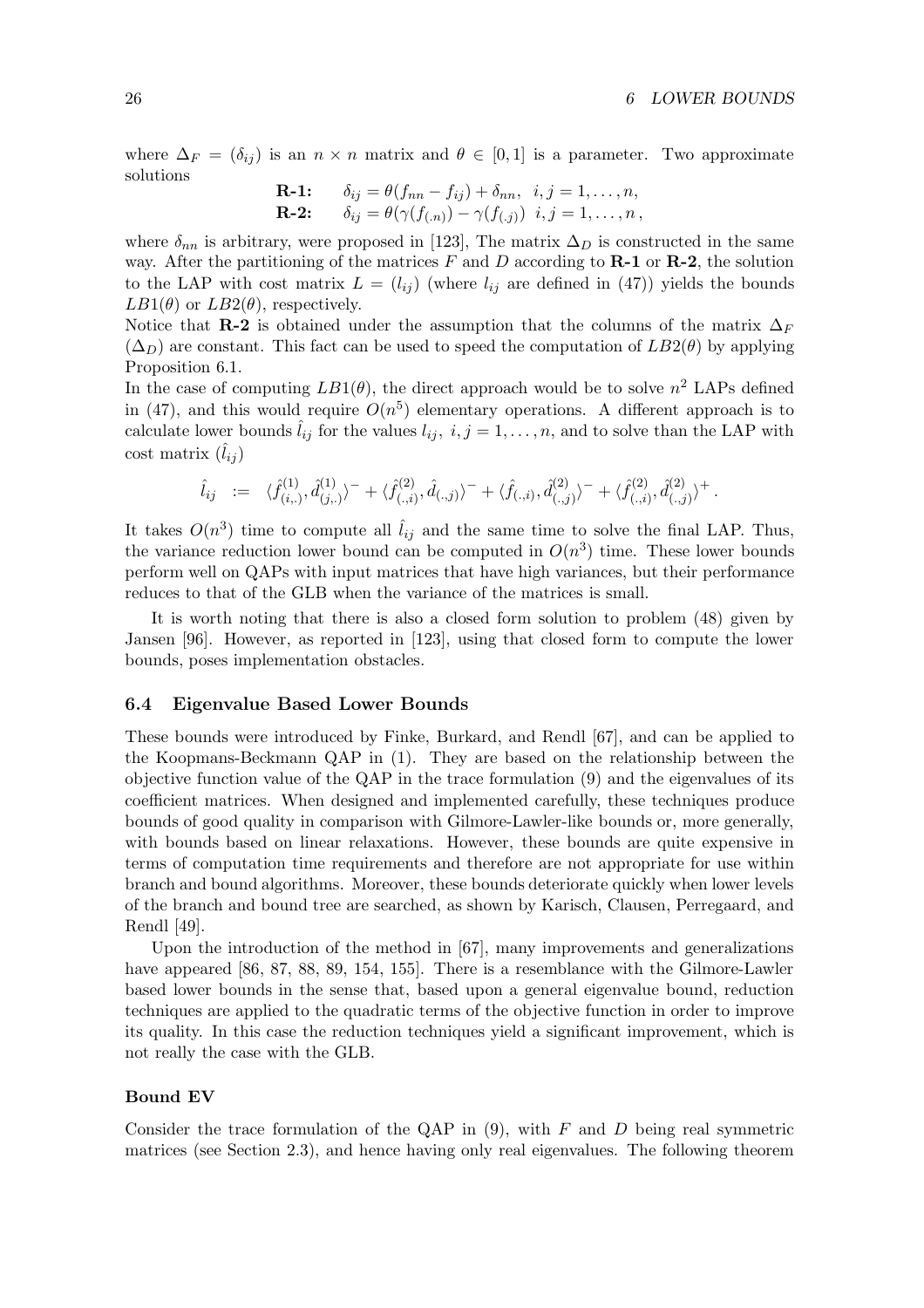where  $\Delta_F = (\delta_{ij})$  is an  $n \times n$  matrix and  $\theta \in [0,1]$  is a parameter. Two approximate solutions

**R-1:** 
$$
\delta_{ij} = \theta(f_{nn} - f_{ij}) + \delta_{nn}, \quad i, j = 1, \dots, n,
$$
  
**R-2:** 
$$
\delta_{ij} = \theta(\gamma(f_{(.n)}) - \gamma(f_{(.j)}) \quad i, j = 1, \dots, n,
$$

where  $\delta_{nn}$  is arbitrary, were proposed in [123], The matrix  $\Delta_D$  is constructed in the same way. After the partitioning of the matrices  $F$  and  $D$  according to  $\mathbb{R}$ -1 or  $\mathbb{R}$ -2, the solution to the LAP with cost matrix  $L = (l_{ij})$  (where  $l_{ij}$  are defined in (47)) yields the bounds  $LB1(\theta)$  or  $LB2(\theta)$ , respectively.

Notice that R-2 is obtained under the assumption that the columns of the matrix  $\Delta_F$  $(\Delta_D)$  are constant. This fact can be used to speed the computation of  $LB2(\theta)$  by applying Proposition 6.1.

In the case of computing  $LB1(\theta)$ , the direct approach would be to solve  $n^2$  LAPs defined in (47), and this would require  $O(n^5)$  elementary operations. A different approach is to calculate lower bounds  $l_{ij}$  for the values  $l_{ij}$ ,  $i,j = 1, \ldots, n$ , and to solve than the LAP with cost matrix  $(\hat{l}_{ij})$ 

$$
\hat{l}_{ij} := \langle \hat{f}_{(i,.)}^{(1)}, \hat{d}_{(j,.)}^{(1)} \rangle^{-} + \langle \hat{f}_{(.,i)}^{(2)}, \hat{d}_{(.,j)} \rangle^{-} + \langle \hat{f}_{(.,i)}, \hat{d}_{(.,j)}^{(2)} \rangle^{-} + \langle \hat{f}_{(.,i)}^{(2)}, \hat{d}_{(.,j)}^{(2)} \rangle^{+}.
$$

It takes  $O(n^3)$  time to compute all  $\hat{l}_{ij}$  and the same time to solve the final LAP. Thus, the variance reduction lower bound can be computed in  $O(n^3)$  time. These lower bounds perform well on QAPs with input matrices that have high variances, but their performance reduces to that of the GLB when the variance of the matrices is small.

It is worth noting that there is also a closed form solution to problem (48) given by Jansen [96]. However, as reported in [123], using that closed form to compute the lower bounds, poses implementation obstacles.

#### 6.4 Eigenvalue Based Lower Bounds

These bounds were introduced by Finke, Burkard, and Rendl [67], and can be applied to the Koopmans-Beckmann QAP in (1). They are based on the relationship between the objective function value of the QAP in the trace formulation (9) and the eigenvalues of its coefficient matrices. When designed and implemented carefully, these techniques produce bounds of good quality in comparison with Gilmore-Lawler-like bounds or, more generally, with bounds based on linear relaxations. However, these bounds are quite expensive in terms of computation time requirements and therefore are not appropriate for use within branch and bound algorithms. Moreover, these bounds deteriorate quickly when lower levels of the branch and bound tree are searched, as shown by Karisch, Clausen, Perregaard, and Rendl [49].

Upon the introduction of the method in [67], many improvements and generalizations have appeared [86, 87, 88, 89, 154, 155]. There is a resemblance with the Gilmore-Lawler based lower bounds in the sense that, based upon a general eigenvalue bound, reduction techniques are applied to the quadratic terms of the objective function in order to improve its quality. In this case the reduction techniques yield a significant improvement, which is not really the case with the GLB.

## Bound EV

Consider the trace formulation of the QAP in  $(9)$ , with F and D being real symmetric matrices (see Section 2.3), and hence having only real eigenvalues. The following theorem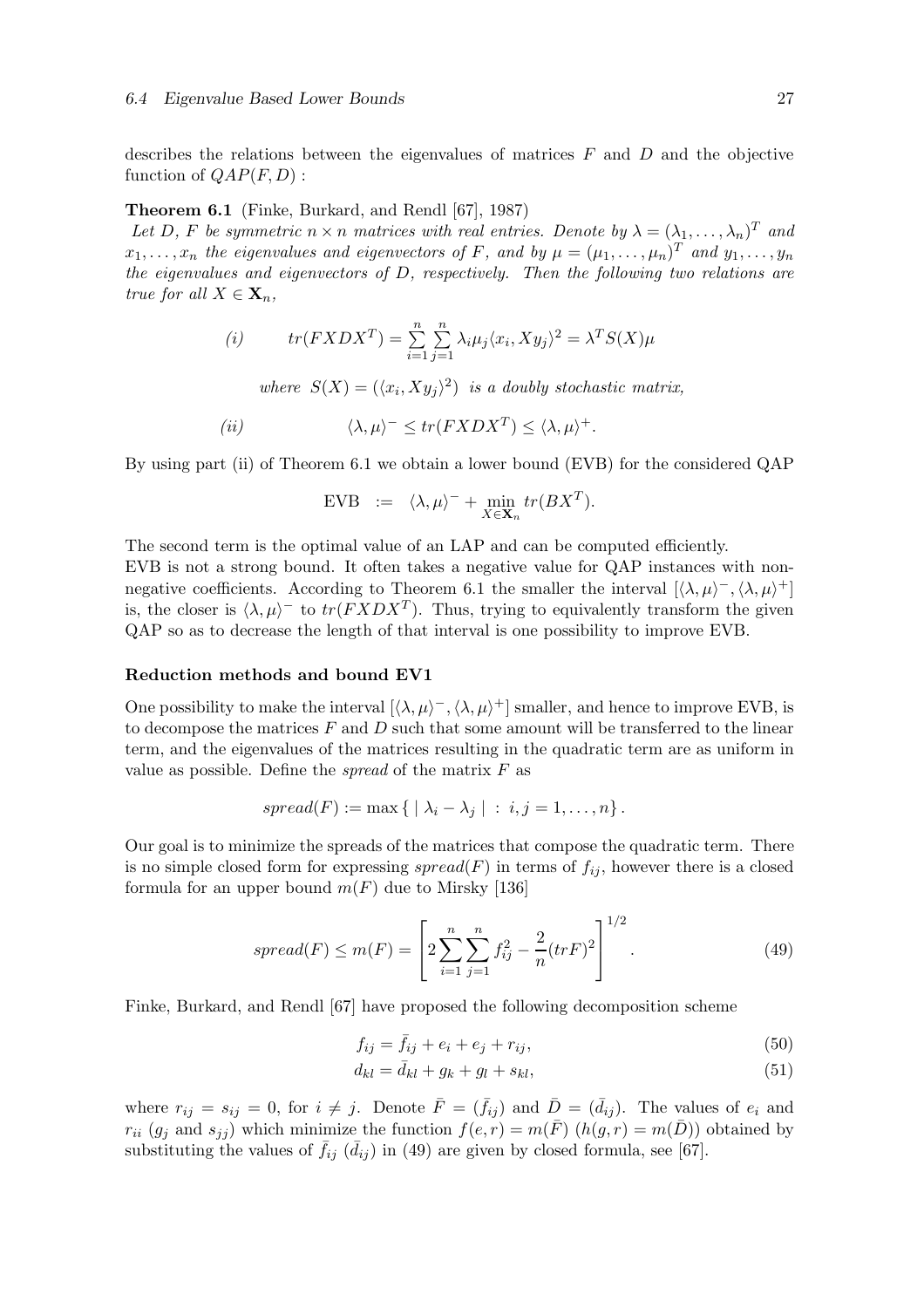describes the relations between the eigenvalues of matrices  $F$  and  $D$  and the objective function of  $QAP(F, D)$ :

Theorem 6.1 (Finke, Burkard, and Rendl [67], 1987)

Let D, F be symmetric  $n \times n$  matrices with real entries. Denote by  $\lambda = (\lambda_1, \dots, \lambda_n)^T$  and  $x_1, \ldots, x_n$  the eigenvalues and eigenvectors of F, and by  $\mu = (\mu_1, \ldots, \mu_n)^T$  and  $y_1, \ldots, y_n$ the eigenvalues and eigenvectors of D, respectively. Then the following two relations are true for all  $X \in \mathbf{X}_n$ ,

(i) 
$$
tr(FXDX^T) = \sum_{i=1}^{n} \sum_{j=1}^{n} \lambda_i \mu_j \langle x_i, Xy_j \rangle^2 = \lambda^T S(X) \mu
$$

where  $S(X) = (\langle x_i, X y_j \rangle^2)$  is a doubly stochastic matrix,

(ii)  $\langle \lambda, \mu \rangle^- \le \operatorname{tr}(FXDX^T) \le \langle \lambda, \mu \rangle^+$ .

By using part (ii) of Theorem 6.1 we obtain a lower bound (EVB) for the considered QAP

EVB := 
$$
\langle \lambda, \mu \rangle^{-} + \min_{X \in \mathbf{X}_n} tr(BX^T).
$$

The second term is the optimal value of an LAP and can be computed efficiently.

EVB is not a strong bound. It often takes a negative value for QAP instances with nonnegative coefficients. According to Theorem 6.1 the smaller the interval  $[\langle \lambda, \mu \rangle^-, \langle \lambda, \mu \rangle^+]$ is, the closer is  $\langle \lambda, \mu \rangle^-$  to  $tr(FXDX^T)$ . Thus, trying to equivalently transform the given QAP so as to decrease the length of that interval is one possibility to improve EVB.

#### Reduction methods and bound EV1

One possibility to make the interval  $[\langle \lambda, \mu \rangle^-, \langle \lambda, \mu \rangle^+]$  smaller, and hence to improve EVB, is to decompose the matrices  $F$  and  $D$  such that some amount will be transferred to the linear term, and the eigenvalues of the matrices resulting in the quadratic term are as uniform in value as possible. Define the *spread* of the matrix  $F$  as

$$
spread(F) := \max \{ | \lambda_i - \lambda_j | : i, j = 1, \ldots, n \}.
$$

Our goal is to minimize the spreads of the matrices that compose the quadratic term. There is no simple closed form for expressing  $spread(F)$  in terms of  $f_{ij}$ , however there is a closed formula for an upper bound  $m(F)$  due to Mirsky [136]

$$
spread(F) \le m(F) = \left[ 2\sum_{i=1}^{n} \sum_{j=1}^{n} f_{ij}^{2} - \frac{2}{n} (trF)^{2} \right]^{1/2}.
$$
 (49)

Finke, Burkard, and Rendl [67] have proposed the following decomposition scheme

$$
f_{ij} = \bar{f}_{ij} + e_i + e_j + r_{ij},\tag{50}
$$

$$
d_{kl} = \bar{d}_{kl} + g_k + g_l + s_{kl},
$$
\n(51)

where  $r_{ij} = s_{ij} = 0$ , for  $i \neq j$ . Denote  $\bar{F} = (\bar{f}_{ij})$  and  $\bar{D} = (\bar{d}_{ij})$ . The values of  $e_i$  and  $r_{ii}$  ( $g_i$  and  $s_{ij}$ ) which minimize the function  $f(e,r) = m(\bar{F})$  ( $h(g,r) = m(\bar{D})$ ) obtained by substituting the values of  $\bar{f}_{ij}$  ( $\bar{d}_{ij}$ ) in (49) are given by closed formula, see [67].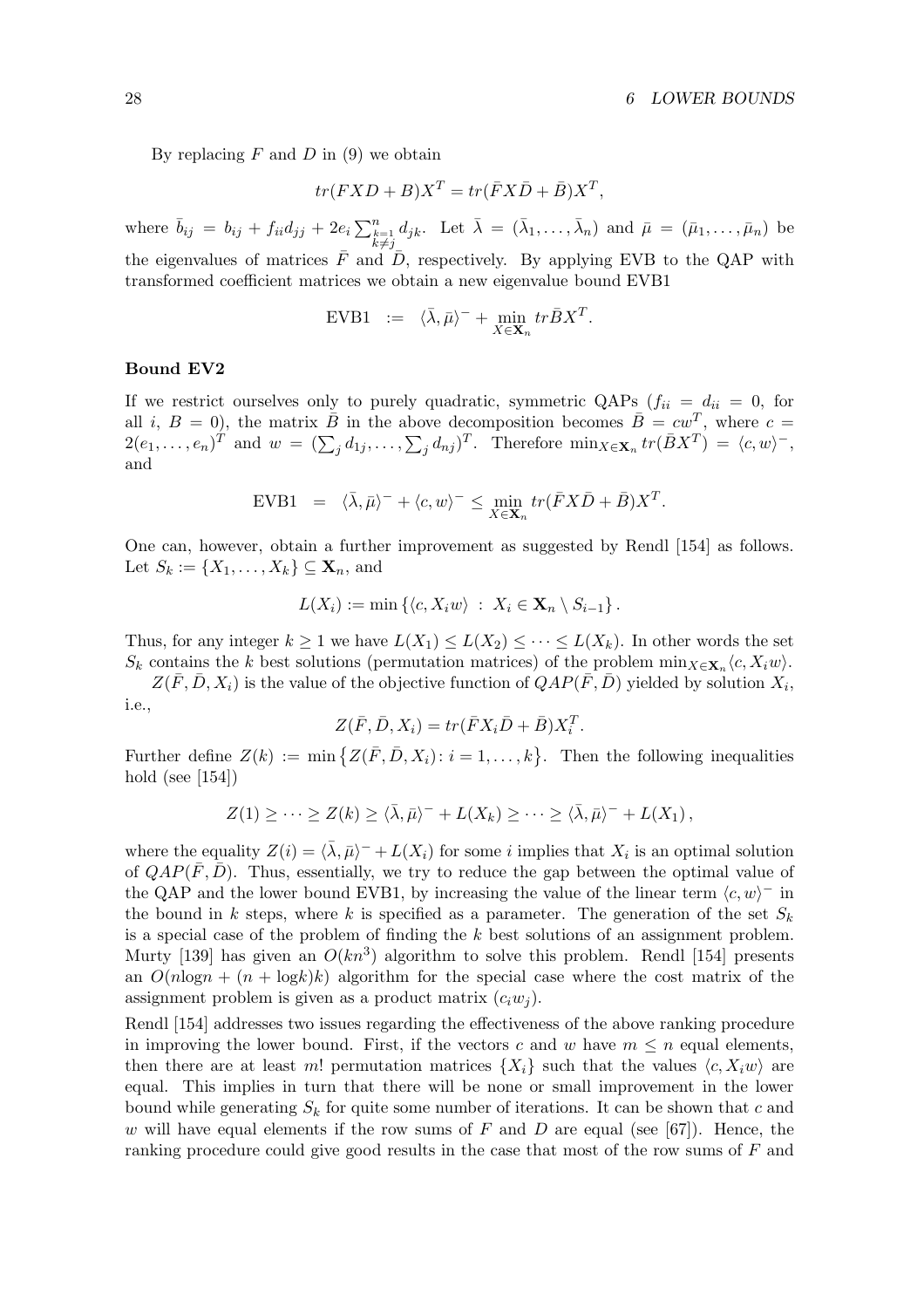By replacing  $F$  and  $D$  in (9) we obtain

$$
tr(FXD + B)X^T = tr(\bar{F}X\bar{D} + \bar{B})X^T,
$$

where  $\bar{b}_{ij} = b_{ij} + f_{ii}d_{jj} + 2e_i \sum_{\substack{k=1 \ k \neq j}}^n d_{jk}$ . Let  $\bar{\lambda} = (\bar{\lambda}_1, \ldots, \bar{\lambda}_n)$  and  $\bar{\mu} = (\bar{\mu}_1, \ldots, \bar{\mu}_n)$  be the eigenvalues of matrices  $\overline{F}$  and  $\overline{D}$ , respectively. By applying EVB to the QAP with transformed coefficient matrices we obtain a new eigenvalue bound EVB1

$$
\text{EVB1} \;\; := \;\; \langle \bar{\lambda}, \bar{\mu} \rangle^- + \min_{X \in \mathbf{X}_n} tr \bar{B} X^T.
$$

#### Bound EV2

If we restrict ourselves only to purely quadratic, symmetric QAPs  $(f_{ii} = d_{ii} = 0,$  for all *i*,  $B = 0$ ), the matrix  $\overline{B}$  in the above decomposition becomes  $\overline{B} = cw^T$ , where  $c =$  $2(e_1,\ldots,e_n)^T$  and  $w = (\sum_j d_{1j},\ldots,\sum_j d_{nj})^T$ . Therefore  $\min_{X \in \mathbf{X}_n} tr(\bar{B}X^T) = \langle c,w \rangle^-,$ and

EVB1 = 
$$
\langle \overline{\lambda}, \overline{\mu} \rangle^{-} + \langle c, w \rangle^{-} \le \min_{X \in \mathbf{X}_n} tr(\overline{F} \overline{X} \overline{D} + \overline{B}) X^T
$$
.

One can, however, obtain a further improvement as suggested by Rendl [154] as follows. Let  $S_k := \{X_1, \ldots, X_k\} \subseteq \mathbf{X}_n$ , and

$$
L(X_i) := \min \left\{ \langle c, X_i w \rangle \ : \ X_i \in \mathbf{X}_n \setminus S_{i-1} \right\}.
$$

Thus, for any integer  $k \geq 1$  we have  $L(X_1) \leq L(X_2) \leq \cdots \leq L(X_k)$ . In other words the set  $S_k$  contains the k best solutions (permutation matrices) of the problem  $\min_{X \in \mathbf{X}_n} \langle c, X_i w \rangle$ .

 $Z(\bar{F}, \bar{D}, X_i)$  is the value of the objective function of  $QAP(\bar{F}, \bar{D})$  yielded by solution  $X_i$ , i.e.,

$$
Z(\bar{F}, \bar{D}, X_i) = tr(\bar{F}X_i\bar{D} + \bar{B})X_i^T.
$$

Further define  $Z(k) := \min \{ Z(\bar{F}, \bar{D}, X_i) : i = 1, ..., k \}.$  Then the following inequalities hold (see [154])

$$
Z(1) \geq \cdots \geq Z(k) \geq \langle \overline{\lambda}, \overline{\mu} \rangle^{-} + L(X_k) \geq \cdots \geq \langle \overline{\lambda}, \overline{\mu} \rangle^{-} + L(X_1),
$$

where the equality  $Z(i) = \langle \overline{\lambda}, \overline{\mu} \rangle^- + L(X_i)$  for some i implies that  $X_i$  is an optimal solution of  $QAP(F, D)$ . Thus, essentially, we try to reduce the gap between the optimal value of the QAP and the lower bound EVB1, by increasing the value of the linear term  $\langle c, w \rangle$ <sup>-</sup> in the bound in k steps, where k is specified as a parameter. The generation of the set  $S_k$ is a special case of the problem of finding the k best solutions of an assignment problem. Murty [139] has given an  $O(kn^3)$  algorithm to solve this problem. Rendl [154] presents an  $O(n \log n + (n + \log k)k)$  algorithm for the special case where the cost matrix of the assignment problem is given as a product matrix  $(c_iw_i)$ .

Rendl [154] addresses two issues regarding the effectiveness of the above ranking procedure in improving the lower bound. First, if the vectors c and w have  $m \leq n$  equal elements, then there are at least m! permutation matrices  $\{X_i\}$  such that the values  $\langle c, X_i w \rangle$  are equal. This implies in turn that there will be none or small improvement in the lower bound while generating  $S_k$  for quite some number of iterations. It can be shown that c and w will have equal elements if the row sums of  $F$  and  $D$  are equal (see [67]). Hence, the ranking procedure could give good results in the case that most of the row sums of F and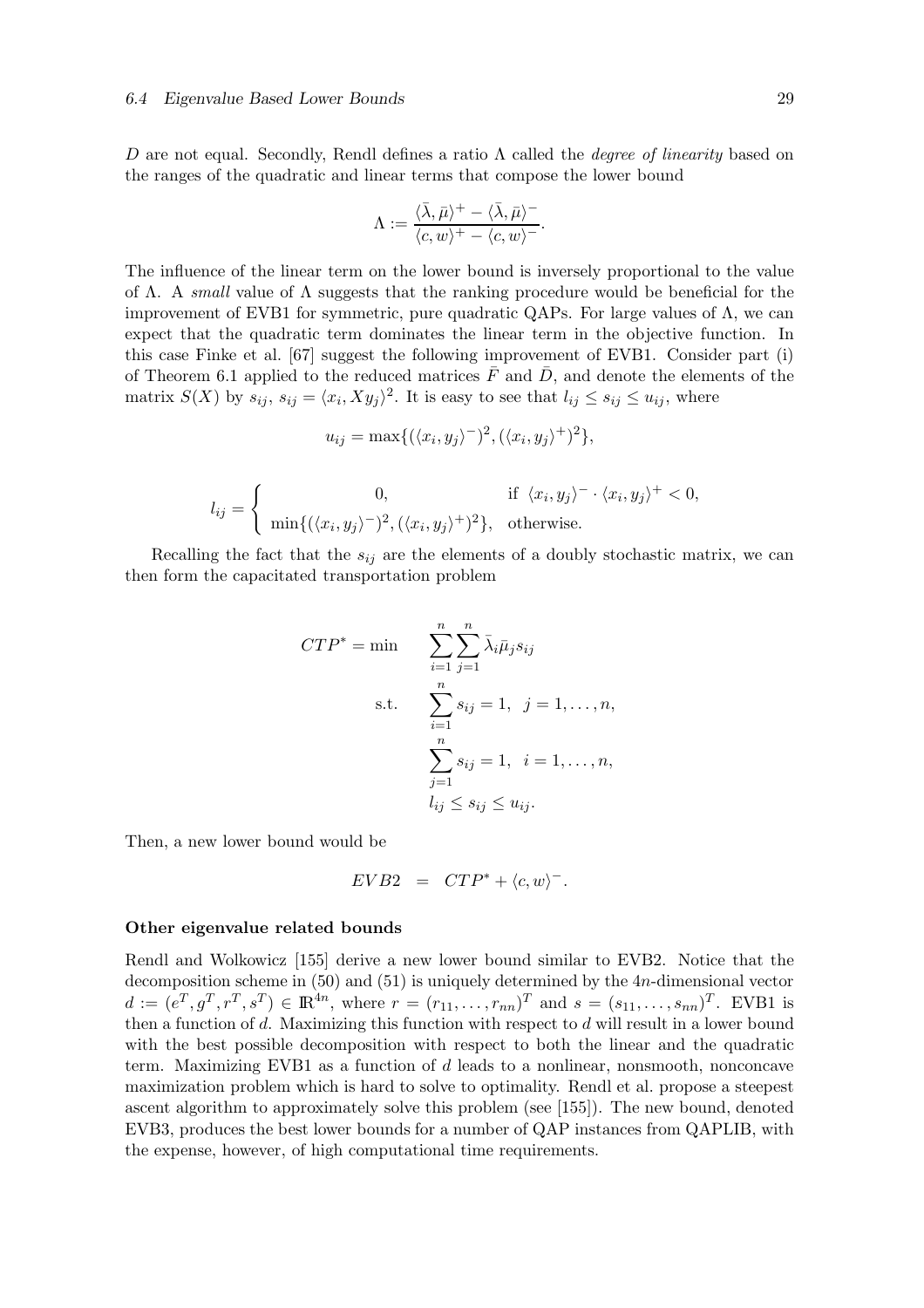D are not equal. Secondly, Rendl defines a ratio  $\Lambda$  called the *degree of linearity* based on the ranges of the quadratic and linear terms that compose the lower bound

$$
\Lambda:=\frac{\langle \bar{\lambda},\bar{\mu}\rangle^+-\langle \bar{\lambda},\bar{\mu}\rangle^-}{\langle c,w\rangle^+-\langle c,w\rangle^-}.
$$

The influence of the linear term on the lower bound is inversely proportional to the value of  $\Lambda$ . A small value of  $\Lambda$  suggests that the ranking procedure would be beneficial for the improvement of EVB1 for symmetric, pure quadratic QAPs. For large values of  $\Lambda$ , we can expect that the quadratic term dominates the linear term in the objective function. In this case Finke et al. [67] suggest the following improvement of EVB1. Consider part (i) of Theorem 6.1 applied to the reduced matrices  $\overline{F}$  and  $\overline{D}$ , and denote the elements of the matrix  $S(X)$  by  $s_{ij}$ ,  $s_{ij} = \langle x_i, X y_j \rangle^2$ . It is easy to see that  $l_{ij} \leq s_{ij} \leq u_{ij}$ , where

$$
u_{ij} = \max\{(\langle x_i, y_j \rangle^{-})^2, (\langle x_i, y_j \rangle^{+})^2\},\
$$

$$
l_{ij} = \begin{cases} 0, & \text{if } \langle x_i, y_j \rangle^- \cdot \langle x_i, y_j \rangle^+ < 0, \\ \min\{(\langle x_i, y_j \rangle^-)^2, (\langle x_i, y_j \rangle^+)^2\}, & \text{otherwise.} \end{cases}
$$

Recalling the fact that the  $s_{ij}$  are the elements of a doubly stochastic matrix, we can then form the capacitated transportation problem

$$
CTP^* = \min \qquad \sum_{i=1}^{n} \sum_{j=1}^{n} \bar{\lambda}_i \bar{\mu}_j s_{ij}
$$
  
s.t. 
$$
\sum_{i=1}^{n} s_{ij} = 1, \quad j = 1, ..., n,
$$

$$
\sum_{j=1}^{n} s_{ij} = 1, \quad i = 1, ..., n,
$$

$$
l_{ij} \le s_{ij} \le u_{ij}.
$$

Then, a new lower bound would be

$$
EVB2 = CTP^* + \langle c, w \rangle^-.
$$

#### Other eigenvalue related bounds

Rendl and Wolkowicz [155] derive a new lower bound similar to EVB2. Notice that the decomposition scheme in (50) and (51) is uniquely determined by the 4n-dimensional vector  $d := (e^T, g^T, r^T, s^T) \in \mathbb{R}^{4n}$ , where  $r = (r_{11}, \ldots, r_{nn})^T$  and  $s = (s_{11}, \ldots, s_{nn})^T$ . EVB1 is then a function of  $d$ . Maximizing this function with respect to  $d$  will result in a lower bound with the best possible decomposition with respect to both the linear and the quadratic term. Maximizing EVB1 as a function of  $d$  leads to a nonlinear, nonsmooth, nonconcave maximization problem which is hard to solve to optimality. Rendl et al. propose a steepest ascent algorithm to approximately solve this problem (see [155]). The new bound, denoted EVB3, produces the best lower bounds for a number of QAP instances from QAPLIB, with the expense, however, of high computational time requirements.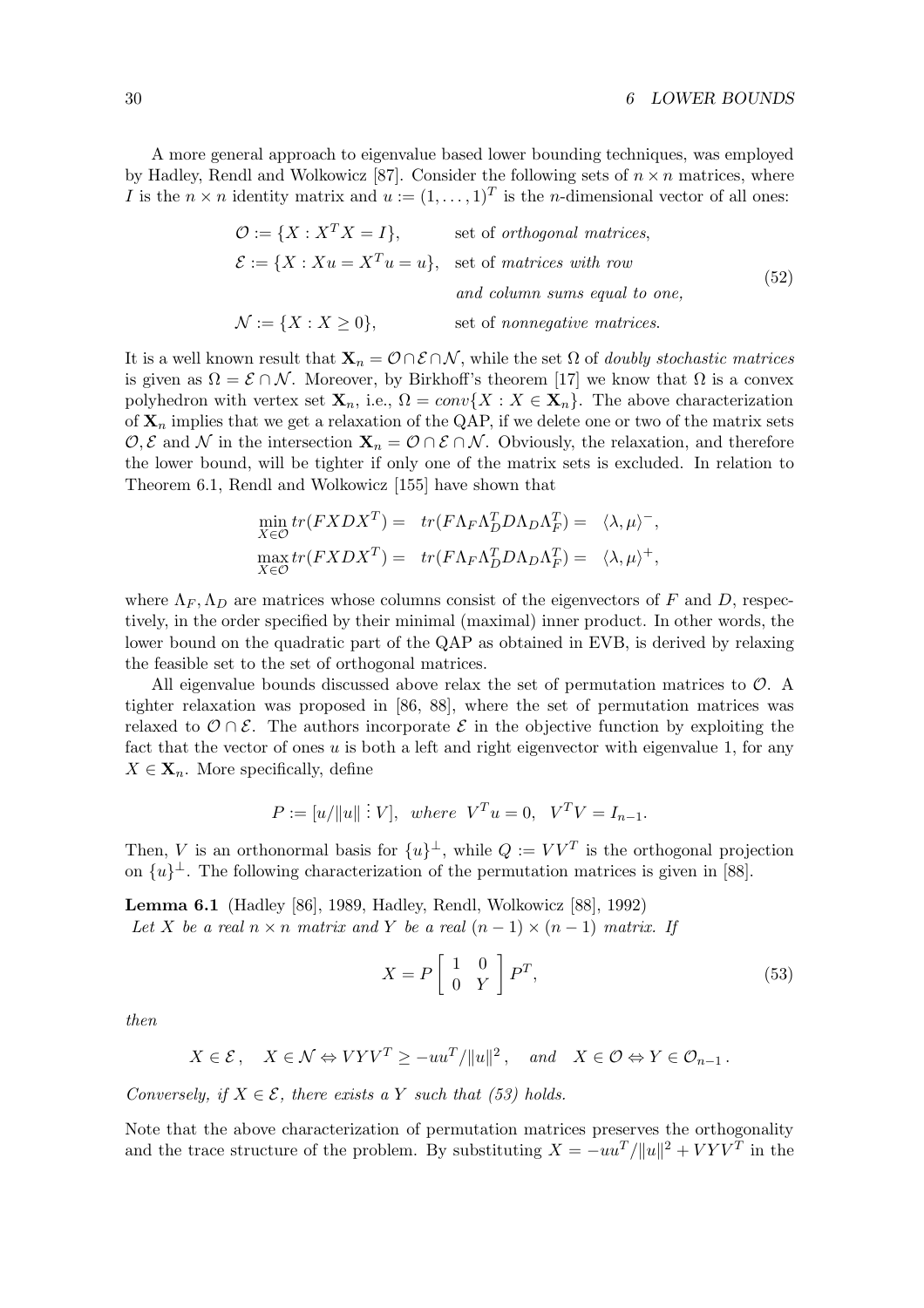A more general approach to eigenvalue based lower bounding techniques, was employed by Hadley, Rendl and Wolkowicz [87]. Consider the following sets of  $n \times n$  matrices, where I is the  $n \times n$  identity matrix and  $u := (1, \ldots, 1)^T$  is the *n*-dimensional vector of all ones:

$$
\mathcal{O} := \{X : X^T X = I\}, \qquad \text{set of orthogonal matrices,}
$$
\n
$$
\mathcal{E} := \{X : Xu = X^T u = u\}, \quad \text{set of matrices with row}
$$
\n
$$
and \text{ column sums equal to one,}
$$
\n
$$
\mathcal{N} := \{X : X \ge 0\}, \qquad \text{set of nonnegative matrices.}
$$
\n
$$
(52)
$$

It is a well known result that  $\mathbf{X}_n = \mathcal{O} \cap \mathcal{E} \cap \mathcal{N}$ , while the set  $\Omega$  of *doubly stochastic matrices* is given as  $\Omega = \mathcal{E} \cap \mathcal{N}$ . Moreover, by Birkhoff's theorem [17] we know that  $\Omega$  is a convex polyhedron with vertex set  $\mathbf{X}_n$ , i.e.,  $\Omega = conv\{X : X \in \mathbf{X}_n\}$ . The above characterization of  $X_n$  implies that we get a relaxation of the QAP, if we delete one or two of the matrix sets  $\mathcal{O}, \mathcal{E}$  and N in the intersection  $\mathbf{X}_n = \mathcal{O} \cap \mathcal{E} \cap \mathcal{N}$ . Obviously, the relaxation, and therefore the lower bound, will be tighter if only one of the matrix sets is excluded. In relation to Theorem 6.1, Rendl and Wolkowicz [155] have shown that

$$
\min_{X \in \mathcal{O}} tr(FXDX^{T}) = tr(F\Lambda_{F}\Lambda_{D}^{T}D\Lambda_{D}\Lambda_{F}^{T}) = \langle \lambda, \mu \rangle^{-},
$$
  

$$
\max_{X \in \mathcal{O}} tr(FXDX^{T}) = tr(F\Lambda_{F}\Lambda_{D}^{T}D\Lambda_{D}\Lambda_{F}^{T}) = \langle \lambda, \mu \rangle^{+},
$$

where  $\Lambda_F, \Lambda_D$  are matrices whose columns consist of the eigenvectors of F and D, respectively, in the order specified by their minimal (maximal) inner product. In other words, the lower bound on the quadratic part of the QAP as obtained in EVB, is derived by relaxing the feasible set to the set of orthogonal matrices.

All eigenvalue bounds discussed above relax the set of permutation matrices to  $\mathcal{O}$ . A tighter relaxation was proposed in [86, 88], where the set of permutation matrices was relaxed to  $\mathcal{O} \cap \mathcal{E}$ . The authors incorporate  $\mathcal{E}$  in the objective function by exploiting the fact that the vector of ones  $u$  is both a left and right eigenvector with eigenvalue 1, for any  $X \in \mathbf{X}_n$ . More specifically, define

$$
P := [u/\|u\| \; \vdots \; V], \; \; where \; \; V^T u = 0, \; \; V^T V = I_{n-1}.
$$

Then, V is an orthonormal basis for  $\{u\}^{\perp}$ , while  $Q := VV^{T}$  is the orthogonal projection on  $\{u\}^{\perp}$ . The following characterization of the permutation matrices is given in [88].

Lemma 6.1 (Hadley [86], 1989, Hadley, Rendl, Wolkowicz [88], 1992) Let X be a real  $n \times n$  matrix and Y be a real  $(n-1) \times (n-1)$  matrix. If

$$
X = P \begin{bmatrix} 1 & 0 \\ 0 & Y \end{bmatrix} P^T,
$$
\n(53)

then

$$
X \in \mathcal{E}
$$
,  $X \in \mathcal{N} \Leftrightarrow VYV^T \ge -uu^T/\Vert u \Vert^2$ , and  $X \in \mathcal{O} \Leftrightarrow Y \in \mathcal{O}_{n-1}$ .

Conversely, if  $X \in \mathcal{E}$ , there exists a Y such that (53) holds.

Note that the above characterization of permutation matrices preserves the orthogonality and the trace structure of the problem. By substituting  $X = -uu^T/||u||^2 + VYV^T$  in the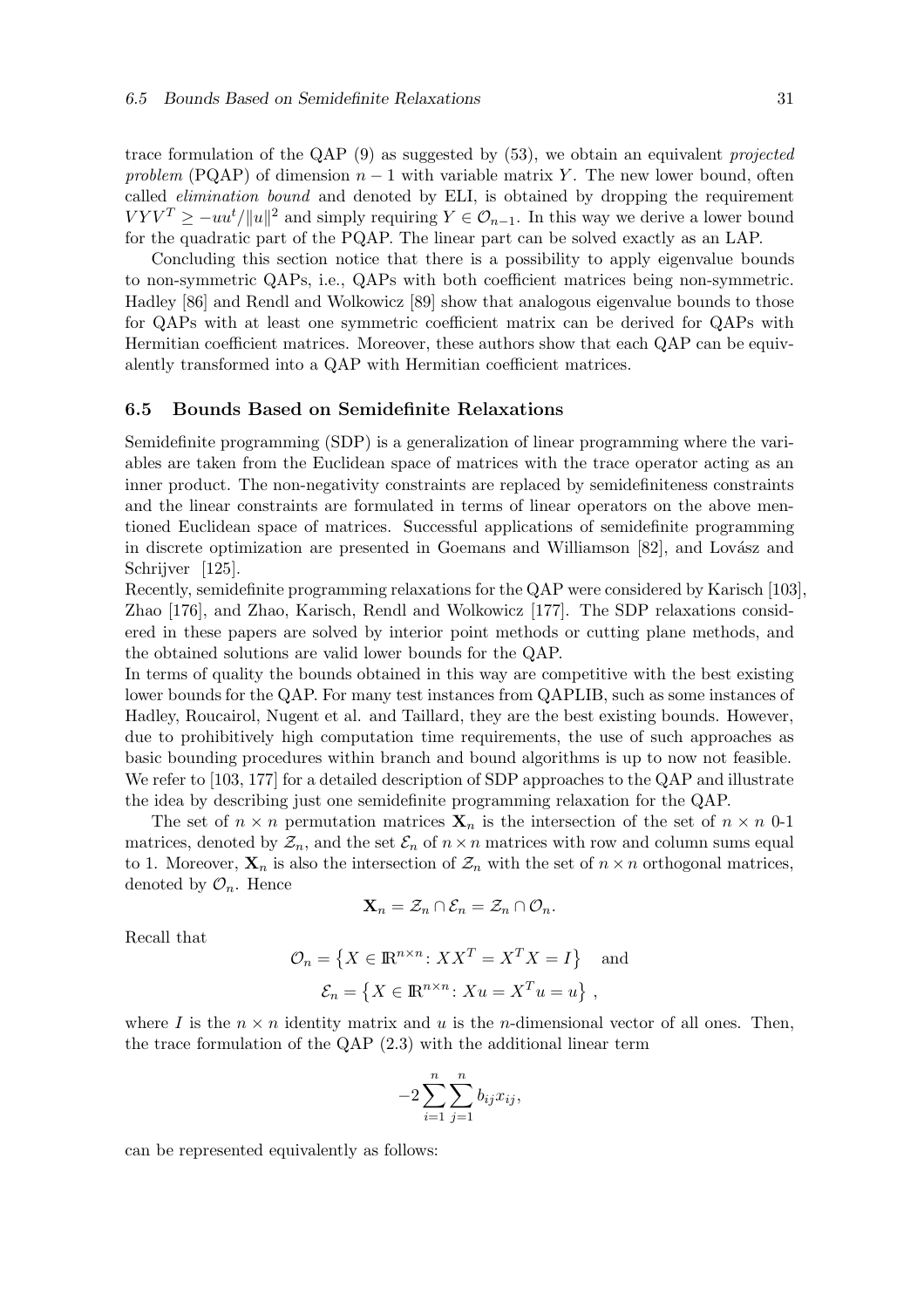trace formulation of the QAP  $(9)$  as suggested by  $(53)$ , we obtain an equivalent *projected* problem (PQAP) of dimension  $n-1$  with variable matrix Y. The new lower bound, often called elimination bound and denoted by ELI, is obtained by dropping the requirement  $V Y V^T \ge -uu^t/||u||^2$  and simply requiring  $Y \in \mathcal{O}_{n-1}$ . In this way we derive a lower bound for the quadratic part of the PQAP. The linear part can be solved exactly as an LAP.

Concluding this section notice that there is a possibility to apply eigenvalue bounds to non-symmetric QAPs, i.e., QAPs with both coefficient matrices being non-symmetric. Hadley [86] and Rendl and Wolkowicz [89] show that analogous eigenvalue bounds to those for QAPs with at least one symmetric coefficient matrix can be derived for QAPs with Hermitian coefficient matrices. Moreover, these authors show that each QAP can be equivalently transformed into a QAP with Hermitian coefficient matrices.

#### 6.5 Bounds Based on Semidefinite Relaxations

Semidefinite programming (SDP) is a generalization of linear programming where the variables are taken from the Euclidean space of matrices with the trace operator acting as an inner product. The non-negativity constraints are replaced by semidefiniteness constraints and the linear constraints are formulated in terms of linear operators on the above mentioned Euclidean space of matrices. Successful applications of semidefinite programming in discrete optimization are presented in Goemans and Williamson [82], and Lovász and Schrijver [125].

Recently, semidefinite programming relaxations for the QAP were considered by Karisch [103], Zhao [176], and Zhao, Karisch, Rendl and Wolkowicz [177]. The SDP relaxations considered in these papers are solved by interior point methods or cutting plane methods, and the obtained solutions are valid lower bounds for the QAP.

In terms of quality the bounds obtained in this way are competitive with the best existing lower bounds for the QAP. For many test instances from QAPLIB, such as some instances of Hadley, Roucairol, Nugent et al. and Taillard, they are the best existing bounds. However, due to prohibitively high computation time requirements, the use of such approaches as basic bounding procedures within branch and bound algorithms is up to now not feasible. We refer to [103, 177] for a detailed description of SDP approaches to the QAP and illustrate the idea by describing just one semidefinite programming relaxation for the QAP.

The set of  $n \times n$  permutation matrices  $\mathbf{X}_n$  is the intersection of the set of  $n \times n$  0-1 matrices, denoted by  $\mathcal{Z}_n$ , and the set  $\mathcal{E}_n$  of  $n \times n$  matrices with row and column sums equal to 1. Moreover,  $\mathbf{X}_n$  is also the intersection of  $\mathcal{Z}_n$  with the set of  $n \times n$  orthogonal matrices, denoted by  $\mathcal{O}_n$ . Hence

$$
\mathbf{X}_n = \mathcal{Z}_n \cap \mathcal{E}_n = \mathcal{Z}_n \cap \mathcal{O}_n.
$$

Recall that

$$
\mathcal{O}_n = \{ X \in \mathbb{R}^{n \times n} \colon XX^T = X^T X = I \} \text{ and}
$$

$$
\mathcal{E}_n = \{ X \in \mathbb{R}^{n \times n} \colon Xu = X^T u = u \},
$$

where I is the  $n \times n$  identity matrix and u is the n-dimensional vector of all ones. Then, the trace formulation of the QAP (2.3) with the additional linear term

$$
-2\sum_{i=1}^{n}\sum_{j=1}^{n}b_{ij}x_{ij},
$$

can be represented equivalently as follows: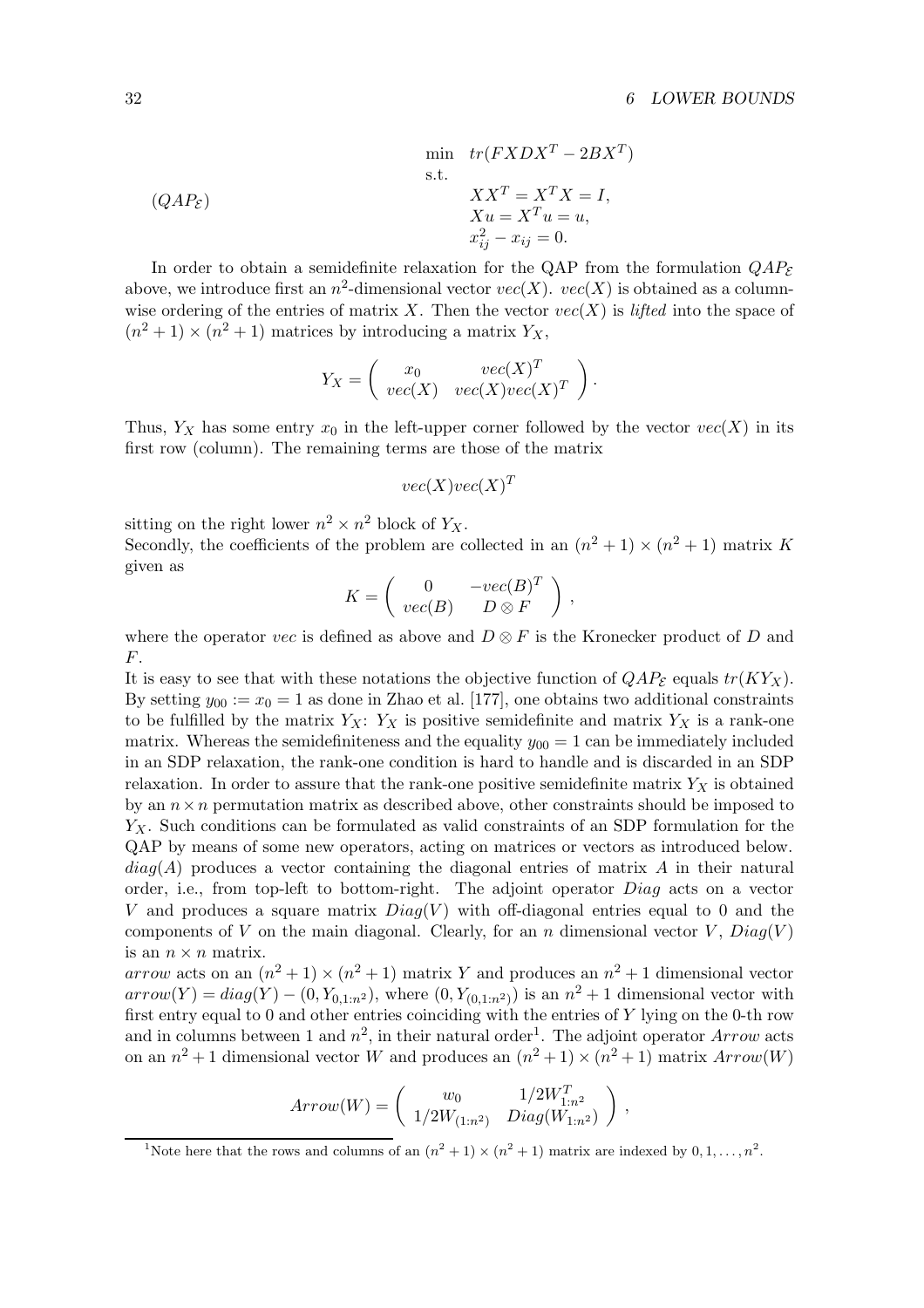$$
(QAP_{\mathcal{E}})
$$
\n
$$
xX^{T} = X^{T}X = I,
$$
\n
$$
Xu = X^{T}u = u,
$$
\n
$$
x_{ij}^{2} - x_{ij} = 0.
$$

In order to obtain a semidefinite relaxation for the QAP from the formulation  $QAP_{\mathcal{E}}$ above, we introduce first an  $n^2$ -dimensional vector  $vec(X)$ .  $vec(X)$  is obtained as a columnwise ordering of the entries of matrix X. Then the vector  $vec(X)$  is lifted into the space of  $(n^2+1) \times (n^2+1)$  matrices by introducing a matrix  $Y_X$ ,

$$
Y_X = \begin{pmatrix} x_0 & vec(X)^T \\ vec(X) & vec(X)vec(X)^T \end{pmatrix}.
$$

Thus,  $Y_X$  has some entry  $x_0$  in the left-upper corner followed by the vector  $vec(X)$  in its first row (column). The remaining terms are those of the matrix

$$
vec(X)vec(X)^T
$$

sitting on the right lower  $n^2 \times n^2$  block of  $Y_X$ .

Secondly, the coefficients of the problem are collected in an  $(n^2 + 1) \times (n^2 + 1)$  matrix K given as

$$
K = \left( \begin{array}{cc} 0 & -\text{vec}(B)^T \\ \text{vec}(B) & D \otimes F \end{array} \right) ,
$$

where the operator vec is defined as above and  $D \otimes F$  is the Kronecker product of D and  $F_{\perp}$ 

It is easy to see that with these notations the objective function of  $QAP_{\mathcal{E}}$  equals  $tr(KY_X)$ . By setting  $y_{00} := x_0 = 1$  as done in Zhao et al. [177], one obtains two additional constraints to be fulfilled by the matrix  $Y_X$ :  $Y_X$  is positive semidefinite and matrix  $Y_X$  is a rank-one matrix. Whereas the semidefiniteness and the equality  $y_{00} = 1$  can be immediately included in an SDP relaxation, the rank-one condition is hard to handle and is discarded in an SDP relaxation. In order to assure that the rank-one positive semidefinite matrix  $Y_X$  is obtained by an  $n \times n$  permutation matrix as described above, other constraints should be imposed to  $Y_X$ . Such conditions can be formulated as valid constraints of an SDP formulation for the QAP by means of some new operators, acting on matrices or vectors as introduced below.  $diag(A)$  produces a vector containing the diagonal entries of matrix A in their natural order, i.e., from top-left to bottom-right. The adjoint operator Diag acts on a vector V and produces a square matrix  $Diag(V)$  with off-diagonal entries equal to 0 and the components of V on the main diagonal. Clearly, for an n dimensional vector V,  $Diag(V)$ is an  $n \times n$  matrix.

arrow acts on an  $(n^2+1) \times (n^2+1)$  matrix Y and produces an  $n^2+1$  dimensional vector  $arrow(Y) = diag(Y) - (0, Y_{0,1:n^2})$ , where  $(0, Y_{(0,1:n^2)})$  is an  $n^2 + 1$  dimensional vector with first entry equal to 0 and other entries coinciding with the entries of Y lying on the 0-th row and in columns between 1 and  $n^2$ , in their natural order<sup>1</sup>. The adjoint operator Arrow acts on an  $n^2 + 1$  dimensional vector W and produces an  $(n^2 + 1) \times (n^2 + 1)$  matrix  $Arrow(W)$ 

$$
Arrow(W) = \begin{pmatrix} w_0 & 1/2W_{1:n^2}^T \\ 1/2W_{(1:n^2)} & Diag(W_{1:n^2}) \end{pmatrix}
$$
,

<sup>&</sup>lt;sup>1</sup>Note here that the rows and columns of an  $(n^2 + 1) \times (n^2 + 1)$  matrix are indexed by  $0, 1, ..., n^2$ .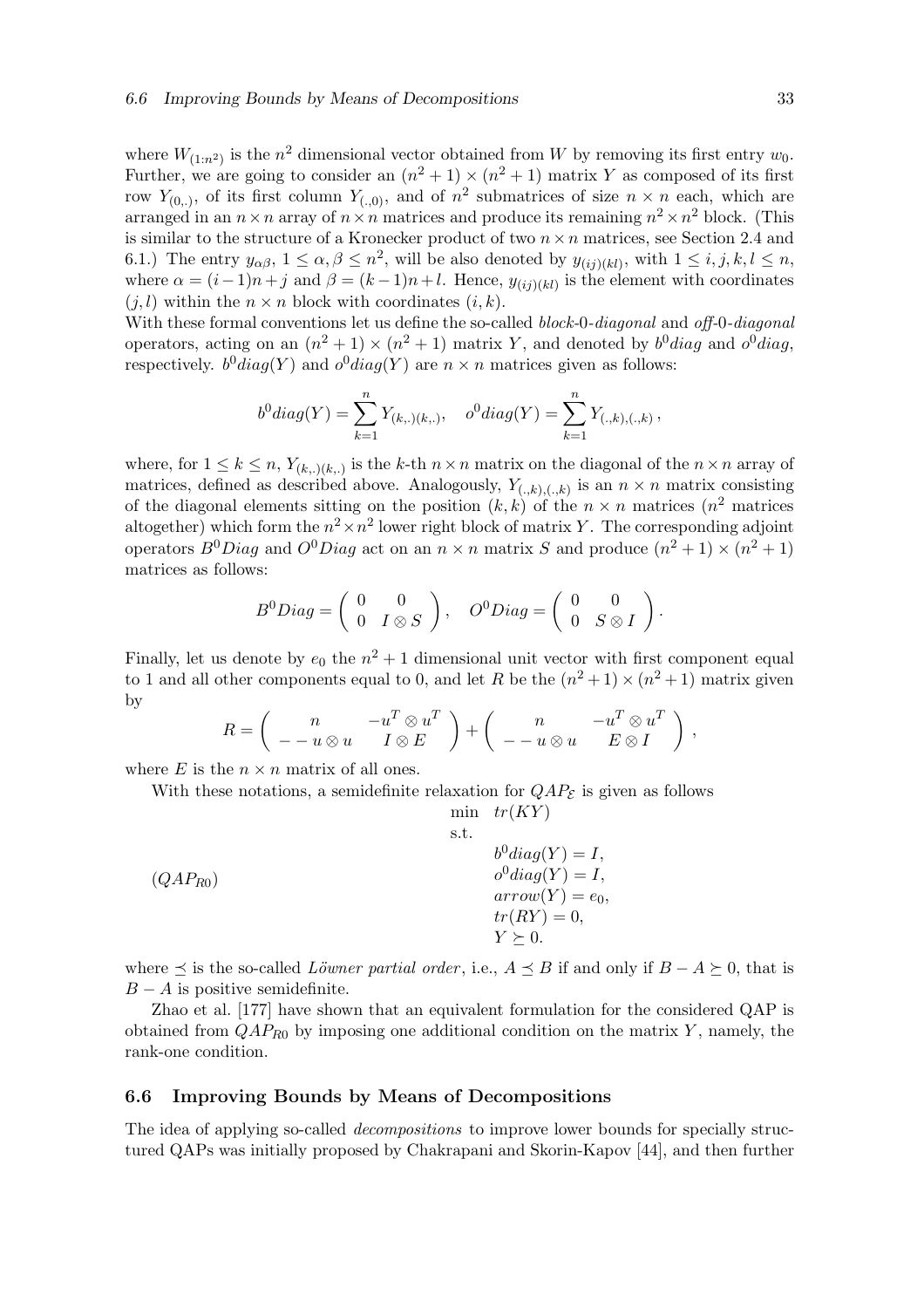where  $W_{(1:n^2)}$  is the  $n^2$  dimensional vector obtained from W by removing its first entry  $w_0$ . Further, we are going to consider an  $(n^2 + 1) \times (n^2 + 1)$  matrix Y as composed of its first row  $Y_{(0,1)}$ , of its first column  $Y_{(0,0)}$ , and of  $n^2$  submatrices of size  $n \times n$  each, which are arranged in an  $n \times n$  array of  $n \times n$  matrices and produce its remaining  $n^2 \times n^2$  block. (This is similar to the structure of a Kronecker product of two  $n \times n$  matrices, see Section 2.4 and 6.1.) The entry  $y_{\alpha\beta}$ ,  $1 \leq \alpha, \beta \leq n^2$ , will be also denoted by  $y_{(ij)(kl)}$ , with  $1 \leq i, j, k, l \leq n$ , where  $\alpha = (i-1)n + j$  and  $\beta = (k-1)n + l$ . Hence,  $y_{(ij)(kl)}$  is the element with coordinates  $(j, l)$  within the  $n \times n$  block with coordinates  $(i, k)$ .

With these formal conventions let us define the so-called *block-0-diagonal* and *off-0-diagonal* operators, acting on an  $(n^2 + 1) \times (n^2 + 1)$  matrix Y, and denoted by  $b^0$  diag and  $o^0$  diag, respectively.  $b^0 diag(Y)$  and  $o^0 diag(Y)$  are  $n \times n$  matrices given as follows:

$$
b^{0}diag(Y) = \sum_{k=1}^{n} Y_{(k,.)(k,.)}, \quad o^{0}diag(Y) = \sum_{k=1}^{n} Y_{(.,k),(.,k)},
$$

where, for  $1 \leq k \leq n$ ,  $Y_{(k,1)(k,1)}$  is the k-th  $n \times n$  matrix on the diagonal of the  $n \times n$  array of matrices, defined as described above. Analogously,  $Y_{(.,k), (.,k)}$  is an  $n \times n$  matrix consisting of the diagonal elements sitting on the position  $(k, k)$  of the  $n \times n$  matrices  $(n^2$  matrices altogether) which form the  $n^2 \times n^2$  lower right block of matrix Y. The corresponding adjoint operators  $B^0$ *Diag* and  $O^0$ *Diag* act on an  $n \times n$  matrix S and produce  $(n^2 + 1) \times (n^2 + 1)$ matrices as follows:

$$
B^0Diag = \begin{pmatrix} 0 & 0 \\ 0 & I \otimes S \end{pmatrix}, \quad O^0Diag = \begin{pmatrix} 0 & 0 \\ 0 & S \otimes I \end{pmatrix}.
$$

Finally, let us denote by  $e_0$  the  $n^2 + 1$  dimensional unit vector with first component equal to 1 and all other components equal to 0, and let R be the  $(n^2+1) \times (n^2+1)$  matrix given by

$$
R = \begin{pmatrix} n & -u^T \otimes u^T \\ -u \otimes u & I \otimes E \end{pmatrix} + \begin{pmatrix} n & -u^T \otimes u^T \\ -u \otimes u & E \otimes I \end{pmatrix},
$$

min  $tr(KV)$ 

where E is the  $n \times n$  matrix of all ones.

With these notations, a semidefinite relaxation for  $QAP_{\mathcal{E}}$  is given as follows

(QAP<sub>RO</sub>)  
\n
$$
(QAPRO)
$$
\n
$$
= \begin{cases}\n b^{0} diag(Y) = I, \\
 b^{0} diag(Y) = I, \\
 b^{0} diag(Y) = I, \\
 b^{0} diag(Y) = I, \\
 b^{0} diag(Y) = I, \\
 b^{0} diag(Y) = I, \\
 b^{0} diag(Y) = I, \\
 b^{0} diag(Y) = I, \\
 b^{0} diag(Y) = I, \\
 b^{0} diag(Y) = I, \\
 b^{0} diag(Y) = I.\n \end{cases}
$$

where  $\preceq$  is the so-called Löwner partial order, i.e.,  $A \preceq B$  if and only if  $B - A \succeq 0$ , that is  $B - A$  is positive semidefinite.

Zhao et al. [177] have shown that an equivalent formulation for the considered QAP is obtained from  $QAP_{R0}$  by imposing one additional condition on the matrix Y, namely, the rank-one condition.

## 6.6 Improving Bounds by Means of Decompositions

The idea of applying so-called *decompositions* to improve lower bounds for specially structured QAPs was initially proposed by Chakrapani and Skorin-Kapov [44], and then further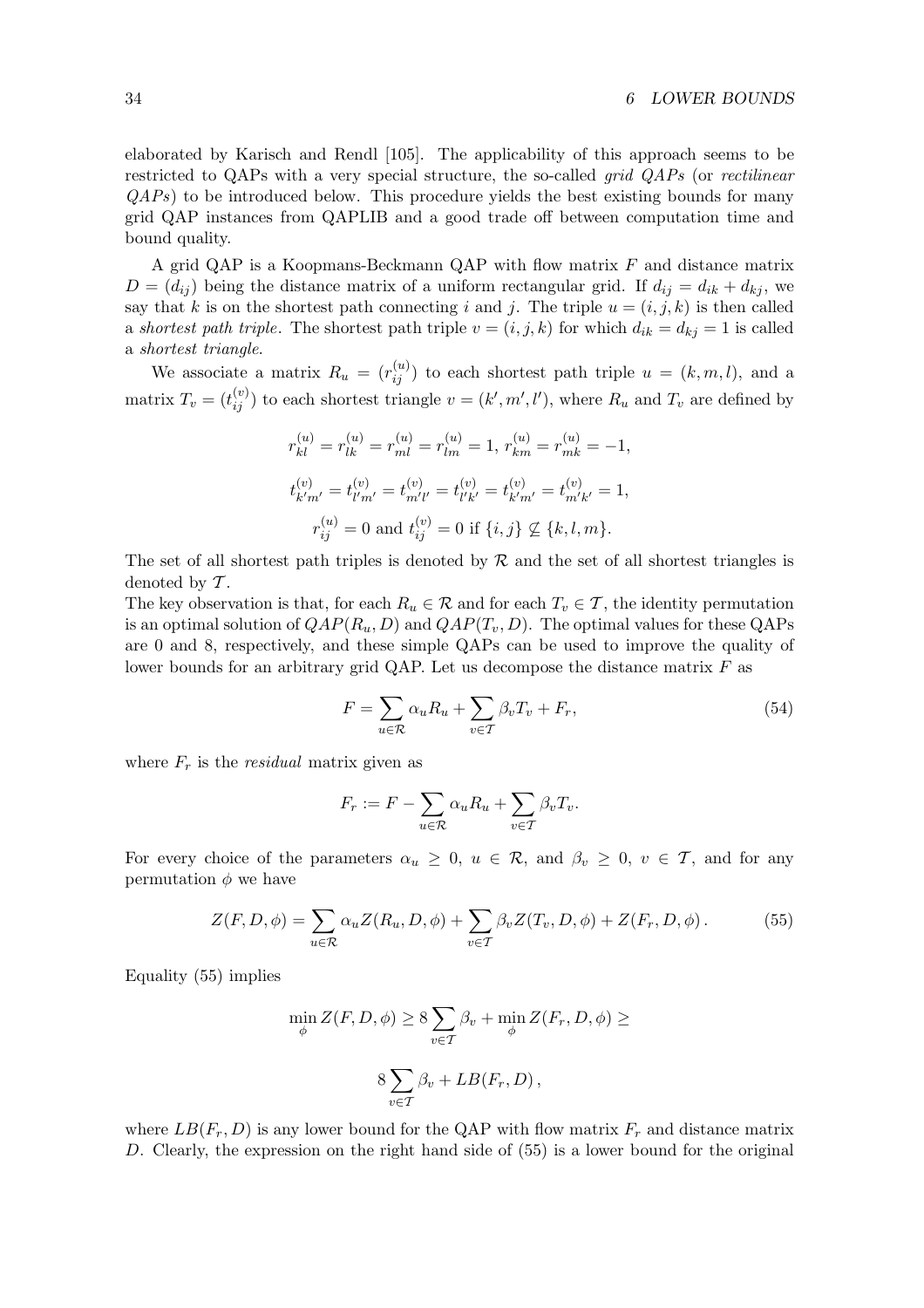elaborated by Karisch and Rendl [105]. The applicability of this approach seems to be restricted to QAPs with a very special structure, the so-called grid QAPs (or rectilinear  $(QAPs)$  to be introduced below. This procedure yields the best existing bounds for many grid QAP instances from QAPLIB and a good trade off between computation time and bound quality.

A grid QAP is a Koopmans-Beckmann QAP with flow matrix  $F$  and distance matrix  $D = (d_{ij})$  being the distance matrix of a uniform rectangular grid. If  $d_{ij} = d_{ik} + d_{kj}$ , we say that k is on the shortest path connecting i and j. The triple  $u = (i, j, k)$  is then called a shortest path triple. The shortest path triple  $v = (i, j, k)$  for which  $d_{ik} = d_{kj} = 1$  is called a shortest triangle.

We associate a matrix  $R_u = (r_{ij}^{(u)})$  to each shortest path triple  $u = (k, m, l)$ , and a matrix  $T_v = (t_{ij}^{(v)})$  to each shortest triangle  $v = (k', m', l')$ , where  $R_u$  and  $T_v$  are defined by

$$
r_{kl}^{(u)} = r_{lk}^{(u)} = r_{ml}^{(u)} = r_{lm}^{(u)} = 1, r_{km}^{(u)} = r_{mk}^{(u)} = -1,
$$
  

$$
t_{k'm'}^{(v)} = t_{l'm'}^{(v)} = t_{m'l'}^{(v)} = t_{l'k'}^{(v)} = t_{k'm'}^{(v)} = t_{m'k'}^{(v)} = 1,
$$
  

$$
r_{ij}^{(u)} = 0 \text{ and } t_{ij}^{(v)} = 0 \text{ if } \{i, j\} \not\subseteq \{k, l, m\}.
$$

The set of all shortest path triples is denoted by  $R$  and the set of all shortest triangles is denoted by  $\mathcal T$ .

The key observation is that, for each  $R_u \in \mathcal{R}$  and for each  $T_v \in \mathcal{T}$ , the identity permutation is an optimal solution of  $QAP(R_u, D)$  and  $QAP(T_v, D)$ . The optimal values for these QAPs are 0 and 8, respectively, and these simple QAPs can be used to improve the quality of lower bounds for an arbitrary grid QAP. Let us decompose the distance matrix  $F$  as

$$
F = \sum_{u \in \mathcal{R}} \alpha_u R_u + \sum_{v \in \mathcal{T}} \beta_v T_v + F_r,\tag{54}
$$

where  $F_r$  is the *residual* matrix given as

$$
F_r := F - \sum_{u \in \mathcal{R}} \alpha_u R_u + \sum_{v \in \mathcal{T}} \beta_v T_v.
$$

For every choice of the parameters  $\alpha_u \geq 0$ ,  $u \in \mathcal{R}$ , and  $\beta_v \geq 0$ ,  $v \in \mathcal{T}$ , and for any permutation  $\phi$  we have

$$
Z(F, D, \phi) = \sum_{u \in \mathcal{R}} \alpha_u Z(R_u, D, \phi) + \sum_{v \in \mathcal{T}} \beta_v Z(T_v, D, \phi) + Z(F_r, D, \phi).
$$
 (55)

Equality (55) implies

$$
\min_{\phi} Z(F, D, \phi) \ge 8 \sum_{v \in \mathcal{T}} \beta_v + \min_{\phi} Z(F_r, D, \phi) \ge
$$

$$
8 \sum_{v \in \mathcal{T}} \beta_v + LB(F_r, D),
$$

where  $LB(F_r, D)$  is any lower bound for the QAP with flow matrix  $F_r$  and distance matrix D. Clearly, the expression on the right hand side of (55) is a lower bound for the original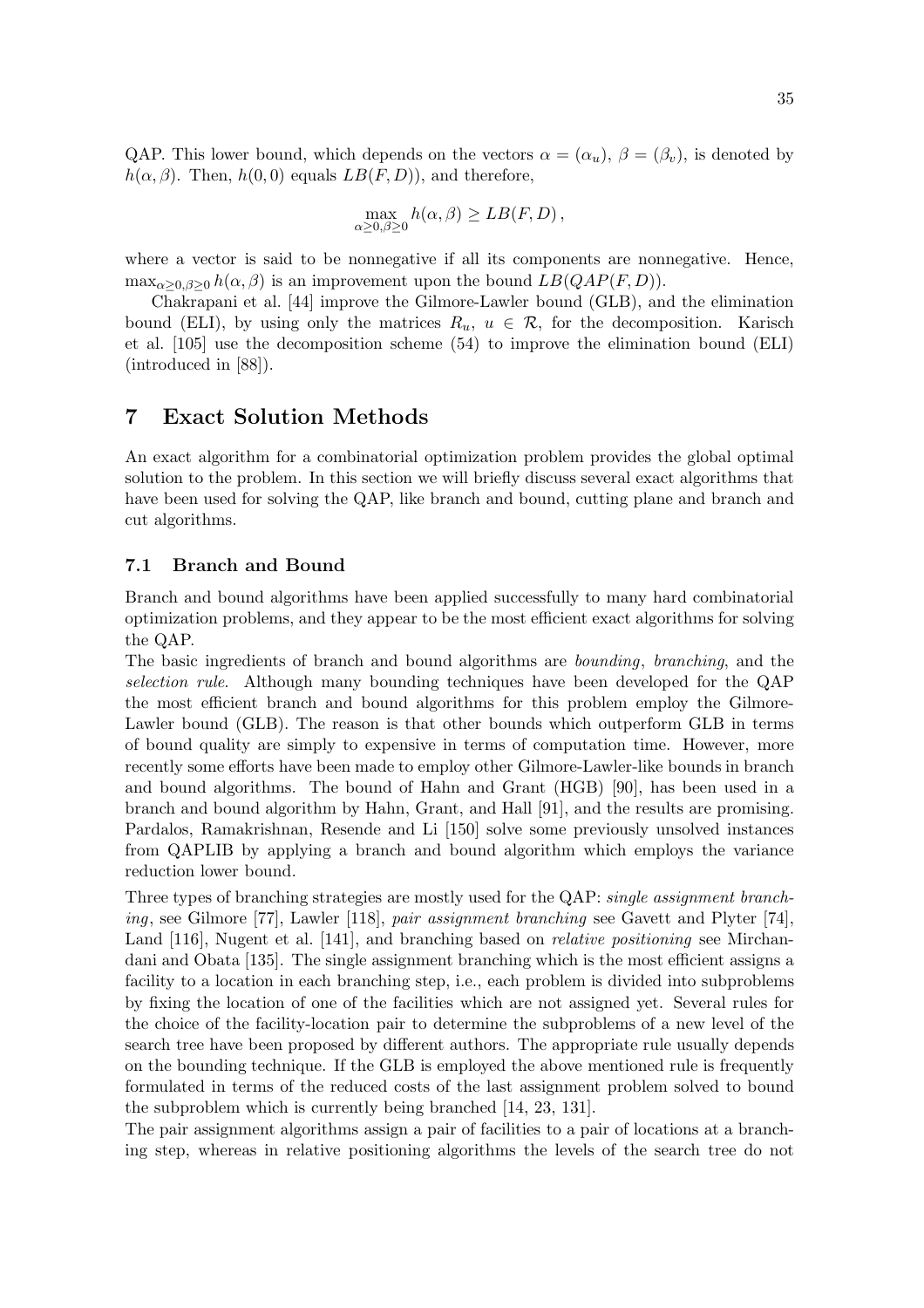QAP. This lower bound, which depends on the vectors  $\alpha = (\alpha_u)$ ,  $\beta = (\beta_v)$ , is denoted by  $h(\alpha,\beta)$ . Then,  $h(0,0)$  equals  $LB(F,D)$ , and therefore,

$$
\max_{\alpha \ge 0, \beta \ge 0} h(\alpha, \beta) \ge LB(F, D),
$$

where a vector is said to be nonnegative if all its components are nonnegative. Hence,  $\max_{\alpha>0,\beta>0} h(\alpha,\beta)$  is an improvement upon the bound  $LB(QAP(F,D)).$ 

Chakrapani et al. [44] improve the Gilmore-Lawler bound (GLB), and the elimination bound (ELI), by using only the matrices  $R_u$ ,  $u \in \mathcal{R}$ , for the decomposition. Karisch et al. [105] use the decomposition scheme (54) to improve the elimination bound (ELI) (introduced in [88]).

## 7 Exact Solution Methods

An exact algorithm for a combinatorial optimization problem provides the global optimal solution to the problem. In this section we will briefly discuss several exact algorithms that have been used for solving the QAP, like branch and bound, cutting plane and branch and cut algorithms.

## 7.1 Branch and Bound

Branch and bound algorithms have been applied successfully to many hard combinatorial optimization problems, and they appear to be the most efficient exact algorithms for solving the QAP.

The basic ingredients of branch and bound algorithms are bounding, branching, and the selection rule. Although many bounding techniques have been developed for the QAP the most efficient branch and bound algorithms for this problem employ the Gilmore-Lawler bound (GLB). The reason is that other bounds which outperform GLB in terms of bound quality are simply to expensive in terms of computation time. However, more recently some efforts have been made to employ other Gilmore-Lawler-like bounds in branch and bound algorithms. The bound of Hahn and Grant (HGB) [90], has been used in a branch and bound algorithm by Hahn, Grant, and Hall [91], and the results are promising. Pardalos, Ramakrishnan, Resende and Li [150] solve some previously unsolved instances from QAPLIB by applying a branch and bound algorithm which employs the variance reduction lower bound.

Three types of branching strategies are mostly used for the QAP: single assignment branching, see Gilmore [77], Lawler [118], pair assignment branching see Gavett and Plyter [74], Land [116], Nugent et al. [141], and branching based on *relative positioning* see Mirchandani and Obata [135]. The single assignment branching which is the most efficient assigns a facility to a location in each branching step, i.e., each problem is divided into subproblems by fixing the location of one of the facilities which are not assigned yet. Several rules for the choice of the facility-location pair to determine the subproblems of a new level of the search tree have been proposed by different authors. The appropriate rule usually depends on the bounding technique. If the GLB is employed the above mentioned rule is frequently formulated in terms of the reduced costs of the last assignment problem solved to bound the subproblem which is currently being branched [14, 23, 131].

The pair assignment algorithms assign a pair of facilities to a pair of locations at a branching step, whereas in relative positioning algorithms the levels of the search tree do not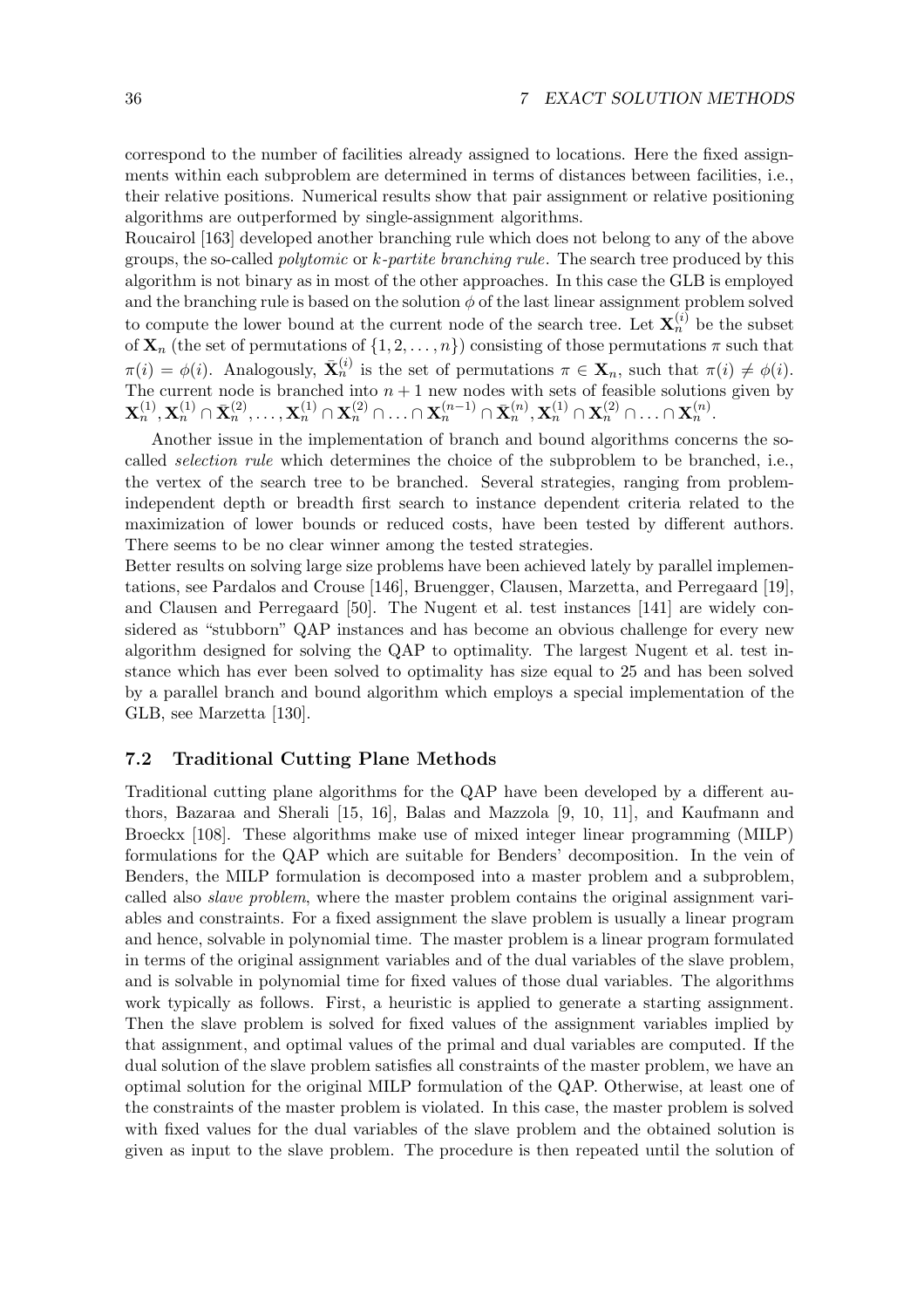correspond to the number of facilities already assigned to locations. Here the fixed assignments within each subproblem are determined in terms of distances between facilities, i.e., their relative positions. Numerical results show that pair assignment or relative positioning algorithms are outperformed by single-assignment algorithms.

Roucairol [163] developed another branching rule which does not belong to any of the above groups, the so-called polytomic or k-partite branching rule. The search tree produced by this algorithm is not binary as in most of the other approaches. In this case the GLB is employed and the branching rule is based on the solution  $\phi$  of the last linear assignment problem solved to compute the lower bound at the current node of the search tree. Let  $\mathbf{X}_n^{(i)}$  be the subset of  $\mathbf{X}_n$  (the set of permutations of  $\{1, 2, ..., n\}$ ) consisting of those permutations  $\pi$  such that  $\pi(i) = \phi(i)$ . Analogously,  $\bar{\mathbf{X}}_n^{(i)}$  is the set of permutations  $\pi \in \mathbf{X}_n$ , such that  $\pi(i) \neq \phi(i)$ . The current node is branched into  $n + 1$  new nodes with sets of feasible solutions given by  $\mathbf{X}_n^{(1)}, \mathbf{X}_n^{(1)} \cap \bar{\mathbf{X}}_n^{(2)}, \ldots, \mathbf{X}_n^{(1)} \cap \mathbf{X}_n^{(2)} \cap \ldots \cap \mathbf{X}_n^{(n-1)} \cap \bar{\mathbf{X}}_n^{(n)}, \mathbf{X}_n^{(1)} \cap \mathbf{X}_n^{(2)} \cap \ldots \cap \mathbf{X}_n^{(n)}.$ 

Another issue in the implementation of branch and bound algorithms concerns the socalled selection rule which determines the choice of the subproblem to be branched, i.e., the vertex of the search tree to be branched. Several strategies, ranging from problemindependent depth or breadth first search to instance dependent criteria related to the maximization of lower bounds or reduced costs, have been tested by different authors. There seems to be no clear winner among the tested strategies.

Better results on solving large size problems have been achieved lately by parallel implementations, see Pardalos and Crouse [146], Bruengger, Clausen, Marzetta, and Perregaard [19], and Clausen and Perregaard [50]. The Nugent et al. test instances [141] are widely considered as "stubborn" QAP instances and has become an obvious challenge for every new algorithm designed for solving the QAP to optimality. The largest Nugent et al. test instance which has ever been solved to optimality has size equal to 25 and has been solved by a parallel branch and bound algorithm which employs a special implementation of the GLB, see Marzetta [130].

## 7.2 Traditional Cutting Plane Methods

Traditional cutting plane algorithms for the QAP have been developed by a different authors, Bazaraa and Sherali [15, 16], Balas and Mazzola [9, 10, 11], and Kaufmann and Broeckx [108]. These algorithms make use of mixed integer linear programming (MILP) formulations for the QAP which are suitable for Benders' decomposition. In the vein of Benders, the MILP formulation is decomposed into a master problem and a subproblem, called also slave problem, where the master problem contains the original assignment variables and constraints. For a fixed assignment the slave problem is usually a linear program and hence, solvable in polynomial time. The master problem is a linear program formulated in terms of the original assignment variables and of the dual variables of the slave problem, and is solvable in polynomial time for fixed values of those dual variables. The algorithms work typically as follows. First, a heuristic is applied to generate a starting assignment. Then the slave problem is solved for fixed values of the assignment variables implied by that assignment, and optimal values of the primal and dual variables are computed. If the dual solution of the slave problem satisfies all constraints of the master problem, we have an optimal solution for the original MILP formulation of the QAP. Otherwise, at least one of the constraints of the master problem is violated. In this case, the master problem is solved with fixed values for the dual variables of the slave problem and the obtained solution is given as input to the slave problem. The procedure is then repeated until the solution of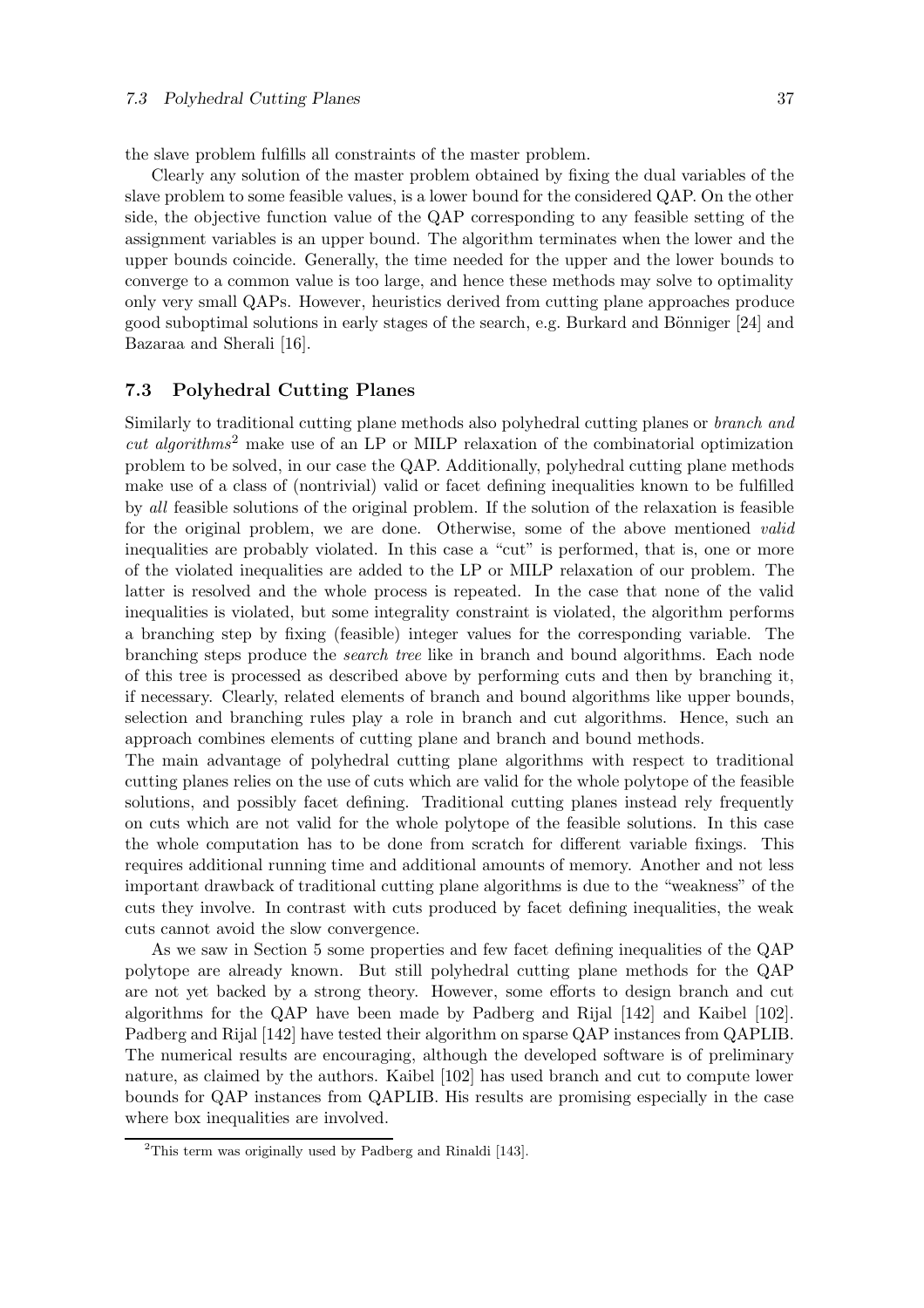the slave problem fulfills all constraints of the master problem.

Clearly any solution of the master problem obtained by fixing the dual variables of the slave problem to some feasible values, is a lower bound for the considered QAP. On the other side, the objective function value of the QAP corresponding to any feasible setting of the assignment variables is an upper bound. The algorithm terminates when the lower and the upper bounds coincide. Generally, the time needed for the upper and the lower bounds to converge to a common value is too large, and hence these methods may solve to optimality only very small QAPs. However, heuristics derived from cutting plane approaches produce good suboptimal solutions in early stages of the search, e.g. Burkard and Bönniger [24] and Bazaraa and Sherali [16].

## 7.3 Polyhedral Cutting Planes

Similarly to traditional cutting plane methods also polyhedral cutting planes or branch and  $cut\text{ }algorithms^2$  make use of an LP or MILP relaxation of the combinatorial optimization problem to be solved, in our case the QAP. Additionally, polyhedral cutting plane methods make use of a class of (nontrivial) valid or facet defining inequalities known to be fulfilled by all feasible solutions of the original problem. If the solution of the relaxation is feasible for the original problem, we are done. Otherwise, some of the above mentioned valid inequalities are probably violated. In this case a "cut" is performed, that is, one or more of the violated inequalities are added to the LP or MILP relaxation of our problem. The latter is resolved and the whole process is repeated. In the case that none of the valid inequalities is violated, but some integrality constraint is violated, the algorithm performs a branching step by fixing (feasible) integer values for the corresponding variable. The branching steps produce the search tree like in branch and bound algorithms. Each node of this tree is processed as described above by performing cuts and then by branching it, if necessary. Clearly, related elements of branch and bound algorithms like upper bounds, selection and branching rules play a role in branch and cut algorithms. Hence, such an approach combines elements of cutting plane and branch and bound methods.

The main advantage of polyhedral cutting plane algorithms with respect to traditional cutting planes relies on the use of cuts which are valid for the whole polytope of the feasible solutions, and possibly facet defining. Traditional cutting planes instead rely frequently on cuts which are not valid for the whole polytope of the feasible solutions. In this case the whole computation has to be done from scratch for different variable fixings. This requires additional running time and additional amounts of memory. Another and not less important drawback of traditional cutting plane algorithms is due to the "weakness" of the cuts they involve. In contrast with cuts produced by facet defining inequalities, the weak cuts cannot avoid the slow convergence.

As we saw in Section 5 some properties and few facet defining inequalities of the QAP polytope are already known. But still polyhedral cutting plane methods for the QAP are not yet backed by a strong theory. However, some efforts to design branch and cut algorithms for the QAP have been made by Padberg and Rijal [142] and Kaibel [102]. Padberg and Rijal [142] have tested their algorithm on sparse QAP instances from QAPLIB. The numerical results are encouraging, although the developed software is of preliminary nature, as claimed by the authors. Kaibel [102] has used branch and cut to compute lower bounds for QAP instances from QAPLIB. His results are promising especially in the case where box inequalities are involved.

<sup>2</sup>This term was originally used by Padberg and Rinaldi [143].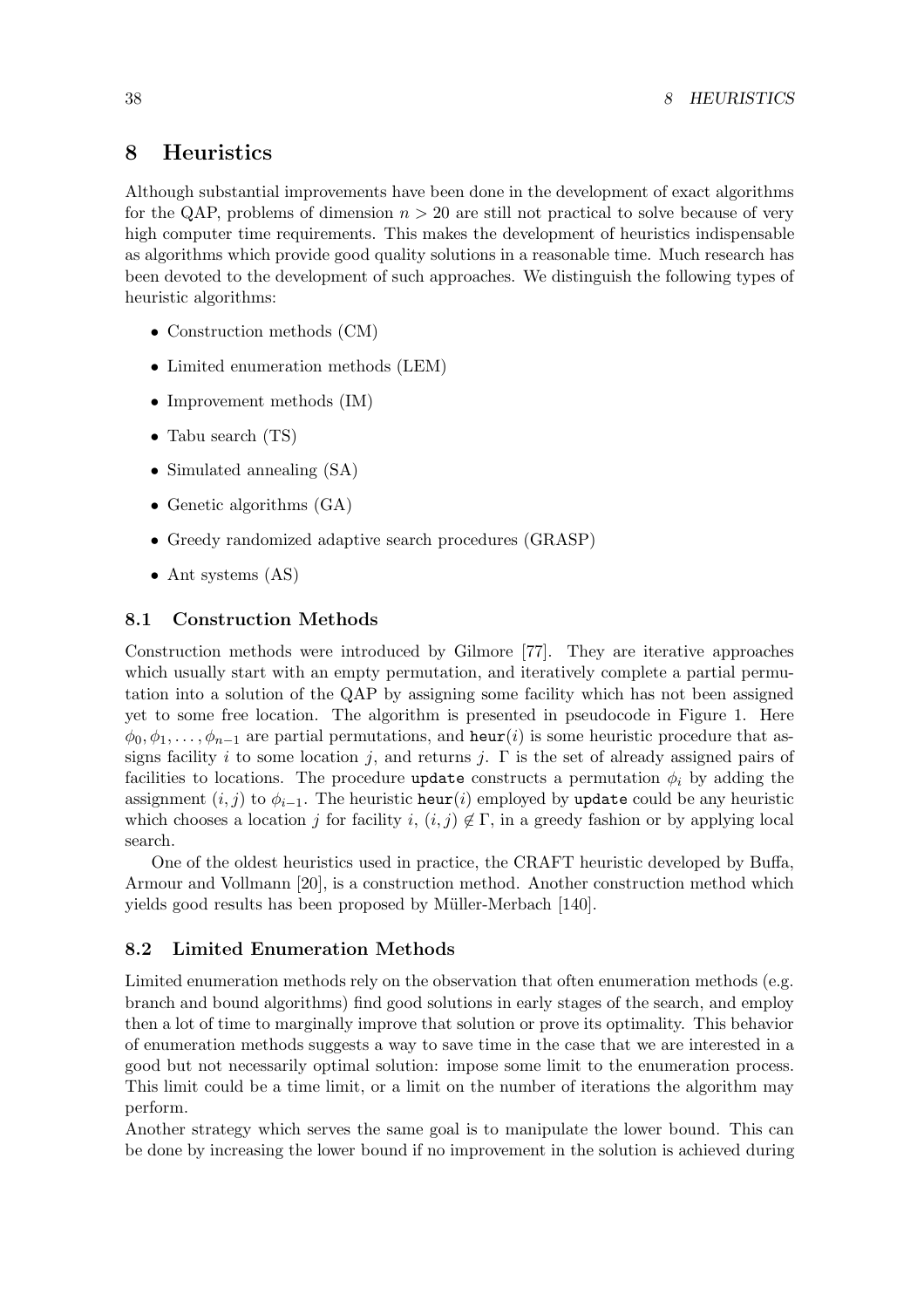## 8 Heuristics

Although substantial improvements have been done in the development of exact algorithms for the QAP, problems of dimension  $n > 20$  are still not practical to solve because of very high computer time requirements. This makes the development of heuristics indispensable as algorithms which provide good quality solutions in a reasonable time. Much research has been devoted to the development of such approaches. We distinguish the following types of heuristic algorithms:

- Construction methods (CM)
- Limited enumeration methods (LEM)
- Improvement methods (IM)
- Tabu search (TS)
- Simulated annealing (SA)
- Genetic algorithms  $(GA)$
- Greedy randomized adaptive search procedures (GRASP)
- Ant systems (AS)

## 8.1 Construction Methods

Construction methods were introduced by Gilmore [77]. They are iterative approaches which usually start with an empty permutation, and iteratively complete a partial permutation into a solution of the QAP by assigning some facility which has not been assigned yet to some free location. The algorithm is presented in pseudocode in Figure 1. Here  $\phi_0, \phi_1, \ldots, \phi_{n-1}$  are partial permutations, and heur(i) is some heuristic procedure that assigns facility i to some location j, and returns j.  $\Gamma$  is the set of already assigned pairs of facilities to locations. The procedure update constructs a permutation  $\phi_i$  by adding the assignment  $(i, j)$  to  $\phi_{i-1}$ . The heuristic heur $(i)$  employed by update could be any heuristic which chooses a location j for facility i,  $(i,j) \notin \Gamma$ , in a greedy fashion or by applying local search.

One of the oldest heuristics used in practice, the CRAFT heuristic developed by Buffa, Armour and Vollmann [20], is a construction method. Another construction method which yields good results has been proposed by Müller-Merbach [140].

## 8.2 Limited Enumeration Methods

Limited enumeration methods rely on the observation that often enumeration methods (e.g. branch and bound algorithms) find good solutions in early stages of the search, and employ then a lot of time to marginally improve that solution or prove its optimality. This behavior of enumeration methods suggests a way to save time in the case that we are interested in a good but not necessarily optimal solution: impose some limit to the enumeration process. This limit could be a time limit, or a limit on the number of iterations the algorithm may perform.

Another strategy which serves the same goal is to manipulate the lower bound. This can be done by increasing the lower bound if no improvement in the solution is achieved during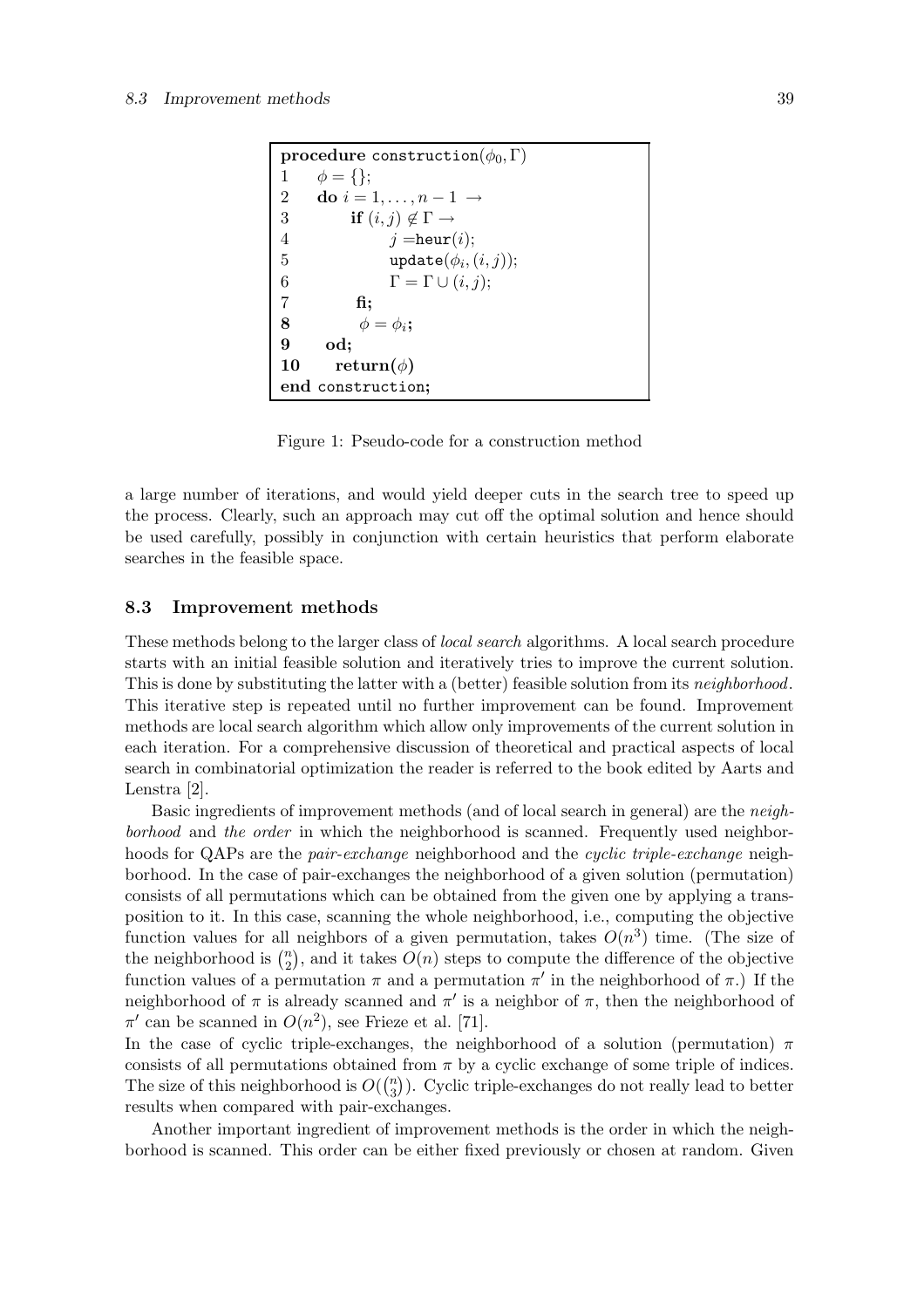```
procedure construction(\phi_0, Γ)
1 \phi = \{\};<br>2 do i =2 do i = 1, ..., n - 1 \rightarrow<br>3 if (i, j) \notin \Gamma \rightarrow3 if (i, j) \notin \Gamma \rightarrow<br>4 j = \text{heur}j =heur(i);
5 update(\phi_i,(i,j));6 \Gamma = \Gamma \cup (i, j);<br>7 fi;
             fi;
8 \phi = \phi_i;9 od;
10 return(\phi)
end construction;
```
Figure 1: Pseudo-code for a construction method

a large number of iterations, and would yield deeper cuts in the search tree to speed up the process. Clearly, such an approach may cut off the optimal solution and hence should be used carefully, possibly in conjunction with certain heuristics that perform elaborate searches in the feasible space.

## 8.3 Improvement methods

These methods belong to the larger class of local search algorithms. A local search procedure starts with an initial feasible solution and iteratively tries to improve the current solution. This is done by substituting the latter with a (better) feasible solution from its *neighborhood*. This iterative step is repeated until no further improvement can be found. Improvement methods are local search algorithm which allow only improvements of the current solution in each iteration. For a comprehensive discussion of theoretical and practical aspects of local search in combinatorial optimization the reader is referred to the book edited by Aarts and Lenstra [2].

Basic ingredients of improvement methods (and of local search in general) are the *neigh*borhood and the order in which the neighborhood is scanned. Frequently used neighborhoods for QAPs are the *pair-exchange* neighborhood and the *cyclic triple-exchange* neighborhood. In the case of pair-exchanges the neighborhood of a given solution (permutation) consists of all permutations which can be obtained from the given one by applying a transposition to it. In this case, scanning the whole neighborhood, i.e., computing the objective function values for all neighbors of a given permutation, takes  $O(n^3)$  time. (The size of the neighborhood is  $\binom{n}{2}$  $\binom{n}{2}$ , and it takes  $O(n)$  steps to compute the difference of the objective function values of a permutation  $\pi$  and a permutation  $\pi'$  in the neighborhood of π.) If the neighborhood of  $\pi$  is already scanned and  $\pi'$  is a neighbor of  $\pi$ , then the neighborhood of  $\pi'$  can be scanned in  $O(n^2)$ , see Frieze et al. [71].

In the case of cyclic triple-exchanges, the neighborhood of a solution (permutation)  $\pi$ consists of all permutations obtained from  $\pi$  by a cyclic exchange of some triple of indices. The size of this neighborhood is  $O(\binom{n}{3})$  $\binom{n}{3}$ ). Cyclic triple-exchanges do not really lead to better results when compared with pair-exchanges.

Another important ingredient of improvement methods is the order in which the neighborhood is scanned. This order can be either fixed previously or chosen at random. Given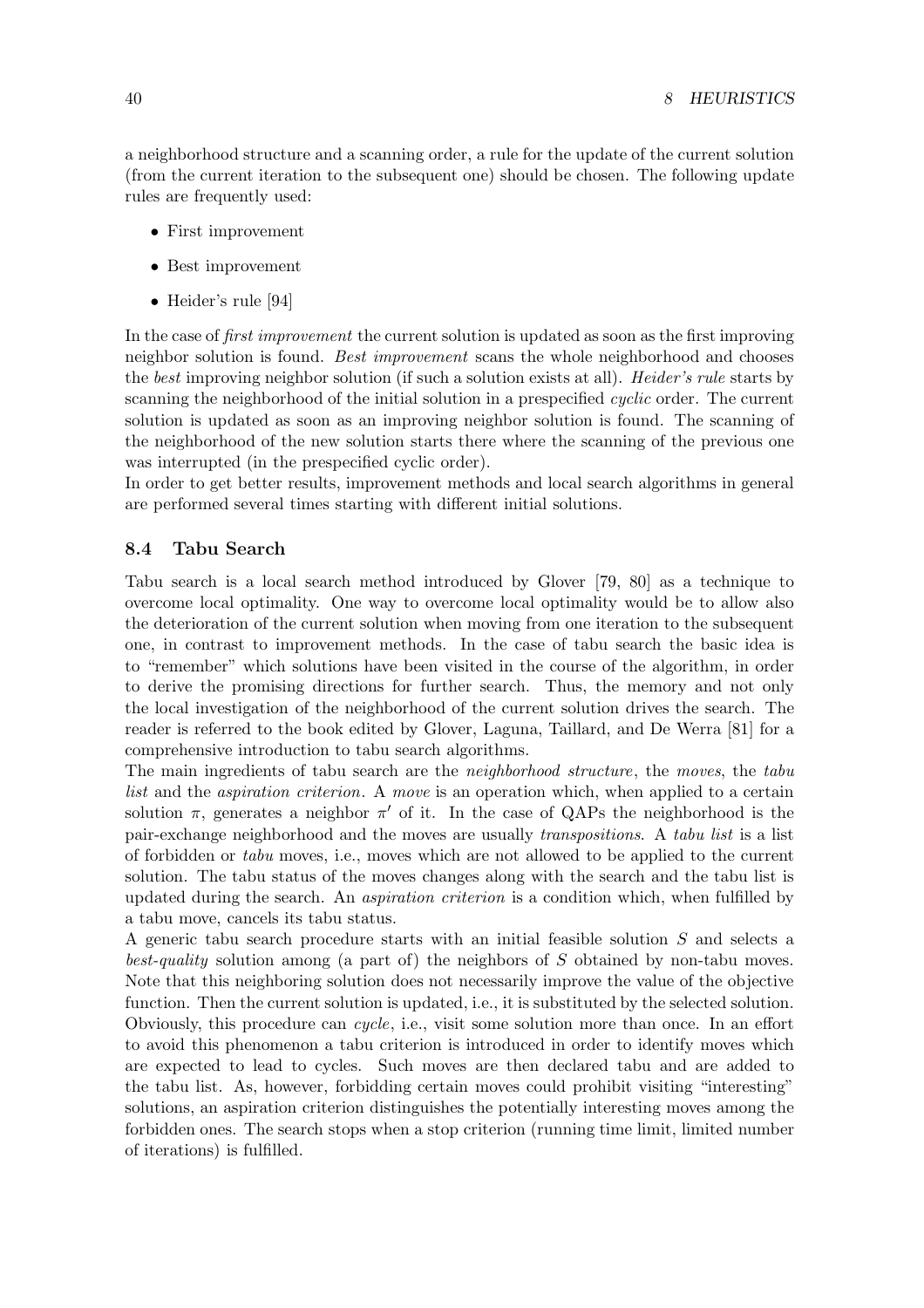a neighborhood structure and a scanning order, a rule for the update of the current solution (from the current iteration to the subsequent one) should be chosen. The following update rules are frequently used:

- First improvement
- Best improvement
- Heider's rule [94]

In the case of *first improvement* the current solution is updated as soon as the first improving neighbor solution is found. *Best improvement* scans the whole neighborhood and chooses the best improving neighbor solution (if such a solution exists at all). Heider's rule starts by scanning the neighborhood of the initial solution in a prespecified *cyclic* order. The current solution is updated as soon as an improving neighbor solution is found. The scanning of the neighborhood of the new solution starts there where the scanning of the previous one was interrupted (in the prespecified cyclic order).

In order to get better results, improvement methods and local search algorithms in general are performed several times starting with different initial solutions.

### 8.4 Tabu Search

Tabu search is a local search method introduced by Glover [79, 80] as a technique to overcome local optimality. One way to overcome local optimality would be to allow also the deterioration of the current solution when moving from one iteration to the subsequent one, in contrast to improvement methods. In the case of tabu search the basic idea is to "remember" which solutions have been visited in the course of the algorithm, in order to derive the promising directions for further search. Thus, the memory and not only the local investigation of the neighborhood of the current solution drives the search. The reader is referred to the book edited by Glover, Laguna, Taillard, and De Werra [81] for a comprehensive introduction to tabu search algorithms.

The main ingredients of tabu search are the *neighborhood structure*, the *moves*, the *tabu* list and the *aspiration criterion*. A move is an operation which, when applied to a certain solution  $\pi$ , generates a neighbor  $\pi'$  of it. In the case of QAPs the neighborhood is the pair-exchange neighborhood and the moves are usually transpositions. A tabu list is a list of forbidden or tabu moves, i.e., moves which are not allowed to be applied to the current solution. The tabu status of the moves changes along with the search and the tabu list is updated during the search. An aspiration criterion is a condition which, when fulfilled by a tabu move, cancels its tabu status.

A generic tabu search procedure starts with an initial feasible solution S and selects a best-quality solution among (a part of) the neighbors of  $S$  obtained by non-tabu moves. Note that this neighboring solution does not necessarily improve the value of the objective function. Then the current solution is updated, i.e., it is substituted by the selected solution. Obviously, this procedure can cycle, i.e., visit some solution more than once. In an effort to avoid this phenomenon a tabu criterion is introduced in order to identify moves which are expected to lead to cycles. Such moves are then declared tabu and are added to the tabu list. As, however, forbidding certain moves could prohibit visiting "interesting" solutions, an aspiration criterion distinguishes the potentially interesting moves among the forbidden ones. The search stops when a stop criterion (running time limit, limited number of iterations) is fulfilled.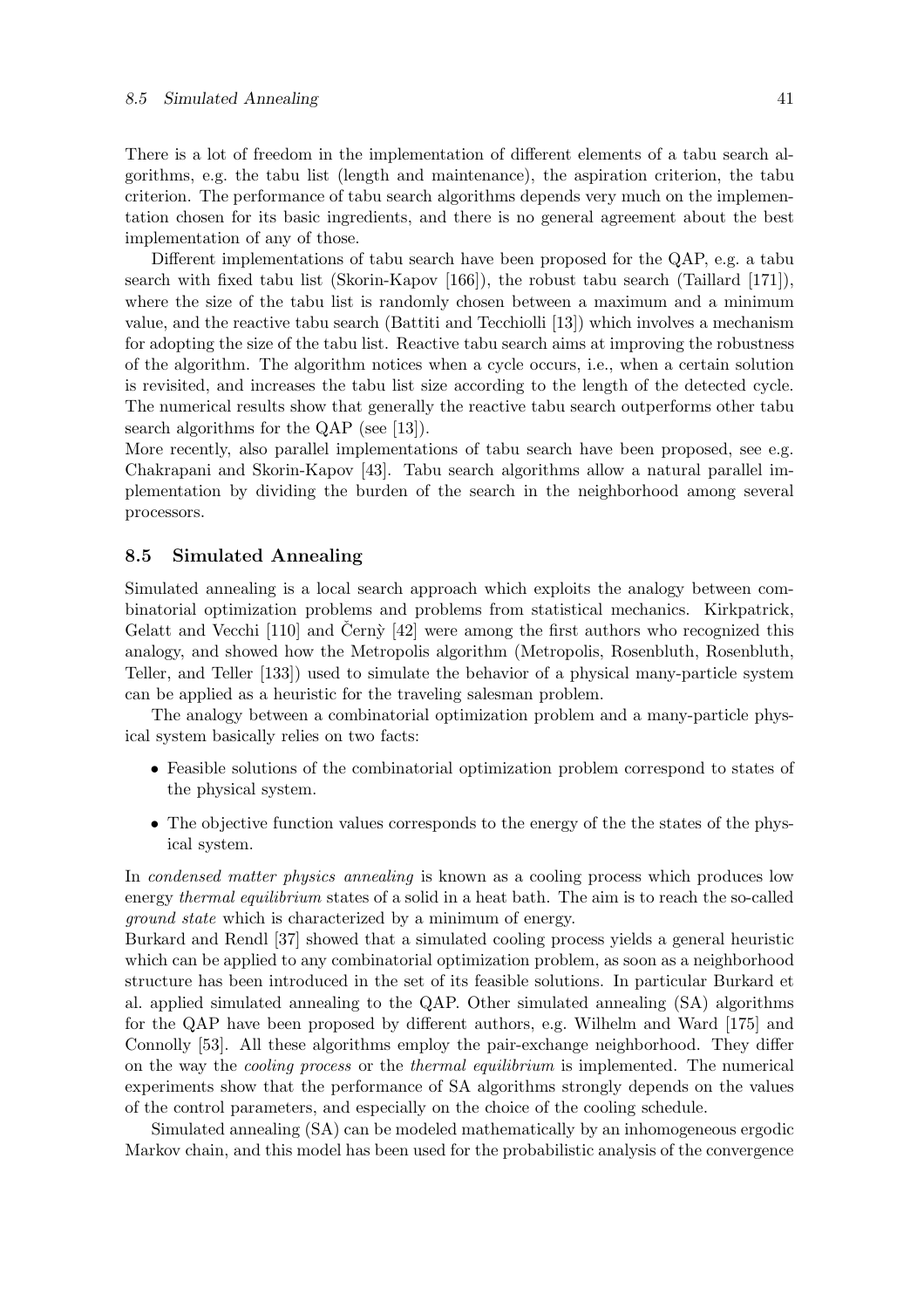There is a lot of freedom in the implementation of different elements of a tabu search algorithms, e.g. the tabu list (length and maintenance), the aspiration criterion, the tabu criterion. The performance of tabu search algorithms depends very much on the implementation chosen for its basic ingredients, and there is no general agreement about the best implementation of any of those.

Different implementations of tabu search have been proposed for the QAP, e.g. a tabu search with fixed tabu list (Skorin-Kapov [166]), the robust tabu search (Taillard [171]), where the size of the tabu list is randomly chosen between a maximum and a minimum value, and the reactive tabu search (Battiti and Tecchiolli [13]) which involves a mechanism for adopting the size of the tabu list. Reactive tabu search aims at improving the robustness of the algorithm. The algorithm notices when a cycle occurs, i.e., when a certain solution is revisited, and increases the tabu list size according to the length of the detected cycle. The numerical results show that generally the reactive tabu search outperforms other tabu search algorithms for the QAP (see [13]).

More recently, also parallel implementations of tabu search have been proposed, see e.g. Chakrapani and Skorin-Kapov [43]. Tabu search algorithms allow a natural parallel implementation by dividing the burden of the search in the neighborhood among several processors.

### 8.5 Simulated Annealing

Simulated annealing is a local search approach which exploits the analogy between combinatorial optimization problems and problems from statistical mechanics. Kirkpatrick, Gelatt and Vecchi  $[110]$  and Cerny  $[42]$  were among the first authors who recognized this analogy, and showed how the Metropolis algorithm (Metropolis, Rosenbluth, Rosenbluth, Teller, and Teller [133]) used to simulate the behavior of a physical many-particle system can be applied as a heuristic for the traveling salesman problem.

The analogy between a combinatorial optimization problem and a many-particle physical system basically relies on two facts:

- Feasible solutions of the combinatorial optimization problem correspond to states of the physical system.
- The objective function values corresponds to the energy of the the states of the physical system.

In *condensed matter physics annealing* is known as a cooling process which produces low energy thermal equilibrium states of a solid in a heat bath. The aim is to reach the so-called ground state which is characterized by a minimum of energy.

Burkard and Rendl [37] showed that a simulated cooling process yields a general heuristic which can be applied to any combinatorial optimization problem, as soon as a neighborhood structure has been introduced in the set of its feasible solutions. In particular Burkard et al. applied simulated annealing to the QAP. Other simulated annealing (SA) algorithms for the QAP have been proposed by different authors, e.g. Wilhelm and Ward [175] and Connolly [53]. All these algorithms employ the pair-exchange neighborhood. They differ on the way the cooling process or the thermal equilibrium is implemented. The numerical experiments show that the performance of SA algorithms strongly depends on the values of the control parameters, and especially on the choice of the cooling schedule.

Simulated annealing (SA) can be modeled mathematically by an inhomogeneous ergodic Markov chain, and this model has been used for the probabilistic analysis of the convergence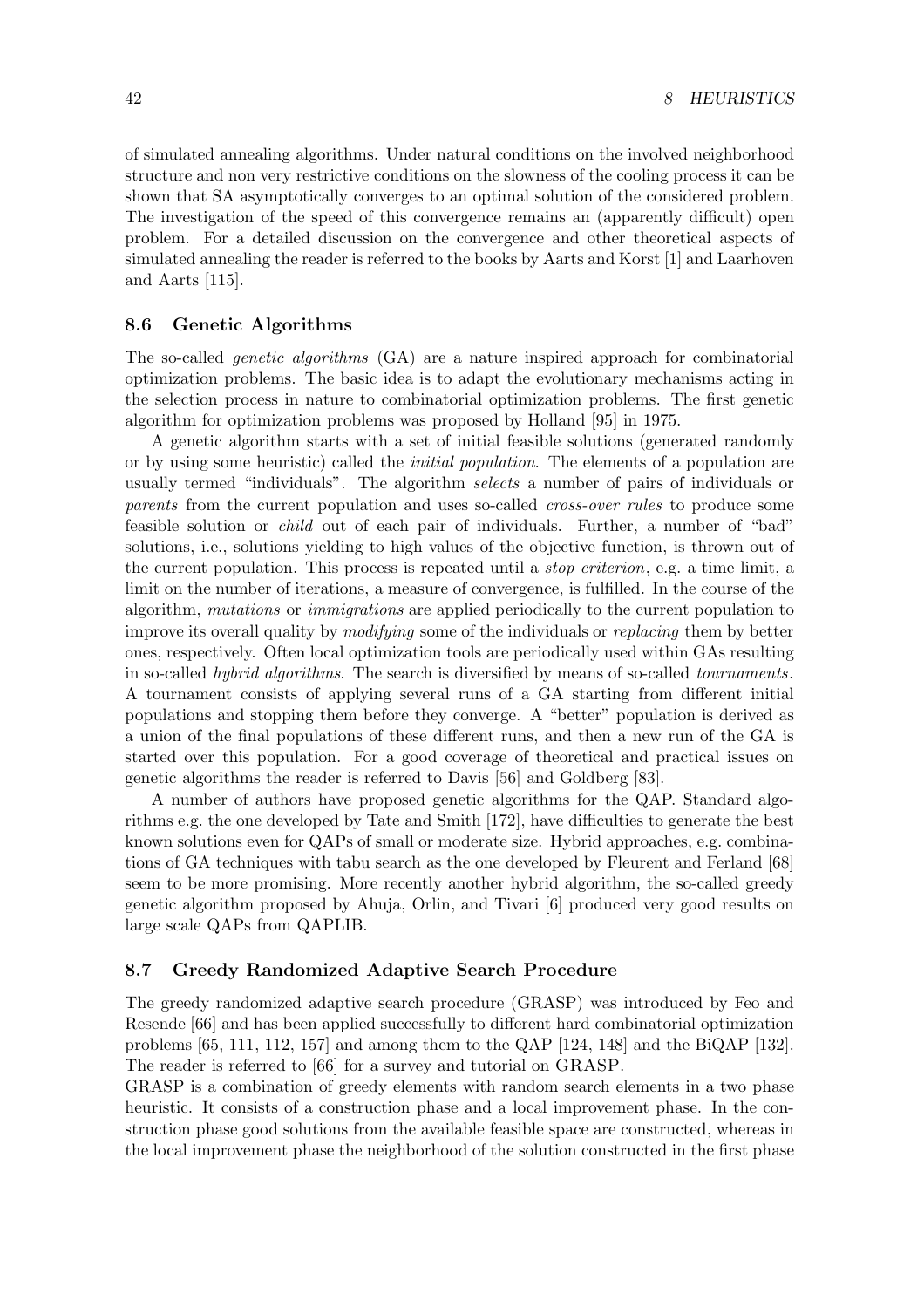of simulated annealing algorithms. Under natural conditions on the involved neighborhood structure and non very restrictive conditions on the slowness of the cooling process it can be shown that SA asymptotically converges to an optimal solution of the considered problem. The investigation of the speed of this convergence remains an (apparently difficult) open problem. For a detailed discussion on the convergence and other theoretical aspects of simulated annealing the reader is referred to the books by Aarts and Korst [1] and Laarhoven and Aarts [115].

### 8.6 Genetic Algorithms

The so-called genetic algorithms (GA) are a nature inspired approach for combinatorial optimization problems. The basic idea is to adapt the evolutionary mechanisms acting in the selection process in nature to combinatorial optimization problems. The first genetic algorithm for optimization problems was proposed by Holland [95] in 1975.

A genetic algorithm starts with a set of initial feasible solutions (generated randomly or by using some heuristic) called the initial population. The elements of a population are usually termed "individuals". The algorithm selects a number of pairs of individuals or parents from the current population and uses so-called cross-over rules to produce some feasible solution or child out of each pair of individuals. Further, a number of "bad" solutions, i.e., solutions yielding to high values of the objective function, is thrown out of the current population. This process is repeated until a stop criterion, e.g. a time limit, a limit on the number of iterations, a measure of convergence, is fulfilled. In the course of the algorithm, mutations or immigrations are applied periodically to the current population to improve its overall quality by modifying some of the individuals or replacing them by better ones, respectively. Often local optimization tools are periodically used within GAs resulting in so-called hybrid algorithms. The search is diversified by means of so-called tournaments. A tournament consists of applying several runs of a GA starting from different initial populations and stopping them before they converge. A "better" population is derived as a union of the final populations of these different runs, and then a new run of the GA is started over this population. For a good coverage of theoretical and practical issues on genetic algorithms the reader is referred to Davis [56] and Goldberg [83].

A number of authors have proposed genetic algorithms for the QAP. Standard algorithms e.g. the one developed by Tate and Smith [172], have difficulties to generate the best known solutions even for QAPs of small or moderate size. Hybrid approaches, e.g. combinations of GA techniques with tabu search as the one developed by Fleurent and Ferland [68] seem to be more promising. More recently another hybrid algorithm, the so-called greedy genetic algorithm proposed by Ahuja, Orlin, and Tivari [6] produced very good results on large scale QAPs from QAPLIB.

### 8.7 Greedy Randomized Adaptive Search Procedure

The greedy randomized adaptive search procedure (GRASP) was introduced by Feo and Resende [66] and has been applied successfully to different hard combinatorial optimization problems [65, 111, 112, 157] and among them to the QAP [124, 148] and the BiQAP [132]. The reader is referred to [66] for a survey and tutorial on GRASP.

GRASP is a combination of greedy elements with random search elements in a two phase heuristic. It consists of a construction phase and a local improvement phase. In the construction phase good solutions from the available feasible space are constructed, whereas in the local improvement phase the neighborhood of the solution constructed in the first phase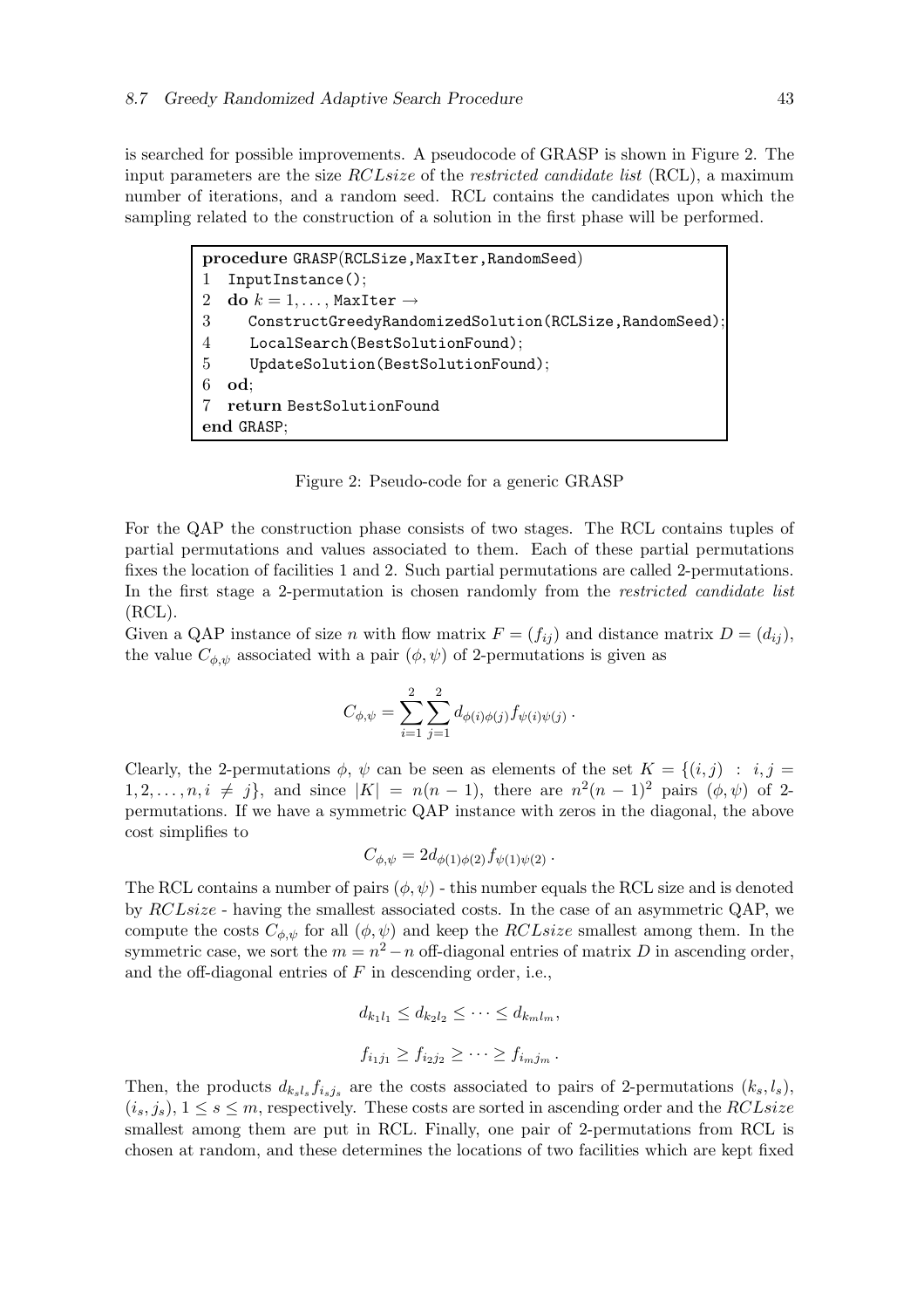is searched for possible improvements. A pseudocode of GRASP is shown in Figure 2. The input parameters are the size RCLsize of the restricted candidate list (RCL), a maximum number of iterations, and a random seed. RCL contains the candidates upon which the sampling related to the construction of a solution in the first phase will be performed.

| procedure GRASP(RCLSize, MaxIter, RandomSeed)                |  |  |  |
|--------------------------------------------------------------|--|--|--|
| $InputInstance()$ ;<br>$\mathbf{1}$                          |  |  |  |
| 2 do $k = 1, \ldots,$ MaxIter $\rightarrow$                  |  |  |  |
| 3<br>ConstructGreedyRandomizedSolution(RCLSize, RandomSeed); |  |  |  |
| LocalSearch(BestSolutionFound);<br>$\overline{4}$            |  |  |  |
| UpdateSolution(BestSolutionFound);<br>$\frac{5}{2}$          |  |  |  |
| 6<br>od:                                                     |  |  |  |
| return BestSolutionFound                                     |  |  |  |
| end GRASP;                                                   |  |  |  |

Figure 2: Pseudo-code for a generic GRASP

For the QAP the construction phase consists of two stages. The RCL contains tuples of partial permutations and values associated to them. Each of these partial permutations fixes the location of facilities 1 and 2. Such partial permutations are called 2-permutations. In the first stage a 2-permutation is chosen randomly from the *restricted candidate list*  $(RCL)$ .

Given a QAP instance of size n with flow matrix  $F = (f_{ij})$  and distance matrix  $D = (d_{ij}),$ the value  $C_{\phi,\psi}$  associated with a pair  $(\phi,\psi)$  of 2-permutations is given as

$$
C_{\phi,\psi} = \sum_{i=1}^{2} \sum_{j=1}^{2} d_{\phi(i)\phi(j)} f_{\psi(i)\psi(j)}.
$$

Clearly, the 2-permutations  $\phi$ ,  $\psi$  can be seen as elements of the set  $K = \{(i,j) : i, j =$  $1, 2, ..., n, i \neq j$ , and since  $|K| = n(n - 1)$ , there are  $n^2(n - 1)^2$  pairs  $(\phi, \psi)$  of 2permutations. If we have a symmetric QAP instance with zeros in the diagonal, the above cost simplifies to

$$
C_{\phi,\psi} = 2d_{\phi(1)\phi(2)}f_{\psi(1)\psi(2)}.
$$

The RCL contains a number of pairs  $(\phi, \psi)$  - this number equals the RCL size and is denoted by  $RCLsize$  - having the smallest associated costs. In the case of an asymmetric QAP, we compute the costs  $C_{\phi,\psi}$  for all  $(\phi,\psi)$  and keep the RCLsize smallest among them. In the symmetric case, we sort the  $m = n^2 - n$  off-diagonal entries of matrix D in ascending order, and the off-diagonal entries of  $F$  in descending order, i.e.,

$$
d_{k_1l_1} \leq d_{k_2l_2} \leq \cdots \leq d_{k_ml_m},
$$
  

$$
f_{i_1j_1} \geq f_{i_2j_2} \geq \cdots \geq f_{i_mj_m}.
$$

Then, the products  $d_{k_s l_s} f_{i_s j_s}$  are the costs associated to pairs of 2-permutations  $(k_s, l_s)$ ,  $(i<sub>s</sub>,j<sub>s</sub>)$ ,  $1 \leq s \leq m$ , respectively. These costs are sorted in ascending order and the *RCLsize* smallest among them are put in RCL. Finally, one pair of 2-permutations from RCL is chosen at random, and these determines the locations of two facilities which are kept fixed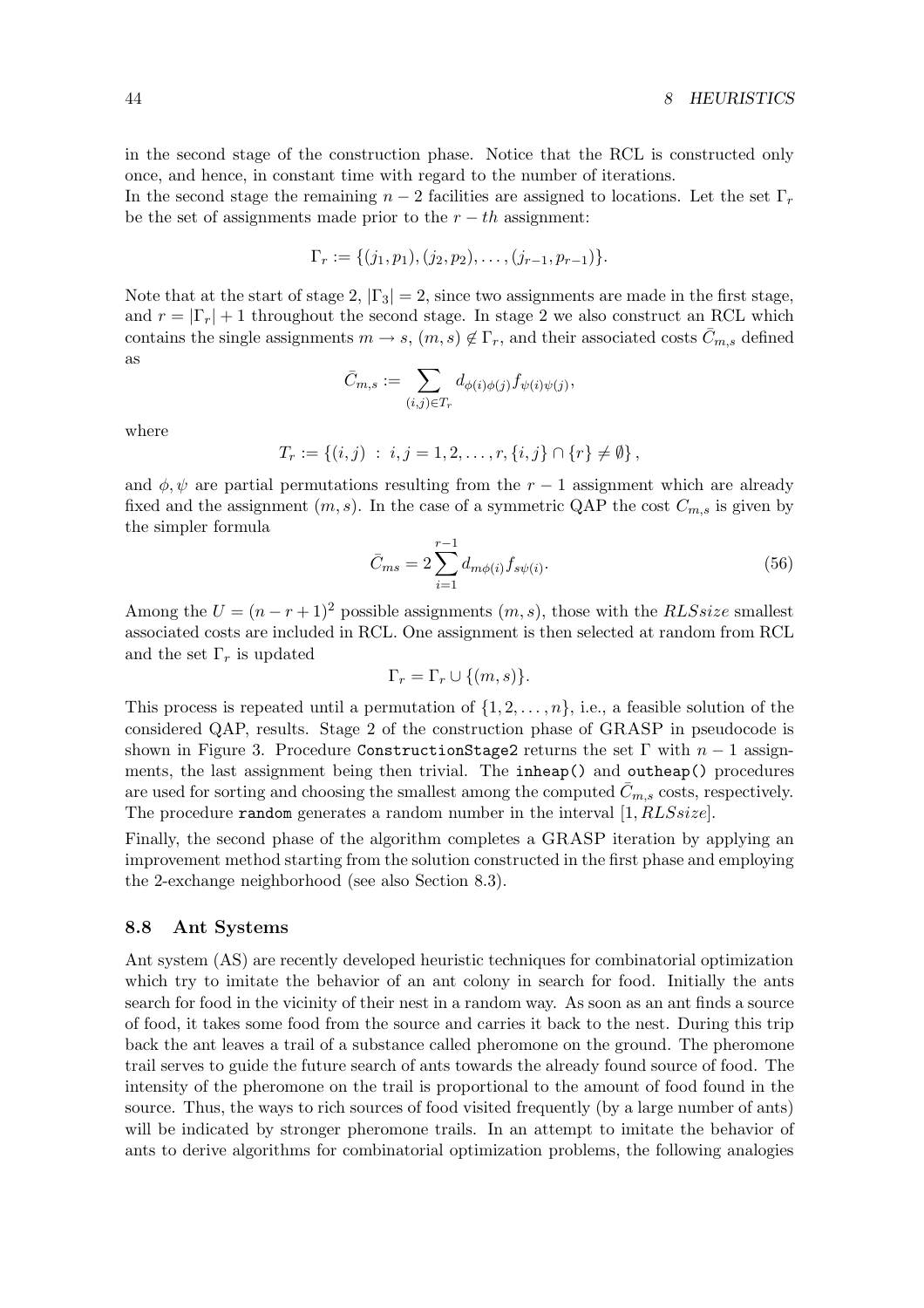in the second stage of the construction phase. Notice that the RCL is constructed only once, and hence, in constant time with regard to the number of iterations.

In the second stage the remaining  $n-2$  facilities are assigned to locations. Let the set  $\Gamma_r$ be the set of assignments made prior to the  $r - th$  assignment:

$$
\Gamma_r := \{ (j_1, p_1), (j_2, p_2), \ldots, (j_{r-1}, p_{r-1}) \}.
$$

Note that at the start of stage 2,  $|\Gamma_3| = 2$ , since two assignments are made in the first stage, and  $r = |\Gamma_r| + 1$  throughout the second stage. In stage 2 we also construct an RCL which contains the single assignments  $m \to s$ ,  $(m, s) \notin \Gamma_r$ , and their associated costs  $\bar{C}_{m,s}$  defined as

$$
\bar{C}_{m,s} := \sum_{(i,j)\in T_r} d_{\phi(i)\phi(j)} f_{\psi(i)\psi(j)},
$$

where

$$
T_r := \{(i, j) : i, j = 1, 2, \dots, r, \{i, j\} \cap \{r\} \neq \emptyset\},\
$$

and  $\phi, \psi$  are partial permutations resulting from the r – 1 assignment which are already fixed and the assignment  $(m, s)$ . In the case of a symmetric QAP the cost  $C_{m,s}$  is given by the simpler formula

$$
\bar{C}_{ms} = 2 \sum_{i=1}^{r-1} d_{m\phi(i)} f_{s\psi(i)}.
$$
\n(56)

Among the  $U = (n - r + 1)^2$  possible assignments  $(m, s)$ , those with the RLSsize smallest associated costs are included in RCL. One assignment is then selected at random from RCL and the set  $\Gamma_r$  is updated

$$
\Gamma_r = \Gamma_r \cup \{(m, s)\}.
$$

This process is repeated until a permutation of  $\{1, 2, \ldots, n\}$ , i.e., a feasible solution of the considered QAP, results. Stage 2 of the construction phase of GRASP in pseudocode is shown in Figure 3. Procedure ConstructionStage2 returns the set  $\Gamma$  with  $n-1$  assignments, the last assignment being then trivial. The inheap() and outheap() procedures are used for sorting and choosing the smallest among the computed  $\bar{C}_{m,s}$  costs, respectively. The procedure random generates a random number in the interval  $[1, RLS size]$ .

Finally, the second phase of the algorithm completes a GRASP iteration by applying an improvement method starting from the solution constructed in the first phase and employing the 2-exchange neighborhood (see also Section 8.3).

### 8.8 Ant Systems

Ant system (AS) are recently developed heuristic techniques for combinatorial optimization which try to imitate the behavior of an ant colony in search for food. Initially the ants search for food in the vicinity of their nest in a random way. As soon as an ant finds a source of food, it takes some food from the source and carries it back to the nest. During this trip back the ant leaves a trail of a substance called pheromone on the ground. The pheromone trail serves to guide the future search of ants towards the already found source of food. The intensity of the pheromone on the trail is proportional to the amount of food found in the source. Thus, the ways to rich sources of food visited frequently (by a large number of ants) will be indicated by stronger pheromone trails. In an attempt to imitate the behavior of ants to derive algorithms for combinatorial optimization problems, the following analogies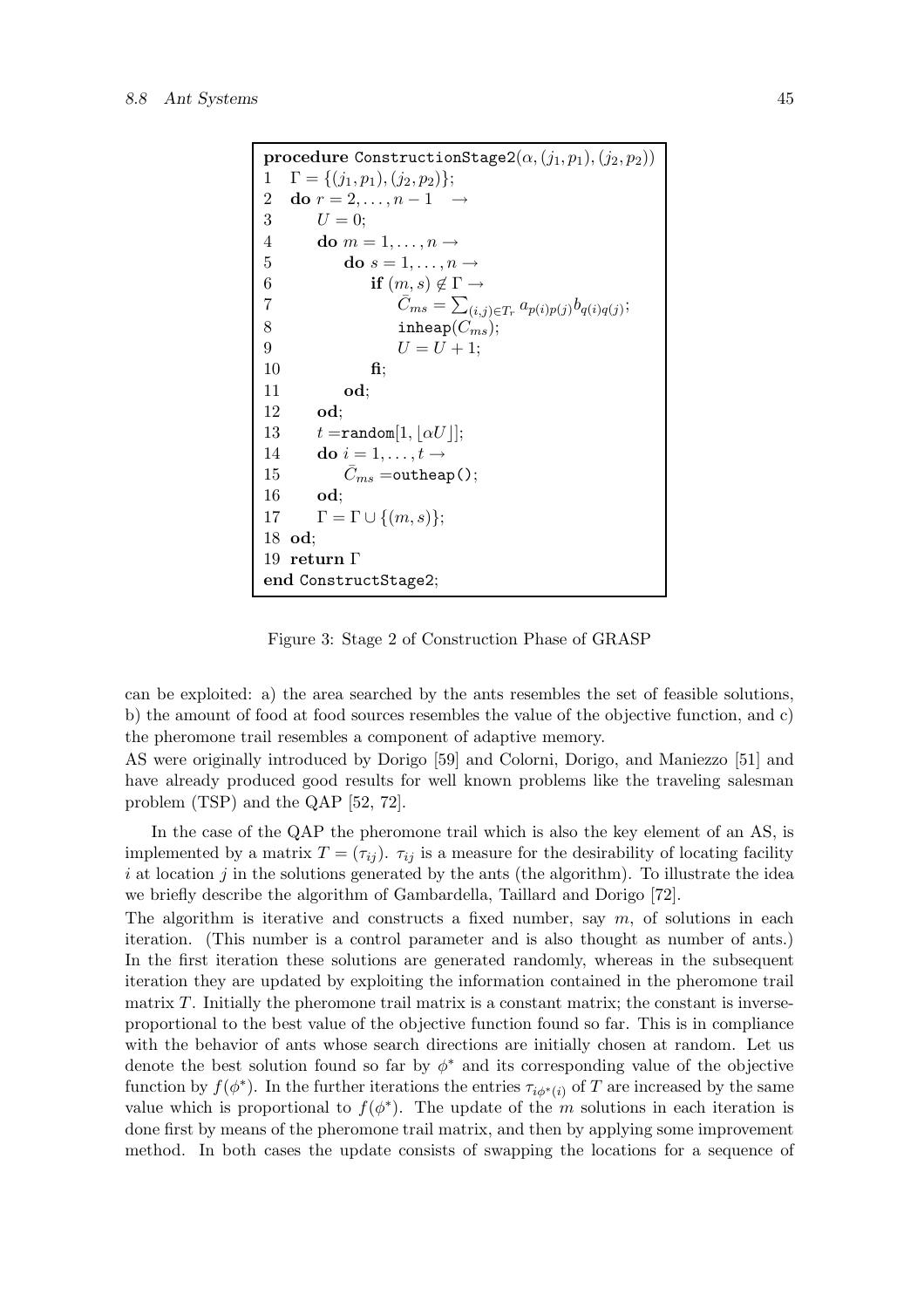```
procedure ConstructionStage2(\alpha, (j_1, p_1), (j_2, p_2))
1 \Gamma = \{ (j_1, p_1), (j_2, p_2) \};<br>2 do r = 2, ..., n - 12 do r = 2,...,n-1<br>3 U = 0;U = 0;4 do m = 1, ..., n \rightarrow<br>5 do s = 1, ..., n5 do s = 1, ..., n \rightarrow<br>6 if (m, s) \notin \Gamma6 if (m, s) \notin \Gamma \to<br>7 \overline{C}_{ms} = \sum_{\ell s}7 \bar{C}_{ms} = \sum_{(i,j) \in T_r} a_{p(i)p(j)} b_{q(i)q(j)};8 inheap(C_{ms});9 U = U + 1;10 fi;
11 od;
12 od;
13 t = \text{random}[1, \lfloor \alpha U \rfloor];<br>14 \textbf{do } i = 1, ..., t \rightarrow14 do i = 1, ..., t \rightarrow<br>15 \bar{C}_{ms} = outher
               \bar{C}_{ms} =outheap();
16 od;
17 \Gamma = \Gamma \cup \{(m, s)\};18 od;
19 return Γ
end ConstructStage2;
```
Figure 3: Stage 2 of Construction Phase of GRASP

can be exploited: a) the area searched by the ants resembles the set of feasible solutions, b) the amount of food at food sources resembles the value of the objective function, and c) the pheromone trail resembles a component of adaptive memory.

AS were originally introduced by Dorigo [59] and Colorni, Dorigo, and Maniezzo [51] and have already produced good results for well known problems like the traveling salesman problem (TSP) and the QAP [52, 72].

In the case of the QAP the pheromone trail which is also the key element of an AS, is implemented by a matrix  $T = (\tau_{ij})$ .  $\tau_{ij}$  is a measure for the desirability of locating facility  $i$  at location  $j$  in the solutions generated by the ants (the algorithm). To illustrate the idea we briefly describe the algorithm of Gambardella, Taillard and Dorigo [72].

The algorithm is iterative and constructs a fixed number, say  $m$ , of solutions in each iteration. (This number is a control parameter and is also thought as number of ants.) In the first iteration these solutions are generated randomly, whereas in the subsequent iteration they are updated by exploiting the information contained in the pheromone trail matrix T. Initially the pheromone trail matrix is a constant matrix; the constant is inverseproportional to the best value of the objective function found so far. This is in compliance with the behavior of ants whose search directions are initially chosen at random. Let us denote the best solution found so far by  $\phi^*$  and its corresponding value of the objective function by  $f(\phi^*)$ . In the further iterations the entries  $\tau_{i\phi^*(i)}$  of T are increased by the same value which is proportional to  $f(\phi^*)$ . The update of the m solutions in each iteration is done first by means of the pheromone trail matrix, and then by applying some improvement method. In both cases the update consists of swapping the locations for a sequence of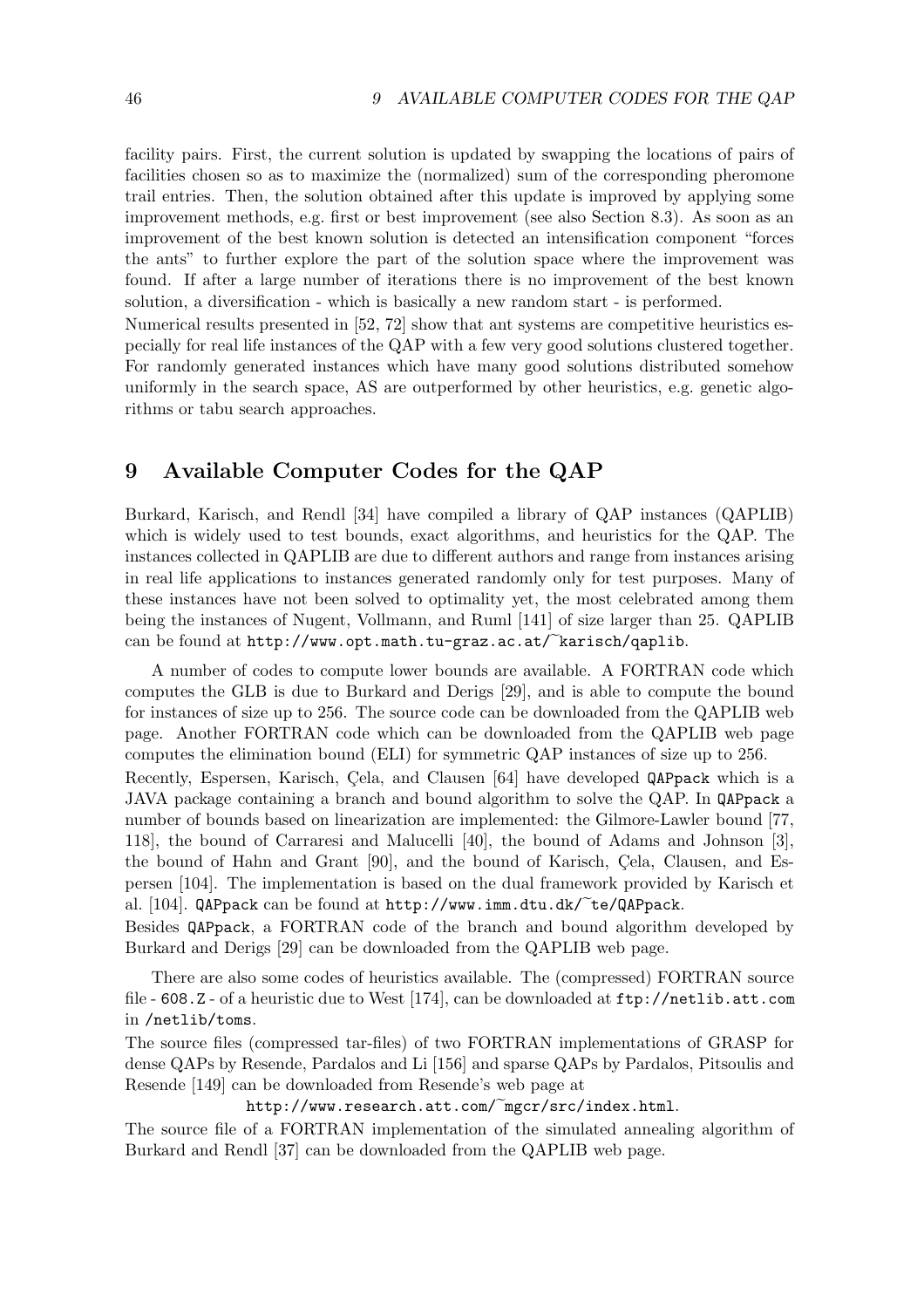facility pairs. First, the current solution is updated by swapping the locations of pairs of facilities chosen so as to maximize the (normalized) sum of the corresponding pheromone trail entries. Then, the solution obtained after this update is improved by applying some improvement methods, e.g. first or best improvement (see also Section 8.3). As soon as an improvement of the best known solution is detected an intensification component "forces the ants" to further explore the part of the solution space where the improvement was found. If after a large number of iterations there is no improvement of the best known solution, a diversification - which is basically a new random start - is performed.

Numerical results presented in [52, 72] show that ant systems are competitive heuristics especially for real life instances of the QAP with a few very good solutions clustered together. For randomly generated instances which have many good solutions distributed somehow uniformly in the search space, AS are outperformed by other heuristics, e.g. genetic algorithms or tabu search approaches.

## 9 Available Computer Codes for the QAP

Burkard, Karisch, and Rendl [34] have compiled a library of QAP instances (QAPLIB) which is widely used to test bounds, exact algorithms, and heuristics for the QAP. The instances collected in QAPLIB are due to different authors and range from instances arising in real life applications to instances generated randomly only for test purposes. Many of these instances have not been solved to optimality yet, the most celebrated among them being the instances of Nugent, Vollmann, and Ruml [141] of size larger than 25. QAPLIB can be found at  $http://www.opt.math.tu-graz.ac.at/"karisch/qaplib.$ 

A number of codes to compute lower bounds are available. A FORTRAN code which computes the GLB is due to Burkard and Derigs [29], and is able to compute the bound for instances of size up to 256. The source code can be downloaded from the QAPLIB web page. Another FORTRAN code which can be downloaded from the QAPLIB web page computes the elimination bound (ELI) for symmetric QAP instances of size up to 256.

Recently, Espersen, Karisch, Cela, and Clausen [64] have developed QAPpack which is a JAVA package containing a branch and bound algorithm to solve the QAP. In QAPpack a number of bounds based on linearization are implemented: the Gilmore-Lawler bound [77, 118], the bound of Carraresi and Malucelli [40], the bound of Adams and Johnson [3], the bound of Hahn and Grant  $[90]$ , and the bound of Karisch, Çela, Clausen, and Espersen [104]. The implementation is based on the dual framework provided by Karisch et al. [104]. QAPpack can be found at  $http://www.imm.dtu.dk/~te/QAPpack.$ 

Besides QAPpack, a FORTRAN code of the branch and bound algorithm developed by Burkard and Derigs [29] can be downloaded from the QAPLIB web page.

There are also some codes of heuristics available. The (compressed) FORTRAN source file - 608.Z - of a heuristic due to West [174], can be downloaded at ftp://netlib.att.com in /netlib/toms.

The source files (compressed tar-files) of two FORTRAN implementations of GRASP for dense QAPs by Resende, Pardalos and Li [156] and sparse QAPs by Pardalos, Pitsoulis and Resende [149] can be downloaded from Resende's web page at

http://www.research.att.com/~mgcr/src/index.html.

The source file of a FORTRAN implementation of the simulated annealing algorithm of Burkard and Rendl [37] can be downloaded from the QAPLIB web page.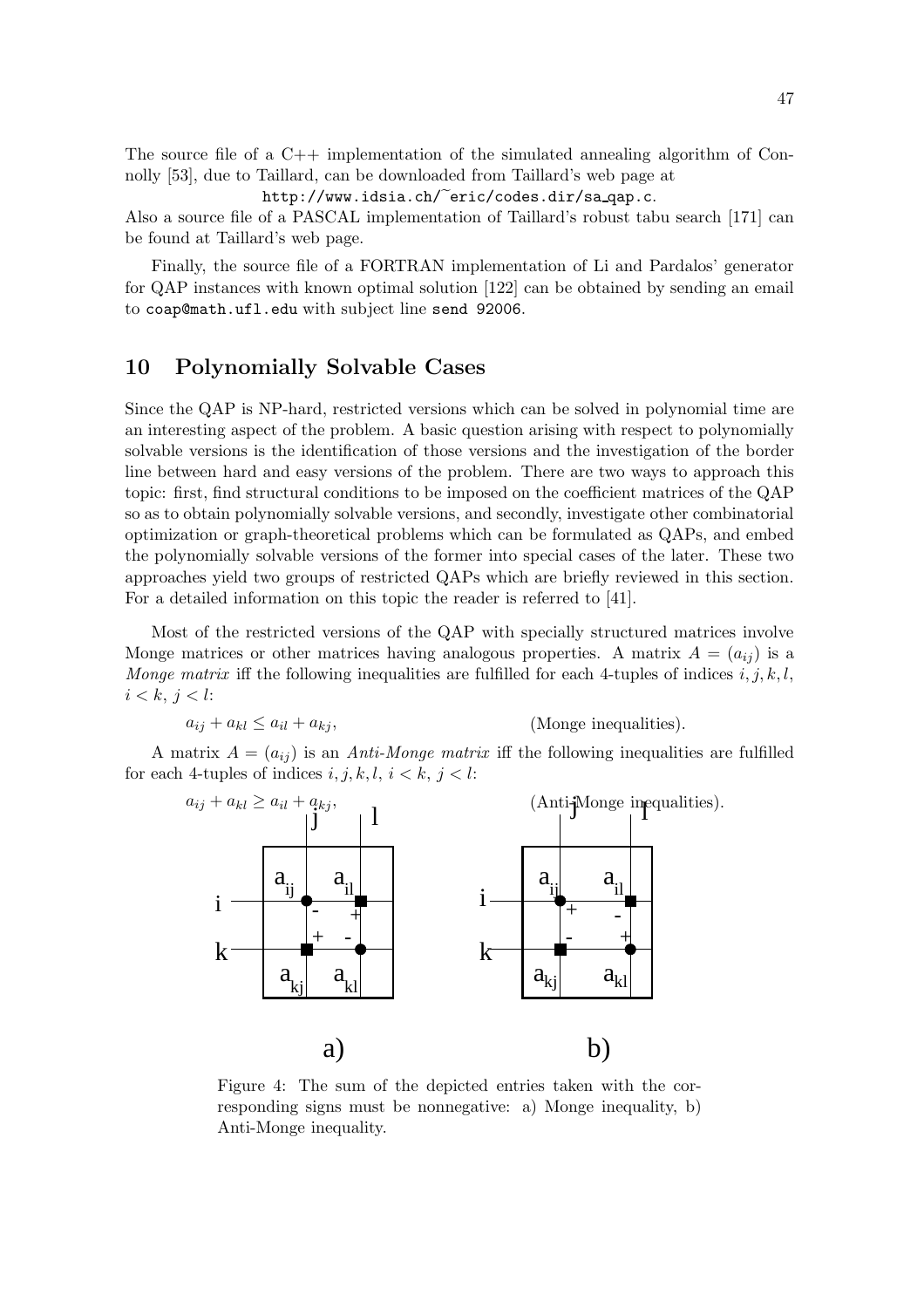The source file of a C++ implementation of the simulated annealing algorithm of Connolly [53], due to Taillard, can be downloaded from Taillard's web page at

http://www.idsia.ch/~eric/codes.dir/sa\_qap.c.

Also a source file of a PASCAL implementation of Taillard's robust tabu search [171] can be found at Taillard's web page.

Finally, the source file of a FORTRAN implementation of Li and Pardalos' generator for QAP instances with known optimal solution [122] can be obtained by sending an email to coap@math.ufl.edu with subject line send 92006.

## 10 Polynomially Solvable Cases

Since the QAP is NP-hard, restricted versions which can be solved in polynomial time are an interesting aspect of the problem. A basic question arising with respect to polynomially solvable versions is the identification of those versions and the investigation of the border line between hard and easy versions of the problem. There are two ways to approach this topic: first, find structural conditions to be imposed on the coefficient matrices of the QAP so as to obtain polynomially solvable versions, and secondly, investigate other combinatorial optimization or graph-theoretical problems which can be formulated as QAPs, and embed the polynomially solvable versions of the former into special cases of the later. These two approaches yield two groups of restricted QAPs which are briefly reviewed in this section. For a detailed information on this topic the reader is referred to [41].

Most of the restricted versions of the QAP with specially structured matrices involve Monge matrices or other matrices having analogous properties. A matrix  $A = (a_{ij})$  is a Monge matrix iff the following inequalities are fulfilled for each 4-tuples of indices  $i, j, k, l$ ,  $i < k, j < l$ :

$$
a_{ij} + a_{kl} \le a_{il} + a_{kj}, \tag{Monge inequalities}.
$$

A matrix  $A = (a_{ij})$  is an *Anti-Monge matrix* iff the following inequalities are fulfilled for each 4-tuples of indices i, j, k, l,  $i < k$ , j < l:



Figure 4: The sum of the depicted entries taken with the corresponding signs must be nonnegative: a) Monge inequality, b) Anti-Monge inequality.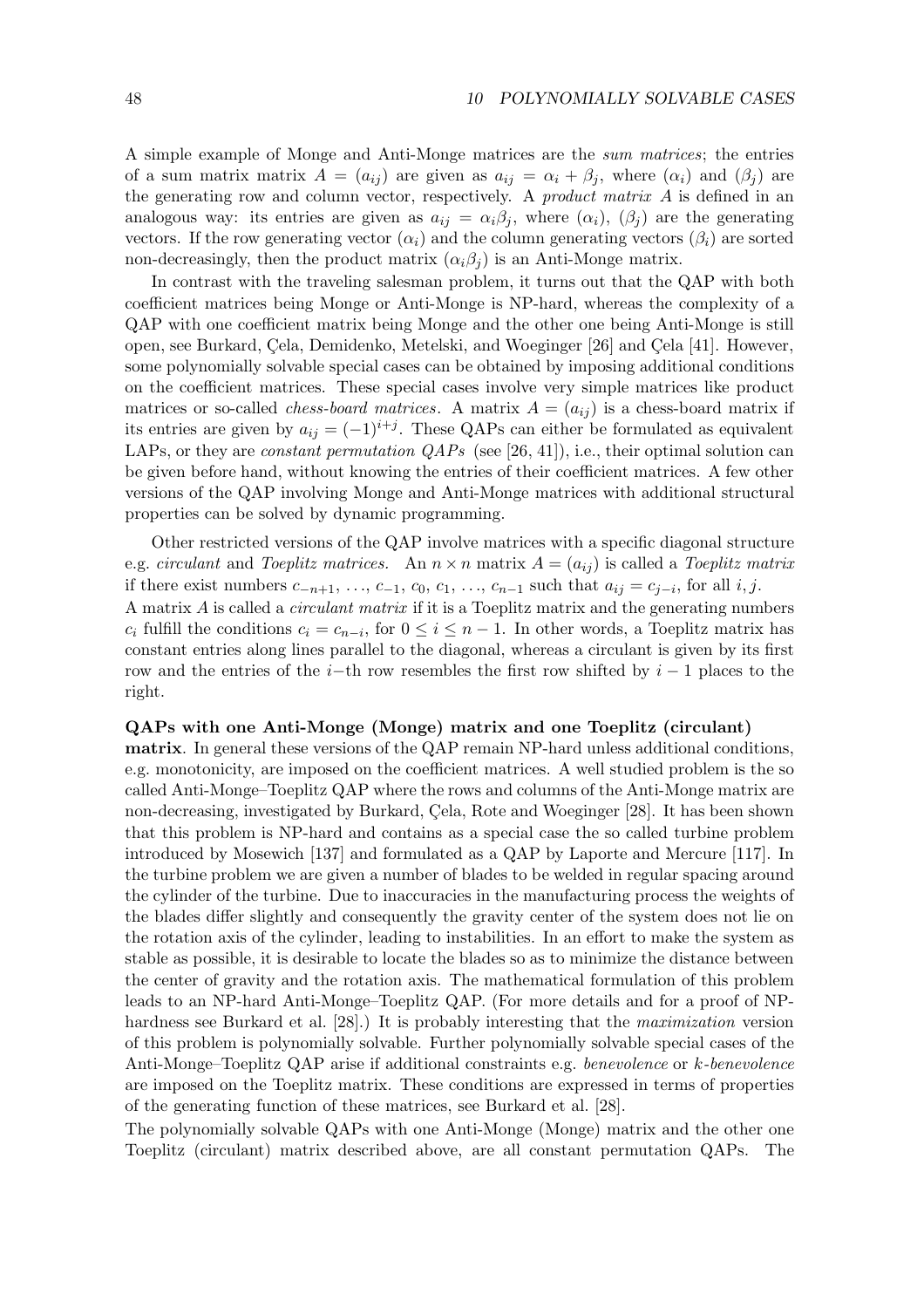A simple example of Monge and Anti-Monge matrices are the sum matrices; the entries of a sum matrix matrix  $A = (a_{ij})$  are given as  $a_{ij} = \alpha_i + \beta_j$ , where  $(\alpha_i)$  and  $(\beta_j)$  are the generating row and column vector, respectively. A *product matrix A* is defined in an analogous way: its entries are given as  $a_{ij} = \alpha_i \beta_j$ , where  $(\alpha_i)$ ,  $(\beta_j)$  are the generating vectors. If the row generating vector  $(\alpha_i)$  and the column generating vectors  $(\beta_i)$  are sorted non-decreasingly, then the product matrix  $(\alpha_i \beta_j)$  is an Anti-Monge matrix.

In contrast with the traveling salesman problem, it turns out that the QAP with both coefficient matrices being Monge or Anti-Monge is NP-hard, whereas the complexity of a QAP with one coefficient matrix being Monge and the other one being Anti-Monge is still open, see Burkard, Çela, Demidenko, Metelski, and Woeginger [26] and Çela [41]. However, some polynomially solvable special cases can be obtained by imposing additional conditions on the coefficient matrices. These special cases involve very simple matrices like product matrices or so-called *chess-board matrices*. A matrix  $A = (a_{ij})$  is a chess-board matrix if its entries are given by  $a_{ij} = (-1)^{i+j}$ . These QAPs can either be formulated as equivalent LAPs, or they are *constant permutation*  $QAPs$  (see [26, 41]), i.e., their optimal solution can be given before hand, without knowing the entries of their coefficient matrices. A few other versions of the QAP involving Monge and Anti-Monge matrices with additional structural properties can be solved by dynamic programming.

Other restricted versions of the QAP involve matrices with a specific diagonal structure e.g. circulant and Toeplitz matrices. An  $n \times n$  matrix  $A = (a_{ij})$  is called a Toeplitz matrix if there exist numbers  $c_{-n+1}, \ldots, c_{-1}, c_0, c_1, \ldots, c_{n-1}$  such that  $a_{ij} = c_{j-i}$ , for all  $i, j$ . A matrix A is called a circulant matrix if it is a Toeplitz matrix and the generating numbers  $c_i$  fulfill the conditions  $c_i = c_{n-i}$ , for  $0 \leq i \leq n-1$ . In other words, a Toeplitz matrix has constant entries along lines parallel to the diagonal, whereas a circulant is given by its first row and the entries of the i–th row resembles the first row shifted by  $i-1$  places to the right.

### QAPs with one Anti-Monge (Monge) matrix and one Toeplitz (circulant)

matrix. In general these versions of the QAP remain NP-hard unless additional conditions, e.g. monotonicity, are imposed on the coefficient matrices. A well studied problem is the so called Anti-Monge–Toeplitz QAP where the rows and columns of the Anti-Monge matrix are non-decreasing, investigated by Burkard, Cela, Rote and Woeginger [28]. It has been shown that this problem is NP-hard and contains as a special case the so called turbine problem introduced by Mosewich [137] and formulated as a QAP by Laporte and Mercure [117]. In the turbine problem we are given a number of blades to be welded in regular spacing around the cylinder of the turbine. Due to inaccuracies in the manufacturing process the weights of the blades differ slightly and consequently the gravity center of the system does not lie on the rotation axis of the cylinder, leading to instabilities. In an effort to make the system as stable as possible, it is desirable to locate the blades so as to minimize the distance between the center of gravity and the rotation axis. The mathematical formulation of this problem leads to an NP-hard Anti-Monge–Toeplitz QAP. (For more details and for a proof of NPhardness see Burkard et al. [28].) It is probably interesting that the *maximization* version of this problem is polynomially solvable. Further polynomially solvable special cases of the Anti-Monge–Toeplitz QAP arise if additional constraints e.g. benevolence or k-benevolence are imposed on the Toeplitz matrix. These conditions are expressed in terms of properties of the generating function of these matrices, see Burkard et al. [28].

The polynomially solvable QAPs with one Anti-Monge (Monge) matrix and the other one Toeplitz (circulant) matrix described above, are all constant permutation QAPs. The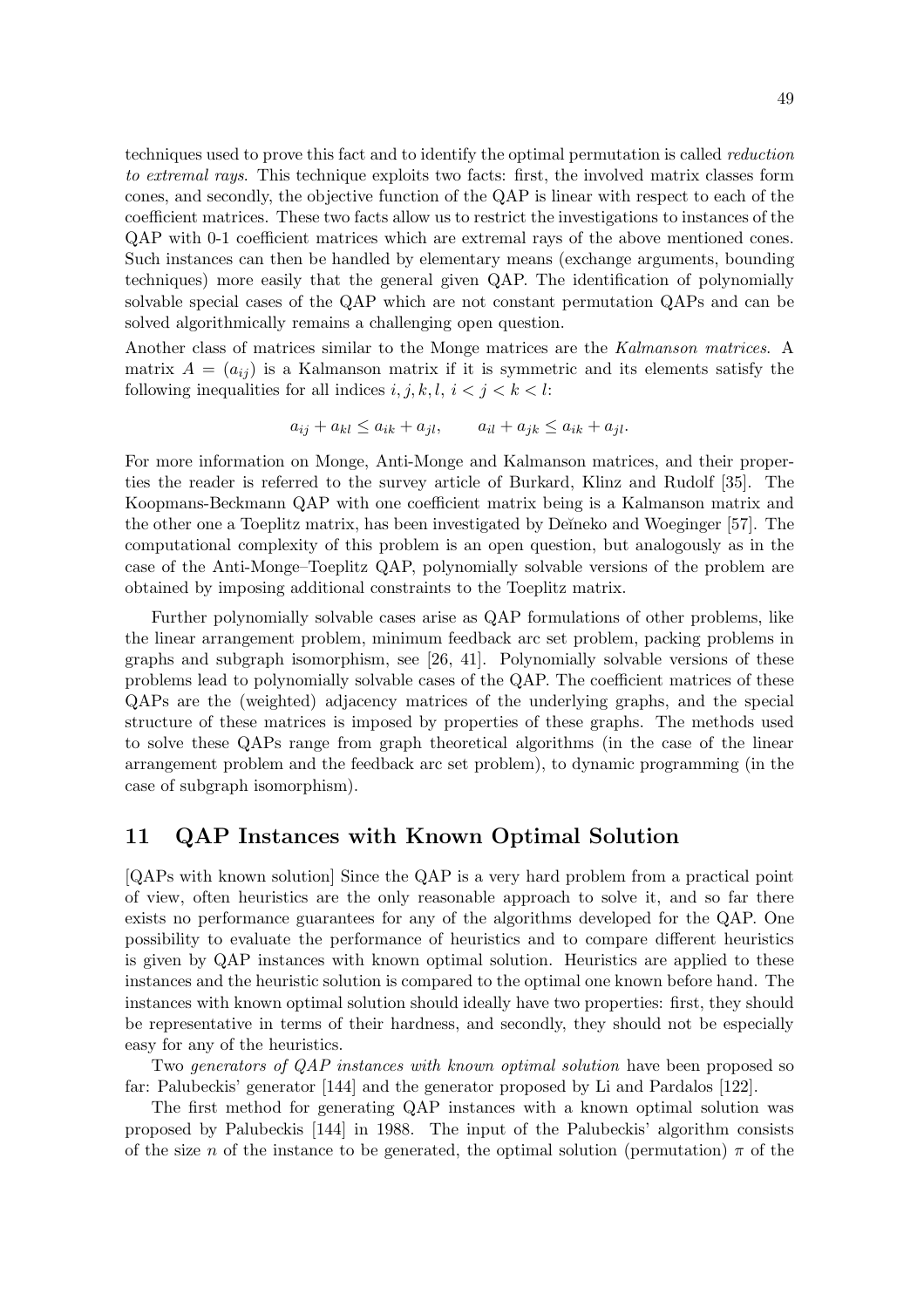techniques used to prove this fact and to identify the optimal permutation is called reduction to extremal rays. This technique exploits two facts: first, the involved matrix classes form cones, and secondly, the objective function of the QAP is linear with respect to each of the coefficient matrices. These two facts allow us to restrict the investigations to instances of the QAP with 0-1 coefficient matrices which are extremal rays of the above mentioned cones. Such instances can then be handled by elementary means (exchange arguments, bounding techniques) more easily that the general given QAP. The identification of polynomially solvable special cases of the QAP which are not constant permutation QAPs and can be solved algorithmically remains a challenging open question.

Another class of matrices similar to the Monge matrices are the Kalmanson matrices. A matrix  $A = (a_{ij})$  is a Kalmanson matrix if it is symmetric and its elements satisfy the following inequalities for all indices  $i, j, k, l, i < j < k < l$ :

$$
a_{ij} + a_{kl} \le a_{ik} + a_{jl}, \qquad a_{il} + a_{jk} \le a_{ik} + a_{jl}.
$$

For more information on Monge, Anti-Monge and Kalmanson matrices, and their properties the reader is referred to the survey article of Burkard, Klinz and Rudolf [35]. The Koopmans-Beckmann QAP with one coefficient matrix being is a Kalmanson matrix and the other one a Toeplitz matrix, has been investigated by De˘ıneko and Woeginger [57]. The computational complexity of this problem is an open question, but analogously as in the case of the Anti-Monge–Toeplitz QAP, polynomially solvable versions of the problem are obtained by imposing additional constraints to the Toeplitz matrix.

Further polynomially solvable cases arise as QAP formulations of other problems, like the linear arrangement problem, minimum feedback arc set problem, packing problems in graphs and subgraph isomorphism, see [26, 41]. Polynomially solvable versions of these problems lead to polynomially solvable cases of the QAP. The coefficient matrices of these QAPs are the (weighted) adjacency matrices of the underlying graphs, and the special structure of these matrices is imposed by properties of these graphs. The methods used to solve these QAPs range from graph theoretical algorithms (in the case of the linear arrangement problem and the feedback arc set problem), to dynamic programming (in the case of subgraph isomorphism).

## 11 QAP Instances with Known Optimal Solution

[QAPs with known solution] Since the QAP is a very hard problem from a practical point of view, often heuristics are the only reasonable approach to solve it, and so far there exists no performance guarantees for any of the algorithms developed for the QAP. One possibility to evaluate the performance of heuristics and to compare different heuristics is given by QAP instances with known optimal solution. Heuristics are applied to these instances and the heuristic solution is compared to the optimal one known before hand. The instances with known optimal solution should ideally have two properties: first, they should be representative in terms of their hardness, and secondly, they should not be especially easy for any of the heuristics.

Two generators of QAP instances with known optimal solution have been proposed so far: Palubeckis' generator [144] and the generator proposed by Li and Pardalos [122].

The first method for generating QAP instances with a known optimal solution was proposed by Palubeckis [144] in 1988. The input of the Palubeckis' algorithm consists of the size n of the instance to be generated, the optimal solution (permutation)  $\pi$  of the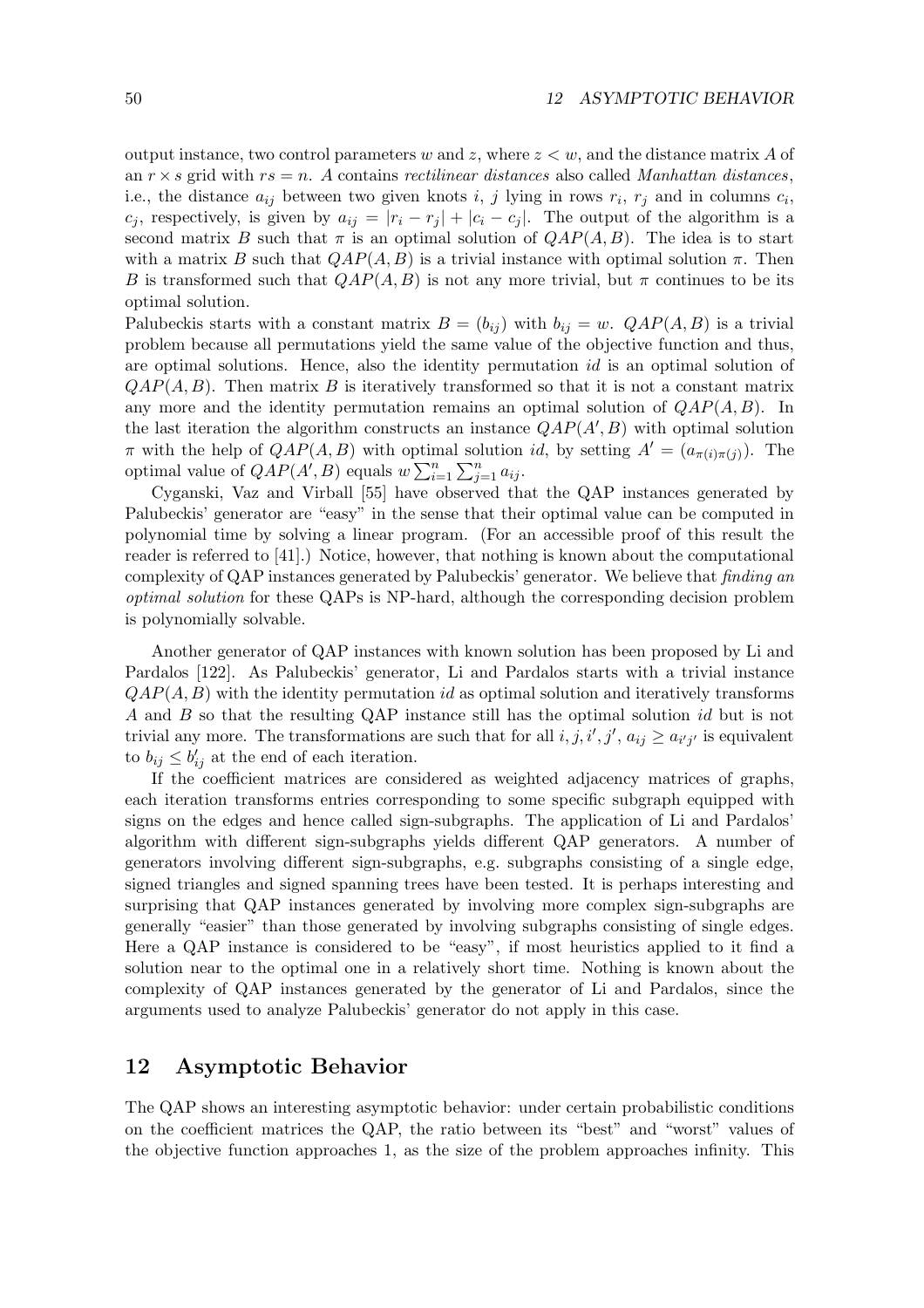output instance, two control parameters w and z, where  $z < w$ , and the distance matrix A of an  $r \times s$  grid with  $rs = n$ . A contains rectilinear distances also called Manhattan distances, i.e., the distance  $a_{ij}$  between two given knots i, j lying in rows  $r_i$ ,  $r_j$  and in columns  $c_i$ , c<sub>j</sub>, respectively, is given by  $a_{ij} = |r_i - r_j| + |c_i - c_j|$ . The output of the algorithm is a second matrix B such that  $\pi$  is an optimal solution of  $QAP(A, B)$ . The idea is to start with a matrix B such that  $QAP(A, B)$  is a trivial instance with optimal solution  $\pi$ . Then B is transformed such that  $QAP(A, B)$  is not any more trivial, but  $\pi$  continues to be its optimal solution.

Palubeckis starts with a constant matrix  $B = (b_{ij})$  with  $b_{ij} = w$ .  $QAP(A, B)$  is a trivial problem because all permutations yield the same value of the objective function and thus, are optimal solutions. Hence, also the identity permutation id is an optimal solution of  $QAP(A, B)$ . Then matrix B is iteratively transformed so that it is not a constant matrix any more and the identity permutation remains an optimal solution of  $QAP(A, B)$ . In the last iteration the algorithm constructs an instance  $QAP(A', B)$  with optimal solution  $\pi$  with the help of  $QAP(A, B)$  with optimal solution id, by setting  $A' = (a_{\pi(i)\pi(j)})$ . The optimal value of  $QAP(A', B)$  equals  $w \sum_{i=1}^{n} \sum_{j=1}^{n} a_{ij}$ .

Cyganski, Vaz and Virball [55] have observed that the QAP instances generated by Palubeckis' generator are "easy" in the sense that their optimal value can be computed in polynomial time by solving a linear program. (For an accessible proof of this result the reader is referred to [41].) Notice, however, that nothing is known about the computational complexity of QAP instances generated by Palubeckis' generator. We believe that finding an optimal solution for these QAPs is NP-hard, although the corresponding decision problem is polynomially solvable.

Another generator of QAP instances with known solution has been proposed by Li and Pardalos [122]. As Palubeckis' generator, Li and Pardalos starts with a trivial instance  $QAP(A, B)$  with the identity permutation id as optimal solution and iteratively transforms A and B so that the resulting QAP instance still has the optimal solution id but is not trivial any more. The transformations are such that for all  $i, j, i', j', a_{ij} \ge a_{i'j'}$  is equivalent to  $b_{ij} \leq b'_{ij}$  at the end of each iteration.

If the coefficient matrices are considered as weighted adjacency matrices of graphs, each iteration transforms entries corresponding to some specific subgraph equipped with signs on the edges and hence called sign-subgraphs. The application of Li and Pardalos' algorithm with different sign-subgraphs yields different QAP generators. A number of generators involving different sign-subgraphs, e.g. subgraphs consisting of a single edge, signed triangles and signed spanning trees have been tested. It is perhaps interesting and surprising that QAP instances generated by involving more complex sign-subgraphs are generally "easier" than those generated by involving subgraphs consisting of single edges. Here a QAP instance is considered to be "easy", if most heuristics applied to it find a solution near to the optimal one in a relatively short time. Nothing is known about the complexity of QAP instances generated by the generator of Li and Pardalos, since the arguments used to analyze Palubeckis' generator do not apply in this case.

## 12 Asymptotic Behavior

The QAP shows an interesting asymptotic behavior: under certain probabilistic conditions on the coefficient matrices the QAP, the ratio between its "best" and "worst" values of the objective function approaches 1, as the size of the problem approaches infinity. This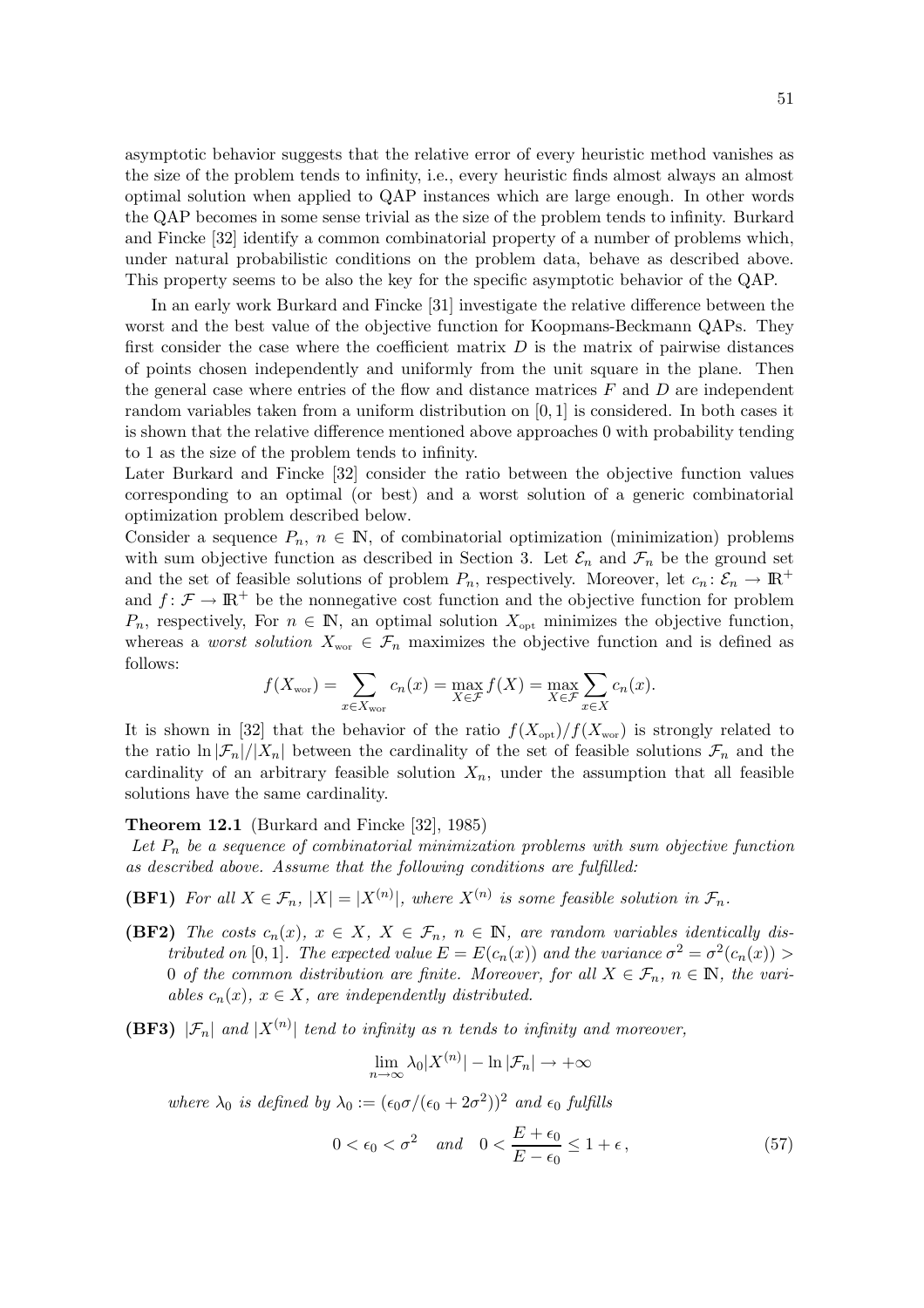asymptotic behavior suggests that the relative error of every heuristic method vanishes as the size of the problem tends to infinity, i.e., every heuristic finds almost always an almost optimal solution when applied to QAP instances which are large enough. In other words the QAP becomes in some sense trivial as the size of the problem tends to infinity. Burkard and Fincke [32] identify a common combinatorial property of a number of problems which, under natural probabilistic conditions on the problem data, behave as described above. This property seems to be also the key for the specific asymptotic behavior of the QAP.

In an early work Burkard and Fincke [31] investigate the relative difference between the worst and the best value of the objective function for Koopmans-Beckmann QAPs. They first consider the case where the coefficient matrix  $D$  is the matrix of pairwise distances of points chosen independently and uniformly from the unit square in the plane. Then the general case where entries of the flow and distance matrices  $F$  and  $D$  are independent random variables taken from a uniform distribution on [0, 1] is considered. In both cases it is shown that the relative difference mentioned above approaches 0 with probability tending to 1 as the size of the problem tends to infinity.

Later Burkard and Fincke [32] consider the ratio between the objective function values corresponding to an optimal (or best) and a worst solution of a generic combinatorial optimization problem described below.

Consider a sequence  $P_n$ ,  $n \in \mathbb{N}$ , of combinatorial optimization (minimization) problems with sum objective function as described in Section 3. Let  $\mathcal{E}_n$  and  $\mathcal{F}_n$  be the ground set and the set of feasible solutions of problem  $P_n$ , respectively. Moreover, let  $c_n: \mathcal{E}_n \to \mathbb{R}^+$ and  $f: \mathcal{F} \to \mathbb{R}^+$  be the nonnegative cost function and the objective function for problem  $P_n$ , respectively, For  $n \in \mathbb{N}$ , an optimal solution  $X_{\text{opt}}$  minimizes the objective function, whereas a worst solution  $X_{\text{wor}} \in \mathcal{F}_n$  maximizes the objective function and is defined as follows:

$$
f(X_{\text{wor}}) = \sum_{x \in X_{\text{wor}}} c_n(x) = \max_{X \in \mathcal{F}} f(X) = \max_{X \in \mathcal{F}} \sum_{x \in X} c_n(x).
$$

It is shown in [32] that the behavior of the ratio  $f(X_{\text{opt}})/f(X_{\text{wor}})$  is strongly related to the ratio  $\ln |\mathcal{F}_n|/|X_n|$  between the cardinality of the set of feasible solutions  $\mathcal{F}_n$  and the cardinality of an arbitrary feasible solution  $X_n$ , under the assumption that all feasible solutions have the same cardinality.

## Theorem 12.1 (Burkard and Fincke [32], 1985)

Let  $P_n$  be a sequence of combinatorial minimization problems with sum objective function as described above. Assume that the following conditions are fulfilled:

- **(BF1)** For all  $X \in \mathcal{F}_n$ ,  $|X| = |X^{(n)}|$ , where  $X^{(n)}$  is some feasible solution in  $\mathcal{F}_n$ .
- (BF2) The costs  $c_n(x)$ ,  $x \in X$ ,  $X \in \mathcal{F}_n$ ,  $n \in \mathbb{N}$ , are random variables identically distributed on [0,1]. The expected value  $E = E(c_n(x))$  and the variance  $\sigma^2 = \sigma^2(c_n(x)) >$ 0 of the common distribution are finite. Moreover, for all  $X \in \mathcal{F}_n$ ,  $n \in \mathbb{N}$ , the variables  $c_n(x)$ ,  $x \in X$ , are independently distributed.
- **(BF3)**  $|\mathcal{F}_n|$  and  $|X^{(n)}|$  tend to infinity as n tends to infinity and moreover,

$$
\lim_{n \to \infty} \lambda_0 |X^{(n)}| - \ln |\mathcal{F}_n| \to +\infty
$$

where  $\lambda_0$  is defined by  $\lambda_0 := (\epsilon_0 \sigma / (\epsilon_0 + 2\sigma^2))^2$  and  $\epsilon_0$  fulfills

$$
0 < \epsilon_0 < \sigma^2 \quad and \quad 0 < \frac{E + \epsilon_0}{E - \epsilon_0} \le 1 + \epsilon \,, \tag{57}
$$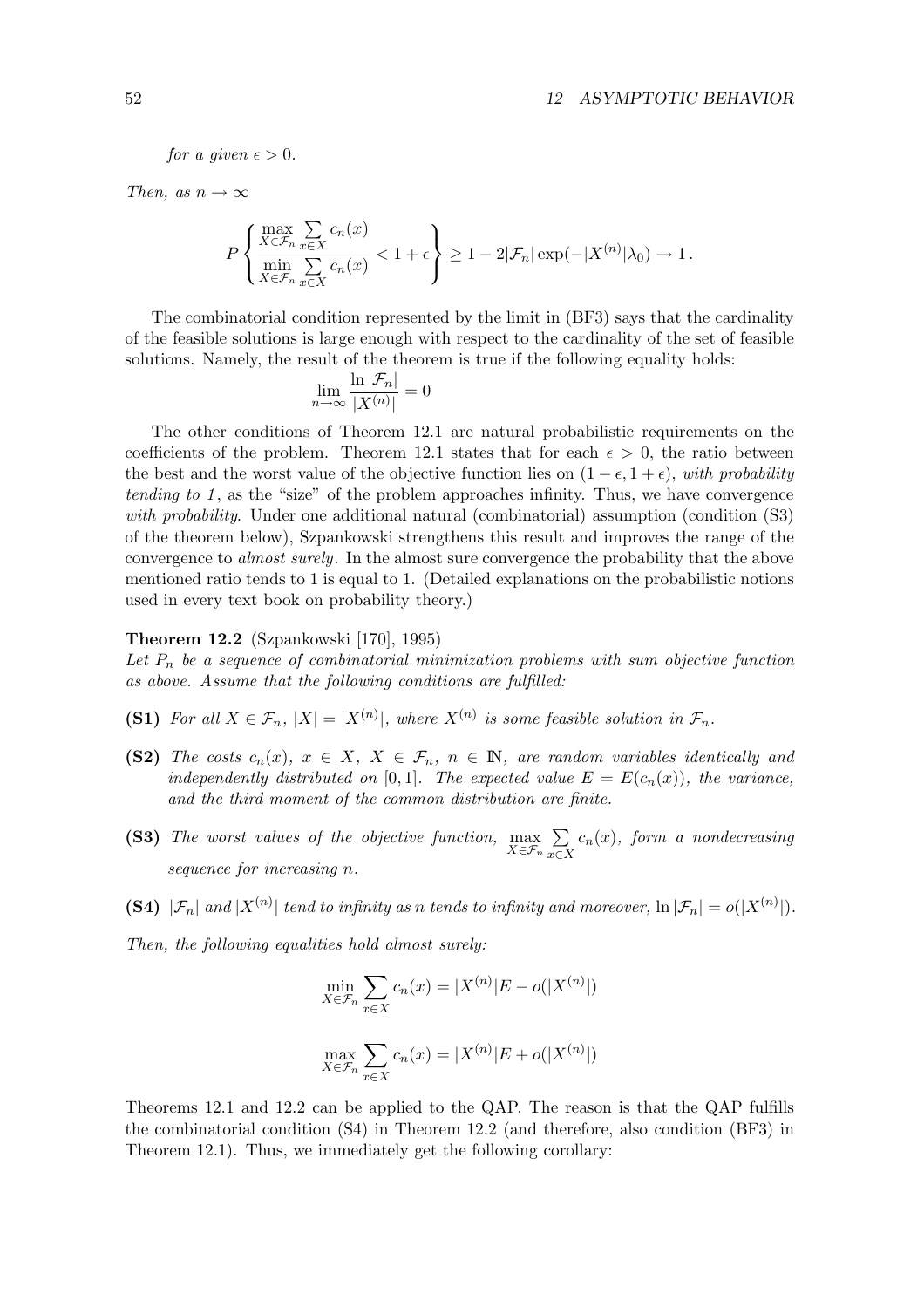for a given  $\epsilon > 0$ .

Then, as  $n \to \infty$ 

$$
P\left\{\frac{\max\limits_{X\in\mathcal{F}_n}\sum\limits_{x\in X}c_n(x)}{\min\limits_{X\in\mathcal{F}_n}\sum\limits_{x\in X}c_n(x)} < 1+\epsilon\right\} \geq 1-2|\mathcal{F}_n|\exp(-|X^{(n)}|\lambda_0) \to 1.
$$

The combinatorial condition represented by the limit in (BF3) says that the cardinality of the feasible solutions is large enough with respect to the cardinality of the set of feasible solutions. Namely, the result of the theorem is true if the following equality holds:

$$
\lim_{n \to \infty} \frac{\ln |\mathcal{F}_n|}{|X^{(n)}|} = 0
$$

The other conditions of Theorem 12.1 are natural probabilistic requirements on the coefficients of the problem. Theorem 12.1 states that for each  $\epsilon > 0$ , the ratio between the best and the worst value of the objective function lies on  $(1 - \epsilon, 1 + \epsilon)$ , with probability tending to 1, as the "size" of the problem approaches infinity. Thus, we have convergence with probability. Under one additional natural (combinatorial) assumption (condition (S3) of the theorem below), Szpankowski strengthens this result and improves the range of the convergence to almost surely. In the almost sure convergence the probability that the above mentioned ratio tends to 1 is equal to 1. (Detailed explanations on the probabilistic notions used in every text book on probability theory.)

#### Theorem 12.2 (Szpankowski [170], 1995)

Let  $P_n$  be a sequence of combinatorial minimization problems with sum objective function as above. Assume that the following conditions are fulfilled:

- (S1) For all  $X \in \mathcal{F}_n$ ,  $|X| = |X^{(n)}|$ , where  $X^{(n)}$  is some feasible solution in  $\mathcal{F}_n$ .
- (S2) The costs  $c_n(x)$ ,  $x \in X$ ,  $X \in \mathcal{F}_n$ ,  $n \in \mathbb{N}$ , are random variables identically and independently distributed on [0, 1]. The expected value  $E = E(c_n(x))$ , the variance, and the third moment of the common distribution are finite.
- **(S3)** The worst values of the objective function,  $\max_{X \in \mathcal{F}_n}$  $\sum$ x∈X  $c_n(x)$ , form a nondecreasing sequence for increasing n.
- (S4)  $|\mathcal{F}_n|$  and  $|X^{(n)}|$  tend to infinity as n tends to infinity and moreover,  $\ln |\mathcal{F}_n| = o(|X^{(n)}|)$ .

Then, the following equalities hold almost surely:

$$
\min_{X \in \mathcal{F}_n} \sum_{x \in X} c_n(x) = |X^{(n)}|E - o(|X^{(n)}|)
$$

$$
\max_{X \in \mathcal{F}_n} \sum_{x \in X} c_n(x) = |X^{(n)}|E + o(|X^{(n)}|)
$$

Theorems 12.1 and 12.2 can be applied to the QAP. The reason is that the QAP fulfills the combinatorial condition (S4) in Theorem 12.2 (and therefore, also condition (BF3) in Theorem 12.1). Thus, we immediately get the following corollary: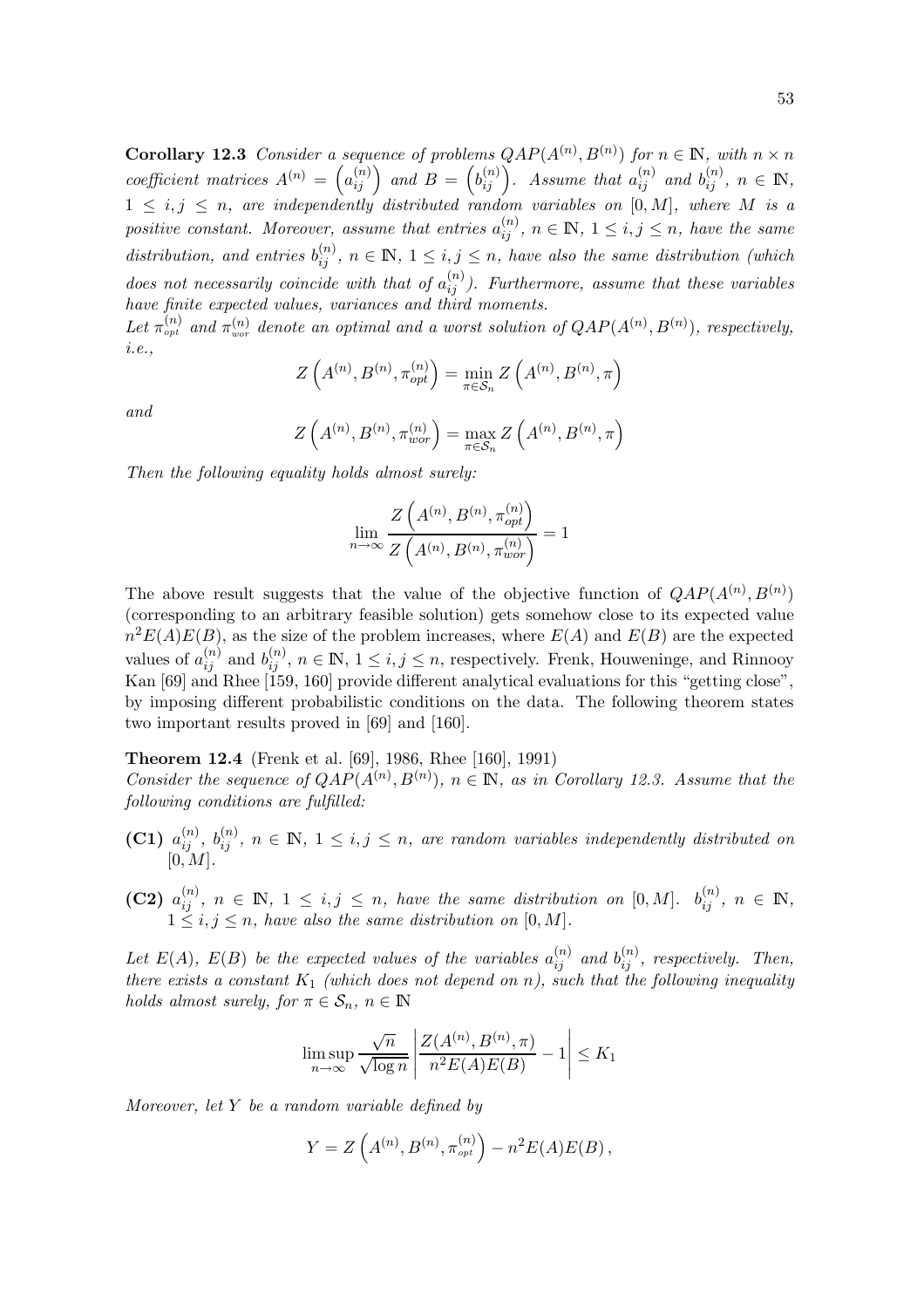**Corollary 12.3** Consider a sequence of problems  $QAP(A^{(n)}, B^{(n)})$  for  $n \in \mathbb{N}$ , with  $n \times n$ coefficient matrices  $A^{(n)} = \left(a_{ij}^{(n)}\right)$  and  $B = \left(b_{ij}^{(n)}\right)$ . Assume that  $a_{ij}^{(n)}$  and  $b_{ij}^{(n)}$ ,  $n \in \mathbb{N}$ ,  $1 \leq i,j \leq n$ , are independently distributed random variables on  $[0,M]$ , where M is a positive constant. Moreover, assume that entries  $a_{ij}^{(n)}$ ,  $n \in \mathbb{N}$ ,  $1 \le i, j \le n$ , have the same distribution, and entries  $b_{ij}^{(n)}$ ,  $n \in \mathbb{N}$ ,  $1 \leq i, j \leq n$ , have also the same distribution (which does not necessarily coincide with that of  $a_{ij}^{(n)}$ ). Furthermore, assume that these variables have finite expected values, variances and third moments.

Let  $\pi_{opt}^{(n)}$  and  $\pi_{wor}^{(n)}$  denote an optimal and a worst solution of  $QAP(A^{(n)}, B^{(n)})$ , respectively, i.e.,

$$
Z\left(A^{(n)},B^{(n)},\pi_{opt}^{(n)}\right)=\min_{\pi\in\mathcal{S}_n}Z\left(A^{(n)},B^{(n)},\pi\right)
$$

and

$$
Z\left(A^{(n)},B^{(n)},\pi_{wor}^{(n)}\right)=\max_{\pi\in\mathcal{S}_n}Z\left(A^{(n)},B^{(n)},\pi\right)
$$

Then the following equality holds almost surely:

$$
\lim_{n \to \infty} \frac{Z\left(A^{(n)}, B^{(n)}, \pi_{opt}^{(n)}\right)}{Z\left(A^{(n)}, B^{(n)}, \pi_{wor}^{(n)}\right)} = 1
$$

The above result suggests that the value of the objective function of  $QAP(A^{(n)}, B^{(n)})$ (corresponding to an arbitrary feasible solution) gets somehow close to its expected value  $n^2E(A)E(B)$ , as the size of the problem increases, where  $E(A)$  and  $E(B)$  are the expected values of  $a_{ij}^{(n)}$  and  $b_{ij}^{(n)}$ ,  $n \in \mathbb{N}$ ,  $1 \le i, j \le n$ , respectively. Frenk, Houweninge, and Rinnooy Kan [69] and Rhee [159, 160] provide different analytical evaluations for this "getting close", by imposing different probabilistic conditions on the data. The following theorem states two important results proved in [69] and [160].

## Theorem 12.4 (Frenk et al. [69], 1986, Rhee [160], 1991)

Consider the sequence of  $QAP(A^{(n)}, B^{(n)})$ ,  $n \in \mathbb{N}$ , as in Corollary 12.3. Assume that the following conditions are fulfilled:

- (C1)  $a_{ij}^{(n)}$ ,  $b_{ij}^{(n)}$ ,  $n \in \mathbb{N}$ ,  $1 \le i, j \le n$ , are random variables independently distributed on  $[0, M].$
- (C2)  $a_{ij}^{(n)}$ ,  $n \in \mathbb{N}$ ,  $1 \leq i, j \leq n$ , have the same distribution on  $[0, M]$ .  $b_{ij}^{(n)}$ ,  $n \in \mathbb{N}$ ,  $1 \leq i, j \leq n$ , have also the same distribution on  $[0, M]$ .

Let  $E(A)$ ,  $E(B)$  be the expected values of the variables  $a_{ij}^{(n)}$  and  $b_{ij}^{(n)}$ , respectively. Then, there exists a constant  $K_1$  (which does not depend on n), such that the following inequality holds almost surely, for  $\pi \in \mathcal{S}_n$ ,  $n \in \mathbb{N}$ 

$$
\limsup_{n \to \infty} \frac{\sqrt{n}}{\sqrt{\log n}} \left| \frac{Z(A^{(n)}, B^{(n)}, \pi)}{n^2 E(A) E(B)} - 1 \right| \le K_1
$$

Moreover, let  $Y$  be a random variable defined by

$$
Y = Z\left(A^{(n)}, B^{(n)}, \pi_{opt}^{(n)}\right) - n^2 E(A) E(B),
$$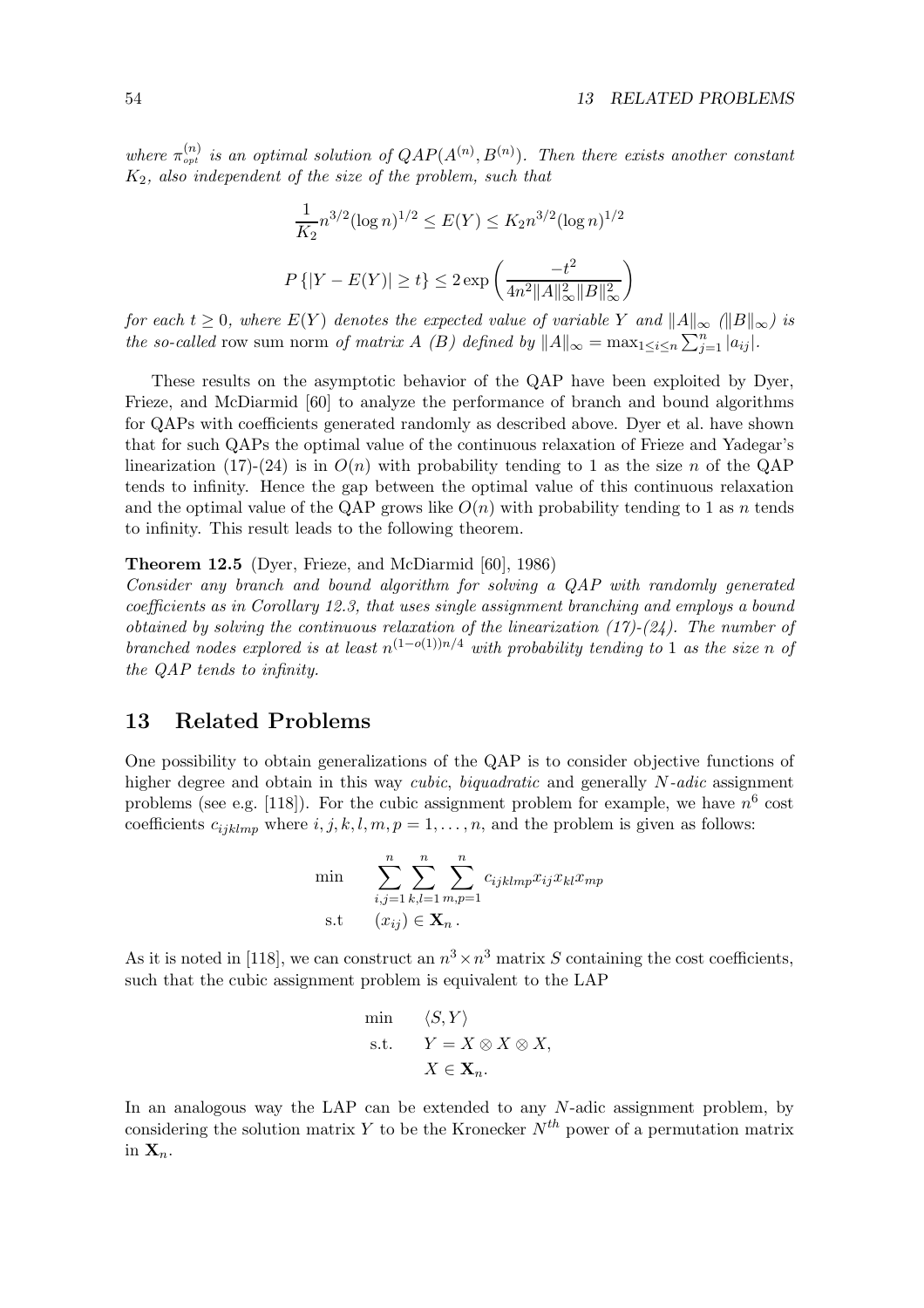where  $\pi_{opt}^{(n)}$  is an optimal solution of  $QAP(A^{(n)}, B^{(n)})$ . Then there exists another constant  $K_2$ , also independent of the size of the problem, such that

$$
\frac{1}{K_2} n^{3/2} (\log n)^{1/2} \le E(Y) \le K_2 n^{3/2} (\log n)^{1/2}
$$
  

$$
P\{|Y - E(Y)| \ge t\} \le 2 \exp\left(\frac{-t^2}{4n^2 \|A\|_{\infty}^2 \|B\|_{\infty}^2}\right)
$$

for each  $t \geq 0$ , where  $E(Y)$  denotes the expected value of variable Y and  $||A||_{\infty}$  ( $||B||_{\infty}$ ) is the so-called row sum norm of matrix A (B) defined by  $||A||_{\infty} = \max_{1 \leq i \leq n} \sum_{j=1}^{n} |a_{ij}|$ .

These results on the asymptotic behavior of the QAP have been exploited by Dyer, Frieze, and McDiarmid [60] to analyze the performance of branch and bound algorithms for QAPs with coefficients generated randomly as described above. Dyer et al. have shown that for such QAPs the optimal value of the continuous relaxation of Frieze and Yadegar's linearization (17)-(24) is in  $O(n)$  with probability tending to 1 as the size n of the QAP tends to infinity. Hence the gap between the optimal value of this continuous relaxation and the optimal value of the QAP grows like  $O(n)$  with probability tending to 1 as n tends to infinity. This result leads to the following theorem.

Theorem 12.5 (Dyer, Frieze, and McDiarmid [60], 1986)

Consider any branch and bound algorithm for solving a QAP with randomly generated coefficients as in Corollary 12.3, that uses single assignment branching and employs a bound obtained by solving the continuous relaxation of the linearization  $(17)-(24)$ . The number of branched nodes explored is at least  $n^{(1-o(1))n/4}$  with probability tending to 1 as the size n of the QAP tends to infinity.

## 13 Related Problems

One possibility to obtain generalizations of the QAP is to consider objective functions of higher degree and obtain in this way *cubic*, *biquadratic* and generally  $N$ -adic assignment problems (see e.g. [118]). For the cubic assignment problem for example, we have  $n^6$  cost coefficients  $c_{ijklmp}$  where  $i, j, k, l, m, p = 1, \ldots, n$ , and the problem is given as follows:

$$
\min \qquad \sum_{i,j=1}^{n} \sum_{k,l=1}^{n} \sum_{m,p=1}^{n} c_{ijklmp} x_{ij} x_{kl} x_{mp}
$$
\n
$$
\text{s.t} \qquad (x_{ij}) \in \mathbf{X}_n \, .
$$

As it is noted in [118], we can construct an  $n^3 \times n^3$  matrix S containing the cost coefficients, such that the cubic assignment problem is equivalent to the LAP

min 
$$
\langle S, Y \rangle
$$
  
s.t.  $Y = X \otimes X \otimes X$ ,  
 $X \in \mathbf{X}_n$ .

In an analogous way the LAP can be extended to any  $N$ -adic assignment problem, by considering the solution matrix Y to be the Kronecker  $N^{th}$  power of a permutation matrix in  $X_n$ .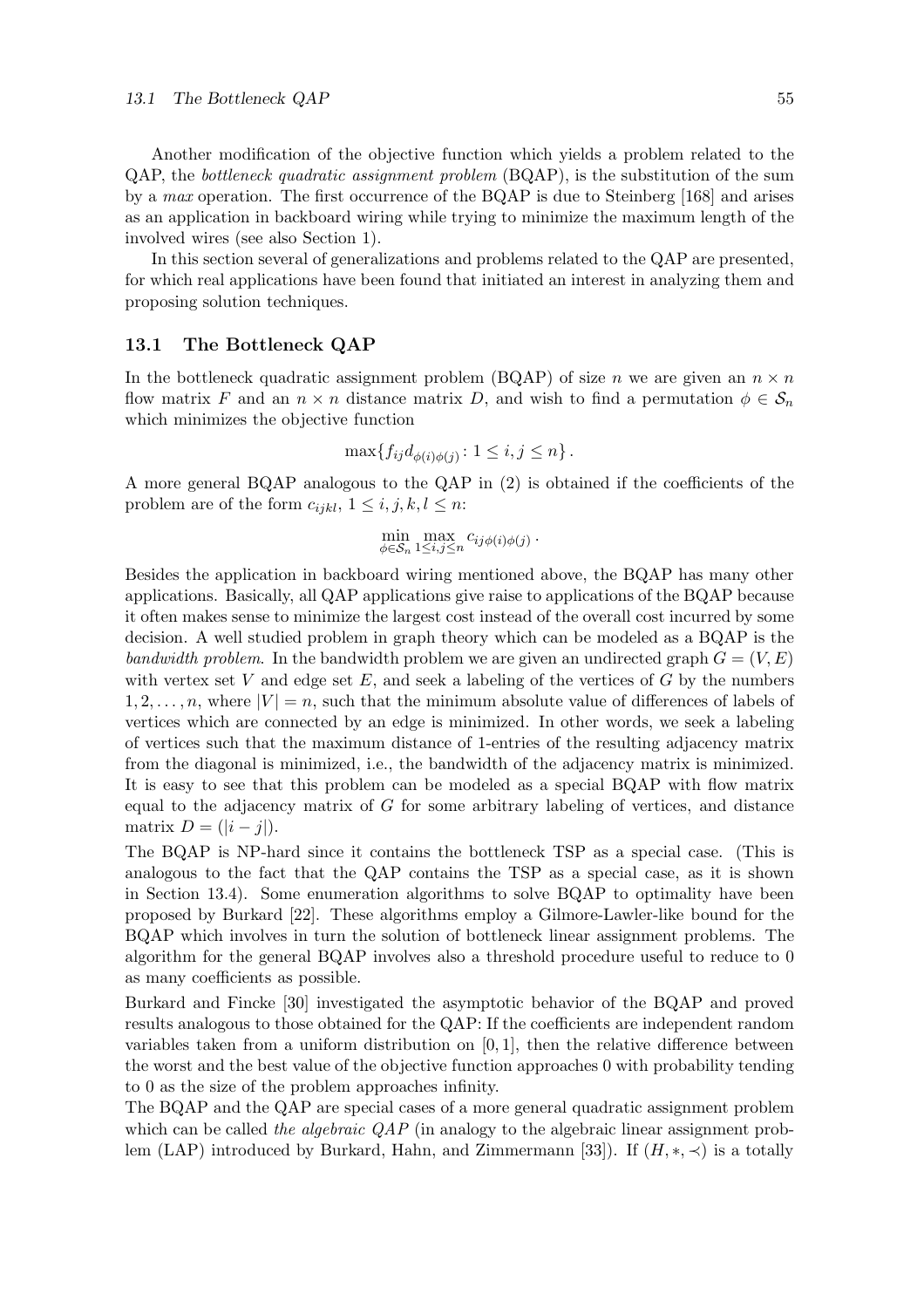Another modification of the objective function which yields a problem related to the QAP, the bottleneck quadratic assignment problem (BQAP), is the substitution of the sum by a max operation. The first occurrence of the BQAP is due to Steinberg [168] and arises as an application in backboard wiring while trying to minimize the maximum length of the involved wires (see also Section 1).

In this section several of generalizations and problems related to the QAP are presented, for which real applications have been found that initiated an interest in analyzing them and proposing solution techniques.

## 13.1 The Bottleneck QAP

In the bottleneck quadratic assignment problem (BQAP) of size n we are given an  $n \times n$ flow matrix F and an  $n \times n$  distance matrix D, and wish to find a permutation  $\phi \in \mathcal{S}_n$ which minimizes the objective function

$$
\max\{f_{ij}d_{\phi(i)\phi(j)}\colon 1\leq i,j\leq n\}.
$$

A more general BQAP analogous to the QAP in (2) is obtained if the coefficients of the problem are of the form  $c_{ijkl}$ ,  $1 \leq i, j, k, l \leq n$ :

$$
\min_{\phi \in \mathcal{S}_n} \max_{1 \le i,j \le n} c_{ij\phi(i)\phi(j)}.
$$

Besides the application in backboard wiring mentioned above, the BQAP has many other applications. Basically, all QAP applications give raise to applications of the BQAP because it often makes sense to minimize the largest cost instead of the overall cost incurred by some decision. A well studied problem in graph theory which can be modeled as a BQAP is the bandwidth problem. In the bandwidth problem we are given an undirected graph  $G = (V, E)$ with vertex set V and edge set  $E$ , and seek a labeling of the vertices of G by the numbers  $1, 2, \ldots, n$ , where  $|V| = n$ , such that the minimum absolute value of differences of labels of vertices which are connected by an edge is minimized. In other words, we seek a labeling of vertices such that the maximum distance of 1-entries of the resulting adjacency matrix from the diagonal is minimized, i.e., the bandwidth of the adjacency matrix is minimized. It is easy to see that this problem can be modeled as a special BQAP with flow matrix equal to the adjacency matrix of  $G$  for some arbitrary labeling of vertices, and distance matrix  $D = (|i - j|).$ 

The BQAP is NP-hard since it contains the bottleneck TSP as a special case. (This is analogous to the fact that the QAP contains the TSP as a special case, as it is shown in Section 13.4). Some enumeration algorithms to solve BQAP to optimality have been proposed by Burkard [22]. These algorithms employ a Gilmore-Lawler-like bound for the BQAP which involves in turn the solution of bottleneck linear assignment problems. The algorithm for the general BQAP involves also a threshold procedure useful to reduce to 0 as many coefficients as possible.

Burkard and Fincke [30] investigated the asymptotic behavior of the BQAP and proved results analogous to those obtained for the QAP: If the coefficients are independent random variables taken from a uniform distribution on  $[0, 1]$ , then the relative difference between the worst and the best value of the objective function approaches 0 with probability tending to 0 as the size of the problem approaches infinity.

The BQAP and the QAP are special cases of a more general quadratic assignment problem which can be called the algebraic  $QAP$  (in analogy to the algebraic linear assignment problem (LAP) introduced by Burkard, Hahn, and Zimmermann [33]). If  $(H, *, \prec)$  is a totally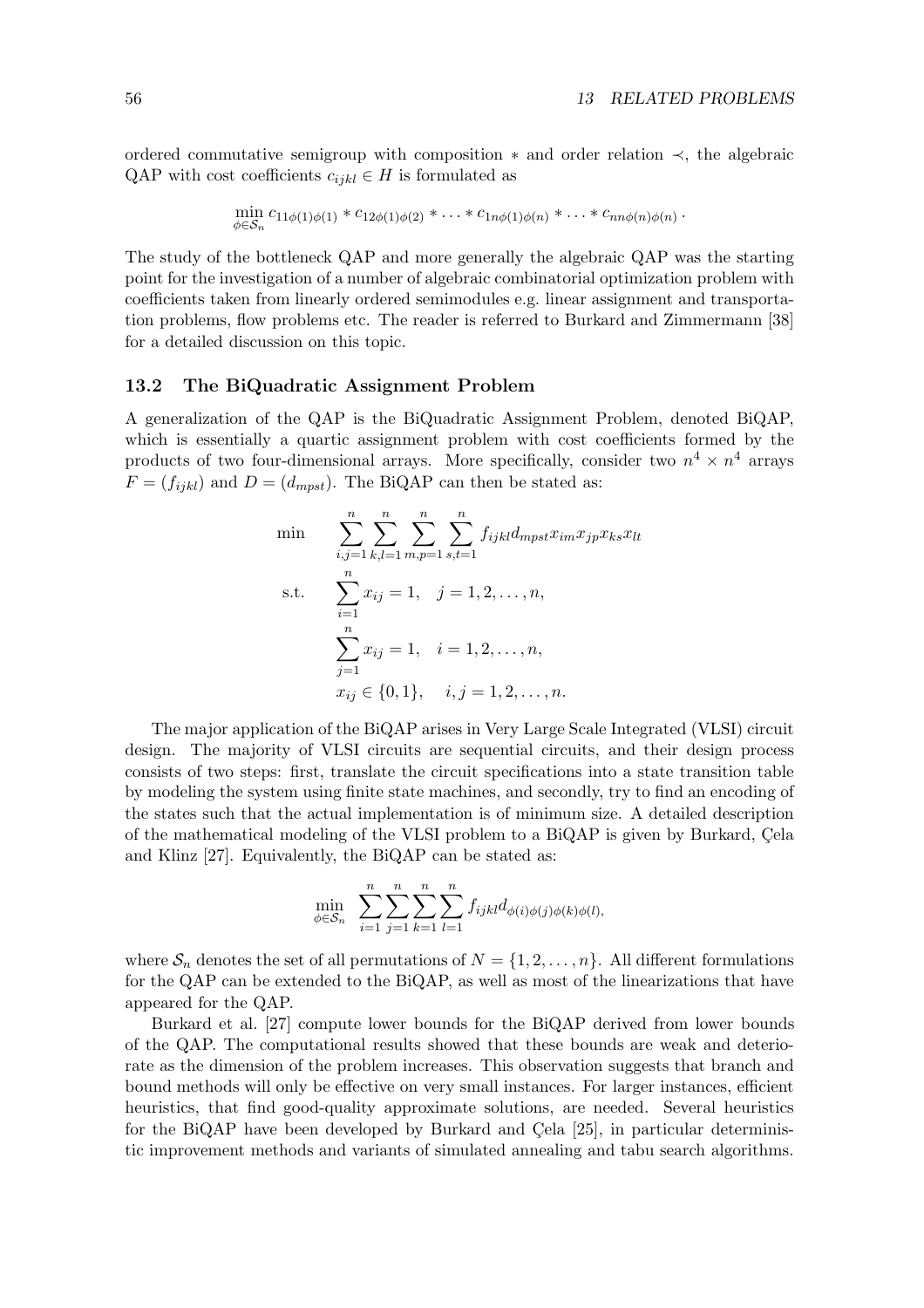ordered commutative semigroup with composition ∗ and order relation ≺, the algebraic QAP with cost coefficients  $c_{ijkl} \in H$  is formulated as

$$
\min_{\phi \in S_n} c_{11\phi(1)\phi(1)} * c_{12\phi(1)\phi(2)} * \ldots * c_{1n\phi(1)\phi(n)} * \ldots * c_{nn\phi(n)\phi(n)}.
$$

The study of the bottleneck QAP and more generally the algebraic QAP was the starting point for the investigation of a number of algebraic combinatorial optimization problem with coefficients taken from linearly ordered semimodules e.g. linear assignment and transportation problems, flow problems etc. The reader is referred to Burkard and Zimmermann [38] for a detailed discussion on this topic.

#### 13.2 The BiQuadratic Assignment Problem

A generalization of the QAP is the BiQuadratic Assignment Problem, denoted BiQAP, which is essentially a quartic assignment problem with cost coefficients formed by the products of two four-dimensional arrays. More specifically, consider two  $n^4 \times n^4$  arrays  $F = (f_{ijkl})$  and  $D = (d_{mpst})$ . The BiQAP can then be stated as:

min  
\n
$$
\sum_{i,j=1}^{n} \sum_{k,l=1}^{n} \sum_{m,p=1}^{n} \sum_{s,t=1}^{n} f_{ijkl} d_{mpst} x_{im} x_{jp} x_{ks} x_{lt}
$$
\ns.t.  
\n
$$
\sum_{i=1}^{n} x_{ij} = 1, \quad j = 1, 2, ..., n,
$$
\n
$$
\sum_{j=1}^{n} x_{ij} = 1, \quad i = 1, 2, ..., n,
$$
\n
$$
x_{ij} \in \{0, 1\}, \quad i, j = 1, 2, ..., n.
$$

The major application of the BiQAP arises in Very Large Scale Integrated (VLSI) circuit design. The majority of VLSI circuits are sequential circuits, and their design process consists of two steps: first, translate the circuit specifications into a state transition table by modeling the system using finite state machines, and secondly, try to find an encoding of the states such that the actual implementation is of minimum size. A detailed description of the mathematical modeling of the VLSI problem to a  $BiQAP$  is given by Burkard, Cela and Klinz [27]. Equivalently, the BiQAP can be stated as:

$$
\min_{\phi \in \mathcal{S}_n} \sum_{i=1}^n \sum_{j=1}^n \sum_{k=1}^n \sum_{l=1}^n f_{ijkl} d_{\phi(i)\phi(j)\phi(k)\phi(l)},
$$

where  $S_n$  denotes the set of all permutations of  $N = \{1, 2, ..., n\}$ . All different formulations for the QAP can be extended to the BiQAP, as well as most of the linearizations that have appeared for the QAP.

Burkard et al. [27] compute lower bounds for the BiQAP derived from lower bounds of the QAP. The computational results showed that these bounds are weak and deteriorate as the dimension of the problem increases. This observation suggests that branch and bound methods will only be effective on very small instances. For larger instances, efficient heuristics, that find good-quality approximate solutions, are needed. Several heuristics for the BiQAP have been developed by Burkard and Cela  $[25]$ , in particular deterministic improvement methods and variants of simulated annealing and tabu search algorithms.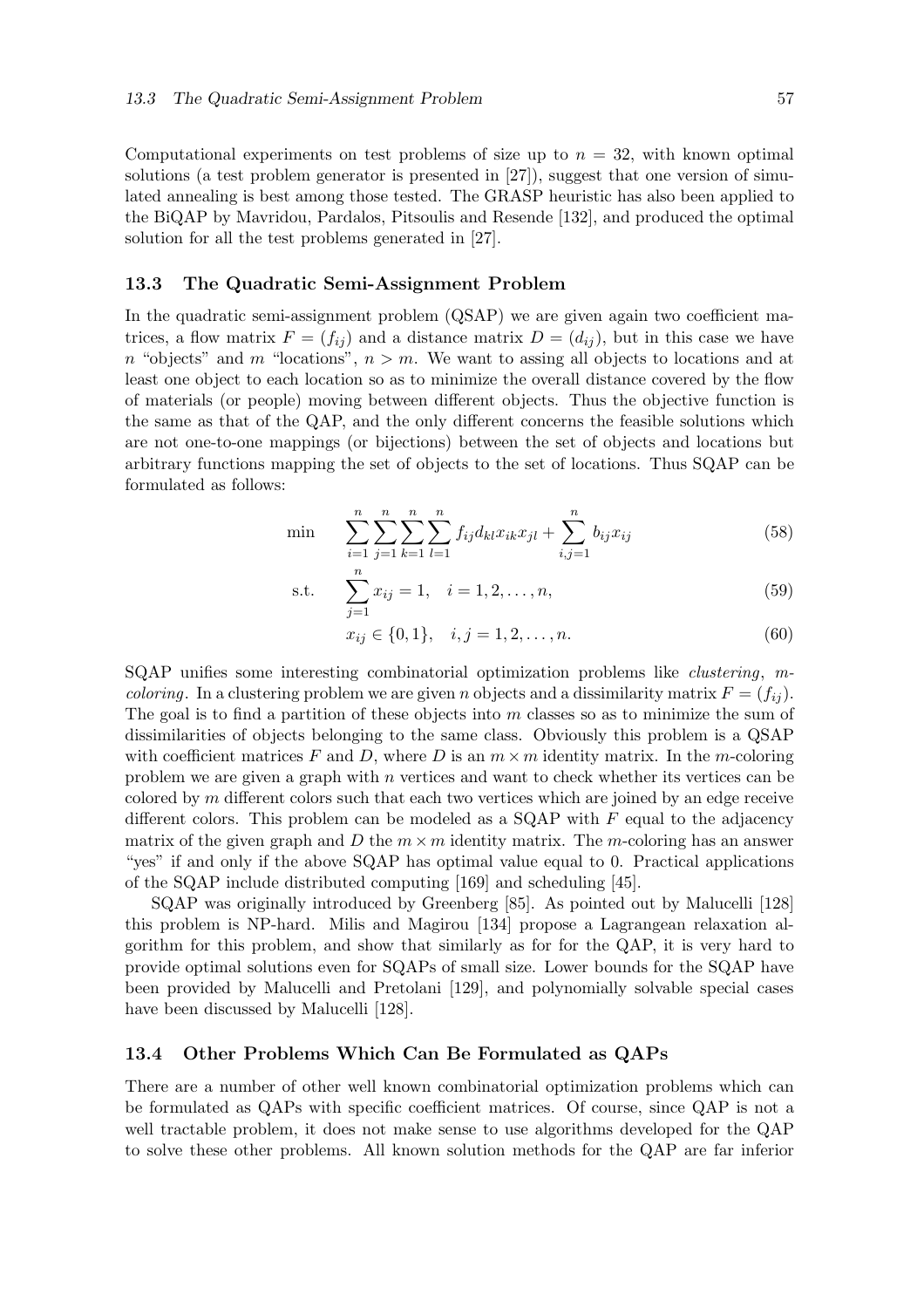Computational experiments on test problems of size up to  $n = 32$ , with known optimal solutions (a test problem generator is presented in [27]), suggest that one version of simulated annealing is best among those tested. The GRASP heuristic has also been applied to the BiQAP by Mavridou, Pardalos, Pitsoulis and Resende [132], and produced the optimal solution for all the test problems generated in [27].

### 13.3 The Quadratic Semi-Assignment Problem

In the quadratic semi-assignment problem (QSAP) we are given again two coefficient matrices, a flow matrix  $F = (f_{ij})$  and a distance matrix  $D = (d_{ij})$ , but in this case we have n "objects" and m "locations",  $n > m$ . We want to assing all objects to locations and at least one object to each location so as to minimize the overall distance covered by the flow of materials (or people) moving between different objects. Thus the objective function is the same as that of the QAP, and the only different concerns the feasible solutions which are not one-to-one mappings (or bijections) between the set of objects and locations but arbitrary functions mapping the set of objects to the set of locations. Thus SQAP can be formulated as follows:

$$
\min \qquad \sum_{i=1}^{n} \sum_{j=1}^{n} \sum_{k=1}^{n} \sum_{l=1}^{n} f_{ij} d_{kl} x_{ik} x_{jl} + \sum_{i,j=1}^{n} b_{ij} x_{ij} \tag{58}
$$

s.t. 
$$
\sum_{j=1}^{n} x_{ij} = 1, \quad i = 1, 2, ..., n,
$$
 (59)

$$
x_{ij} \in \{0, 1\}, \quad i, j = 1, 2, \dots, n. \tag{60}
$$

SQAP unifies some interesting combinatorial optimization problems like clustering, m*coloring*. In a clustering problem we are given *n* objects and a dissimilarity matrix  $F = (f_{ij})$ . The goal is to find a partition of these objects into  $m$  classes so as to minimize the sum of dissimilarities of objects belonging to the same class. Obviously this problem is a QSAP with coefficient matrices F and D, where D is an  $m \times m$  identity matrix. In the m-coloring problem we are given a graph with n vertices and want to check whether its vertices can be colored by  $m$  different colors such that each two vertices which are joined by an edge receive different colors. This problem can be modeled as a  $SQAP$  with  $F$  equal to the adjacency matrix of the given graph and D the  $m \times m$  identity matrix. The m-coloring has an answer "yes" if and only if the above SQAP has optimal value equal to 0. Practical applications of the SQAP include distributed computing [169] and scheduling [45].

SQAP was originally introduced by Greenberg [85]. As pointed out by Malucelli [128] this problem is NP-hard. Milis and Magirou [134] propose a Lagrangean relaxation algorithm for this problem, and show that similarly as for for the QAP, it is very hard to provide optimal solutions even for SQAPs of small size. Lower bounds for the SQAP have been provided by Malucelli and Pretolani [129], and polynomially solvable special cases have been discussed by Malucelli [128].

## 13.4 Other Problems Which Can Be Formulated as QAPs

There are a number of other well known combinatorial optimization problems which can be formulated as QAPs with specific coefficient matrices. Of course, since QAP is not a well tractable problem, it does not make sense to use algorithms developed for the QAP to solve these other problems. All known solution methods for the QAP are far inferior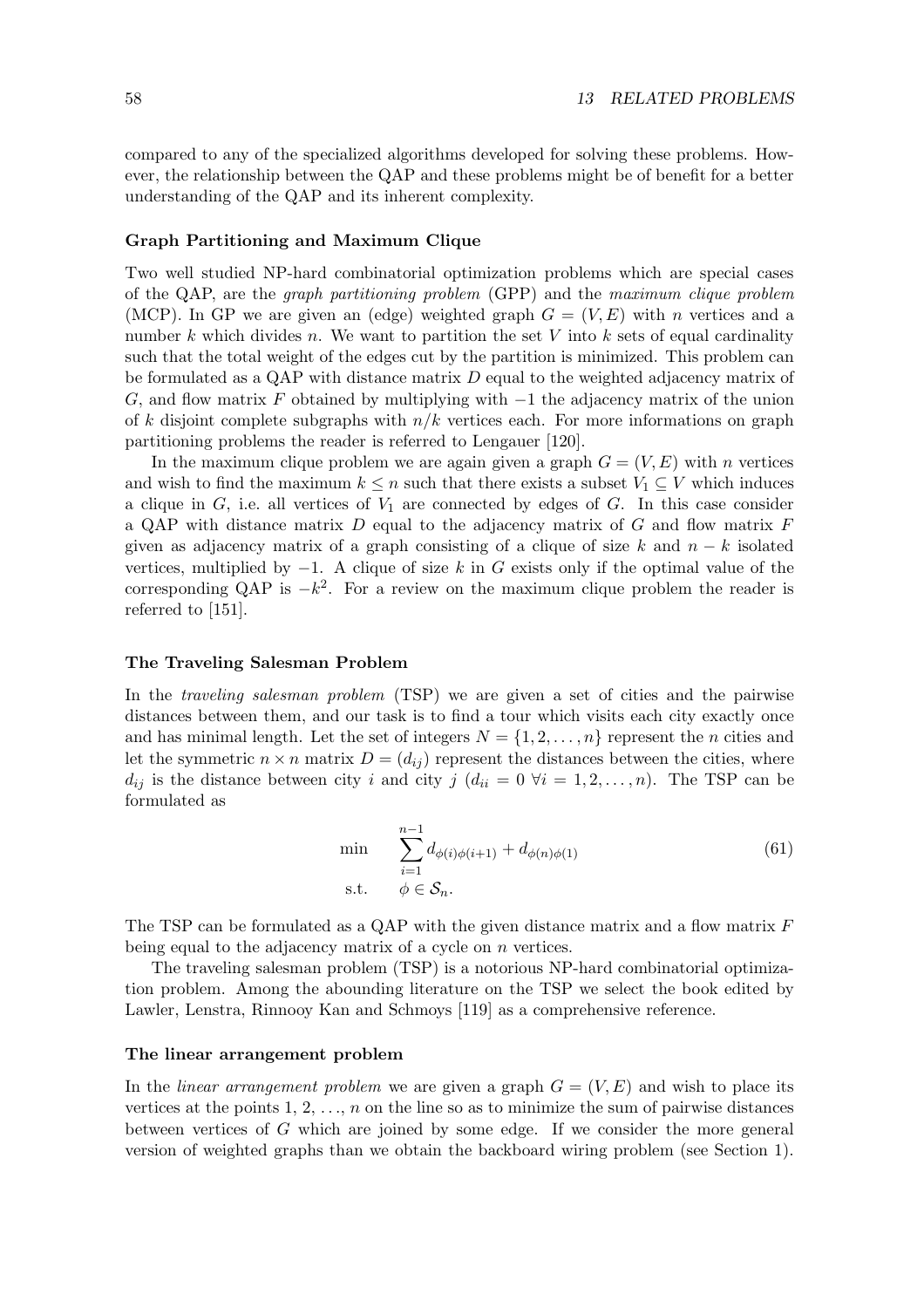compared to any of the specialized algorithms developed for solving these problems. However, the relationship between the QAP and these problems might be of benefit for a better understanding of the QAP and its inherent complexity.

#### Graph Partitioning and Maximum Clique

Two well studied NP-hard combinatorial optimization problems which are special cases of the QAP, are the graph partitioning problem (GPP) and the maximum clique problem (MCP). In GP we are given an (edge) weighted graph  $G = (V, E)$  with n vertices and a number k which divides n. We want to partition the set V into  $k$  sets of equal cardinality such that the total weight of the edges cut by the partition is minimized. This problem can be formulated as a QAP with distance matrix D equal to the weighted adjacency matrix of G, and flow matrix F obtained by multiplying with  $-1$  the adjacency matrix of the union of k disjoint complete subgraphs with  $n/k$  vertices each. For more informations on graph partitioning problems the reader is referred to Lengauer [120].

In the maximum clique problem we are again given a graph  $G = (V, E)$  with n vertices and wish to find the maximum  $k \leq n$  such that there exists a subset  $V_1 \subseteq V$  which induces a clique in  $G$ , i.e. all vertices of  $V_1$  are connected by edges of  $G$ . In this case consider a QAP with distance matrix  $D$  equal to the adjacency matrix of  $G$  and flow matrix  $F$ given as adjacency matrix of a graph consisting of a clique of size k and  $n - k$  isolated vertices, multiplied by  $-1$ . A clique of size k in G exists only if the optimal value of the corresponding QAP is  $-k^2$ . For a review on the maximum clique problem the reader is referred to [151].

#### The Traveling Salesman Problem

In the *traveling salesman problem* (TSP) we are given a set of cities and the pairwise distances between them, and our task is to find a tour which visits each city exactly once and has minimal length. Let the set of integers  $N = \{1, 2, ..., n\}$  represent the *n* cities and let the symmetric  $n \times n$  matrix  $D = (d_{ij})$  represent the distances between the cities, where  $d_{ij}$  is the distance between city i and city j  $(d_{ii} = 0 \forall i = 1, 2, ..., n)$ . The TSP can be formulated as

$$
\min \sum_{i=1}^{n-1} d_{\phi(i)\phi(i+1)} + d_{\phi(n)\phi(1)} \tag{61}
$$
\n
$$
\text{s.t.} \quad \phi \in \mathcal{S}_n.
$$

The TSP can be formulated as a QAP with the given distance matrix and a flow matrix  $F$ being equal to the adjacency matrix of a cycle on  $n$  vertices.

The traveling salesman problem (TSP) is a notorious NP-hard combinatorial optimization problem. Among the abounding literature on the TSP we select the book edited by Lawler, Lenstra, Rinnooy Kan and Schmoys [119] as a comprehensive reference.

#### The linear arrangement problem

In the *linear arrangement problem* we are given a graph  $G = (V, E)$  and wish to place its vertices at the points  $1, 2, \ldots, n$  on the line so as to minimize the sum of pairwise distances between vertices of G which are joined by some edge. If we consider the more general version of weighted graphs than we obtain the backboard wiring problem (see Section 1).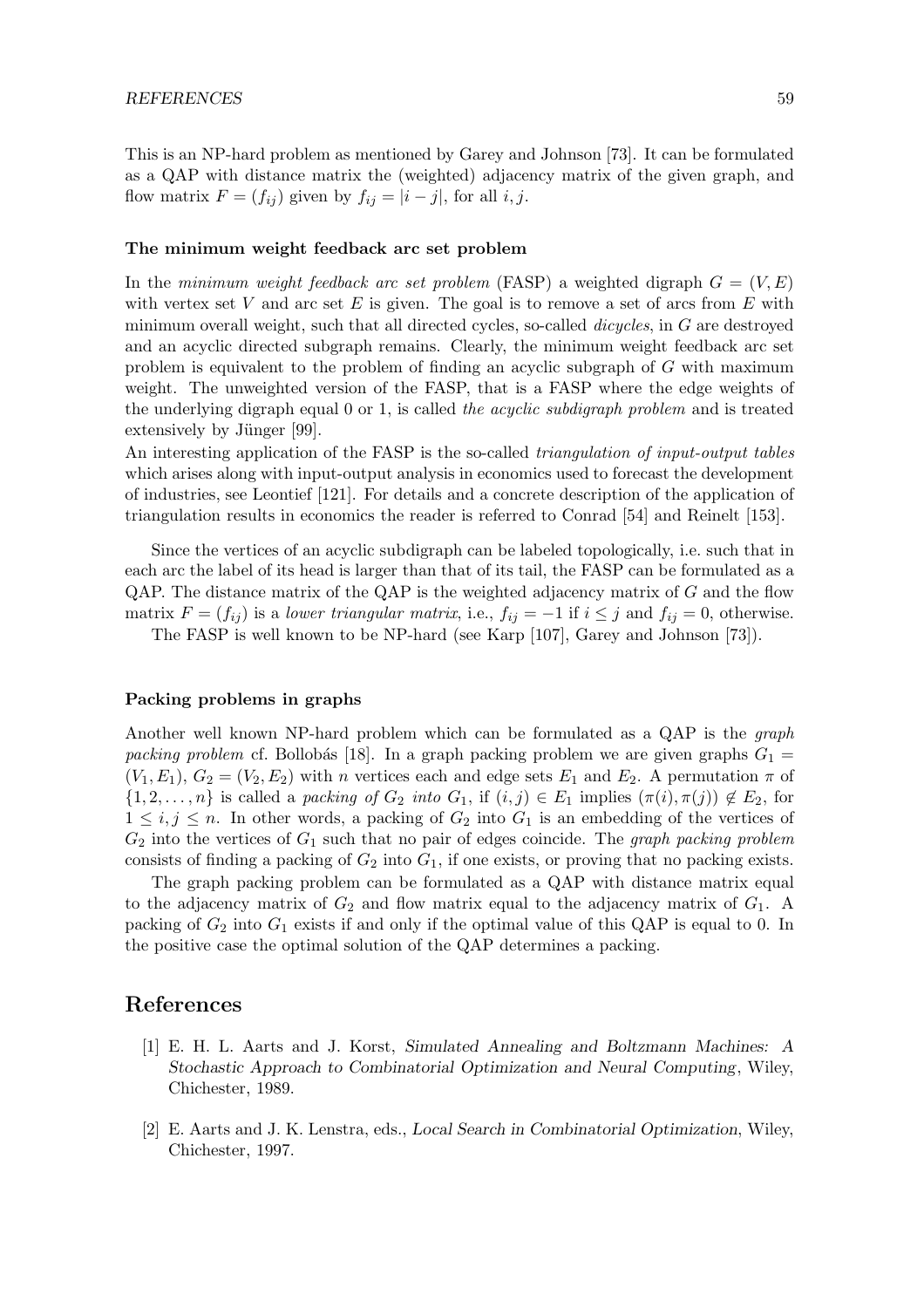This is an NP-hard problem as mentioned by Garey and Johnson [73]. It can be formulated as a QAP with distance matrix the (weighted) adjacency matrix of the given graph, and flow matrix  $F = (f_{ij})$  given by  $f_{ij} = |i - j|$ , for all i, j.

#### The minimum weight feedback arc set problem

In the minimum weight feedback arc set problem (FASP) a weighted digraph  $G = (V, E)$ with vertex set V and arc set E is given. The goal is to remove a set of arcs from  $E$  with minimum overall weight, such that all directed cycles, so-called *dicycles*, in G are destroyed and an acyclic directed subgraph remains. Clearly, the minimum weight feedback arc set problem is equivalent to the problem of finding an acyclic subgraph of G with maximum weight. The unweighted version of the FASP, that is a FASP where the edge weights of the underlying digraph equal 0 or 1, is called the acyclic subdigraph problem and is treated extensively by Jünger [99].

An interesting application of the FASP is the so-called triangulation of input-output tables which arises along with input-output analysis in economics used to forecast the development of industries, see Leontief [121]. For details and a concrete description of the application of triangulation results in economics the reader is referred to Conrad [54] and Reinelt [153].

Since the vertices of an acyclic subdigraph can be labeled topologically, i.e. such that in each arc the label of its head is larger than that of its tail, the FASP can be formulated as a  $QAP$ . The distance matrix of the  $QAP$  is the weighted adjacency matrix of  $G$  and the flow matrix  $F = (f_{ij})$  is a lower triangular matrix, i.e.,  $f_{ij} = -1$  if  $i \leq j$  and  $f_{ij} = 0$ , otherwise.

The FASP is well known to be NP-hard (see Karp [107], Garey and Johnson [73]).

### Packing problems in graphs

Another well known NP-hard problem which can be formulated as a QAP is the *graph* packing problem cf. Bollobás [18]. In a graph packing problem we are given graphs  $G_1 =$  $(V_1, E_1), G_2 = (V_2, E_2)$  with n vertices each and edge sets  $E_1$  and  $E_2$ . A permutation  $\pi$  of  $\{1, 2, \ldots, n\}$  is called a packing of  $G_2$  into  $G_1$ , if  $(i, j) \in E_1$  implies  $(\pi(i), \pi(j)) \notin E_2$ , for  $1 \leq i, j \leq n$ . In other words, a packing of  $G_2$  into  $G_1$  is an embedding of the vertices of  $G_2$  into the vertices of  $G_1$  such that no pair of edges coincide. The graph packing problem consists of finding a packing of  $G_2$  into  $G_1$ , if one exists, or proving that no packing exists.

The graph packing problem can be formulated as a QAP with distance matrix equal to the adjacency matrix of  $G_2$  and flow matrix equal to the adjacency matrix of  $G_1$ . A packing of  $G_2$  into  $G_1$  exists if and only if the optimal value of this QAP is equal to 0. In the positive case the optimal solution of the QAP determines a packing.

## References

- [1] E. H. L. Aarts and J. Korst, Simulated Annealing and Boltzmann Machines: A Stochastic Approach to Combinatorial Optimization and Neural Computing, Wiley, Chichester, 1989.
- [2] E. Aarts and J. K. Lenstra, eds., Local Search in Combinatorial Optimization, Wiley, Chichester, 1997.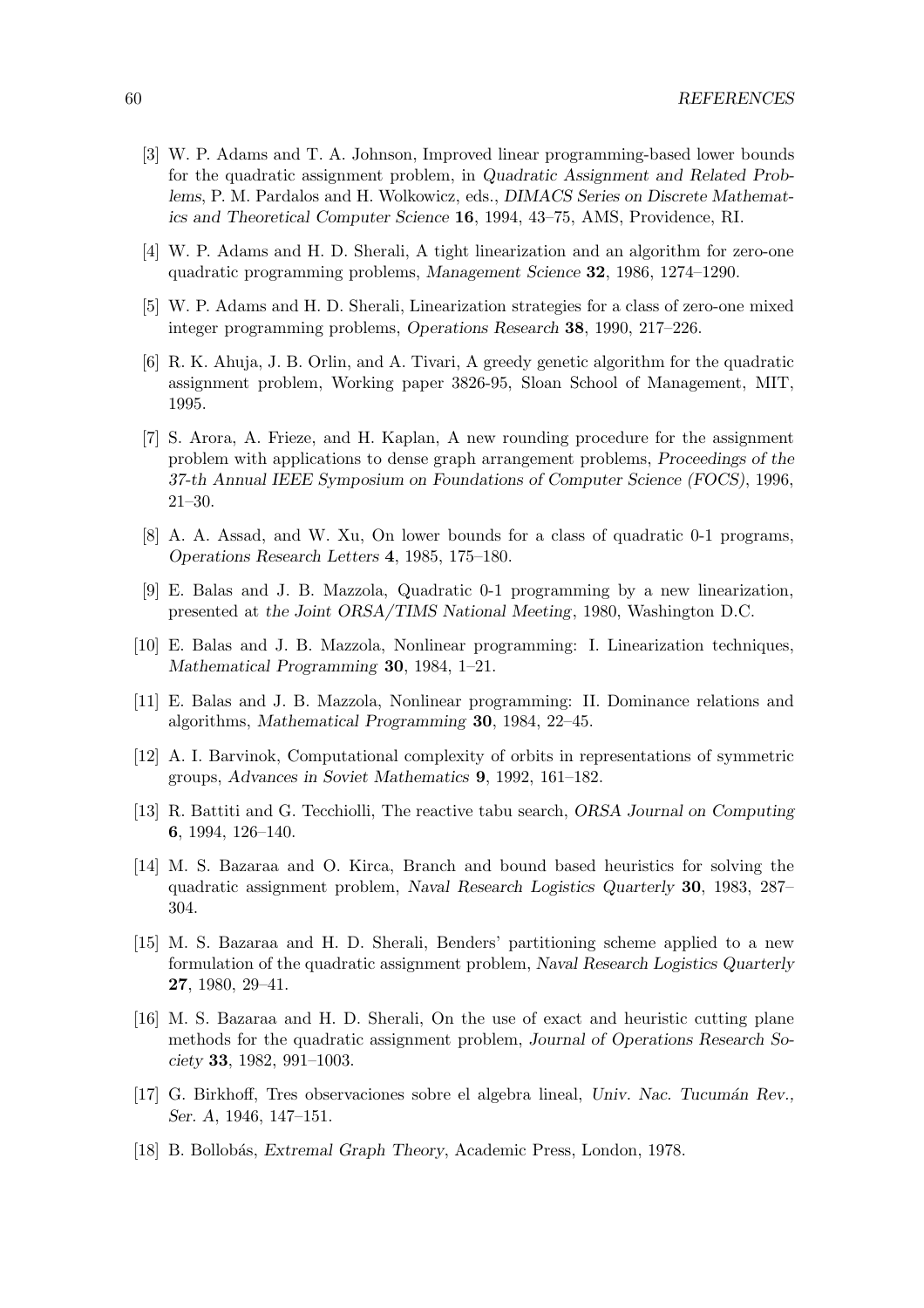- [3] W. P. Adams and T. A. Johnson, Improved linear programming-based lower bounds for the quadratic assignment problem, in Quadratic Assignment and Related Problems, P. M. Pardalos and H. Wolkowicz, eds., DIMACS Series on Discrete Mathematics and Theoretical Computer Science 16, 1994, 43–75, AMS, Providence, RI.
- [4] W. P. Adams and H. D. Sherali, A tight linearization and an algorithm for zero-one quadratic programming problems, Management Science 32, 1986, 1274–1290.
- [5] W. P. Adams and H. D. Sherali, Linearization strategies for a class of zero-one mixed integer programming problems, Operations Research 38, 1990, 217–226.
- [6] R. K. Ahuja, J. B. Orlin, and A. Tivari, A greedy genetic algorithm for the quadratic assignment problem, Working paper 3826-95, Sloan School of Management, MIT, 1995.
- [7] S. Arora, A. Frieze, and H. Kaplan, A new rounding procedure for the assignment problem with applications to dense graph arrangement problems, Proceedings of the 37-th Annual IEEE Symposium on Foundations of Computer Science (FOCS), 1996, 21–30.
- [8] A. A. Assad, and W. Xu, On lower bounds for a class of quadratic 0-1 programs, Operations Research Letters 4, 1985, 175–180.
- [9] E. Balas and J. B. Mazzola, Quadratic 0-1 programming by a new linearization, presented at the Joint ORSA/TIMS National Meeting, 1980, Washington D.C.
- [10] E. Balas and J. B. Mazzola, Nonlinear programming: I. Linearization techniques, Mathematical Programming 30, 1984, 1–21.
- [11] E. Balas and J. B. Mazzola, Nonlinear programming: II. Dominance relations and algorithms, Mathematical Programming 30, 1984, 22–45.
- [12] A. I. Barvinok, Computational complexity of orbits in representations of symmetric groups, Advances in Soviet Mathematics 9, 1992, 161–182.
- [13] R. Battiti and G. Tecchiolli, The reactive tabu search, ORSA Journal on Computing 6, 1994, 126–140.
- [14] M. S. Bazaraa and O. Kirca, Branch and bound based heuristics for solving the quadratic assignment problem, Naval Research Logistics Quarterly 30, 1983, 287– 304.
- [15] M. S. Bazaraa and H. D. Sherali, Benders' partitioning scheme applied to a new formulation of the quadratic assignment problem, Naval Research Logistics Quarterly 27, 1980, 29–41.
- [16] M. S. Bazaraa and H. D. Sherali, On the use of exact and heuristic cutting plane methods for the quadratic assignment problem, Journal of Operations Research Society 33, 1982, 991–1003.
- [17] G. Birkhoff, Tres observaciones sobre el algebra lineal, Univ. Nac. Tucumán Rev., Ser. A, 1946, 147–151.
- [18] B. Bollobás, Extremal Graph Theory, Academic Press, London, 1978.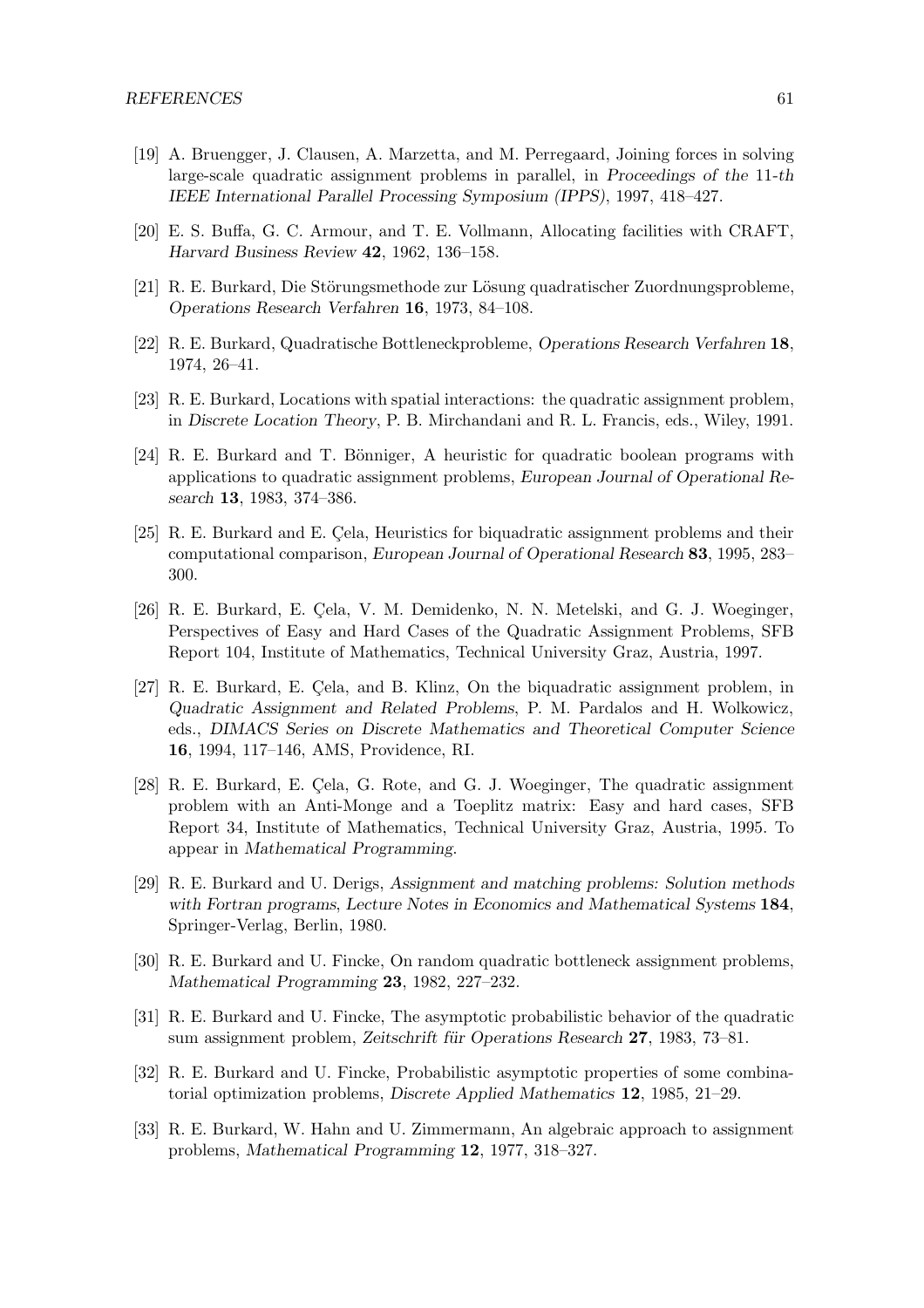- [19] A. Bruengger, J. Clausen, A. Marzetta, and M. Perregaard, Joining forces in solving large-scale quadratic assignment problems in parallel, in Proceedings of the 11-th IEEE International Parallel Processing Symposium (IPPS), 1997, 418–427.
- [20] E. S. Buffa, G. C. Armour, and T. E. Vollmann, Allocating facilities with CRAFT, Harvard Business Review 42, 1962, 136–158.
- [21] R. E. Burkard, Die Störungsmethode zur Lösung quadratischer Zuordnungsprobleme, Operations Research Verfahren 16, 1973, 84–108.
- [22] R. E. Burkard, Quadratische Bottleneckprobleme, Operations Research Verfahren 18, 1974, 26–41.
- [23] R. E. Burkard, Locations with spatial interactions: the quadratic assignment problem, in Discrete Location Theory, P. B. Mirchandani and R. L. Francis, eds., Wiley, 1991.
- [24] R. E. Burkard and T. Bönniger, A heuristic for quadratic boolean programs with applications to quadratic assignment problems, European Journal of Operational Research 13, 1983, 374–386.
- [25] R. E. Burkard and E. Cela, Heuristics for biquadratic assignment problems and their computational comparison, European Journal of Operational Research 83, 1995, 283– 300.
- [26] R. E. Burkard, E. Çela, V. M. Demidenko, N. N. Metelski, and G. J. Woeginger, Perspectives of Easy and Hard Cases of the Quadratic Assignment Problems, SFB Report 104, Institute of Mathematics, Technical University Graz, Austria, 1997.
- [27] R. E. Burkard, E. Çela, and B. Klinz, On the biquadratic assignment problem, in Quadratic Assignment and Related Problems, P. M. Pardalos and H. Wolkowicz, eds., DIMACS Series on Discrete Mathematics and Theoretical Computer Science 16, 1994, 117–146, AMS, Providence, RI.
- [28] R. E. Burkard, E. Çela, G. Rote, and G. J. Woeginger, The quadratic assignment problem with an Anti-Monge and a Toeplitz matrix: Easy and hard cases, SFB Report 34, Institute of Mathematics, Technical University Graz, Austria, 1995. To appear in Mathematical Programming.
- [29] R. E. Burkard and U. Derigs, Assignment and matching problems: Solution methods with Fortran programs, Lecture Notes in Economics and Mathematical Systems 184, Springer-Verlag, Berlin, 1980.
- [30] R. E. Burkard and U. Fincke, On random quadratic bottleneck assignment problems, Mathematical Programming 23, 1982, 227–232.
- [31] R. E. Burkard and U. Fincke, The asymptotic probabilistic behavior of the quadratic sum assignment problem, Zeitschrift für Operations Research 27, 1983, 73–81.
- [32] R. E. Burkard and U. Fincke, Probabilistic asymptotic properties of some combinatorial optimization problems, Discrete Applied Mathematics 12, 1985, 21–29.
- [33] R. E. Burkard, W. Hahn and U. Zimmermann, An algebraic approach to assignment problems, Mathematical Programming 12, 1977, 318–327.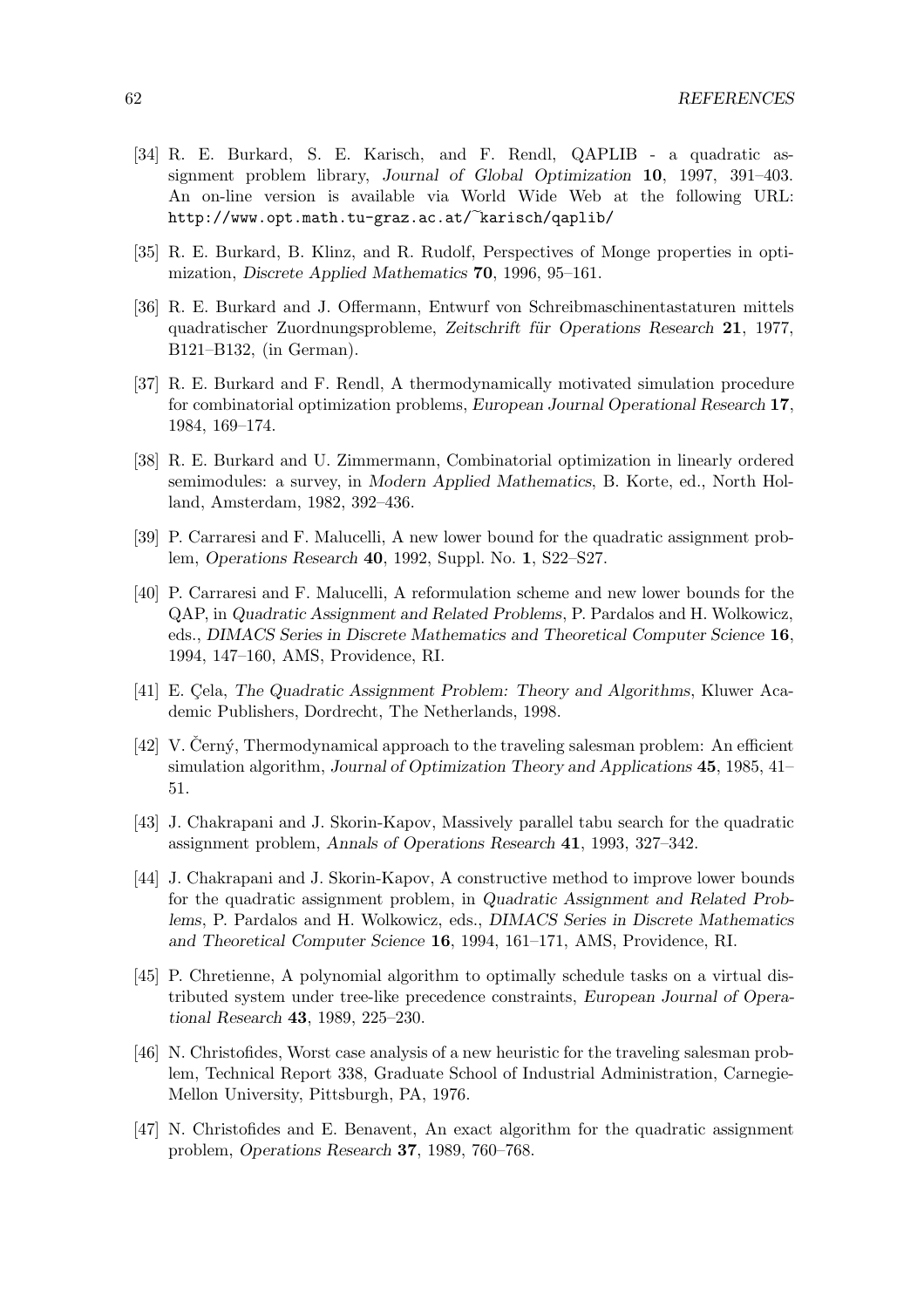- [34] R. E. Burkard, S. E. Karisch, and F. Rendl, QAPLIB a quadratic assignment problem library, Journal of Global Optimization 10, 1997, 391–403. An on-line version is available via World Wide Web at the following URL: http://www.opt.math.tu-graz.ac.at/~karisch/qaplib/
- [35] R. E. Burkard, B. Klinz, and R. Rudolf, Perspectives of Monge properties in optimization, Discrete Applied Mathematics 70, 1996, 95–161.
- [36] R. E. Burkard and J. Offermann, Entwurf von Schreibmaschinentastaturen mittels quadratischer Zuordnungsprobleme, Zeitschrift für Operations Research 21, 1977, B121–B132, (in German).
- [37] R. E. Burkard and F. Rendl, A thermodynamically motivated simulation procedure for combinatorial optimization problems, European Journal Operational Research 17, 1984, 169–174.
- [38] R. E. Burkard and U. Zimmermann, Combinatorial optimization in linearly ordered semimodules: a survey, in Modern Applied Mathematics, B. Korte, ed., North Holland, Amsterdam, 1982, 392–436.
- [39] P. Carraresi and F. Malucelli, A new lower bound for the quadratic assignment problem, Operations Research 40, 1992, Suppl. No. 1, S22–S27.
- [40] P. Carraresi and F. Malucelli, A reformulation scheme and new lower bounds for the QAP, in Quadratic Assignment and Related Problems, P. Pardalos and H. Wolkowicz, eds., DIMACS Series in Discrete Mathematics and Theoretical Computer Science 16, 1994, 147–160, AMS, Providence, RI.
- [41] E. Cela, The Quadratic Assignment Problem: Theory and Algorithms, Kluwer Academic Publishers, Dordrecht, The Netherlands, 1998.
- [42] V. Černý, Thermodynamical approach to the traveling salesman problem: An efficient simulation algorithm, Journal of Optimization Theory and Applications 45, 1985, 41– 51.
- [43] J. Chakrapani and J. Skorin-Kapov, Massively parallel tabu search for the quadratic assignment problem, Annals of Operations Research 41, 1993, 327–342.
- [44] J. Chakrapani and J. Skorin-Kapov, A constructive method to improve lower bounds for the quadratic assignment problem, in Quadratic Assignment and Related Problems, P. Pardalos and H. Wolkowicz, eds., DIMACS Series in Discrete Mathematics and Theoretical Computer Science 16, 1994, 161–171, AMS, Providence, RI.
- [45] P. Chretienne, A polynomial algorithm to optimally schedule tasks on a virtual distributed system under tree-like precedence constraints, European Journal of Operational Research 43, 1989, 225–230.
- [46] N. Christofides, Worst case analysis of a new heuristic for the traveling salesman problem, Technical Report 338, Graduate School of Industrial Administration, Carnegie-Mellon University, Pittsburgh, PA, 1976.
- [47] N. Christofides and E. Benavent, An exact algorithm for the quadratic assignment problem, Operations Research 37, 1989, 760–768.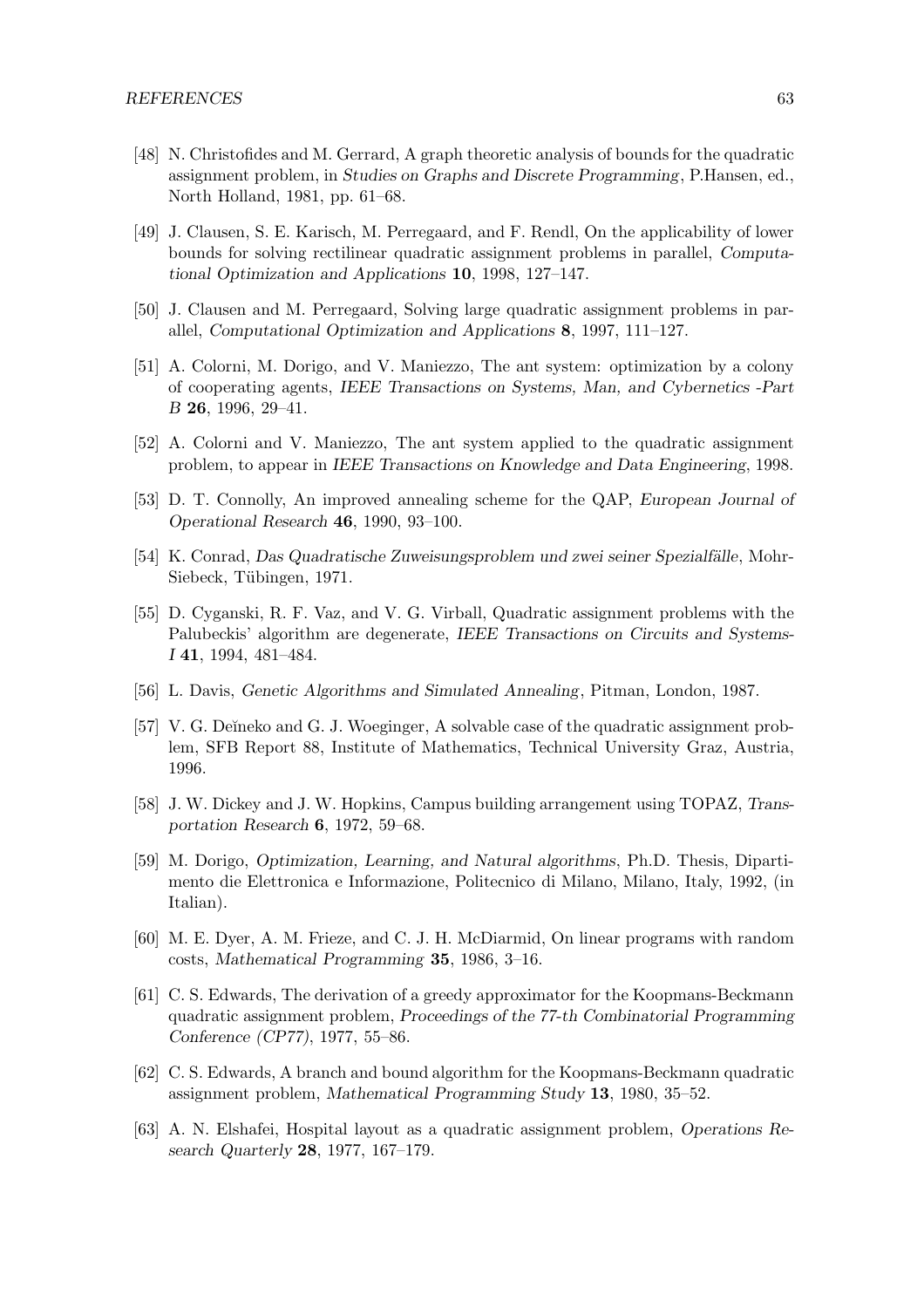- [48] N. Christofides and M. Gerrard, A graph theoretic analysis of bounds for the quadratic assignment problem, in Studies on Graphs and Discrete Programming, P.Hansen, ed., North Holland, 1981, pp. 61–68.
- [49] J. Clausen, S. E. Karisch, M. Perregaard, and F. Rendl, On the applicability of lower bounds for solving rectilinear quadratic assignment problems in parallel, Computational Optimization and Applications 10, 1998, 127–147.
- [50] J. Clausen and M. Perregaard, Solving large quadratic assignment problems in parallel, Computational Optimization and Applications 8, 1997, 111–127.
- [51] A. Colorni, M. Dorigo, and V. Maniezzo, The ant system: optimization by a colony of cooperating agents, IEEE Transactions on Systems, Man, and Cybernetics -Part B 26, 1996, 29–41.
- [52] A. Colorni and V. Maniezzo, The ant system applied to the quadratic assignment problem, to appear in IEEE Transactions on Knowledge and Data Engineering, 1998.
- [53] D. T. Connolly, An improved annealing scheme for the QAP, European Journal of Operational Research 46, 1990, 93–100.
- [54] K. Conrad, Das Quadratische Zuweisungsproblem und zwei seiner Spezialfälle, Mohr-Siebeck, Tübingen, 1971.
- [55] D. Cyganski, R. F. Vaz, and V. G. Virball, Quadratic assignment problems with the Palubeckis' algorithm are degenerate, IEEE Transactions on Circuits and Systems-I 41, 1994, 481–484.
- [56] L. Davis, Genetic Algorithms and Simulated Annealing, Pitman, London, 1987.
- [57] V. G. Deĭneko and G. J. Woeginger, A solvable case of the quadratic assignment problem, SFB Report 88, Institute of Mathematics, Technical University Graz, Austria, 1996.
- [58] J. W. Dickey and J. W. Hopkins, Campus building arrangement using TOPAZ, Transportation Research 6, 1972, 59–68.
- [59] M. Dorigo, Optimization, Learning, and Natural algorithms, Ph.D. Thesis, Dipartimento die Elettronica e Informazione, Politecnico di Milano, Milano, Italy, 1992, (in Italian).
- [60] M. E. Dyer, A. M. Frieze, and C. J. H. McDiarmid, On linear programs with random costs, Mathematical Programming 35, 1986, 3–16.
- [61] C. S. Edwards, The derivation of a greedy approximator for the Koopmans-Beckmann quadratic assignment problem, Proceedings of the 77-th Combinatorial Programming Conference (CP77), 1977, 55–86.
- [62] C. S. Edwards, A branch and bound algorithm for the Koopmans-Beckmann quadratic assignment problem, Mathematical Programming Study 13, 1980, 35–52.
- [63] A. N. Elshafei, Hospital layout as a quadratic assignment problem, Operations Research Quarterly 28, 1977, 167–179.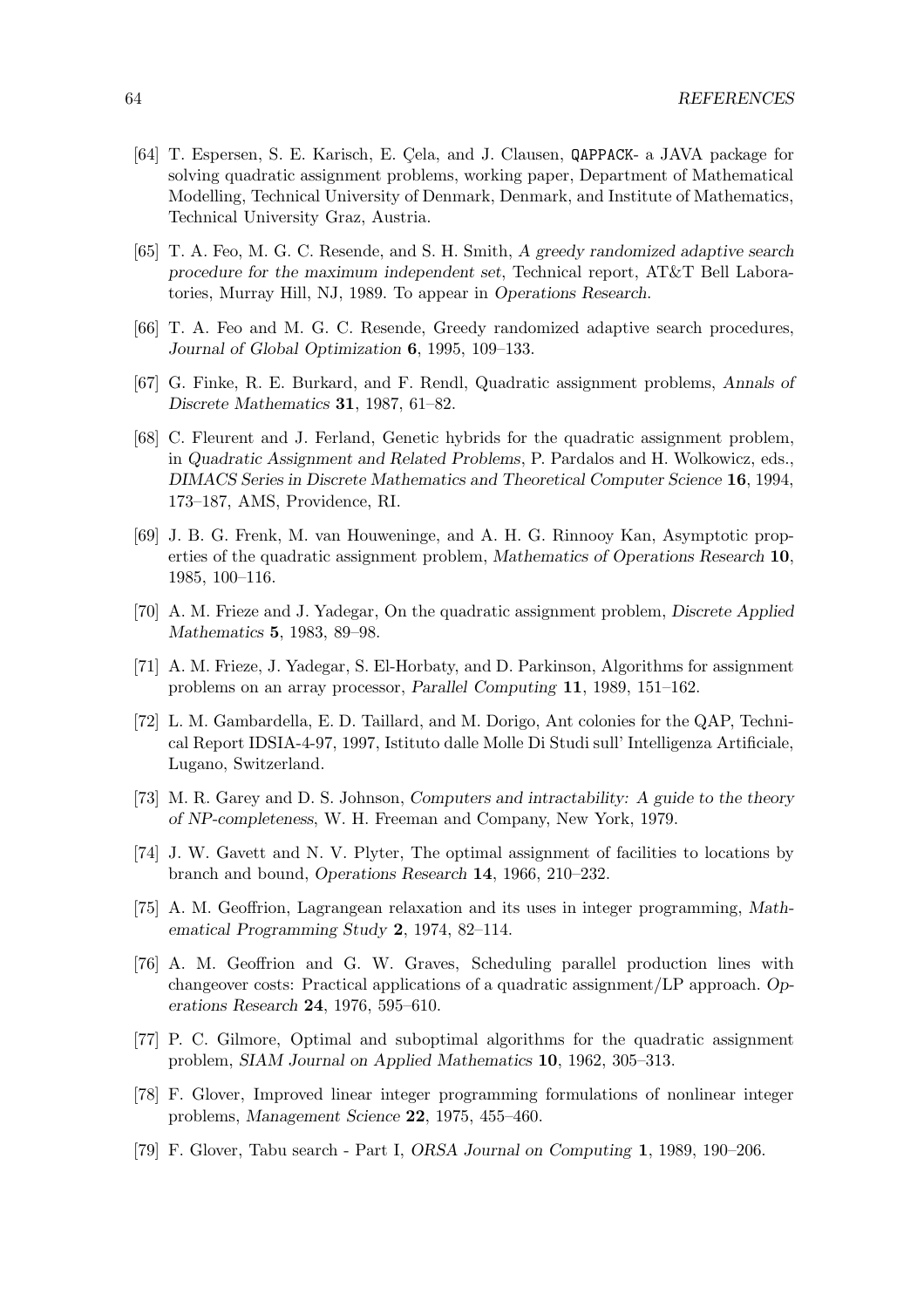- [64] T. Espersen, S. E. Karisch, E. Çela, and J. Clausen, QAPPACK- a JAVA package for solving quadratic assignment problems, working paper, Department of Mathematical Modelling, Technical University of Denmark, Denmark, and Institute of Mathematics, Technical University Graz, Austria.
- [65] T. A. Feo, M. G. C. Resende, and S. H. Smith, A greedy randomized adaptive search procedure for the maximum independent set, Technical report, AT&T Bell Laboratories, Murray Hill, NJ, 1989. To appear in Operations Research.
- [66] T. A. Feo and M. G. C. Resende, Greedy randomized adaptive search procedures, Journal of Global Optimization 6, 1995, 109–133.
- [67] G. Finke, R. E. Burkard, and F. Rendl, Quadratic assignment problems, Annals of Discrete Mathematics 31, 1987, 61–82.
- [68] C. Fleurent and J. Ferland, Genetic hybrids for the quadratic assignment problem, in Quadratic Assignment and Related Problems, P. Pardalos and H. Wolkowicz, eds., DIMACS Series in Discrete Mathematics and Theoretical Computer Science 16, 1994, 173–187, AMS, Providence, RI.
- [69] J. B. G. Frenk, M. van Houweninge, and A. H. G. Rinnooy Kan, Asymptotic properties of the quadratic assignment problem, Mathematics of Operations Research 10, 1985, 100–116.
- [70] A. M. Frieze and J. Yadegar, On the quadratic assignment problem, Discrete Applied Mathematics 5, 1983, 89–98.
- [71] A. M. Frieze, J. Yadegar, S. El-Horbaty, and D. Parkinson, Algorithms for assignment problems on an array processor, Parallel Computing 11, 1989, 151–162.
- [72] L. M. Gambardella, E. D. Taillard, and M. Dorigo, Ant colonies for the QAP, Technical Report IDSIA-4-97, 1997, Istituto dalle Molle Di Studi sull' Intelligenza Artificiale, Lugano, Switzerland.
- [73] M. R. Garey and D. S. Johnson, Computers and intractability: A guide to the theory of NP-completeness, W. H. Freeman and Company, New York, 1979.
- [74] J. W. Gavett and N. V. Plyter, The optimal assignment of facilities to locations by branch and bound, Operations Research 14, 1966, 210–232.
- [75] A. M. Geoffrion, Lagrangean relaxation and its uses in integer programming, Mathematical Programming Study 2, 1974, 82–114.
- [76] A. M. Geoffrion and G. W. Graves, Scheduling parallel production lines with changeover costs: Practical applications of a quadratic assignment/LP approach. Operations Research 24, 1976, 595–610.
- [77] P. C. Gilmore, Optimal and suboptimal algorithms for the quadratic assignment problem, SIAM Journal on Applied Mathematics 10, 1962, 305–313.
- [78] F. Glover, Improved linear integer programming formulations of nonlinear integer problems, Management Science 22, 1975, 455–460.
- [79] F. Glover, Tabu search Part I, ORSA Journal on Computing 1, 1989, 190–206.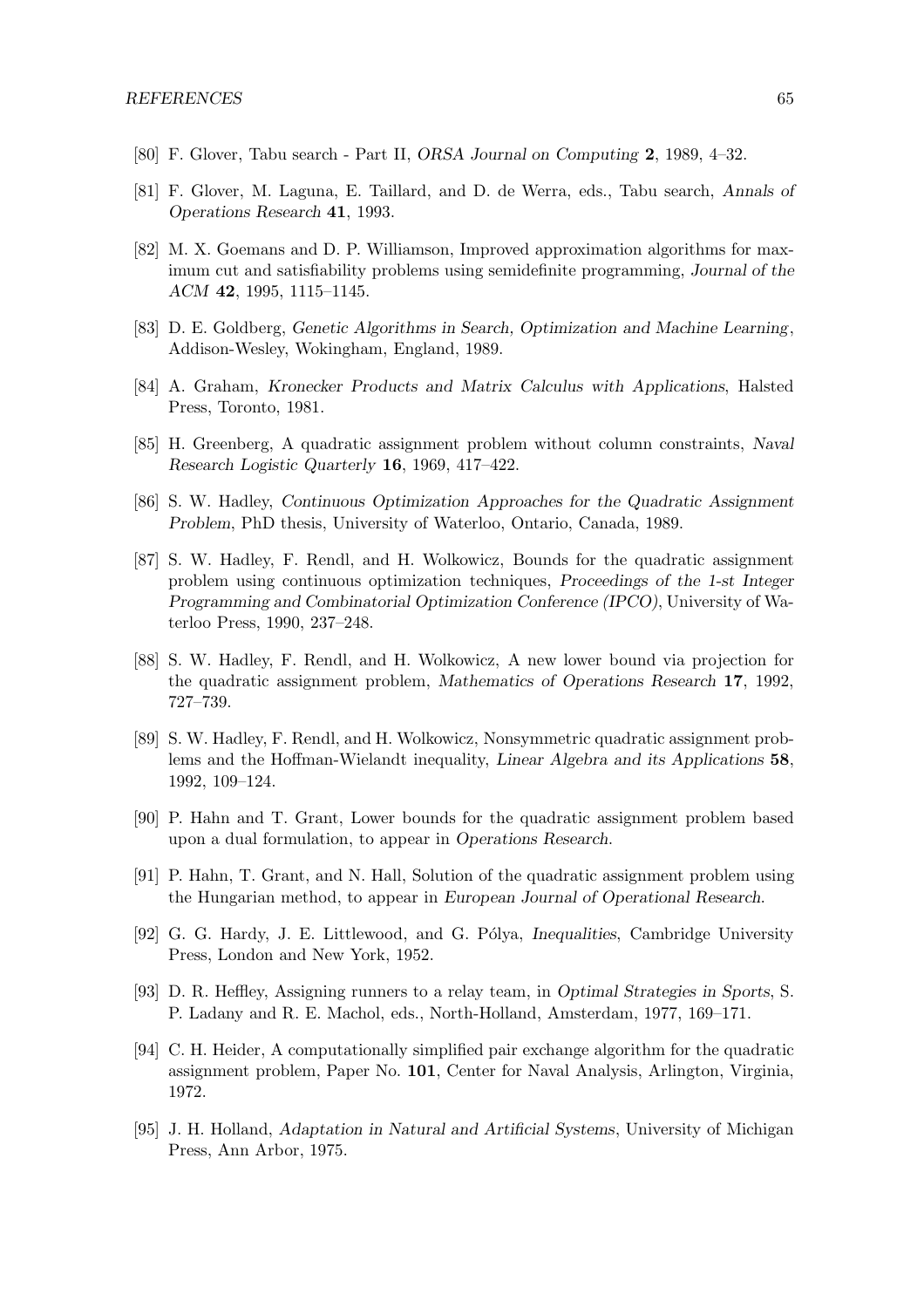- [80] F. Glover, Tabu search Part II, ORSA Journal on Computing 2, 1989, 4–32.
- [81] F. Glover, M. Laguna, E. Taillard, and D. de Werra, eds., Tabu search, Annals of Operations Research 41, 1993.
- [82] M. X. Goemans and D. P. Williamson, Improved approximation algorithms for maximum cut and satisfiability problems using semidefinite programming, Journal of the ACM 42, 1995, 1115–1145.
- [83] D. E. Goldberg, Genetic Algorithms in Search, Optimization and Machine Learning, Addison-Wesley, Wokingham, England, 1989.
- [84] A. Graham, Kronecker Products and Matrix Calculus with Applications, Halsted Press, Toronto, 1981.
- [85] H. Greenberg, A quadratic assignment problem without column constraints, Naval Research Logistic Quarterly 16, 1969, 417–422.
- [86] S. W. Hadley, Continuous Optimization Approaches for the Quadratic Assignment Problem, PhD thesis, University of Waterloo, Ontario, Canada, 1989.
- [87] S. W. Hadley, F. Rendl, and H. Wolkowicz, Bounds for the quadratic assignment problem using continuous optimization techniques, Proceedings of the 1-st Integer Programming and Combinatorial Optimization Conference (IPCO), University of Waterloo Press, 1990, 237–248.
- [88] S. W. Hadley, F. Rendl, and H. Wolkowicz, A new lower bound via projection for the quadratic assignment problem, Mathematics of Operations Research 17, 1992, 727–739.
- [89] S. W. Hadley, F. Rendl, and H. Wolkowicz, Nonsymmetric quadratic assignment problems and the Hoffman-Wielandt inequality, Linear Algebra and its Applications 58, 1992, 109–124.
- [90] P. Hahn and T. Grant, Lower bounds for the quadratic assignment problem based upon a dual formulation, to appear in Operations Research.
- [91] P. Hahn, T. Grant, and N. Hall, Solution of the quadratic assignment problem using the Hungarian method, to appear in European Journal of Operational Research.
- [92] G. G. Hardy, J. E. Littlewood, and G. Pólya, Inequalities, Cambridge University Press, London and New York, 1952.
- [93] D. R. Heffley, Assigning runners to a relay team, in Optimal Strategies in Sports, S. P. Ladany and R. E. Machol, eds., North-Holland, Amsterdam, 1977, 169–171.
- [94] C. H. Heider, A computationally simplified pair exchange algorithm for the quadratic assignment problem, Paper No. 101, Center for Naval Analysis, Arlington, Virginia, 1972.
- [95] J. H. Holland, Adaptation in Natural and Artificial Systems, University of Michigan Press, Ann Arbor, 1975.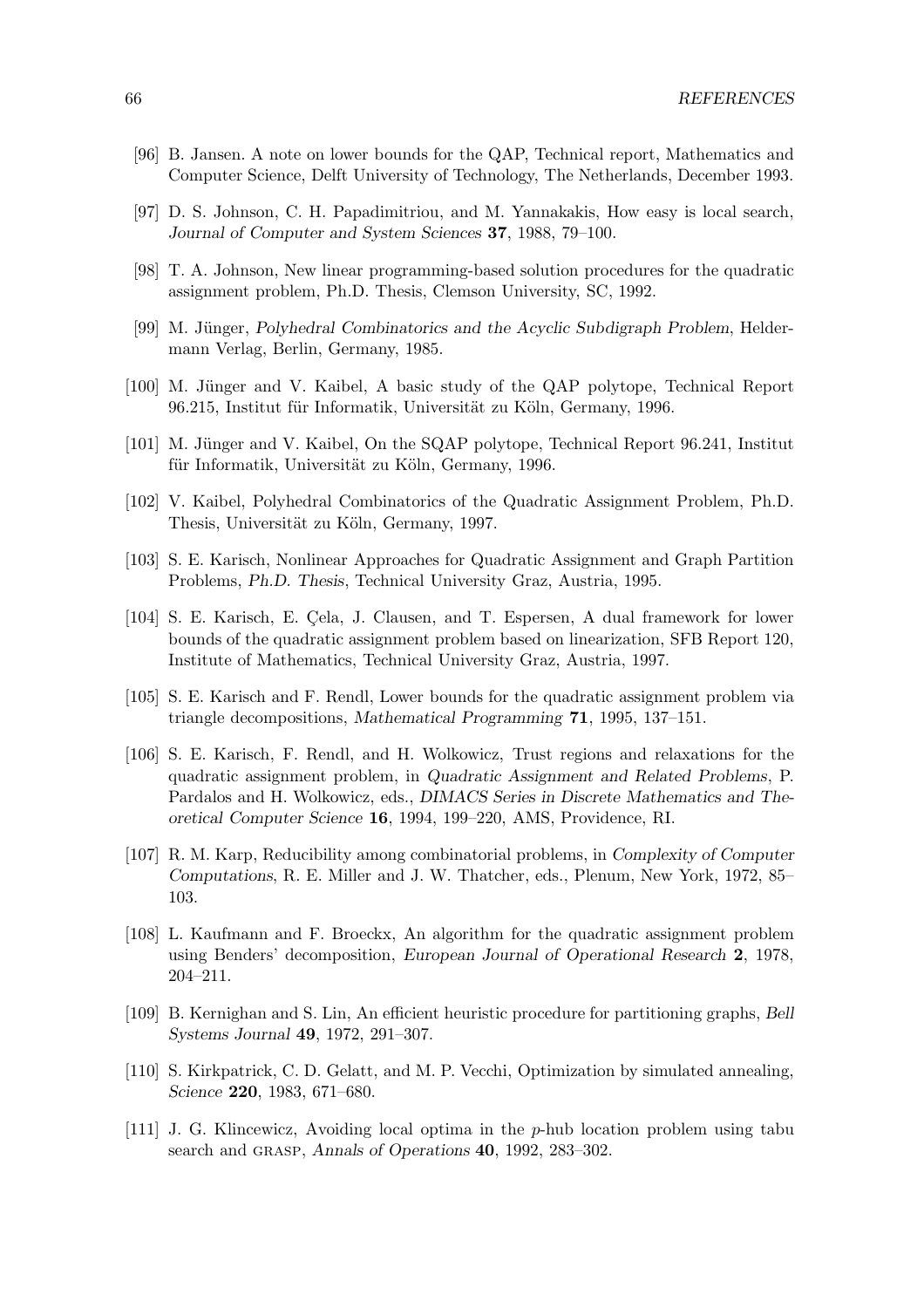- [96] B. Jansen. A note on lower bounds for the QAP, Technical report, Mathematics and Computer Science, Delft University of Technology, The Netherlands, December 1993.
- [97] D. S. Johnson, C. H. Papadimitriou, and M. Yannakakis, How easy is local search, Journal of Computer and System Sciences 37, 1988, 79–100.
- [98] T. A. Johnson, New linear programming-based solution procedures for the quadratic assignment problem, Ph.D. Thesis, Clemson University, SC, 1992.
- [99] M. Jünger, Polyhedral Combinatorics and the Acyclic Subdigraph Problem, Heldermann Verlag, Berlin, Germany, 1985.
- [100] M. Jünger and V. Kaibel, A basic study of the QAP polytope, Technical Report 96.215, Institut für Informatik, Universität zu Köln, Germany, 1996.
- [101] M. Jünger and V. Kaibel, On the SQAP polytope, Technical Report 96.241, Institut für Informatik, Universität zu Köln, Germany, 1996.
- [102] V. Kaibel, Polyhedral Combinatorics of the Quadratic Assignment Problem, Ph.D. Thesis, Universität zu Köln, Germany, 1997.
- [103] S. E. Karisch, Nonlinear Approaches for Quadratic Assignment and Graph Partition Problems, Ph.D. Thesis, Technical University Graz, Austria, 1995.
- [104] S. E. Karisch, E. Çela, J. Clausen, and T. Espersen, A dual framework for lower bounds of the quadratic assignment problem based on linearization, SFB Report 120, Institute of Mathematics, Technical University Graz, Austria, 1997.
- [105] S. E. Karisch and F. Rendl, Lower bounds for the quadratic assignment problem via triangle decompositions, Mathematical Programming 71, 1995, 137–151.
- [106] S. E. Karisch, F. Rendl, and H. Wolkowicz, Trust regions and relaxations for the quadratic assignment problem, in Quadratic Assignment and Related Problems, P. Pardalos and H. Wolkowicz, eds., DIMACS Series in Discrete Mathematics and Theoretical Computer Science 16, 1994, 199–220, AMS, Providence, RI.
- [107] R. M. Karp, Reducibility among combinatorial problems, in Complexity of Computer Computations, R. E. Miller and J. W. Thatcher, eds., Plenum, New York, 1972, 85– 103.
- [108] L. Kaufmann and F. Broeckx, An algorithm for the quadratic assignment problem using Benders' decomposition, European Journal of Operational Research 2, 1978, 204–211.
- [109] B. Kernighan and S. Lin, An efficient heuristic procedure for partitioning graphs, Bell Systems Journal 49, 1972, 291–307.
- [110] S. Kirkpatrick, C. D. Gelatt, and M. P. Vecchi, Optimization by simulated annealing, Science 220, 1983, 671–680.
- [111] J. G. Klincewicz, Avoiding local optima in the p-hub location problem using tabu search and GRASP, Annals of Operations 40, 1992, 283–302.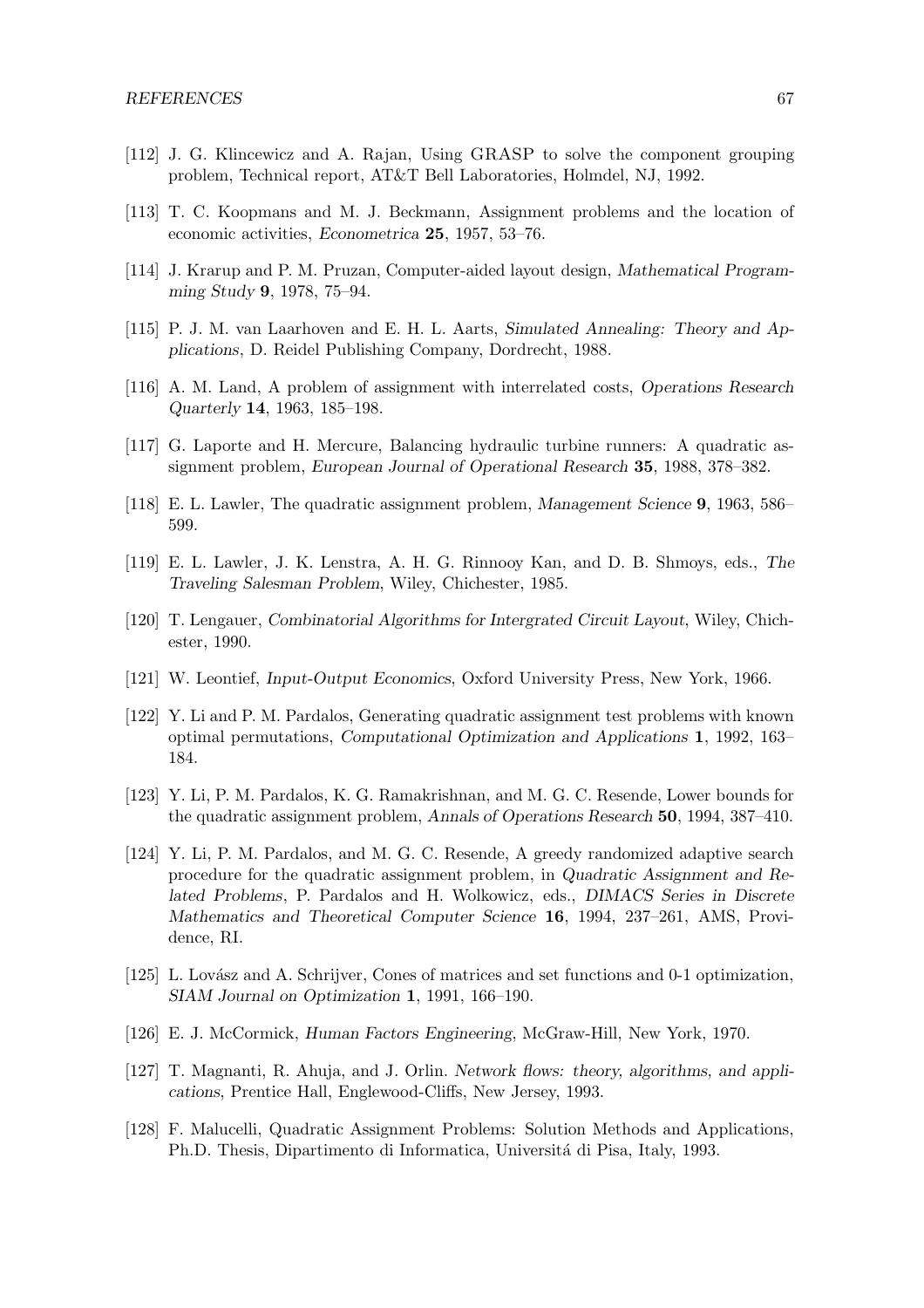- [112] J. G. Klincewicz and A. Rajan, Using GRASP to solve the component grouping problem, Technical report, AT&T Bell Laboratories, Holmdel, NJ, 1992.
- [113] T. C. Koopmans and M. J. Beckmann, Assignment problems and the location of economic activities, Econometrica 25, 1957, 53–76.
- [114] J. Krarup and P. M. Pruzan, Computer-aided layout design, Mathematical Programming Study 9, 1978, 75–94.
- [115] P. J. M. van Laarhoven and E. H. L. Aarts, Simulated Annealing: Theory and Applications, D. Reidel Publishing Company, Dordrecht, 1988.
- [116] A. M. Land, A problem of assignment with interrelated costs, Operations Research Quarterly 14, 1963, 185–198.
- [117] G. Laporte and H. Mercure, Balancing hydraulic turbine runners: A quadratic assignment problem, European Journal of Operational Research 35, 1988, 378–382.
- [118] E. L. Lawler, The quadratic assignment problem, Management Science 9, 1963, 586– 599.
- [119] E. L. Lawler, J. K. Lenstra, A. H. G. Rinnooy Kan, and D. B. Shmoys, eds., The Traveling Salesman Problem, Wiley, Chichester, 1985.
- [120] T. Lengauer, Combinatorial Algorithms for Intergrated Circuit Layout, Wiley, Chichester, 1990.
- [121] W. Leontief, Input-Output Economics, Oxford University Press, New York, 1966.
- [122] Y. Li and P. M. Pardalos, Generating quadratic assignment test problems with known optimal permutations, Computational Optimization and Applications 1, 1992, 163– 184.
- [123] Y. Li, P. M. Pardalos, K. G. Ramakrishnan, and M. G. C. Resende, Lower bounds for the quadratic assignment problem, Annals of Operations Research 50, 1994, 387–410.
- [124] Y. Li, P. M. Pardalos, and M. G. C. Resende, A greedy randomized adaptive search procedure for the quadratic assignment problem, in Quadratic Assignment and Related Problems, P. Pardalos and H. Wolkowicz, eds., DIMACS Series in Discrete Mathematics and Theoretical Computer Science 16, 1994, 237–261, AMS, Providence, RI.
- [125] L. Lovász and A. Schrijver, Cones of matrices and set functions and 0-1 optimization, SIAM Journal on Optimization 1, 1991, 166–190.
- [126] E. J. McCormick, Human Factors Engineering, McGraw-Hill, New York, 1970.
- [127] T. Magnanti, R. Ahuja, and J. Orlin. Network flows: theory, algorithms, and applications, Prentice Hall, Englewood-Cliffs, New Jersey, 1993.
- [128] F. Malucelli, Quadratic Assignment Problems: Solution Methods and Applications, Ph.D. Thesis, Dipartimento di Informatica, Universit´a di Pisa, Italy, 1993.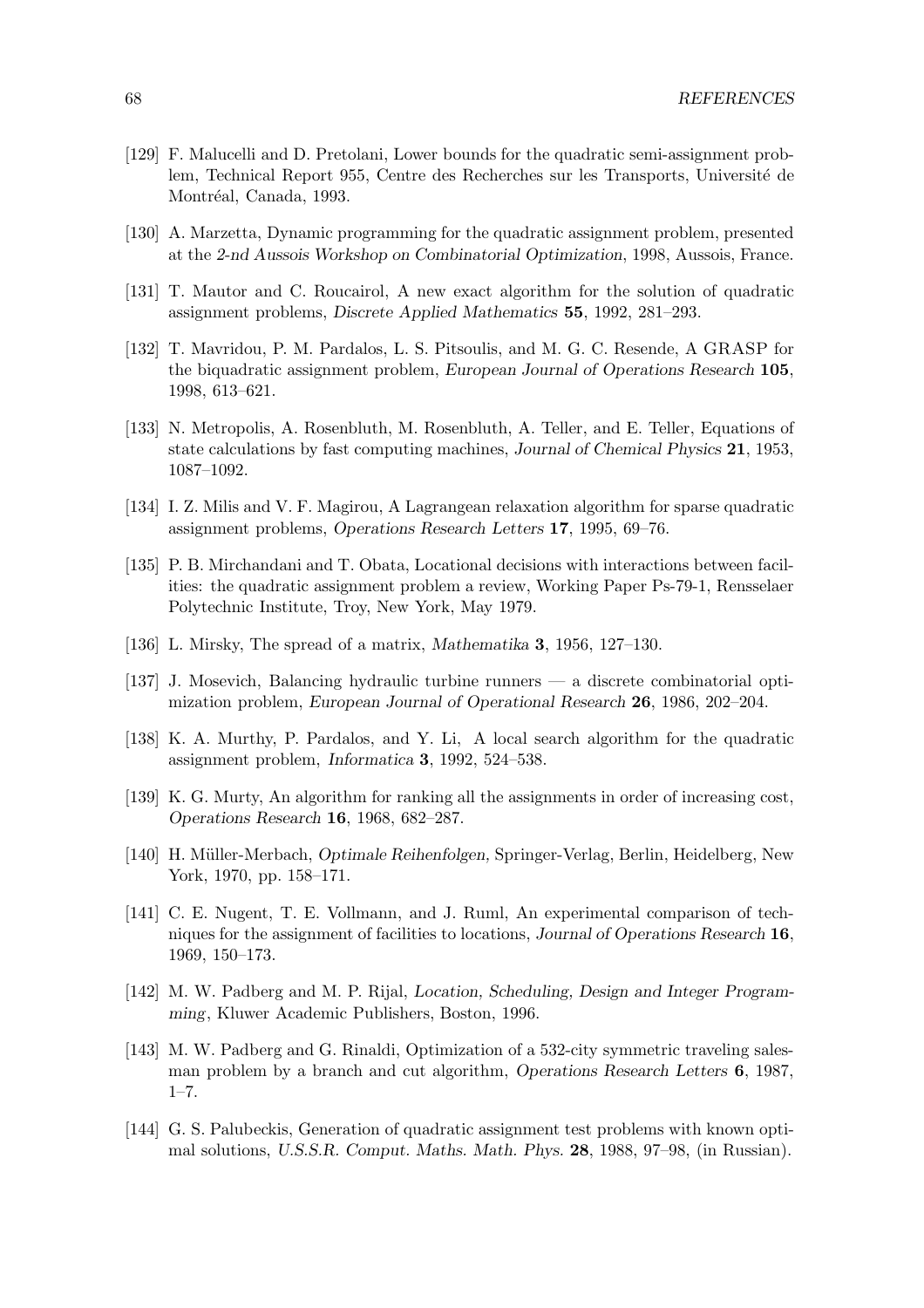- [129] F. Malucelli and D. Pretolani, Lower bounds for the quadratic semi-assignment problem, Technical Report 955, Centre des Recherches sur les Transports, Université de Montréal, Canada, 1993.
- [130] A. Marzetta, Dynamic programming for the quadratic assignment problem, presented at the 2-nd Aussois Workshop on Combinatorial Optimization, 1998, Aussois, France.
- [131] T. Mautor and C. Roucairol, A new exact algorithm for the solution of quadratic assignment problems, Discrete Applied Mathematics 55, 1992, 281–293.
- [132] T. Mavridou, P. M. Pardalos, L. S. Pitsoulis, and M. G. C. Resende, A GRASP for the biquadratic assignment problem, European Journal of Operations Research 105, 1998, 613–621.
- [133] N. Metropolis, A. Rosenbluth, M. Rosenbluth, A. Teller, and E. Teller, Equations of state calculations by fast computing machines, Journal of Chemical Physics 21, 1953, 1087–1092.
- [134] I. Z. Milis and V. F. Magirou, A Lagrangean relaxation algorithm for sparse quadratic assignment problems, Operations Research Letters 17, 1995, 69–76.
- [135] P. B. Mirchandani and T. Obata, Locational decisions with interactions between facilities: the quadratic assignment problem a review, Working Paper Ps-79-1, Rensselaer Polytechnic Institute, Troy, New York, May 1979.
- [136] L. Mirsky, The spread of a matrix, Mathematika 3, 1956, 127–130.
- [137] J. Mosevich, Balancing hydraulic turbine runners a discrete combinatorial optimization problem, European Journal of Operational Research 26, 1986, 202–204.
- [138] K. A. Murthy, P. Pardalos, and Y. Li, A local search algorithm for the quadratic assignment problem, Informatica 3, 1992, 524–538.
- [139] K. G. Murty, An algorithm for ranking all the assignments in order of increasing cost, Operations Research 16, 1968, 682–287.
- [140] H. Müller-Merbach, *Optimale Reihenfolgen*, Springer-Verlag, Berlin, Heidelberg, New York, 1970, pp. 158–171.
- [141] C. E. Nugent, T. E. Vollmann, and J. Ruml, An experimental comparison of techniques for the assignment of facilities to locations, Journal of Operations Research 16, 1969, 150–173.
- [142] M. W. Padberg and M. P. Rijal, Location, Scheduling, Design and Integer Programming, Kluwer Academic Publishers, Boston, 1996.
- [143] M. W. Padberg and G. Rinaldi, Optimization of a 532-city symmetric traveling salesman problem by a branch and cut algorithm, Operations Research Letters 6, 1987, 1–7.
- [144] G. S. Palubeckis, Generation of quadratic assignment test problems with known optimal solutions, U.S.S.R. Comput. Maths. Math. Phys. 28, 1988, 97–98, (in Russian).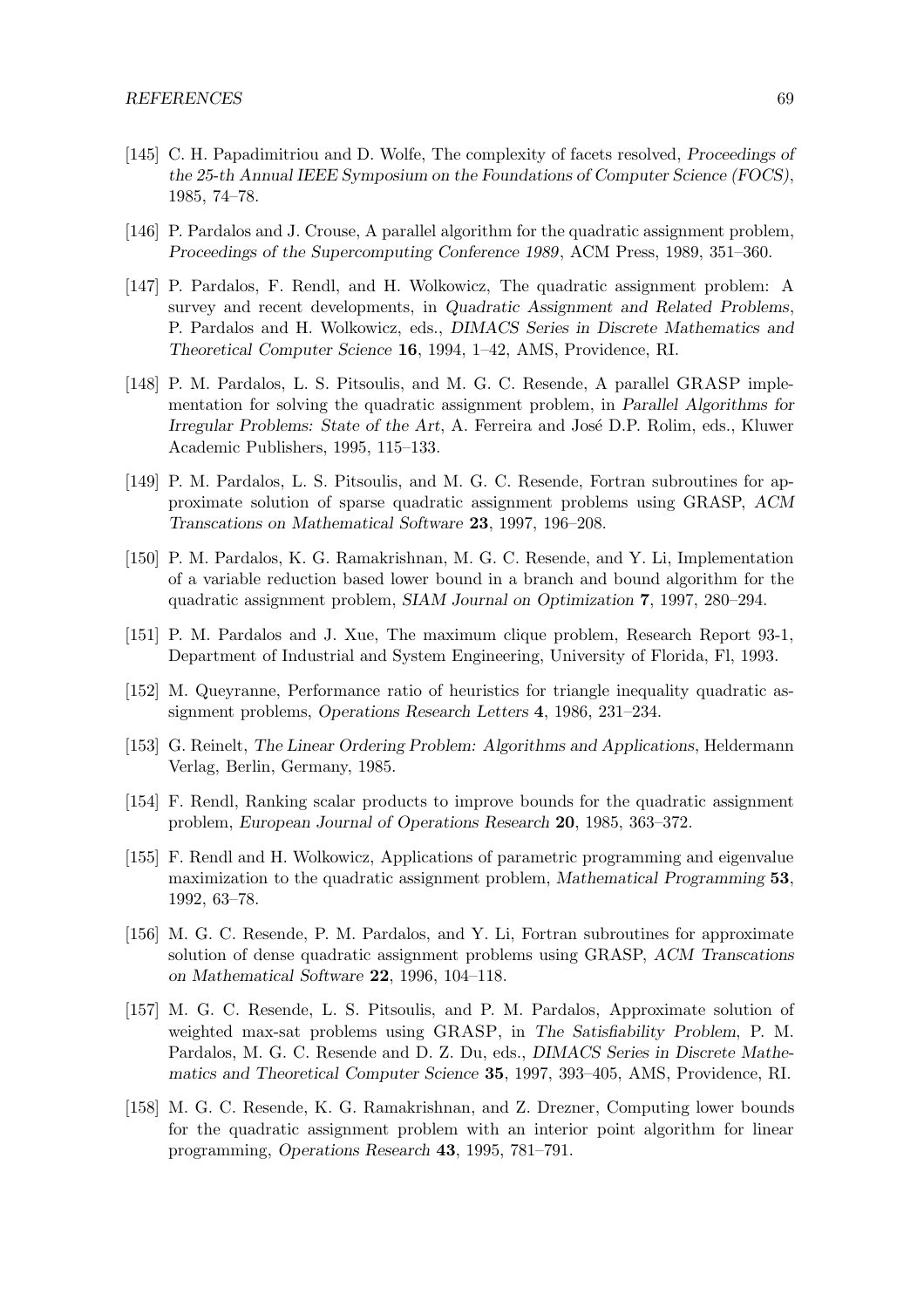- [145] C. H. Papadimitriou and D. Wolfe, The complexity of facets resolved, Proceedings of the 25-th Annual IEEE Symposium on the Foundations of Computer Science (FOCS), 1985, 74–78.
- [146] P. Pardalos and J. Crouse, A parallel algorithm for the quadratic assignment problem, Proceedings of the Supercomputing Conference 1989, ACM Press, 1989, 351–360.
- [147] P. Pardalos, F. Rendl, and H. Wolkowicz, The quadratic assignment problem: A survey and recent developments, in Quadratic Assignment and Related Problems, P. Pardalos and H. Wolkowicz, eds., DIMACS Series in Discrete Mathematics and Theoretical Computer Science 16, 1994, 1–42, AMS, Providence, RI.
- [148] P. M. Pardalos, L. S. Pitsoulis, and M. G. C. Resende, A parallel GRASP implementation for solving the quadratic assignment problem, in Parallel Algorithms for Irregular Problems: State of the Art, A. Ferreira and José D.P. Rolim, eds., Kluwer Academic Publishers, 1995, 115–133.
- [149] P. M. Pardalos, L. S. Pitsoulis, and M. G. C. Resende, Fortran subroutines for approximate solution of sparse quadratic assignment problems using GRASP, ACM Transcations on Mathematical Software 23, 1997, 196–208.
- [150] P. M. Pardalos, K. G. Ramakrishnan, M. G. C. Resende, and Y. Li, Implementation of a variable reduction based lower bound in a branch and bound algorithm for the quadratic assignment problem, SIAM Journal on Optimization 7, 1997, 280–294.
- [151] P. M. Pardalos and J. Xue, The maximum clique problem, Research Report 93-1, Department of Industrial and System Engineering, University of Florida, Fl, 1993.
- [152] M. Queyranne, Performance ratio of heuristics for triangle inequality quadratic assignment problems, Operations Research Letters 4, 1986, 231–234.
- [153] G. Reinelt, The Linear Ordering Problem: Algorithms and Applications, Heldermann Verlag, Berlin, Germany, 1985.
- [154] F. Rendl, Ranking scalar products to improve bounds for the quadratic assignment problem, European Journal of Operations Research 20, 1985, 363–372.
- [155] F. Rendl and H. Wolkowicz, Applications of parametric programming and eigenvalue maximization to the quadratic assignment problem, Mathematical Programming 53, 1992, 63–78.
- [156] M. G. C. Resende, P. M. Pardalos, and Y. Li, Fortran subroutines for approximate solution of dense quadratic assignment problems using GRASP, ACM Transcations on Mathematical Software 22, 1996, 104–118.
- [157] M. G. C. Resende, L. S. Pitsoulis, and P. M. Pardalos, Approximate solution of weighted max-sat problems using GRASP, in The Satisfiability Problem, P. M. Pardalos, M. G. C. Resende and D. Z. Du, eds., DIMACS Series in Discrete Mathematics and Theoretical Computer Science 35, 1997, 393–405, AMS, Providence, RI.
- [158] M. G. C. Resende, K. G. Ramakrishnan, and Z. Drezner, Computing lower bounds for the quadratic assignment problem with an interior point algorithm for linear programming, Operations Research 43, 1995, 781–791.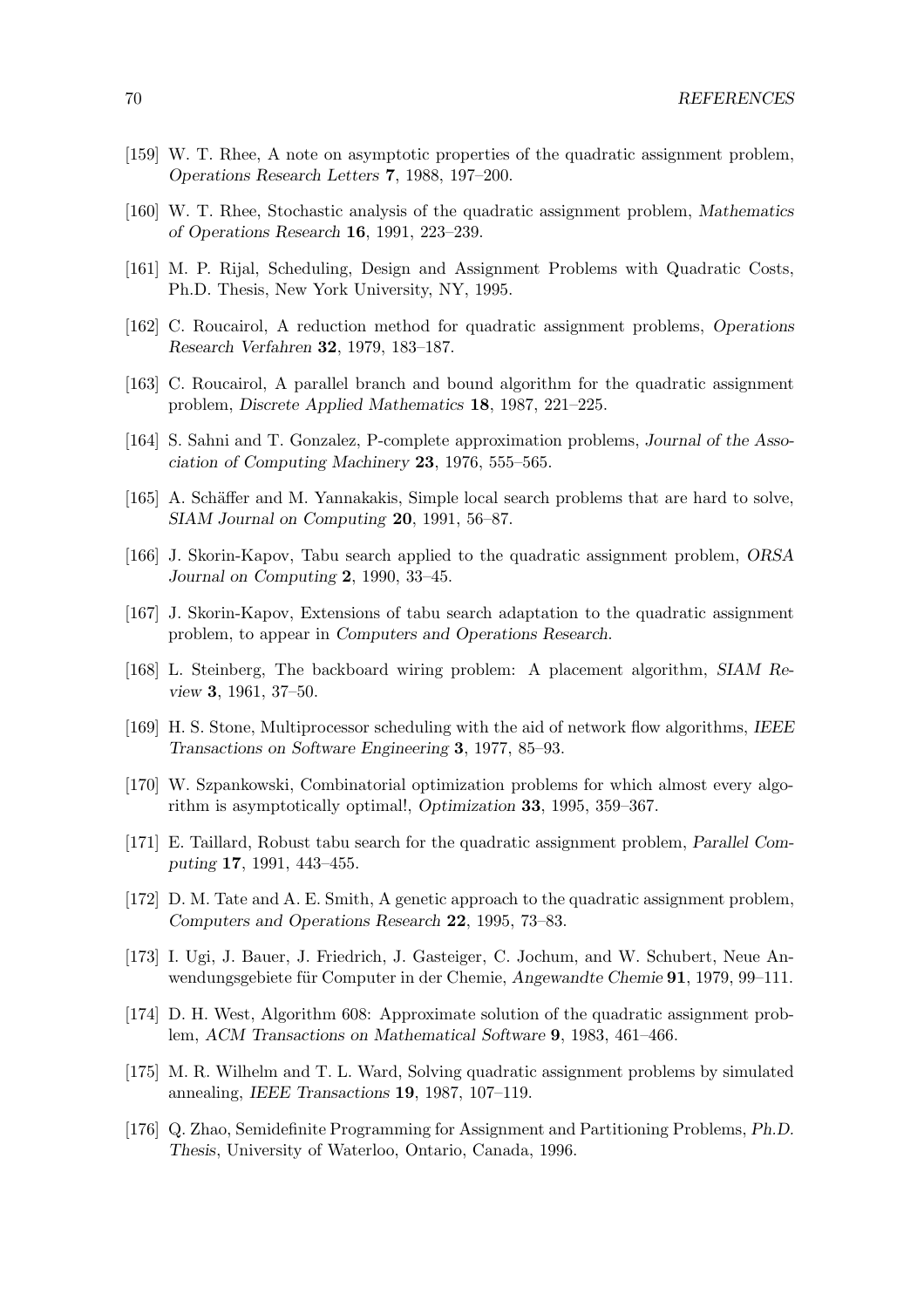- [159] W. T. Rhee, A note on asymptotic properties of the quadratic assignment problem, Operations Research Letters 7, 1988, 197–200.
- [160] W. T. Rhee, Stochastic analysis of the quadratic assignment problem, Mathematics of Operations Research 16, 1991, 223–239.
- [161] M. P. Rijal, Scheduling, Design and Assignment Problems with Quadratic Costs, Ph.D. Thesis, New York University, NY, 1995.
- [162] C. Roucairol, A reduction method for quadratic assignment problems, Operations Research Verfahren 32, 1979, 183–187.
- [163] C. Roucairol, A parallel branch and bound algorithm for the quadratic assignment problem, Discrete Applied Mathematics 18, 1987, 221–225.
- [164] S. Sahni and T. Gonzalez, P-complete approximation problems, Journal of the Association of Computing Machinery 23, 1976, 555–565.
- [165] A. Schäffer and M. Yannakakis, Simple local search problems that are hard to solve, SIAM Journal on Computing 20, 1991, 56–87.
- [166] J. Skorin-Kapov, Tabu search applied to the quadratic assignment problem, ORSA Journal on Computing 2, 1990, 33–45.
- [167] J. Skorin-Kapov, Extensions of tabu search adaptation to the quadratic assignment problem, to appear in Computers and Operations Research.
- [168] L. Steinberg, The backboard wiring problem: A placement algorithm, SIAM Review 3, 1961, 37–50.
- [169] H. S. Stone, Multiprocessor scheduling with the aid of network flow algorithms, IEEE Transactions on Software Engineering 3, 1977, 85–93.
- [170] W. Szpankowski, Combinatorial optimization problems for which almost every algorithm is asymptotically optimal!, Optimization 33, 1995, 359–367.
- [171] E. Taillard, Robust tabu search for the quadratic assignment problem, Parallel Computing 17, 1991, 443–455.
- [172] D. M. Tate and A. E. Smith, A genetic approach to the quadratic assignment problem, Computers and Operations Research 22, 1995, 73–83.
- [173] I. Ugi, J. Bauer, J. Friedrich, J. Gasteiger, C. Jochum, and W. Schubert, Neue Anwendungsgebiete für Computer in der Chemie, Angewandte Chemie 91, 1979, 99–111.
- [174] D. H. West, Algorithm 608: Approximate solution of the quadratic assignment problem, ACM Transactions on Mathematical Software 9, 1983, 461–466.
- [175] M. R. Wilhelm and T. L. Ward, Solving quadratic assignment problems by simulated annealing, IEEE Transactions 19, 1987, 107–119.
- [176] Q. Zhao, Semidefinite Programming for Assignment and Partitioning Problems, Ph.D. Thesis, University of Waterloo, Ontario, Canada, 1996.